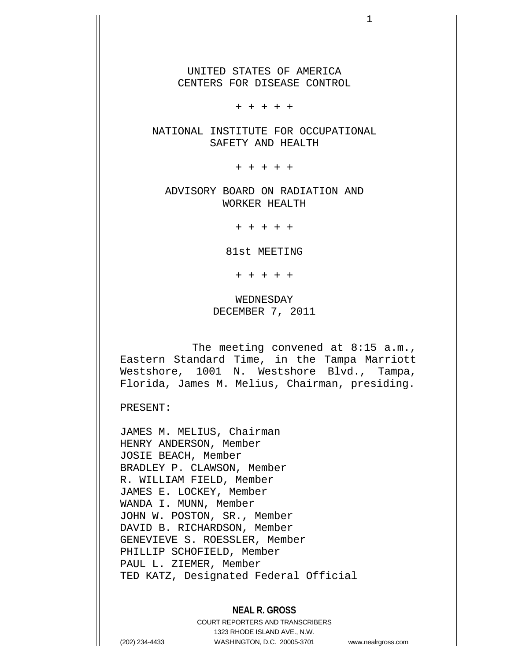UNITED STATES OF AMERICA CENTERS FOR DISEASE CONTROL

+ + + + +

NATIONAL INSTITUTE FOR OCCUPATIONAL SAFETY AND HEALTH

+ + + + +

ADVISORY BOARD ON RADIATION AND WORKER HEALTH

+ + + + +

81st MEETING

+ + + + +

WEDNESDAY DECEMBER 7, 2011

 The meeting convened at 8:15 a.m., Eastern Standard Time, in the Tampa Marriott Westshore, 1001 N. Westshore Blvd., Tampa, Florida, James M. Melius, Chairman, presiding.

PRESENT:

JAMES M. MELIUS, Chairman HENRY ANDERSON, Member JOSIE BEACH, Member BRADLEY P. CLAWSON, Member R. WILLIAM FIELD, Member JAMES E. LOCKEY, Member WANDA I. MUNN, Member JOHN W. POSTON, SR., Member DAVID B. RICHARDSON, Member GENEVIEVE S. ROESSLER, Member PHILLIP SCHOFIELD, Member PAUL L. ZIEMER, Member TED KATZ, Designated Federal Official

## **NEAL R. GROSS**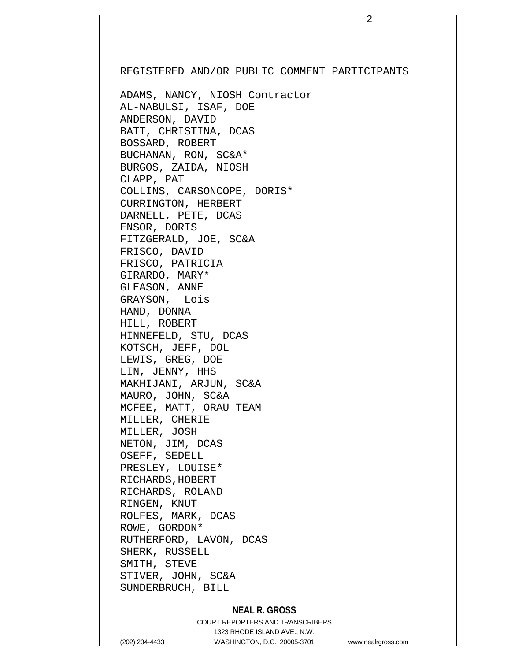REGISTERED AND/OR PUBLIC COMMENT PARTICIPANTS

ADAMS, NANCY, NIOSH Contractor AL-NABULSI, ISAF, DOE ANDERSON, DAVID BATT, CHRISTINA, DCAS BOSSARD, ROBERT BUCHANAN, RON, SC&A\* BURGOS, ZAIDA, NIOSH CLAPP, PAT COLLINS, CARSONCOPE, DORIS\* CURRINGTON, HERBERT DARNELL, PETE, DCAS ENSOR, DORIS FITZGERALD, JOE, SC&A FRISCO, DAVID FRISCO, PATRICIA GIRARDO, MARY\* GLEASON, ANNE GRAYSON, Lois HAND, DONNA HILL, ROBERT HINNEFELD, STU, DCAS KOTSCH, JEFF, DOL LEWIS, GREG, DOE LIN, JENNY, HHS MAKHIJANI, ARJUN, SC&A MAURO, JOHN, SC&A MCFEE, MATT, ORAU TEAM MILLER, CHERIE MILLER, JOSH NETON, JIM, DCAS OSEFF, SEDELL PRESLEY, LOUISE\* RICHARDS, HOBERT RICHARDS, ROLAND RINGEN, KNUT ROLFES, MARK, DCAS ROWE, GORDON\* RUTHERFORD, LAVON, DCAS SHERK, RUSSELL SMITH, STEVE STIVER, JOHN, SC&A SUNDERBRUCH, BILL

## **NEAL R. GROSS**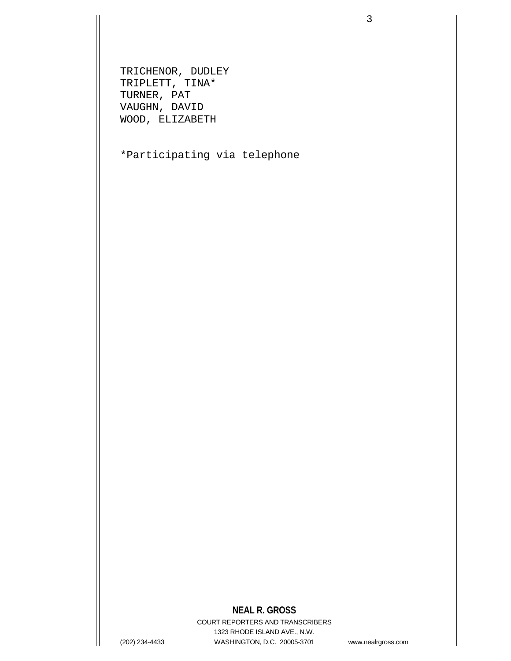TRICHENOR, DUDLEY TRIPLETT, TINA\* TURNER, PAT VAUGHN, DAVID WOOD, ELIZABETH

\*Participating via telephone

# **NEAL R. GROSS**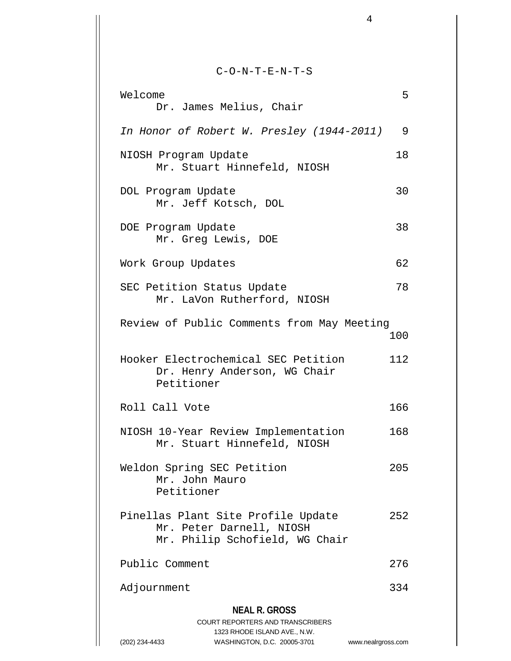C-O-N-T-E-N-T-S

4

| Welcome<br>Dr. James Melius, Chair                                                               | 5   |
|--------------------------------------------------------------------------------------------------|-----|
|                                                                                                  |     |
| In Honor of Robert W. Presley (1944-2011)                                                        | 9   |
| NIOSH Program Update<br>Mr. Stuart Hinnefeld, NIOSH                                              | 18  |
| DOL Program Update<br>Mr. Jeff Kotsch, DOL                                                       | 30  |
| DOE Program Update<br>Mr. Greg Lewis, DOE                                                        | 38  |
| Work Group Updates                                                                               | 62  |
| SEC Petition Status Update<br>Mr. LaVon Rutherford, NIOSH                                        | 78  |
| Review of Public Comments from May Meeting                                                       | 100 |
| Hooker Electrochemical SEC Petition<br>Dr. Henry Anderson, WG Chair<br>Petitioner                | 112 |
| Roll Call Vote                                                                                   | 166 |
| NIOSH 10-Year Review Implementation<br>Mr. Stuart Hinnefeld, NIOSH                               | 168 |
| Weldon Spring SEC Petition<br>Mr. John Mauro<br>Petitioner                                       | 205 |
| Pinellas Plant Site Profile Update<br>Mr. Peter Darnell, NIOSH<br>Mr. Philip Schofield, WG Chair | 252 |
| Public Comment                                                                                   | 276 |
| Adjournment                                                                                      | 334 |
| <b>NEAL R. GROSS</b>                                                                             |     |
| <b>COURT REPORTERS AND TRANSCRIBERS</b><br>1323 RHODE ISLAND AVE., N.W.                          |     |

(202) 234-4433 WASHINGTON, D.C. 20005-3701 www.nealrgross.com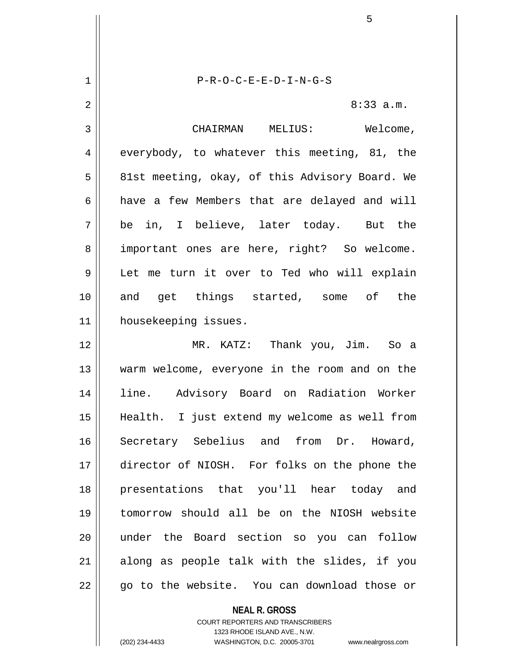1 P-R-O-C-E-E-D-I-N-G-S 2  $\parallel$  8:33 a.m. 3 | CHAIRMAN MELIUS: Welcome, 4 everybody, to whatever this meeting, 81, the 5 | 81st meeting, okay, of this Advisory Board. We  $6 \parallel$  have a few Members that are delayed and will  $7 \parallel$  be in, I believe, later today. But the 8 || important ones are here, right? So welcome. 9 Let me turn it over to Ted who will explain 10 and get things started, some of the 11 | housekeeping issues. 12 MR. KATZ: Thank you, Jim. So a 13 warm welcome, everyone in the room and on the 14 line. Advisory Board on Radiation Worker 15 Health. I just extend my welcome as well from 16 Secretary Sebelius and from Dr. Howard, 17 director of NIOSH. For folks on the phone the 18 presentations that you'll hear today and 19 tomorrow should all be on the NIOSH website 20 under the Board section so you can follow  $21$  along as people talk with the slides, if you 22 || qo to the website. You can download those or

> **NEAL R. GROSS** COURT REPORTERS AND TRANSCRIBERS 1323 RHODE ISLAND AVE., N.W.

(202) 234-4433 WASHINGTON, D.C. 20005-3701 www.nealrgross.com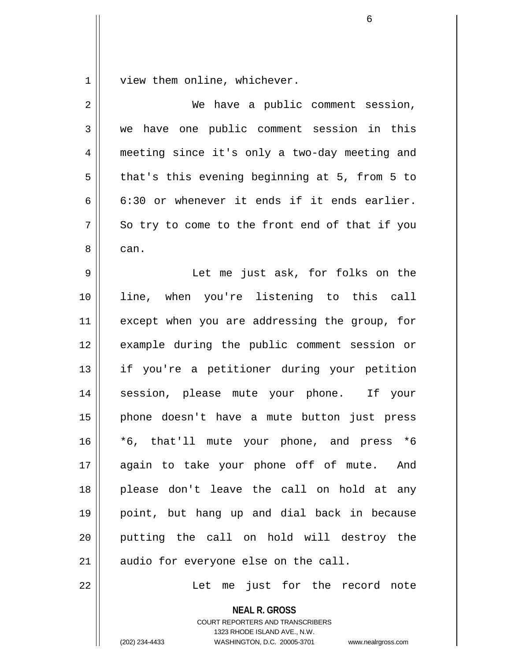1 | view them online, whichever.

| $\overline{2}$ | We have a public comment session,              |
|----------------|------------------------------------------------|
| 3              | we have one public comment session in this     |
| 4              | meeting since it's only a two-day meeting and  |
| 5              | that's this evening beginning at 5, from 5 to  |
| 6              | 6:30 or whenever it ends if it ends earlier.   |
| 7              | So try to come to the front end of that if you |
| 8              | can.                                           |
| 9              | Let me just ask, for folks on the              |
| 10             | line, when you're listening to this call       |
| 11             | except when you are addressing the group, for  |
| 12             | example during the public comment session or   |
| 13             | if you're a petitioner during your petition    |
| 14             | session, please mute your phone. If your       |
| 15             | phone doesn't have a mute button just press    |
| 16             | $*6$<br>*6, that'll mute your phone, and press |
| 17             | again to take your phone off of mute. And      |
| 18             | please don't leave the call on hold at any     |
| 19             | point, but hang up and dial back in because    |
| 20             | putting the call on hold will destroy the      |
| 21             | audio for everyone else on the call.           |
| 22             | Let me just for the record<br>note             |

**NEAL R. GROSS** COURT REPORTERS AND TRANSCRIBERS 1323 RHODE ISLAND AVE., N.W.

(202) 234-4433 WASHINGTON, D.C. 20005-3701 www.nealrgross.com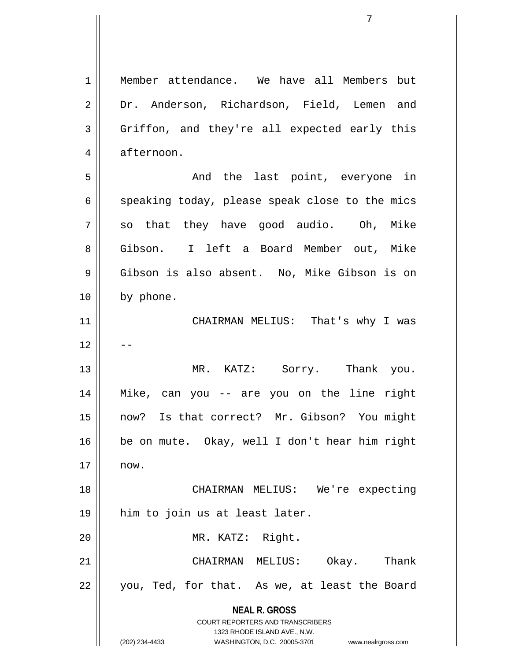**NEAL R. GROSS** COURT REPORTERS AND TRANSCRIBERS 1323 RHODE ISLAND AVE., N.W. (202) 234-4433 WASHINGTON, D.C. 20005-3701 www.nealrgross.com 1 Member attendance. We have all Members but 2 Dr. Anderson, Richardson, Field, Lemen and 3 Griffon, and they're all expected early this 4 | afternoon. 5 And the last point, everyone in  $6 \parallel$  speaking today, please speak close to the mics  $7 \parallel$  so that they have good audio. Oh, Mike 8 Gibson. I left a Board Member out, Mike 9 Gibson is also absent. No, Mike Gibson is on 10 by phone. 11 CHAIRMAN MELIUS: That's why I was  $12$ 13 || MR. KATZ: Sorry. Thank you. 14 Mike, can you -- are you on the line right 15 now? Is that correct? Mr. Gibson? You might 16 be on mute. Okay, well I don't hear him right  $17 \parallel \quad$  now. 18 CHAIRMAN MELIUS: We're expecting 19 him to join us at least later. 20 || MR. KATZ: Right. 21 CHAIRMAN MELIUS: Okay. Thank 22 || you, Ted, for that. As we, at least the Board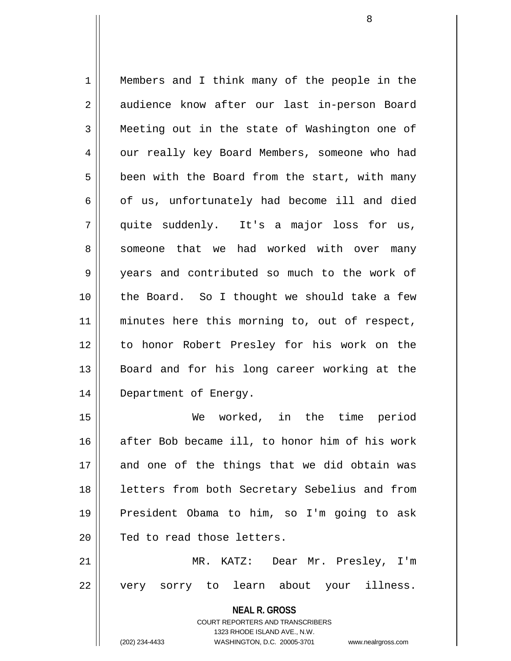1 Members and I think many of the people in the 2 | audience know after our last in-person Board 3 Meeting out in the state of Washington one of 4 | our really key Board Members, someone who had  $5 \parallel$  been with the Board from the start, with many  $6 \parallel$  of us, unfortunately had become ill and died 7 quite suddenly. It's a major loss for us, 8 Someone that we had worked with over many 9 years and contributed so much to the work of 10 || the Board. So I thought we should take a few 11 || minutes here this morning to, out of respect, 12 to honor Robert Presley for his work on the 13 || Board and for his long career working at the 14 || Department of Energy. 15 We worked, in the time period

16 after Bob became ill, to honor him of his work 17 and one of the things that we did obtain was 18 || letters from both Secretary Sebelius and from 19 President Obama to him, so I'm going to ask 20 || Ted to read those letters.

21 MR. KATZ: Dear Mr. Presley, I'm 22 || very sorry to learn about your illness.

> **NEAL R. GROSS** COURT REPORTERS AND TRANSCRIBERS 1323 RHODE ISLAND AVE., N.W. (202) 234-4433 WASHINGTON, D.C. 20005-3701 www.nealrgross.com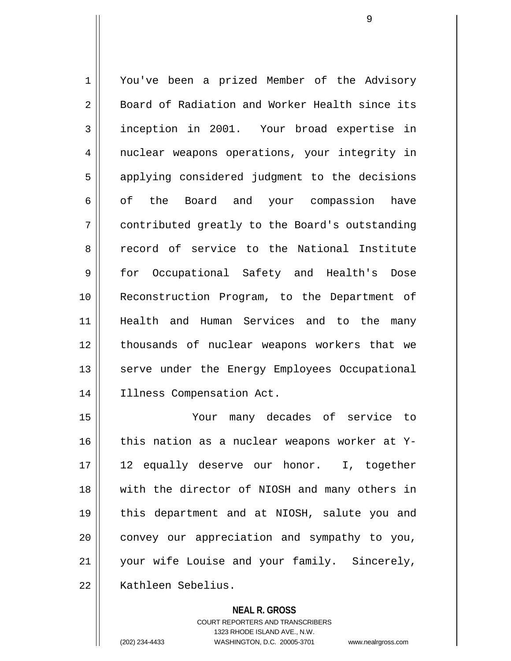1 | You've been a prized Member of the Advisory 2 Board of Radiation and Worker Health since its 3 | inception in 2001. Your broad expertise in 4 || nuclear weapons operations, your integrity in 5 || applying considered judgment to the decisions 6 || of the Board and your compassion have 7 contributed greatly to the Board's outstanding 8 Tecord of service to the National Institute 9 for Occupational Safety and Health's Dose 10 Reconstruction Program, to the Department of 11 Health and Human Services and to the many 12 || thousands of nuclear weapons workers that we 13 || serve under the Energy Employees Occupational 14 || Illness Compensation Act.

15 Your many decades of service to 16  $\parallel$  this nation as a nuclear weapons worker at Y-17 12 equally deserve our honor. I, together 18 || with the director of NIOSH and many others in 19 this department and at NIOSH, salute you and  $20$  convey our appreciation and sympathy to you, 21 || your wife Louise and your family. Sincerely, 22 || Kathleen Sebelius.

#### **NEAL R. GROSS**

COURT REPORTERS AND TRANSCRIBERS 1323 RHODE ISLAND AVE., N.W. (202) 234-4433 WASHINGTON, D.C. 20005-3701 www.nealrgross.com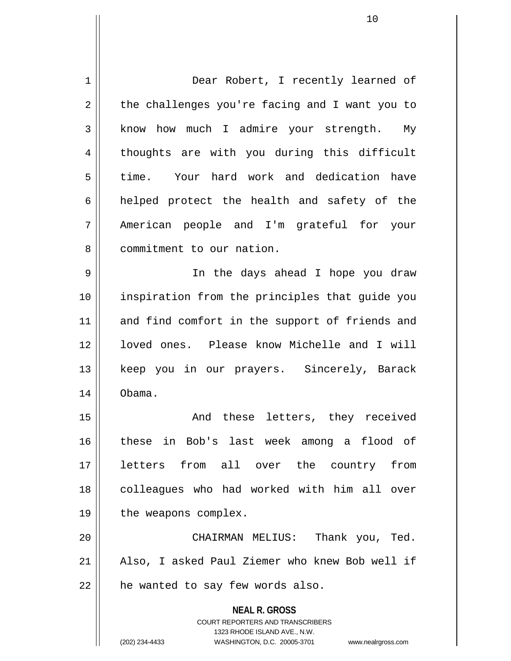**NEAL R. GROSS** COURT REPORTERS AND TRANSCRIBERS 1 Dear Robert, I recently learned of  $2 \parallel$  the challenges you're facing and I want you to  $3 \parallel$  know how much I admire your strength. My 4 || thoughts are with you during this difficult 5 time. Your hard work and dedication have  $6$  helped protect the health and safety of the 7 American people and I'm grateful for your 8 | commitment to our nation. 9 In the days ahead I hope you draw 10 inspiration from the principles that guide you 11 || and find comfort in the support of friends and 12 || loved ones. Please know Michelle and I will 13 || keep you in our prayers. Sincerely, Barack 14 Obama. 15 || The Mode these letters, they received 16 these in Bob's last week among a flood of 17 letters from all over the country from 18 || colleagues who had worked with him all over 19 | the weapons complex. 20 || CHAIRMAN MELIUS: Thank you, Ted. 21 || Also, I asked Paul Ziemer who knew Bob well if  $22$  | he wanted to say few words also.

1323 RHODE ISLAND AVE., N.W.

(202) 234-4433 WASHINGTON, D.C. 20005-3701 www.nealrgross.com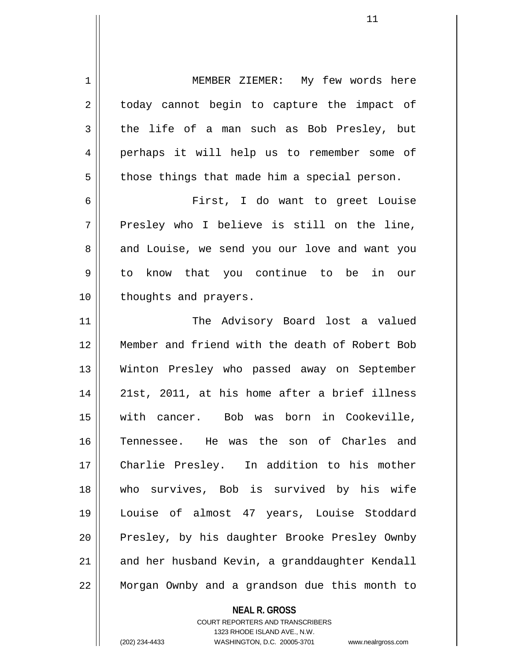1 | MEMBER ZIEMER: My few words here 2 || today cannot begin to capture the impact of  $3 \parallel$  the life of a man such as Bob Presley, but 4 perhaps it will help us to remember some of  $5 \parallel$  those things that made him a special person. 6 First, I do want to greet Louise  $7 \parallel$  Presley who I believe is still on the line, 8 and Louise, we send you our love and want you 9 to know that you continue to be in our 10 || thoughts and prayers. 11 || The Advisory Board lost a valued 12 Member and friend with the death of Robert Bob 13 Winton Presley who passed away on September 14 || 21st, 2011, at his home after a brief illness 15 with cancer. Bob was born in Cookeville, 16 Tennessee. He was the son of Charles and 17 Charlie Presley. In addition to his mother 18 who survives, Bob is survived by his wife 19 Louise of almost 47 years, Louise Stoddard 20 || Presley, by his daughter Brooke Presley Ownby 21 and her husband Kevin, a granddaughter Kendall

22 Morgan Ownby and a grandson due this month to

**NEAL R. GROSS**

COURT REPORTERS AND TRANSCRIBERS 1323 RHODE ISLAND AVE., N.W. (202) 234-4433 WASHINGTON, D.C. 20005-3701 www.nealrgross.com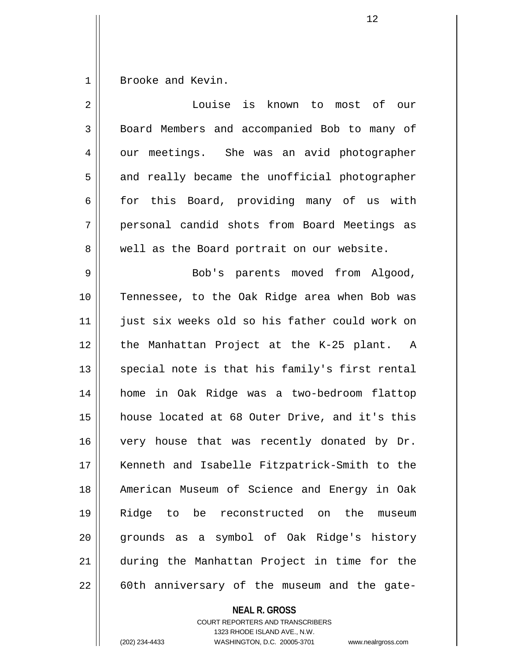1 Brooke and Kevin.

| $\overline{2}$ | Louise is known to most of our                 |
|----------------|------------------------------------------------|
| 3              | Board Members and accompanied Bob to many of   |
| $\overline{4}$ | our meetings. She was an avid photographer     |
| 5              | and really became the unofficial photographer  |
| 6              | for this Board, providing many of us with      |
| 7              | personal candid shots from Board Meetings as   |
| 8              | well as the Board portrait on our website.     |
| 9              | Bob's parents moved from Algood,               |
| 10             | Tennessee, to the Oak Ridge area when Bob was  |
| 11             | just six weeks old so his father could work on |
| 12             | the Manhattan Project at the K-25 plant. A     |
| 13             | special note is that his family's first rental |
| 14             | home in Oak Ridge was a two-bedroom flattop    |
| 15             | house located at 68 Outer Drive, and it's this |
| 16             | very house that was recently donated by Dr.    |
| 17             | Kenneth and Isabelle Fitzpatrick-Smith to the  |
| 18             | American Museum of Science and Energy in Oak   |
| 19             | Ridge to be reconstructed on the<br>museum     |
| 20             | grounds as a symbol of Oak Ridge's history     |
| 21             | during the Manhattan Project in time for the   |
| 22             | 60th anniversary of the museum and the gate-   |

**NEAL R. GROSS**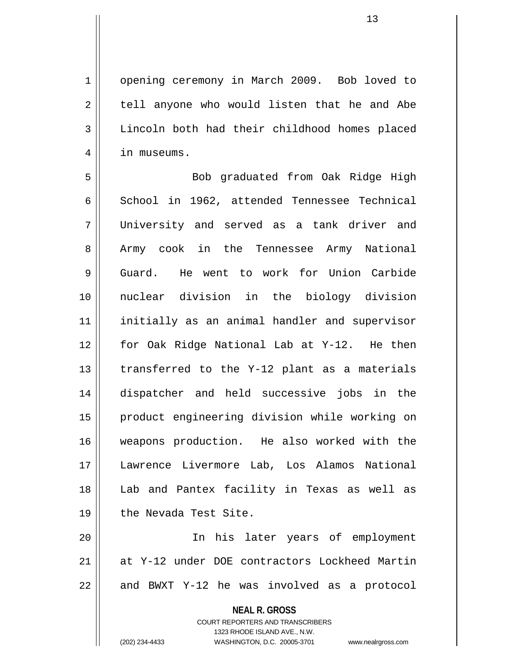1 | opening ceremony in March 2009. Bob loved to  $2 \parallel$  tell anyone who would listen that he and Abe 3 | Lincoln both had their childhood homes placed 4 | in museums.

5 Bob graduated from Oak Ridge High 6 School in 1962, attended Tennessee Technical 7 University and served as a tank driver and 8 || Army cook in the Tennessee Army National 9 Guard. He went to work for Union Carbide 10 nuclear division in the biology division 11 initially as an animal handler and supervisor 12 for Oak Ridge National Lab at Y-12. He then  $13$  || transferred to the Y-12 plant as a materials 14 dispatcher and held successive jobs in the 15 product engineering division while working on 16 weapons production. He also worked with the 17 Lawrence Livermore Lab, Los Alamos National 18 Lab and Pantex facility in Texas as well as 19 || the Nevada Test Site.

20 In his later years of employment 21 at Y-12 under DOE contractors Lockheed Martin  $22$  || and BWXT Y-12 he was involved as a protocol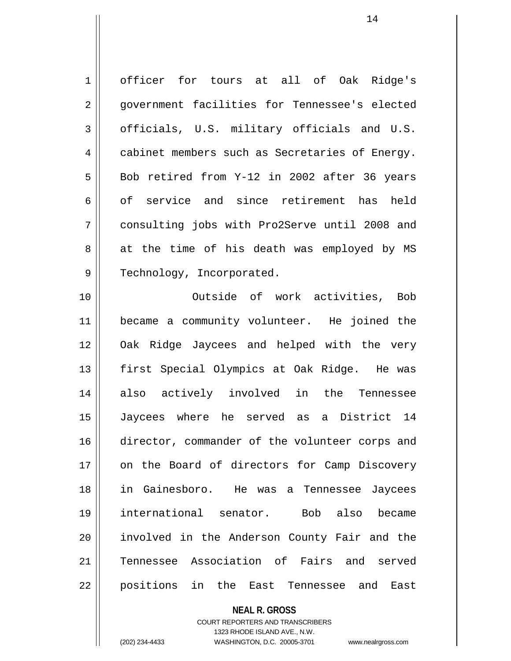1 | officer for tours at all of Oak Ridge's 2 || qovernment facilities for Tennessee's elected  $3 \parallel$  officials, U.S. military officials and U.S. 4 | cabinet members such as Secretaries of Energy.  $5 \parallel$  Bob retired from Y-12 in 2002 after 36 years 6 of service and since retirement has held 7 consulting jobs with Pro2Serve until 2008 and  $8 \parallel$  at the time of his death was employed by MS 9 || Technology, Incorporated.

10 Outside of work activities, Bob 11 became a community volunteer. He joined the 12 Oak Ridge Jaycees and helped with the very 13 || first Special Olympics at Oak Ridge. He was 14 also actively involved in the Tennessee 15 Jaycees where he served as a District 14 16 director, commander of the volunteer corps and 17 || on the Board of directors for Camp Discovery 18 in Gainesboro. He was a Tennessee Jaycees 19 international senator. Bob also became 20 involved in the Anderson County Fair and the 21 Tennessee Association of Fairs and served 22 positions in the East Tennessee and East

> **NEAL R. GROSS** COURT REPORTERS AND TRANSCRIBERS 1323 RHODE ISLAND AVE., N.W. (202) 234-4433 WASHINGTON, D.C. 20005-3701 www.nealrgross.com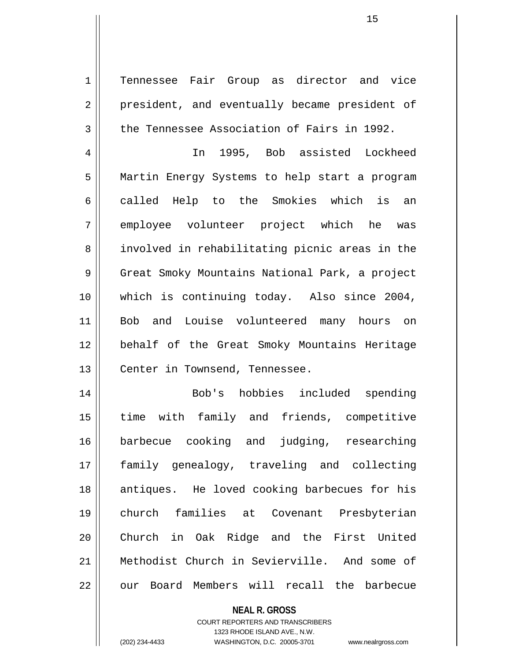1 | Tennessee Fair Group as director and vice 2 || president, and eventually became president of 3 | the Tennessee Association of Fairs in 1992.

15

4 In 1995, Bob assisted Lockheed 5 Martin Energy Systems to help start a program 6 called Help to the Smokies which is an 7 employee volunteer project which he was 8 || involved in rehabilitating picnic areas in the 9 || Great Smoky Mountains National Park, a project 10 which is continuing today. Also since 2004, 11 Bob and Louise volunteered many hours on 12 behalf of the Great Smoky Mountains Heritage 13 | Center in Townsend, Tennessee.

14 Bob's hobbies included spending 15 time with family and friends, competitive 16 barbecue cooking and judging, researching 17 family genealogy, traveling and collecting 18 || antiques. He loved cooking barbecues for his 19 church families at Covenant Presbyterian 20 Church in Oak Ridge and the First United 21 Methodist Church in Sevierville. And some of 22 0 our Board Members will recall the barbecue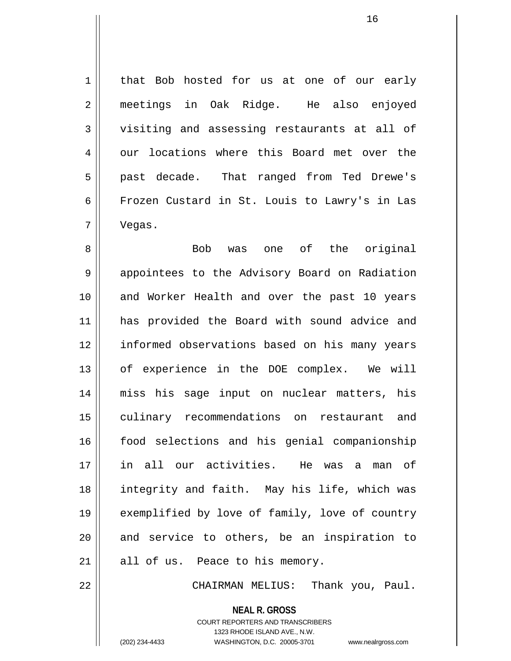1 | that Bob hosted for us at one of our early 2 meetings in Oak Ridge. He also enjoyed 3 visiting and assessing restaurants at all of 4 our locations where this Board met over the 5 || past decade. That ranged from Ted Drewe's 6 Frozen Custard in St. Louis to Lawry's in Las 7 Vegas.

8 Bob was one of the original 9 | appointees to the Advisory Board on Radiation 10 || and Worker Health and over the past 10 years 11 has provided the Board with sound advice and 12 || informed observations based on his many years 13 || of experience in the DOE complex. We will 14 miss his sage input on nuclear matters, his 15 culinary recommendations on restaurant and 16 || food selections and his genial companionship 17 in all our activities. He was a man of 18 integrity and faith. May his life, which was 19 exemplified by love of family, love of country  $20$  and service to others, be an inspiration to  $21$  | all of us. Peace to his memory.

22 CHAIRMAN MELIUS: Thank you, Paul.

**NEAL R. GROSS**

COURT REPORTERS AND TRANSCRIBERS 1323 RHODE ISLAND AVE., N.W. (202) 234-4433 WASHINGTON, D.C. 20005-3701 www.nealrgross.com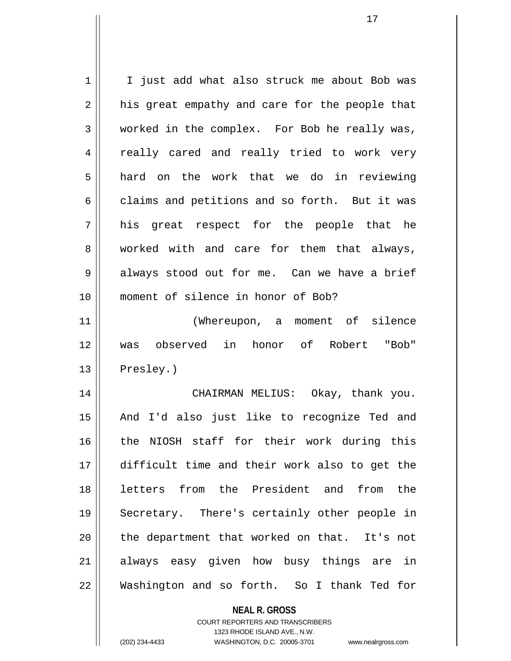| 1  | I just add what also struck me about Bob was             |
|----|----------------------------------------------------------|
| 2  | his great empathy and care for the people that           |
| 3  | worked in the complex. For Bob he really was,            |
| 4  | really cared and really tried to work very               |
| 5  | hard on the work that we do in reviewing                 |
| 6  | claims and petitions and so forth. But it was            |
| 7  | his great respect for the people that he                 |
| 8  | worked with and care for them that always,               |
| 9  | always stood out for me. Can we have a brief             |
| 10 | moment of silence in honor of Bob?                       |
| 11 | (Whereupon, a moment of silence                          |
| 12 | observed in honor of Robert "Bob"<br>was                 |
| 13 | Presley.)                                                |
| 14 | CHAIRMAN MELIUS: Okay, thank you.                        |
| 15 | And I'd also just like to recognize Ted and              |
| 16 | the NIOSH staff for their work during this               |
| 17 | difficult time and their work also to get the            |
| 18 | from the President and from<br>the<br>letters            |
| 19 | Secretary. There's certainly other people in             |
| 20 | the department that worked on that. It's not             |
| 21 | always easy given how busy things are in                 |
| 22 | Washington and so forth. So I thank Ted for              |
|    | <b>NEAL R. GROSS</b><br>COURT REPORTERS AND TRANSCRIBERS |

1323 RHODE ISLAND AVE., N.W.

 $\prod$ 

(202) 234-4433 WASHINGTON, D.C. 20005-3701 www.nealrgross.com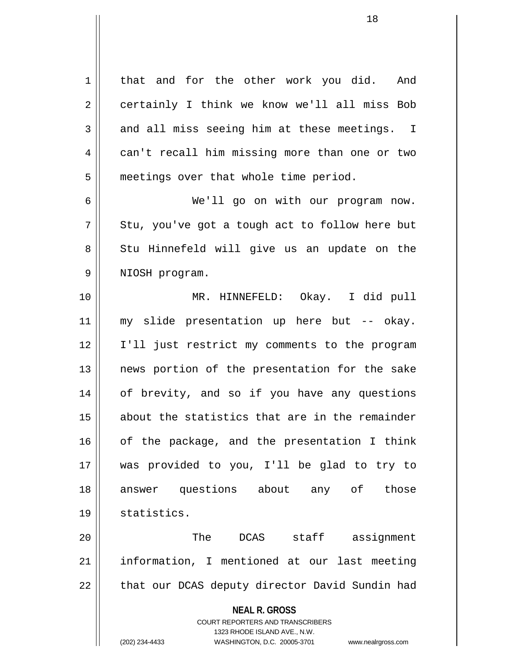**NEAL R. GROSS** COURT REPORTERS AND TRANSCRIBERS 1323 RHODE ISLAND AVE., N.W. 1 | that and for the other work you did. And 2 certainly I think we know we'll all miss Bob  $3 \parallel$  and all miss seeing him at these meetings. I 4 can't recall him missing more than one or two 5 | meetings over that whole time period. 6 We'll go on with our program now.  $7 \parallel$  Stu, you've got a tough act to follow here but 8 || Stu Hinnefeld will give us an update on the 9 || NIOSH program. 10 MR. HINNEFELD: Okay. I did pull 11 my slide presentation up here but -- okay. 12 || I'll just restrict my comments to the program 13 || news portion of the presentation for the sake 14 || of brevity, and so if you have any questions 15 about the statistics that are in the remainder  $16$  of the package, and the presentation I think 17 was provided to you, I'll be glad to try to 18 answer questions about any of those 19 statistics. 20 The DCAS staff assignment 21 || information, I mentioned at our last meeting  $22$  | that our DCAS deputy director David Sundin had

(202) 234-4433 WASHINGTON, D.C. 20005-3701 www.nealrgross.com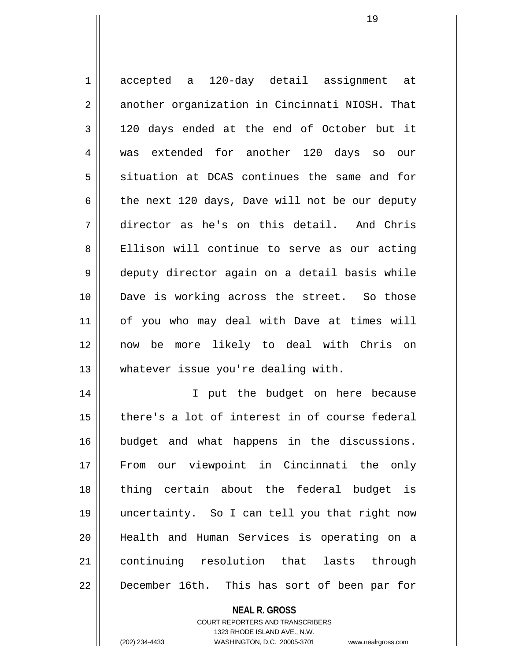1 accepted a 120-day detail assignment at 2 another organization in Cincinnati NIOSH. That  $3 \parallel$  120 days ended at the end of October but it 4 was extended for another 120 days so our 5 situation at DCAS continues the same and for 6 the next 120 days, Dave will not be our deputy 7 director as he's on this detail. And Chris 8 | Ellison will continue to serve as our acting 9 deputy director again on a detail basis while 10 Dave is working across the street. So those 11 of you who may deal with Dave at times will 12 now be more likely to deal with Chris on 13 || whatever issue you're dealing with. 14 || T put the budget on here because 15 there's a lot of interest in of course federal 16 budget and what happens in the discussions. 17 From our viewpoint in Cincinnati the only 18 || thing certain about the federal budget is 19 uncertainty. So I can tell you that right now

21 continuing resolution that lasts through 22 | December 16th. This has sort of been par for

20 Health and Human Services is operating on a

**NEAL R. GROSS** COURT REPORTERS AND TRANSCRIBERS 1323 RHODE ISLAND AVE., N.W. (202) 234-4433 WASHINGTON, D.C. 20005-3701 www.nealrgross.com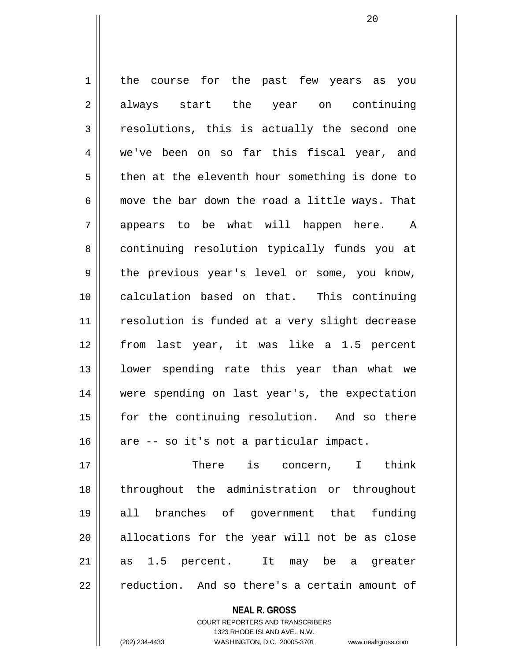1 | the course for the past few years as you 2 always start the year on continuing  $3 \parallel$  resolutions, this is actually the second one 4 we've been on so far this fiscal year, and  $5 \parallel$  then at the eleventh hour something is done to 6  $\parallel$  move the bar down the road a little ways. That 7 || appears to be what will happen here. A 8 continuing resolution typically funds you at  $9 \parallel$  the previous year's level or some, you know, 10 calculation based on that. This continuing 11 || resolution is funded at a very slight decrease 12 from last year, it was like a 1.5 percent 13 || lower spending rate this year than what we 14 were spending on last year's, the expectation 15 || for the continuing resolution. And so there  $16$  are -- so it's not a particular impact. 17 There is concern, I think

18 throughout the administration or throughout 19 all branches of government that funding  $20$  allocations for the year will not be as close 21 as 1.5 percent. It may be a greater  $22 \parallel$  reduction. And so there's a certain amount of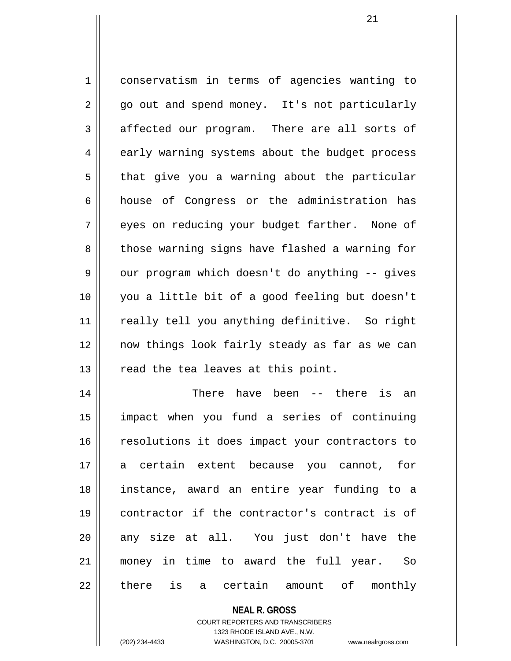1 conservatism in terms of agencies wanting to 2 || go out and spend money. It's not particularly 3 affected our program. There are all sorts of 4 early warning systems about the budget process  $5 \parallel$  that give you a warning about the particular 6 house of Congress or the administration has 7 || eyes on reducing your budget farther. None of 8 those warning signs have flashed a warning for  $9 \parallel$  our program which doesn't do anything -- gives 10 you a little bit of a good feeling but doesn't 11 || really tell you anything definitive. So right 12 now things look fairly steady as far as we can  $13$  | read the tea leaves at this point. 14 There have been -- there is an 15 impact when you fund a series of continuing

16 || resolutions it does impact your contractors to 17 a certain extent because you cannot, for 18 instance, award an entire year funding to a 19 contractor if the contractor's contract is of  $20$  any size at all. You just don't have the 21 money in time to award the full year. So  $22 \parallel$  there is a certain amount of monthly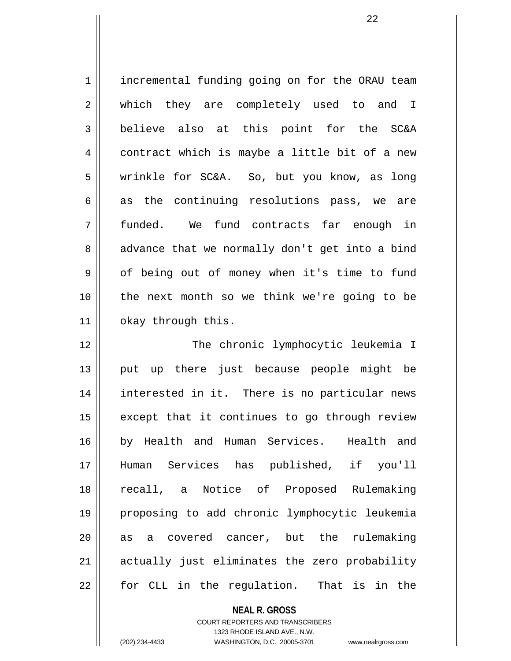1 | incremental funding going on for the ORAU team 2 || which they are completely used to and I 3 believe also at this point for the SC&A 4 contract which is maybe a little bit of a new 5 wrinkle for SC&A. So, but you know, as long  $6 \parallel$  as the continuing resolutions pass, we are 7 funded. We fund contracts far enough in  $8 \parallel$  advance that we normally don't get into a bind 9 | of being out of money when it's time to fund 10 || the next month so we think we're going to be 11 | okay through this.

12 || The chronic lymphocytic leukemia I 13 || put up there just because people might be 14 interested in it. There is no particular news  $15$  except that it continues to go through review 16 by Health and Human Services. Health and 17 Human Services has published, if you'll 18 recall, a Notice of Proposed Rulemaking 19 proposing to add chronic lymphocytic leukemia  $20$  || as a covered cancer, but the rulemaking 21 || actually just eliminates the zero probability 22 || for CLL in the requlation. That is in the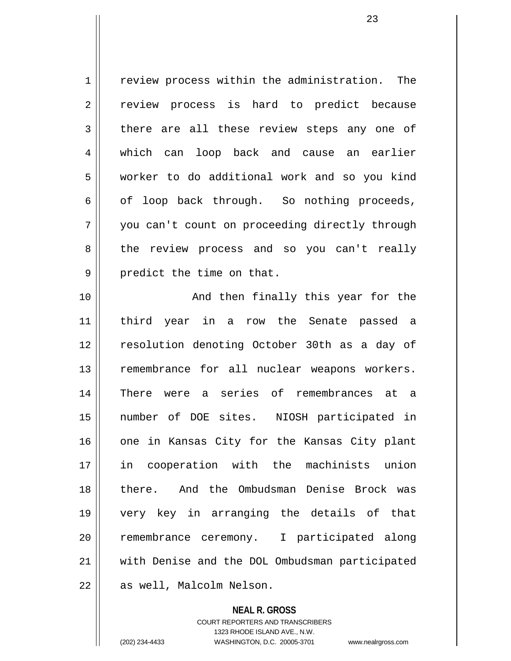1 Feview process within the administration. The 2 review process is hard to predict because  $3 \parallel$  there are all these review steps any one of 4 which can loop back and cause an earlier 5 worker to do additional work and so you kind  $6 \parallel$  of loop back through. So nothing proceeds, 7 | you can't count on proceeding directly through 8 || the review process and so you can't really  $9 \parallel$  predict the time on that. 10 || The Rand then finally this year for the

11 third year in a row the Senate passed a 12 || resolution denoting October 30th as a day of 13 remembrance for all nuclear weapons workers. 14 There were a series of remembrances at a 15 number of DOE sites. NIOSH participated in 16 one in Kansas City for the Kansas City plant 17 in cooperation with the machinists union 18 there. And the Ombudsman Denise Brock was 19 very key in arranging the details of that 20 || remembrance ceremony. I participated along 21 with Denise and the DOL Ombudsman participated 22 as well, Malcolm Nelson.

> **NEAL R. GROSS** COURT REPORTERS AND TRANSCRIBERS 1323 RHODE ISLAND AVE., N.W.

(202) 234-4433 WASHINGTON, D.C. 20005-3701 www.nealrgross.com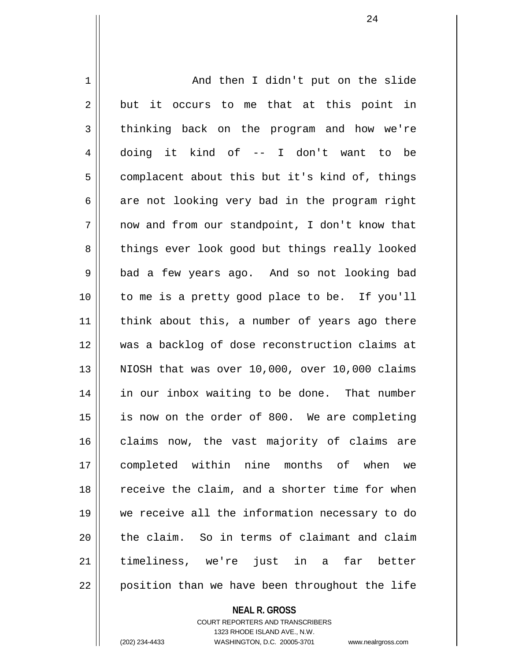1 | And then I didn't put on the slide  $2 \parallel$  but it occurs to me that at this point in 3 thinking back on the program and how we're 4 doing it kind of -- I don't want to be  $5 \parallel$  complacent about this but it's kind of, things  $6 \parallel$  are not looking very bad in the program right  $7 \parallel$  now and from our standpoint, I don't know that 8 || things ever look good but things really looked 9 || bad a few years ago. And so not looking bad 10 || to me is a pretty good place to be. If you'll 11 || think about this, a number of years ago there 12 was a backlog of dose reconstruction claims at 13  $\parallel$  NIOSH that was over 10,000, over 10,000 claims 14 in our inbox waiting to be done. That number 15 || is now on the order of 800. We are completing 16 claims now, the vast majority of claims are 17 completed within nine months of when we 18 || receive the claim, and a shorter time for when 19 we receive all the information necessary to do 20 || the claim. So in terms of claimant and claim 21 timeliness, we're just in a far better 22 || position than we have been throughout the life

> **NEAL R. GROSS** COURT REPORTERS AND TRANSCRIBERS

> > 1323 RHODE ISLAND AVE., N.W.

(202) 234-4433 WASHINGTON, D.C. 20005-3701 www.nealrgross.com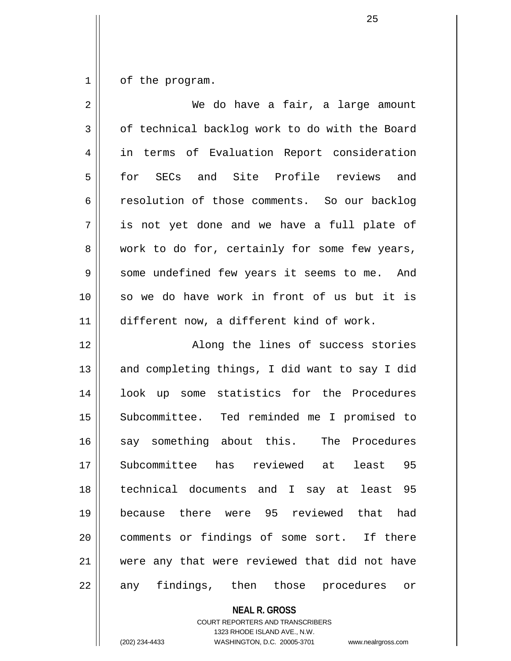$1 \parallel$  of the program.

| We do have a fair, a large amount              |
|------------------------------------------------|
| of technical backlog work to do with the Board |
| in terms of Evaluation Report consideration    |
| for SECs and Site Profile reviews and          |
| resolution of those comments. So our backlog   |
| is not yet done and we have a full plate of    |
| work to do for, certainly for some few years,  |
| some undefined few years it seems to me. And   |
| so we do have work in front of us but it is    |
| different now, a different kind of work.       |
| Along the lines of success stories             |
| and completing things, I did want to say I did |
| look up some statistics for the Procedures     |
| Subcommittee. Ted reminded me I promised to    |
| say something about this. The Procedures       |
| Subcommittee has reviewed at least 95          |
| technical documents and I say at least 95      |
| because there were 95 reviewed that had        |
| comments or findings of some sort. If there    |
|                                                |
| were any that were reviewed that did not have  |
|                                                |

**NEAL R. GROSS**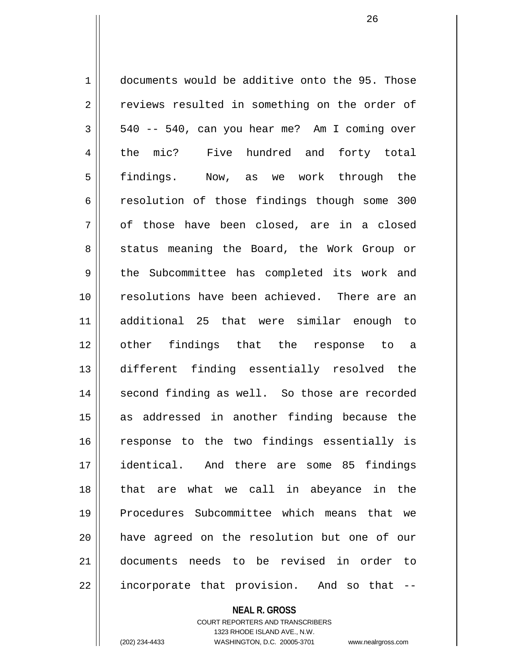1 documents would be additive onto the 95. Those 2 || reviews resulted in something on the order of  $3 \parallel$  540 -- 540, can you hear me? Am I coming over 4 || the mic? Five hundred and forty total 5 findings. Now, as we work through the 6 resolution of those findings though some 300  $7 \parallel$  of those have been closed, are in a closed 8 || status meaning the Board, the Work Group or 9 the Subcommittee has completed its work and 10 resolutions have been achieved. There are an 11 additional 25 that were similar enough to 12 other findings that the response to a 13 different finding essentially resolved the 14 || second finding as well. So those are recorded 15 as addressed in another finding because the 16 || response to the two findings essentially is 17 identical. And there are some 85 findings 18 that are what we call in abeyance in the 19 Procedures Subcommittee which means that we 20 have agreed on the resolution but one of our 21 documents needs to be revised in order to 22 || incorporate that provision. And so that --

#### **NEAL R. GROSS**

COURT REPORTERS AND TRANSCRIBERS 1323 RHODE ISLAND AVE., N.W. (202) 234-4433 WASHINGTON, D.C. 20005-3701 www.nealrgross.com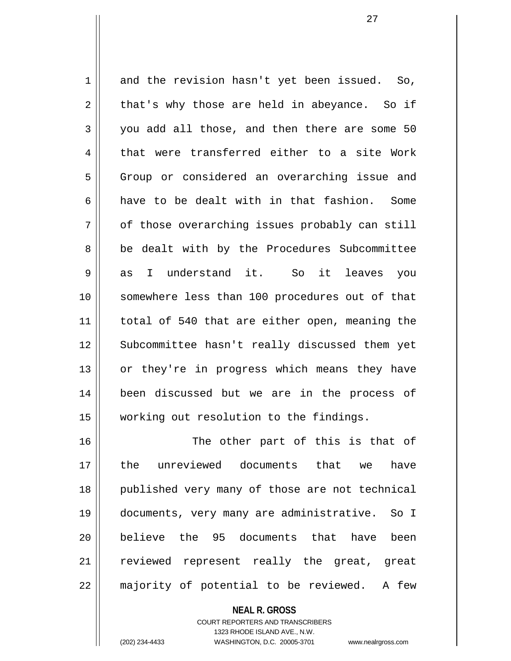$1 \parallel$  and the revision hasn't yet been issued. So,  $2 \parallel$  that's why those are held in abeyance. So if  $3 \parallel$  you add all those, and then there are some 50 4 that were transferred either to a site Work 5 Group or considered an overarching issue and 6  $\parallel$  have to be dealt with in that fashion. Some  $7 \parallel$  of those overarching issues probably can still 8 || be dealt with by the Procedures Subcommittee 9 as I understand it. So it leaves you 10 somewhere less than 100 procedures out of that 11 || total of 540 that are either open, meaning the 12 || Subcommittee hasn't really discussed them yet 13 || or they're in progress which means they have 14 been discussed but we are in the process of 15 working out resolution to the findings. 16 || The other part of this is that of

17 the unreviewed documents that we have 18 || published very many of those are not technical 19 documents, very many are administrative. So I 20 **believe** the 95 documents that have been 21 || reviewed represent really the great, great  $22$  || majority of potential to be reviewed. A few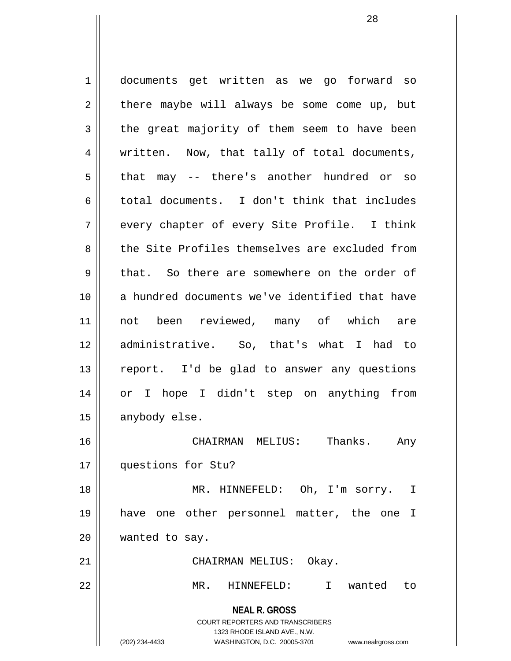**NEAL R. GROSS** COURT REPORTERS AND TRANSCRIBERS 1323 RHODE ISLAND AVE., N.W. (202) 234-4433 WASHINGTON, D.C. 20005-3701 www.nealrgross.com 1 documents get written as we go forward so  $2 \parallel$  there maybe will always be some come up, but  $3 \parallel$  the great majority of them seem to have been 4 || written. Now, that tally of total documents, 5 || that may -- there's another hundred or so 6 total documents. I don't think that includes  $7 \parallel$  every chapter of every Site Profile. I think 8 the Site Profiles themselves are excluded from  $9 \parallel$  that. So there are somewhere on the order of 10 a hundred documents we've identified that have 11 not been reviewed, many of which are 12 || administrative. So, that's what I had to 13 || report. I'd be glad to answer any questions 14 or I hope I didn't step on anything from 15 | anybody else. 16 CHAIRMAN MELIUS: Thanks. Any 17 questions for Stu? 18 MR. HINNEFELD: Oh, I'm sorry. I 19 have one other personnel matter, the one I 20 wanted to say. 21 CHAIRMAN MELIUS: Okay. 22 MR. HINNEFELD: I wanted to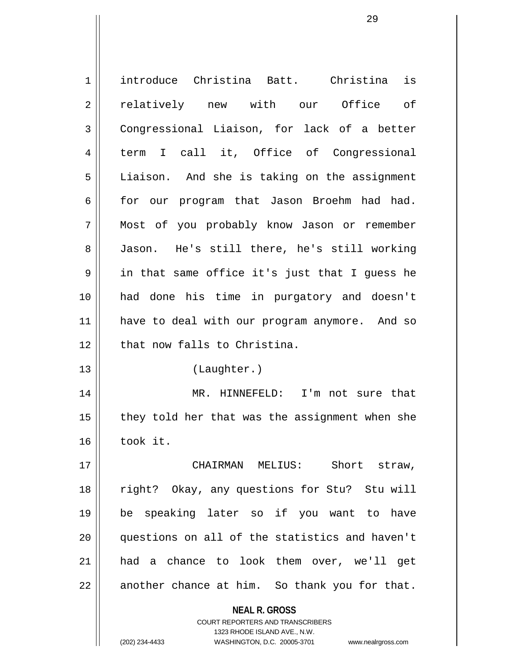| $\mathbf 1$    | introduce Christina Batt. Christina is                                  |
|----------------|-------------------------------------------------------------------------|
| $\overline{2}$ | relatively new with our Office of                                       |
| 3              | Congressional Liaison, for lack of a better                             |
| 4              | term I call it, Office of Congressional                                 |
| 5              | Liaison. And she is taking on the assignment                            |
| 6              | for our program that Jason Broehm had had.                              |
| 7              | Most of you probably know Jason or remember                             |
| 8              | Jason. He's still there, he's still working                             |
| 9              | in that same office it's just that I guess he                           |
| 10             | had done his time in purgatory and doesn't                              |
| 11             | have to deal with our program anymore. And so                           |
| 12             | that now falls to Christina.                                            |
| 13             | (Laughter.)                                                             |
|                |                                                                         |
| 14             | MR. HINNEFELD: I'm not sure that                                        |
| 15             | they told her that was the assignment when she                          |
| 16             | took it.                                                                |
| 17             | CHAIRMAN MELIUS: Short straw,                                           |
| 18             | right? Okay, any questions for Stu? Stu will                            |
| 19             | be speaking later so if you want to have                                |
| 20             | questions on all of the statistics and haven't                          |
| 21             | had a chance to look them over, we'll get                               |
| 22             | another chance at him. So thank you for that.                           |
|                |                                                                         |
|                | <b>NEAL R. GROSS</b>                                                    |
|                | <b>COURT REPORTERS AND TRANSCRIBERS</b><br>1323 RHODE ISLAND AVE., N.W. |
|                | (202) 234-4433<br>WASHINGTON, D.C. 20005-3701<br>www.nealrgross.com     |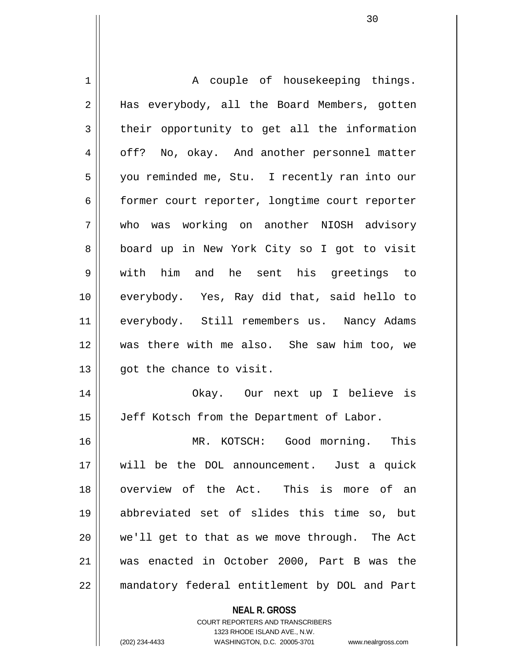| 1  | A couple of housekeeping things.               |
|----|------------------------------------------------|
| 2  | Has everybody, all the Board Members, gotten   |
| 3  | their opportunity to get all the information   |
| 4  | off? No, okay. And another personnel matter    |
| 5  | you reminded me, Stu. I recently ran into our  |
| 6  | former court reporter, longtime court reporter |
| 7  | who was working on another NIOSH advisory      |
| 8  | board up in New York City so I got to visit    |
| 9  | with him and he sent his greetings to          |
| 10 | everybody. Yes, Ray did that, said hello to    |
| 11 | everybody. Still remembers us. Nancy Adams     |
| 12 | was there with me also. She saw him too, we    |
| 13 | got the chance to visit.                       |
| 14 | Okay. Our next up I believe is                 |
| 15 | Jeff Kotsch from the Department of Labor.      |
| 16 | MR. KOTSCH: Good morning. This                 |
| 17 | will be the DOL announcement. Just a quick     |
| 18 | overview of the Act. This is more of an        |
| 19 | abbreviated set of slides this time so, but    |
| 20 | we'll get to that as we move through. The Act  |
| 21 | was enacted in October 2000, Part B was the    |
| 22 | mandatory federal entitlement by DOL and Part  |
|    | <b>NEAL R. GROSS</b>                           |

COURT REPORTERS AND TRANSCRIBERS 1323 RHODE ISLAND AVE., N.W.

(202) 234-4433 WASHINGTON, D.C. 20005-3701 www.nealrgross.com

 $\mathbf{I}$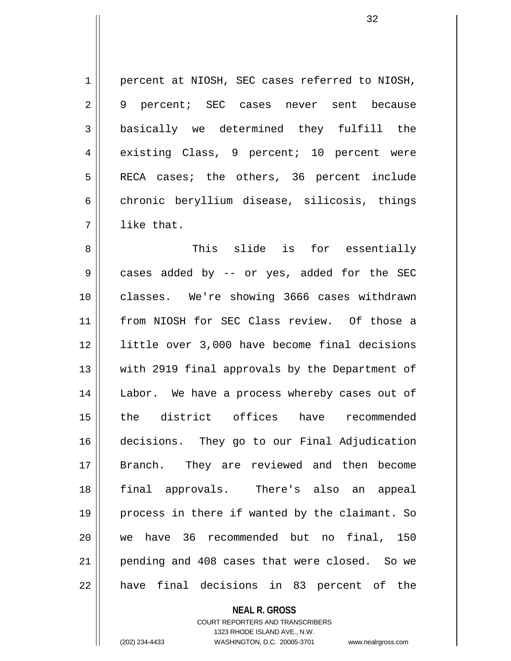1 || percent at NIOSH, SEC cases referred to NIOSH, 2 9 percent; SEC cases never sent because 3 basically we determined they fulfill the 4 existing Class, 9 percent; 10 percent were 5 || RECA cases; the others, 36 percent include  $6 \parallel$  chronic beryllium disease, silicosis, things 7 l like that.

8 This slide is for essentially 9 || cases added by -- or yes, added for the SEC 10 classes. We're showing 3666 cases withdrawn 11 from NIOSH for SEC Class review. Of those a 12 little over 3,000 have become final decisions 13 || with 2919 final approvals by the Department of 14 || Labor. We have a process whereby cases out of 15 the district offices have recommended 16 decisions. They go to our Final Adjudication 17 Branch. They are reviewed and then become 18 final approvals. There's also an appeal 19 || process in there if wanted by the claimant. So 20 we have 36 recommended but no final, 150 21 || pending and 408 cases that were closed. So we 22 || have final decisions in 83 percent of the

**NEAL R. GROSS**

COURT REPORTERS AND TRANSCRIBERS 1323 RHODE ISLAND AVE., N.W. (202) 234-4433 WASHINGTON, D.C. 20005-3701 www.nealrgross.com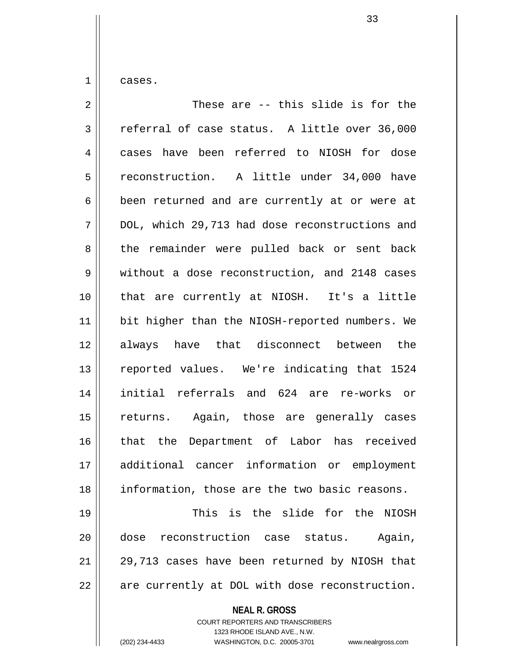1 cases.

**NEAL R. GROSS** 2 These are -- this slide is for the  $3 \parallel$  referral of case status. A little over 36,000 4 cases have been referred to NIOSH for dose 5 reconstruction. A little under 34,000 have  $6 \parallel$  been returned and are currently at or were at 7 DOL, which 29,713 had dose reconstructions and 8 || the remainder were pulled back or sent back 9 without a dose reconstruction, and 2148 cases 10 that are currently at NIOSH. It's a little 11 || bit higher than the NIOSH-reported numbers. We 12 always have that disconnect between the 13 || reported values. We're indicating that 1524 14 initial referrals and 624 are re-works or 15 || returns. Again, those are generally cases 16 that the Department of Labor has received 17 additional cancer information or employment 18 information, those are the two basic reasons. 19 This is the slide for the NIOSH 20 dose reconstruction case status. Again,  $21$  | 29,713 cases have been returned by NIOSH that  $22$  |  $\sigma$  are currently at DOL with dose reconstruction.

> COURT REPORTERS AND TRANSCRIBERS 1323 RHODE ISLAND AVE., N.W.

(202) 234-4433 WASHINGTON, D.C. 20005-3701 www.nealrgross.com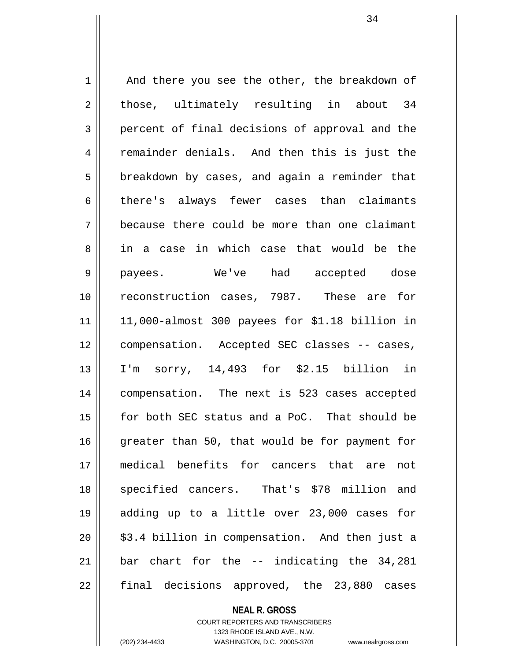$1 \parallel$  And there you see the other, the breakdown of  $2 \parallel$  those, ultimately resulting in about 34 3 percent of final decisions of approval and the 4 || remainder denials. And then this is just the  $5 \parallel$  breakdown by cases, and again a reminder that 6 there's always fewer cases than claimants 7 because there could be more than one claimant 8 in a case in which case that would be the 9 payees. We've had accepted dose 10 reconstruction cases, 7987. These are for  $11$  | 11,000-almost 300 payees for \$1.18 billion in 12 || compensation. Accepted SEC classes -- cases, 13 I'm sorry, 14,493 for \$2.15 billion in 14 compensation. The next is 523 cases accepted 15 for both SEC status and a PoC. That should be 16 greater than 50, that would be for payment for 17 medical benefits for cancers that are not 18 specified cancers. That's \$78 million and 19 adding up to a little over 23,000 cases for  $20$  || \$3.4 billion in compensation. And then just a 21  $\parallel$  bar chart for the -- indicating the 34,281  $22 \parallel$  final decisions approved, the 23,880 cases

#### **NEAL R. GROSS**

COURT REPORTERS AND TRANSCRIBERS 1323 RHODE ISLAND AVE., N.W. (202) 234-4433 WASHINGTON, D.C. 20005-3701 www.nealrgross.com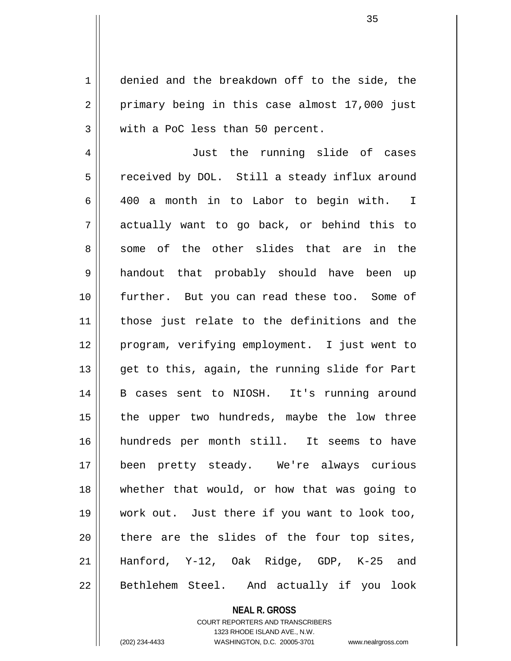1 denied and the breakdown off to the side, the  $2 \parallel$  primary being in this case almost 17,000 just 3 With a PoC less than 50 percent.

4 || Just the running slide of cases 5 | received by DOL. Still a steady influx around 6 400 a month in to Labor to begin with. I  $7 \parallel$  actually want to go back, or behind this to 8 some of the other slides that are in the 9 handout that probably should have been up 10 further. But you can read these too. Some of 11 those just relate to the definitions and the 12 program, verifying employment. I just went to  $13$  || get to this, again, the running slide for Part 14 || B cases sent to NIOSH. It's running around 15 || the upper two hundreds, maybe the low three 16 hundreds per month still. It seems to have 17 been pretty steady. We're always curious 18 whether that would, or how that was going to 19 work out. Just there if you want to look too,  $20$  | there are the slides of the four top sites, 21 Hanford, Y-12, Oak Ridge, GDP, K-25 and 22 || Bethlehem Steel. And actually if you look

### **NEAL R. GROSS**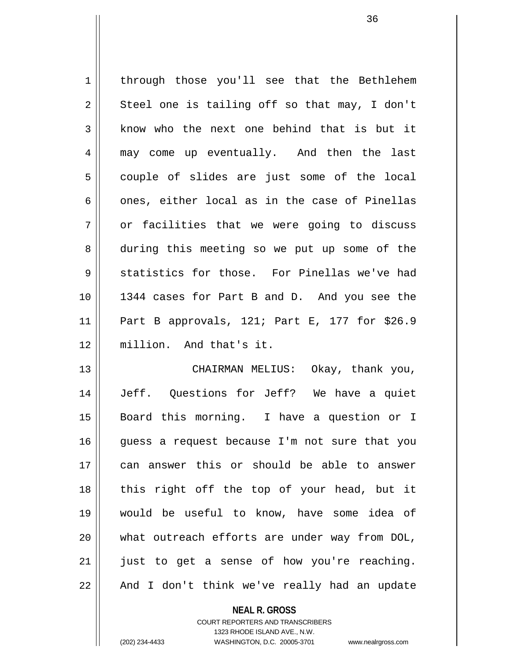| $\mathbf 1$    | through those you'll see that the Bethlehem      |
|----------------|--------------------------------------------------|
| $\overline{a}$ | Steel one is tailing off so that may, I don't    |
| 3              | know who the next one behind that is but it      |
| 4              | may come up eventually. And then the last        |
| 5              | couple of slides are just some of the local      |
| 6              | ones, either local as in the case of Pinellas    |
| 7              | or facilities that we were going to discuss      |
| 8              | during this meeting so we put up some of the     |
| 9              | statistics for those. For Pinellas we've had     |
| 10             | 1344 cases for Part B and D. And you see the     |
| 11             | Part B approvals, $121$ ; Part E, 177 for \$26.9 |
| 12             | million. And that's it.                          |
| 13             | CHAIRMAN MELIUS: Okay, thank you,                |
| 14             | Jeff. Questions for Jeff? We have a quiet        |

15 Board this morning. I have a question or I guess a request because I'm not sure that you 17 || can answer this or should be able to answer || this right off the top of your head, but it 19 would be useful to know, have some idea of || what outreach efforts are under way from DOL, just to get a sense of how you're reaching. || And I don't think we've really had an update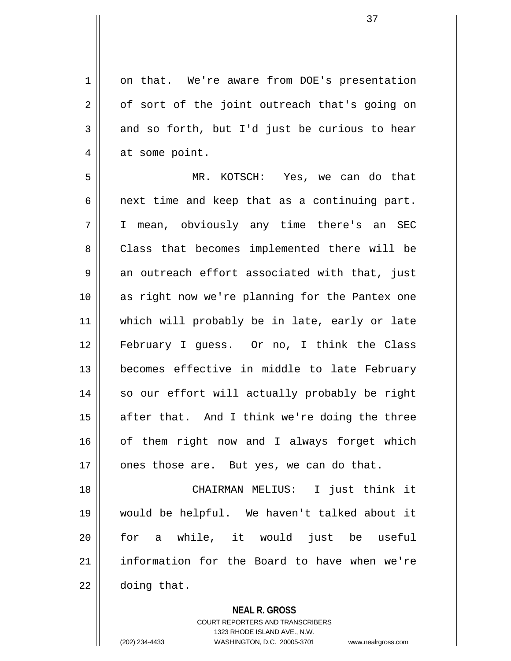1 on that. We're aware from DOE's presentation  $2 \parallel$  of sort of the joint outreach that's going on  $3 \parallel$  and so forth, but I'd just be curious to hear  $4 \parallel$  at some point. 5 MR. KOTSCH: Yes, we can do that  $6 \parallel$  next time and keep that as a continuing part. 7 I mean, obviously any time there's an SEC 8 Class that becomes implemented there will be  $9 \parallel$  an outreach effort associated with that, just 10 as right now we're planning for the Pantex one 11 which will probably be in late, early or late 12 February I guess. Or no, I think the Class 13 becomes effective in middle to late February 14 || so our effort will actually probably be right  $15$  after that. And I think we're doing the three  $16$  of them right now and I always forget which  $17$  || ones those are. But yes, we can do that. 18 CHAIRMAN MELIUS: I just think it 19 would be helpful. We haven't talked about it 20 for a while, it would just be useful 21 | information for the Board to have when we're

 $22$   $\parallel$  doing that.

## **NEAL R. GROSS**

COURT REPORTERS AND TRANSCRIBERS 1323 RHODE ISLAND AVE., N.W. (202) 234-4433 WASHINGTON, D.C. 20005-3701 www.nealrgross.com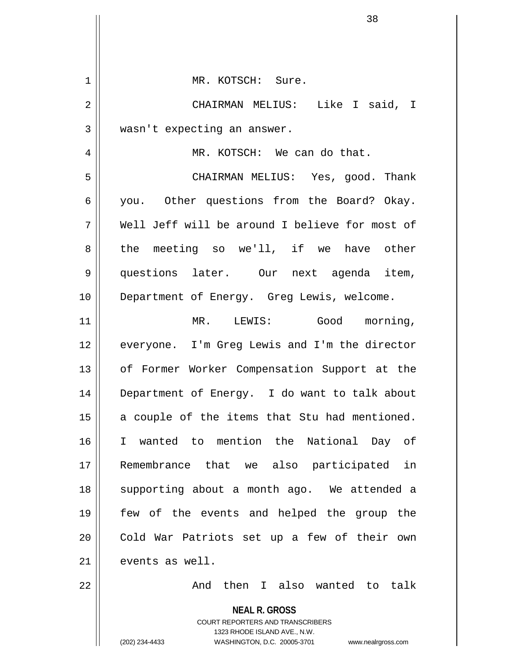| $\mathbf 1$    | MR. KOTSCH: Sure.                                                                                                                                               |
|----------------|-----------------------------------------------------------------------------------------------------------------------------------------------------------------|
| $\overline{2}$ | CHAIRMAN MELIUS: Like I said, I                                                                                                                                 |
| $\mathfrak{Z}$ | wasn't expecting an answer.                                                                                                                                     |
| 4              | MR. KOTSCH: We can do that.                                                                                                                                     |
| 5              | CHAIRMAN MELIUS: Yes, good. Thank                                                                                                                               |
| 6              | you. Other questions from the Board? Okay.                                                                                                                      |
| 7              | Well Jeff will be around I believe for most of                                                                                                                  |
| 8              | the meeting so we'll, if we have other                                                                                                                          |
| 9              | questions later. Our next agenda item,                                                                                                                          |
| 10             | Department of Energy. Greg Lewis, welcome.                                                                                                                      |
| 11             | Good morning,<br>MR. LEWIS:                                                                                                                                     |
| 12             | everyone. I'm Greg Lewis and I'm the director                                                                                                                   |
| 13             | of Former Worker Compensation Support at the                                                                                                                    |
| 14             | Department of Energy. I do want to talk about                                                                                                                   |
| 15             | a couple of the items that Stu had mentioned.                                                                                                                   |
| 16             | I wanted to mention the National Day of                                                                                                                         |
| 17             | Remembrance that we also participated in                                                                                                                        |
| 18             | supporting about a month ago. We attended a                                                                                                                     |
| 19             | few of the events and helped the group the                                                                                                                      |
| 20             | Cold War Patriots set up a few of their own                                                                                                                     |
| 21             | events as well.                                                                                                                                                 |
| 22             | And then I also wanted to talk                                                                                                                                  |
|                | <b>NEAL R. GROSS</b><br>COURT REPORTERS AND TRANSCRIBERS<br>1323 RHODE ISLAND AVE., N.W.<br>WASHINGTON, D.C. 20005-3701<br>(202) 234-4433<br>www.nealrgross.com |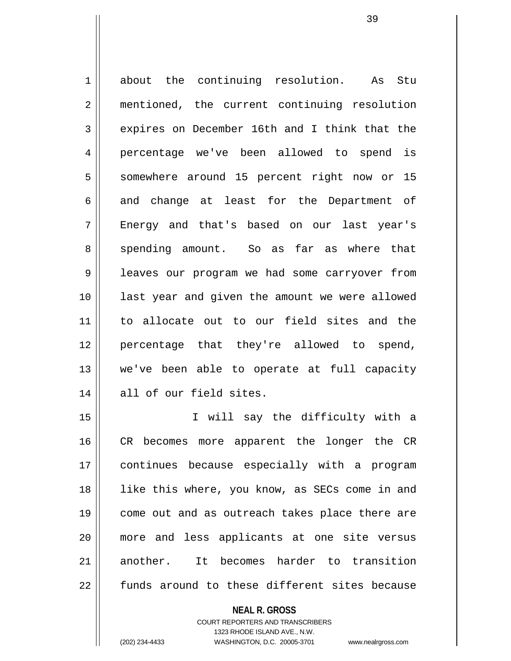1 about the continuing resolution. As Stu 2 || mentioned, the current continuing resolution 3 expires on December 16th and I think that the 4 percentage we've been allowed to spend is 5 || somewhere around 15 percent right now or 15  $6 \parallel$  and change at least for the Department of 7 Energy and that's based on our last year's 8 spending amount. So as far as where that 9 leaves our program we had some carryover from 10 last year and given the amount we were allowed 11 to allocate out to our field sites and the 12 percentage that they're allowed to spend, 13 we've been able to operate at full capacity 14 all of our field sites.

15 I will say the difficulty with a 16 || CR becomes more apparent the longer the CR 17 continues because especially with a program 18 || like this where, you know, as SECs come in and 19 || come out and as outreach takes place there are 20 more and less applicants at one site versus 21 another. It becomes harder to transition  $22$  || funds around to these different sites because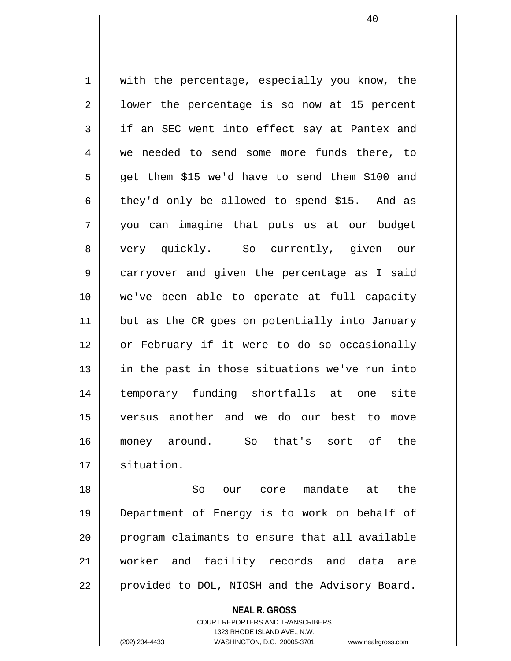1 || with the percentage, especially you know, the  $2 \parallel$  lower the percentage is so now at 15 percent  $3 \parallel$  if an SEC went into effect say at Pantex and 4 we needed to send some more funds there, to  $5 \parallel$  get them \$15 we'd have to send them \$100 and  $6 \parallel$  they'd only be allowed to spend \$15. And as 7 you can imagine that puts us at our budget 8 very quickly. So currently, given our 9 carryover and given the percentage as I said 10 we've been able to operate at full capacity 11 || but as the CR goes on potentially into January 12 || or February if it were to do so occasionally 13 in the past in those situations we've run into 14 temporary funding shortfalls at one site 15 versus another and we do our best to move 16 money around. So that's sort of the 17 | situation.

18 So our core mandate at the 19 Department of Energy is to work on behalf of 20 || program claimants to ensure that all available 21 worker and facility records and data are 22 | provided to DOL, NIOSH and the Advisory Board.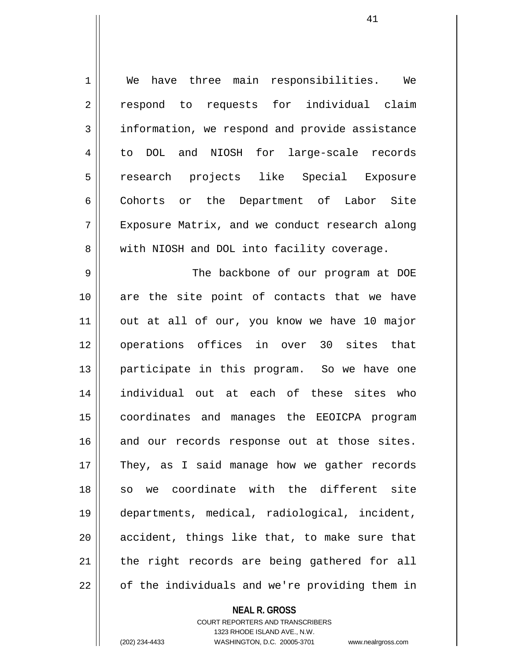1 We have three main responsibilities. We 2 || respond to requests for individual claim 3 information, we respond and provide assistance 4 to DOL and NIOSH for large-scale records 5 || research projects like Special Exposure 6 | Cohorts or the Department of Labor Site 7 Exposure Matrix, and we conduct research along 8 We with NIOSH and DOL into facility coverage.

9 The backbone of our program at DOE  $10$  are the site point of contacts that we have  $11$  out at all of our, you know we have 10 major 12 operations offices in over 30 sites that 13 participate in this program. So we have one 14 individual out at each of these sites who 15 coordinates and manages the EEOICPA program 16 and our records response out at those sites. 17 || They, as I said manage how we gather records 18 || so we coordinate with the different site 19 departments, medical, radiological, incident,  $20$  || accident, things like that, to make sure that  $21$  | the right records are being gathered for all  $22$   $\parallel$  of the individuals and we're providing them in

**NEAL R. GROSS**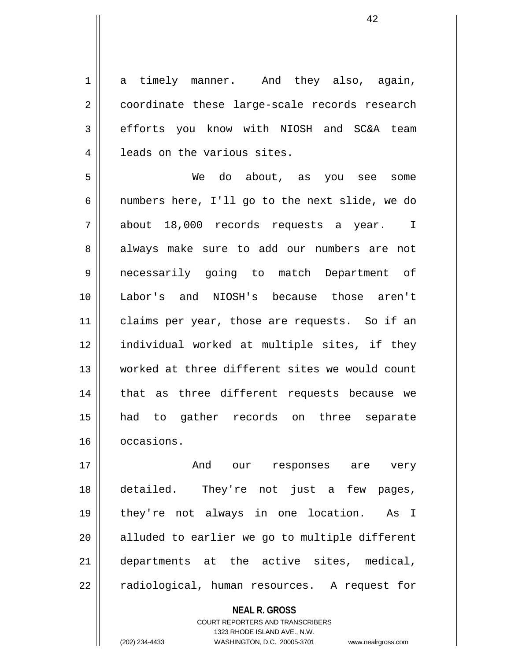1 a timely manner. And they also, again, 2 | coordinate these large-scale records research 3 | efforts you know with NIOSH and SC&A team 4 | leads on the various sites.

5 We do about, as you see some 6 || numbers here, I'll go to the next slide, we do 7 about 18,000 records requests a year. I 8 always make sure to add our numbers are not 9 necessarily going to match Department of 10 Labor's and NIOSH's because those aren't 11 || claims per year, those are requests. So if an 12 individual worked at multiple sites, if they 13 worked at three different sites we would count  $14$  | that as three different requests because we 15 had to gather records on three separate 16 occasions.

17 And our responses are very 18 detailed. They're not just a few pages, 19 they're not always in one location. As I  $20$  alluded to earlier we go to multiple different 21 departments at the active sites, medical, 22 || radiological, human resources. A request for

> **NEAL R. GROSS** COURT REPORTERS AND TRANSCRIBERS 1323 RHODE ISLAND AVE., N.W. (202) 234-4433 WASHINGTON, D.C. 20005-3701 www.nealrgross.com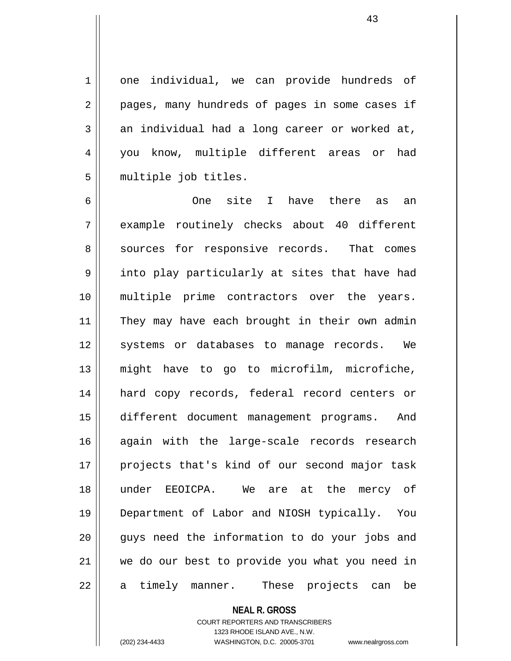1 one individual, we can provide hundreds of 2 || pages, many hundreds of pages in some cases if  $3 \parallel$  an individual had a long career or worked at, 4 || you know, multiple different areas or had 5 multiple job titles.

6 One site I have there as an 7 example routinely checks about 40 different 8 sources for responsive records. That comes 9 || into play particularly at sites that have had 10 multiple prime contractors over the years. 11 || They may have each brought in their own admin 12 || systems or databases to manage records. We 13 might have to go to microfilm, microfiche, 14 hard copy records, federal record centers or 15 different document management programs. And 16 again with the large-scale records research 17 projects that's kind of our second major task 18 under EEOICPA. We are at the mercy of 19 Department of Labor and NIOSH typically. You  $20$  || quys need the information to do your jobs and 21 we do our best to provide you what you need in  $22 \parallel$  a timely manner. These projects can be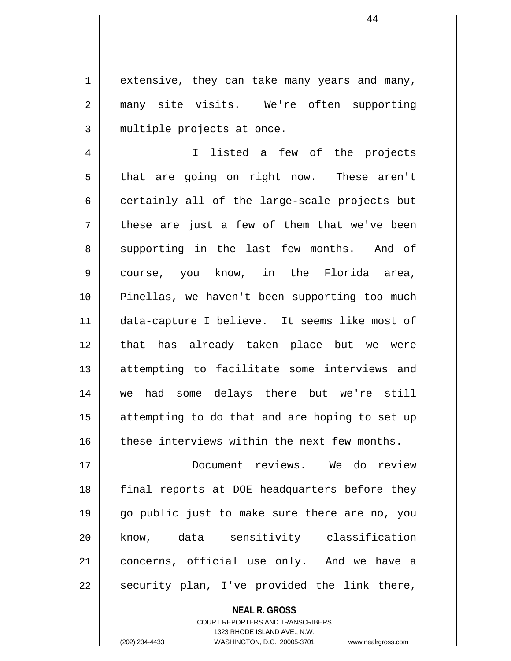$1 \parallel$  extensive, they can take many years and many, 2 many site visits. We're often supporting  $3$  || multiple projects at once.

4 || I listed a few of the projects  $5 \parallel$  that are going on right now. These aren't  $6 \parallel$  certainly all of the large-scale projects but  $7 \parallel$  these are just a few of them that we've been 8 supporting in the last few months. And of 9 || course, you know, in the Florida area, 10 Pinellas, we haven't been supporting too much 11 data-capture I believe. It seems like most of 12 that has already taken place but we were 13 attempting to facilitate some interviews and 14 we had some delays there but we're still 15 || attempting to do that and are hoping to set up  $16$  these interviews within the next few months.

17 Document reviews. We do review 18 final reports at DOE headquarters before they 19 go public just to make sure there are no, you 20 know, data sensitivity classification 21 || concerns, official use only. And we have a  $22$  || security plan, I've provided the link there,

> **NEAL R. GROSS** COURT REPORTERS AND TRANSCRIBERS 1323 RHODE ISLAND AVE., N.W. (202) 234-4433 WASHINGTON, D.C. 20005-3701 www.nealrgross.com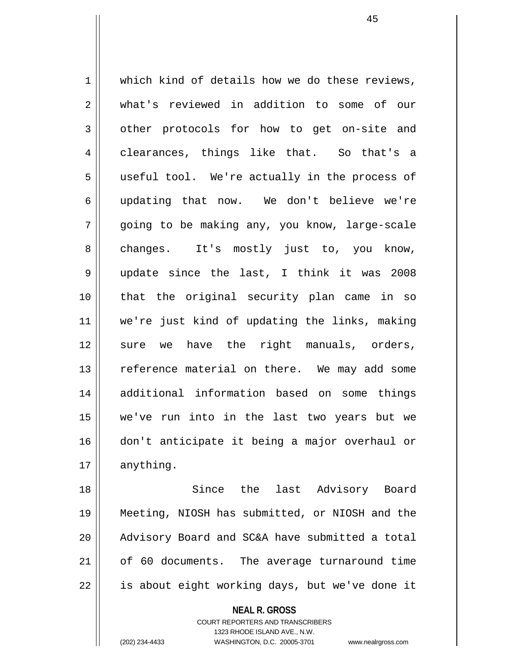1 which kind of details how we do these reviews, 2 what's reviewed in addition to some of our 3 | other protocols for how to get on-site and 4 clearances, things like that. So that's a 5 || useful tool. We're actually in the process of 6 updating that now. We don't believe we're 7 || qoing to be making any, you know, large-scale 8 || changes. It's mostly just to, you know, 9 update since the last, I think it was 2008 10 that the original security plan came in so 11 we're just kind of updating the links, making 12 sure we have the right manuals, orders, 13 || reference material on there. We may add some 14 additional information based on some things 15 we've run into in the last two years but we 16 don't anticipate it being a major overhaul or  $17$  | anything.

18 || Since the last Advisory Board 19 Meeting, NIOSH has submitted, or NIOSH and the 20 || Advisory Board and SC&A have submitted a total 21 of 60 documents. The average turnaround time  $22$  | is about eight working days, but we've done it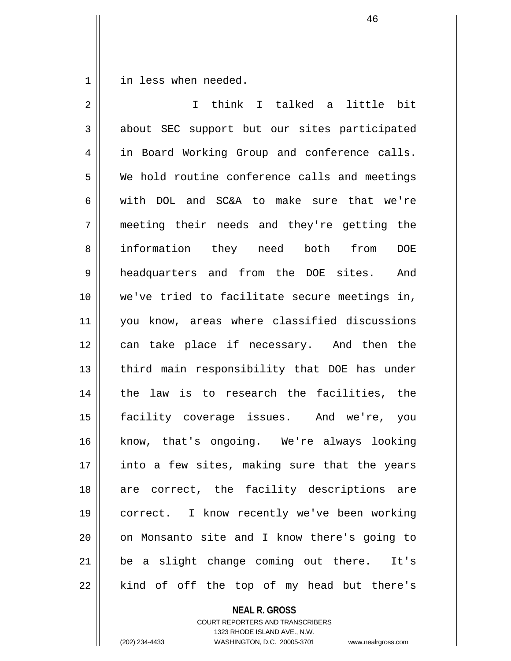1 | in less when needed.

| $\overline{2}$ | I think I talked a little bit                 |
|----------------|-----------------------------------------------|
| 3              | about SEC support but our sites participated  |
| 4              | in Board Working Group and conference calls.  |
| 5              | We hold routine conference calls and meetings |
| 6              | with DOL and SC&A to make sure that we're     |
| 7              | meeting their needs and they're getting the   |
| 8              | information they need both from<br><b>DOE</b> |
| 9              | headquarters and from the DOE sites.<br>And   |
| 10             | we've tried to facilitate secure meetings in, |
| 11             | you know, areas where classified discussions  |
| 12             | can take place if necessary. And then the     |
| 13             | third main responsibility that DOE has under  |
| 14             | the law is to research the facilities, the    |
| 15             | facility coverage issues. And we're, you      |
| 16             | know, that's ongoing. We're always looking    |
| 17             | into a few sites, making sure that the years  |
| 18             | are correct, the facility descriptions are    |
| 19             | correct. I know recently we've been working   |
| 20             | on Monsanto site and I know there's going to  |
| 21             | be a slight change coming out there.<br>It's  |
| 22             | kind of off the top of my head but there's    |

**NEAL R. GROSS** COURT REPORTERS AND TRANSCRIBERS

1323 RHODE ISLAND AVE., N.W.

(202) 234-4433 WASHINGTON, D.C. 20005-3701 www.nealrgross.com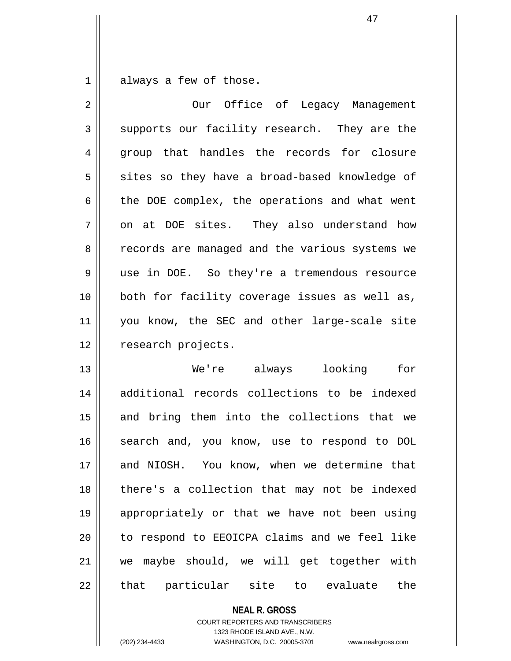$1 \parallel$  always a few of those.

| $\overline{2}$ | Our Office of Legacy Management                |
|----------------|------------------------------------------------|
| 3              | supports our facility research. They are the   |
| $\overline{4}$ | group that handles the records for closure     |
| 5              | sites so they have a broad-based knowledge of  |
| 6              | the DOE complex, the operations and what went  |
| 7              | on at DOE sites. They also understand how      |
| 8              | records are managed and the various systems we |
| 9              | use in DOE. So they're a tremendous resource   |
| 10             | both for facility coverage issues as well as,  |
| 11             | you know, the SEC and other large-scale site   |
| 12             | research projects.                             |
| 13             | We're always looking<br>for                    |
| 14             | additional records collections to be indexed   |
| 15             | and bring them into the collections that we    |
| 16             | search and, you know, use to respond to DOL    |
| 17             | and NIOSH. You know, when we determine that    |
| 18             | there's a collection that may not be indexed   |
| 19             | appropriately or that we have not been using   |
| 20             | to respond to EEOICPA claims and we feel like  |
| 21             | we maybe should, we will get together with     |
| 22             | that particular site to evaluate the           |

**NEAL R. GROSS**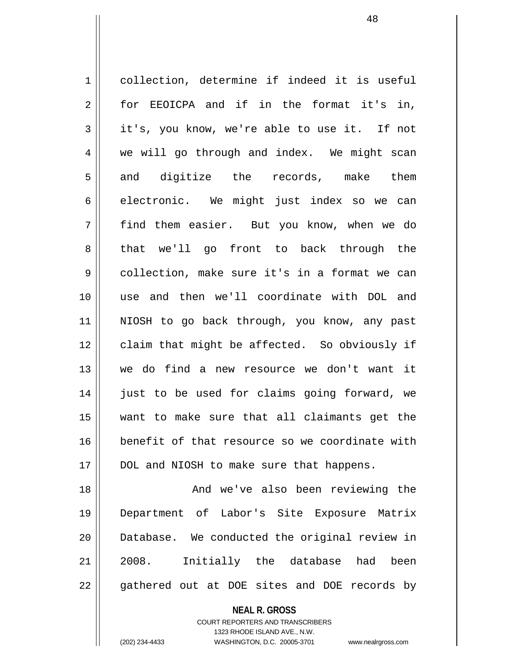1 collection, determine if indeed it is useful 2 for EEOICPA and if in the format it's in,  $3 \parallel$  it's, you know, we're able to use it. If not 4 we will go through and index. We might scan  $5 \parallel$  and digitize the records, make them  $6$  electronic. We might just index so we can 7 find them easier. But you know, when we do 8 that we'll go front to back through the 9 collection, make sure it's in a format we can 10 use and then we'll coordinate with DOL and 11 || NIOSH to go back through, you know, any past 12 || claim that might be affected. So obviously if 13 we do find a new resource we don't want it 14 just to be used for claims going forward, we 15 want to make sure that all claimants get the 16 **benefit of that resource so we coordinate with** 17 || DOL and NIOSH to make sure that happens. 18 And we've also been reviewing the

19 Department of Labor's Site Exposure Matrix 20 Database. We conducted the original review in 21 2008. Initially the database had been  $22 \parallel$  gathered out at DOE sites and DOE records by

> **NEAL R. GROSS** COURT REPORTERS AND TRANSCRIBERS 1323 RHODE ISLAND AVE., N.W. (202) 234-4433 WASHINGTON, D.C. 20005-3701 www.nealrgross.com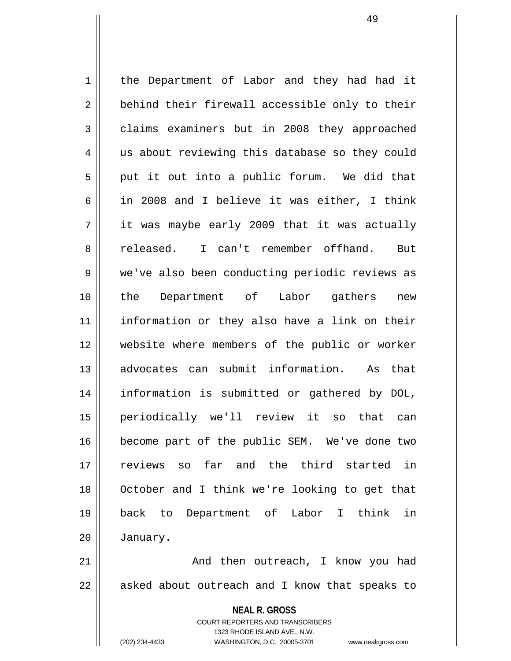1 | the Department of Labor and they had had it 2 behind their firewall accessible only to their  $3 \parallel$  claims examiners but in 2008 they approached 4 || us about reviewing this database so they could  $5 \parallel$  put it out into a public forum. We did that 6 | in 2008 and I believe it was either, I think  $7 \parallel$  it was maybe early 2009 that it was actually 8 released. I can't remember offhand. But 9 | we've also been conducting periodic reviews as 10 the Department of Labor gathers new 11 information or they also have a link on their 12 website where members of the public or worker 13 advocates can submit information. As that 14 information is submitted or gathered by DOL, 15 periodically we'll review it so that can 16 become part of the public SEM. We've done two 17 reviews so far and the third started in 18 October and I think we're looking to get that 19 back to Department of Labor I think in 20 January. 21 And then outreach, I know you had

 $22$  | asked about outreach and I know that speaks to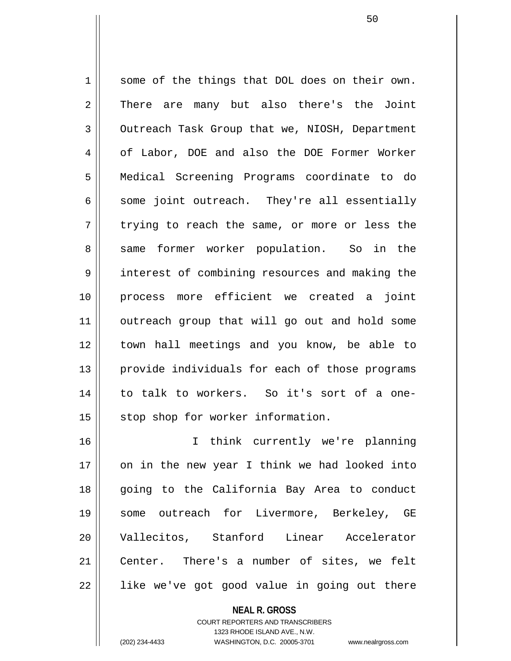$1 \parallel$  some of the things that DOL does on their own. 2 There are many but also there's the Joint 3 Outreach Task Group that we, NIOSH, Department 4 | of Labor, DOE and also the DOE Former Worker 5 Medical Screening Programs coordinate to do  $6 \parallel$  some joint outreach. They're all essentially  $7 \parallel$  trying to reach the same, or more or less the 8 same former worker population. So in the 9 || interest of combining resources and making the 10 process more efficient we created a joint 11 || outreach group that will go out and hold some 12 town hall meetings and you know, be able to 13 || provide individuals for each of those programs 14 || to talk to workers. So it's sort of a one-15 || stop shop for worker information.

16 I think currently we're planning 17 on in the new year I think we had looked into 18 going to the California Bay Area to conduct 19 some outreach for Livermore, Berkeley, GE 20 Vallecitos, Stanford Linear Accelerator 21 || Center. There's a number of sites, we felt 22 || like we've got good value in going out there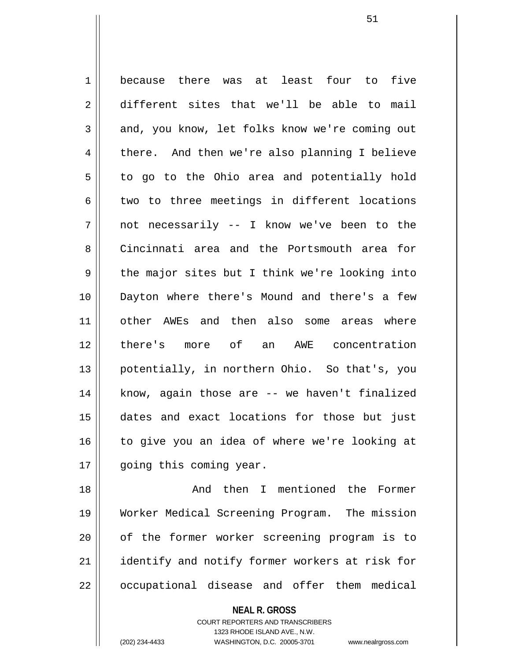1 because there was at least four to five 2 different sites that we'll be able to mail 3 and, you know, let folks know we're coming out 4 there. And then we're also planning I believe  $5 \parallel$  to go to the Ohio area and potentially hold  $6 \parallel$  two to three meetings in different locations 7 not necessarily -- I know we've been to the 8 Cincinnati area and the Portsmouth area for  $9 \parallel$  the major sites but I think we're looking into 10 Dayton where there's Mound and there's a few 11 other AWEs and then also some areas where 12 there's more of an AWE concentration 13 || potentially, in northern Ohio. So that's, you 14 || know, again those are -- we haven't finalized 15 dates and exact locations for those but just 16 || to give you an idea of where we're looking at 17 || qoing this coming year.

18 And then I mentioned the Former 19 Worker Medical Screening Program. The mission 20 || of the former worker screening program is to 21 || identify and notify former workers at risk for 22 | occupational disease and offer them medical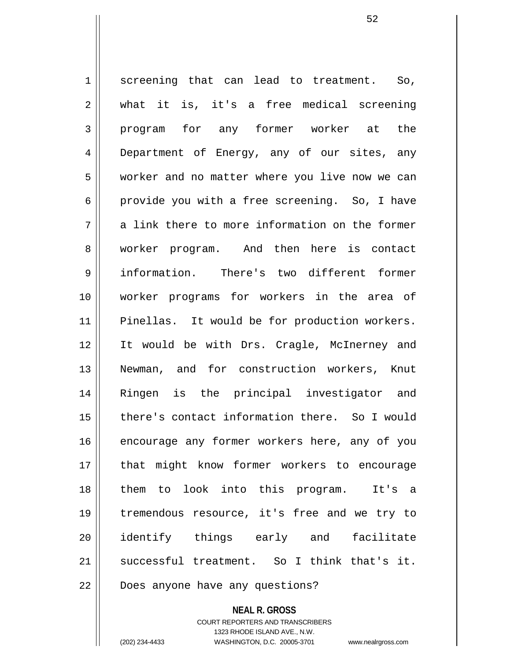$1 \parallel$  screening that can lead to treatment. So, 2 || what it is, it's a free medical screening 3 program for any former worker at the 4 || Department of Energy, any of our sites, any 5 | worker and no matter where you live now we can 6 provide you with a free screening. So, I have  $7 \parallel$  a link there to more information on the former 8 || worker program. And then here is contact 9 information. There's two different former 10 worker programs for workers in the area of 11 || Pinellas. It would be for production workers. 12 It would be with Drs. Cragle, McInerney and 13 Newman, and for construction workers, Knut 14 Ringen is the principal investigator and 15 there's contact information there. So I would 16 encourage any former workers here, any of you 17 || that might know former workers to encourage 18 them to look into this program. It's a 19 tremendous resource, it's free and we try to 20 identify things early and facilitate 21 successful treatment. So I think that's it. 22 | Does anyone have any questions?

> **NEAL R. GROSS** COURT REPORTERS AND TRANSCRIBERS 1323 RHODE ISLAND AVE., N.W.

(202) 234-4433 WASHINGTON, D.C. 20005-3701 www.nealrgross.com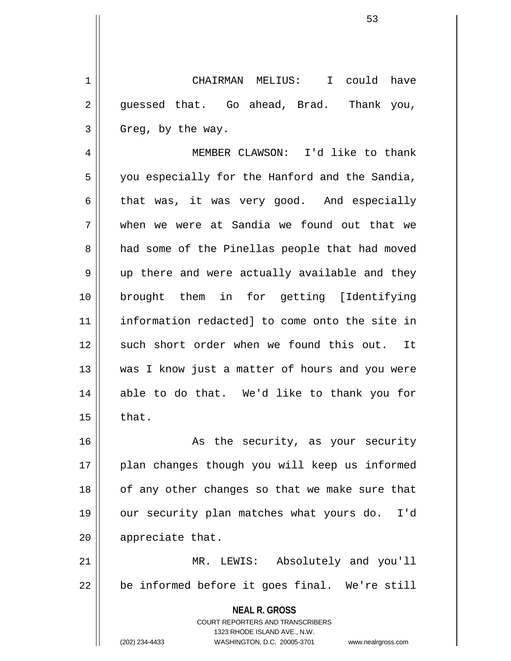1 CHAIRMAN MELIUS: I could have  $2 \parallel$  quessed that. Go ahead, Brad. Thank you,  $3 \parallel$  Greg, by the way.

4 MEMBER CLAWSON: I'd like to thank  $5 \parallel$  you especially for the Hanford and the Sandia,  $6 \parallel$  that was, it was very good. And especially 7 when we were at Sandia we found out that we 8 || had some of the Pinellas people that had moved  $9 \parallel$  up there and were actually available and they 10 brought them in for getting [Identifying 11 information redacted] to come onto the site in 12 such short order when we found this out. It 13 || was I know just a matter of hours and you were 14 able to do that. We'd like to thank you for  $15$   $\parallel$  that.

16 || As the security, as your security 17 || plan changes though you will keep us informed 18 || of any other changes so that we make sure that 19 our security plan matches what yours do. I'd 20 | appreciate that.

21 MR. LEWIS: Absolutely and you'll  $22 \parallel$  be informed before it goes final. We're still

> **NEAL R. GROSS** COURT REPORTERS AND TRANSCRIBERS 1323 RHODE ISLAND AVE., N.W. (202) 234-4433 WASHINGTON, D.C. 20005-3701 www.nealrgross.com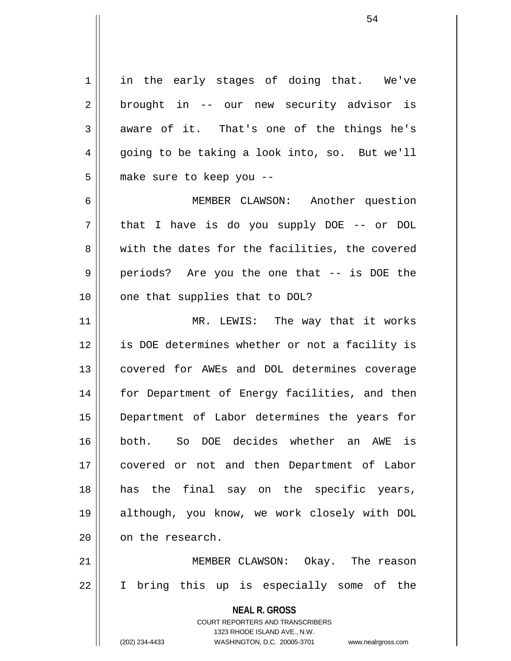$1 \parallel$  in the early stages of doing that. We've 2 || brought in -- our new security advisor is  $3 \parallel$  aware of it. That's one of the things he's  $4 \parallel$  going to be taking a look into, so. But we'll 5 | make sure to keep you --6 MEMBER CLAWSON: Another question 7 that I have is do you supply DOE -- or DOL 8 with the dates for the facilities, the covered 9 periods? Are you the one that -- is DOE the  $10$  | one that supplies that to DOL? 11 || MR. LEWIS: The way that it works 12 || is DOE determines whether or not a facility is 13 || covered for AWEs and DOL determines coverage 14 || for Department of Energy facilities, and then

18 has the final say on the specific years, 19 although, you know, we work closely with DOL 20 | on the research. 21 MEMBER CLAWSON: Okay. The reason 22 || I bring this up is especially some of the

15 Department of Labor determines the years for

16 both. So DOE decides whether an AWE is

17 || covered or not and then Department of Labor

COURT REPORTERS AND TRANSCRIBERS 1323 RHODE ISLAND AVE., N.W. (202) 234-4433 WASHINGTON, D.C. 20005-3701 www.nealrgross.com

**NEAL R. GROSS**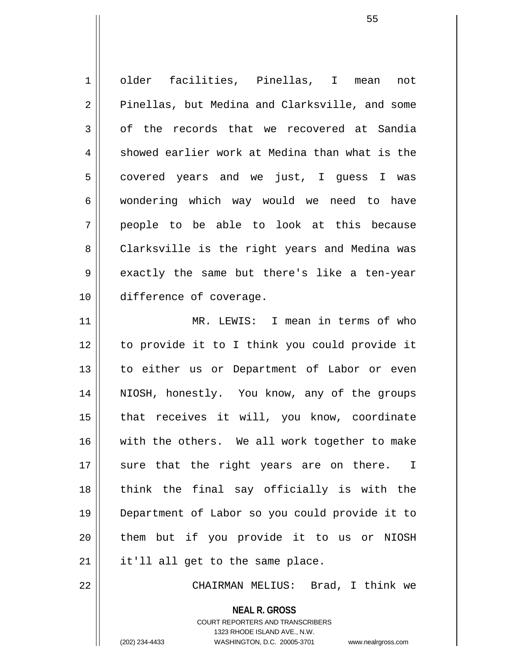1 older facilities, Pinellas, I mean not 2 || Pinellas, but Medina and Clarksville, and some  $3 \parallel$  of the records that we recovered at Sandia  $4 \parallel$  showed earlier work at Medina than what is the  $5 \parallel$  covered years and we just, I guess I was 6 || wondering which way would we need to have 7 people to be able to look at this because 8 || Clarksville is the right years and Medina was  $9 \parallel$  exactly the same but there's like a ten-year 10 difference of coverage. 11 MR. LEWIS: I mean in terms of who 12 to provide it to I think you could provide it 13 || to either us or Department of Labor or even 14 || NIOSH, honestly. You know, any of the groups 15 || that receives it will, you know, coordinate 16 with the others. We all work together to make 17 || sure that the right years are on there. I  $18$  || think the final say officially is with the 19 Department of Labor so you could provide it to 20 them but if you provide it to us or NIOSH

22 CHAIRMAN MELIUS: Brad, I think we

**NEAL R. GROSS** COURT REPORTERS AND TRANSCRIBERS

 $21$  | it'll all get to the same place.

1323 RHODE ISLAND AVE., N.W.

(202) 234-4433 WASHINGTON, D.C. 20005-3701 www.nealrgross.com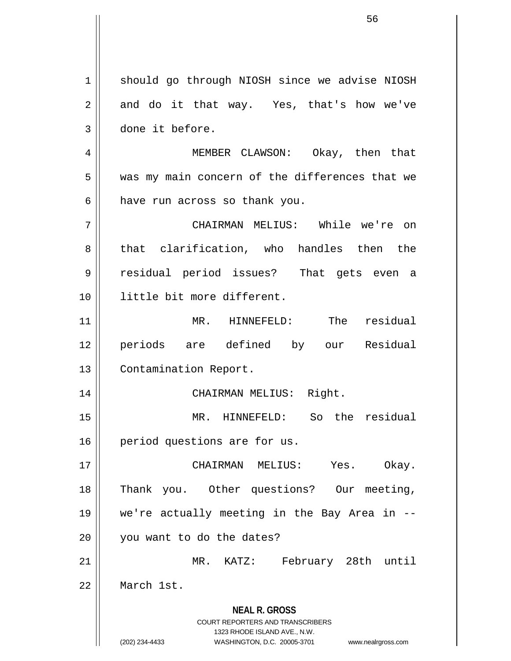**NEAL R. GROSS** COURT REPORTERS AND TRANSCRIBERS 1323 RHODE ISLAND AVE., N.W. (202) 234-4433 WASHINGTON, D.C. 20005-3701 www.nealrgross.com 1 | should go through NIOSH since we advise NIOSH  $2 \parallel$  and do it that way. Yes, that's how we've 3 done it before. 4 MEMBER CLAWSON: Okay, then that 5 || was my main concern of the differences that we  $6$  || have run across so thank you. 7 CHAIRMAN MELIUS: While we're on 8 that clarification, who handles then the 9 residual period issues? That gets even a 10 little bit more different. 11 MR. HINNEFELD: The residual 12 periods are defined by our Residual 13 | Contamination Report. 14 || CHAIRMAN MELIUS: Right. 15 MR. HINNEFELD: So the residual 16 | period questions are for us. 17 CHAIRMAN MELIUS: Yes. Okay. 18 Thank you. Other questions? Our meeting, 19 we're actually meeting in the Bay Area in -- 20 | you want to do the dates? 21 MR. KATZ: February 28th until 22 March 1st.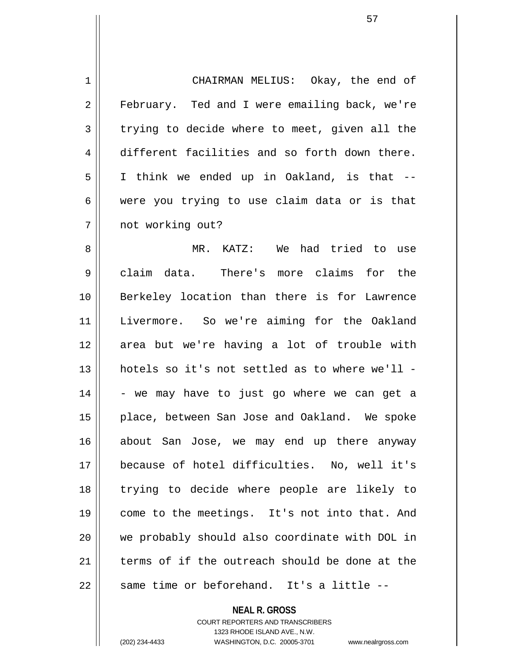1 | CHAIRMAN MELIUS: Okay, the end of 2 | February. Ted and I were emailing back, we're  $3 \parallel$  trying to decide where to meet, given all the 4 different facilities and so forth down there. 5 || I think we ended up in Oakland, is that -- $6 \parallel$  were you trying to use claim data or is that 7 || not working out?

8 MR. KATZ: We had tried to use 9 || claim data. There's more claims for the 10 Berkeley location than there is for Lawrence 11 Livermore. So we're aiming for the Oakland 12 area but we're having a lot of trouble with 13 hotels so it's not settled as to where we'll -  $14$   $\parallel$  - we may have to just go where we can get a 15 || place, between San Jose and Oakland. We spoke 16 about San Jose, we may end up there anyway 17 because of hotel difficulties. No, well it's 18 trying to decide where people are likely to 19 || come to the meetings. It's not into that. And 20 we probably should also coordinate with DOL in 21  $\parallel$  terms of if the outreach should be done at the  $22$  || same time or beforehand. It's a little  $-$ -

**NEAL R. GROSS**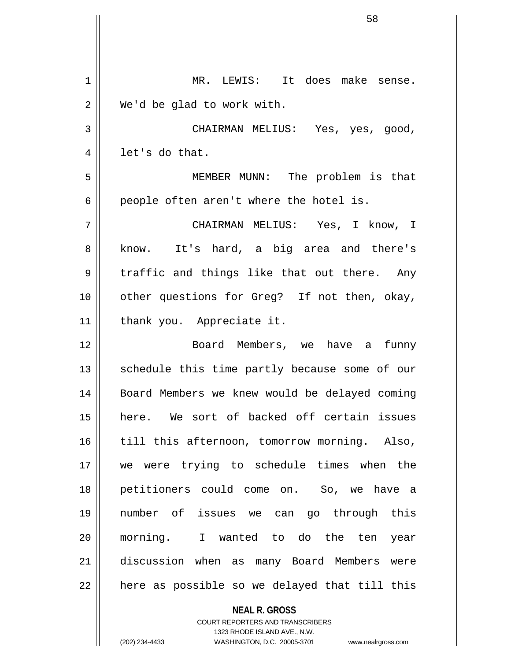| 1  | MR. LEWIS: It does make sense.                           |
|----|----------------------------------------------------------|
| 2  | We'd be glad to work with.                               |
| 3  | CHAIRMAN MELIUS: Yes, yes, good,                         |
| 4  | let's do that.                                           |
| 5  | MEMBER MUNN: The problem is that                         |
| 6  | people often aren't where the hotel is.                  |
| 7  | CHAIRMAN MELIUS: Yes, I know, I                          |
| 8  | know. It's hard, a big area and there's                  |
| 9  | traffic and things like that out there. Any              |
| 10 | other questions for Greg? If not then, okay,             |
| 11 | thank you. Appreciate it.                                |
| 12 | Board Members, we have a funny                           |
| 13 | schedule this time partly because some of our            |
| 14 | Board Members we knew would be delayed coming            |
| 15 | here. We sort of backed off certain issues               |
| 16 | till this afternoon, tomorrow morning. Also,             |
| 17 | we were trying to schedule times when the                |
| 18 | petitioners could come on. So, we have a                 |
| 19 | number of issues we can go through this                  |
| 20 | morning. I wanted to do the ten<br>year                  |
| 21 | discussion when as many Board Members were               |
| 22 | here as possible so we delayed that till this            |
|    | <b>NEAL R. GROSS</b><br>COURT REPORTERS AND TRANSCRIBERS |

1323 RHODE ISLAND AVE., N.W.

 $\prod$ 

 $\overline{\phantom{a}}$ 

(202) 234-4433 WASHINGTON, D.C. 20005-3701 www.nealrgross.com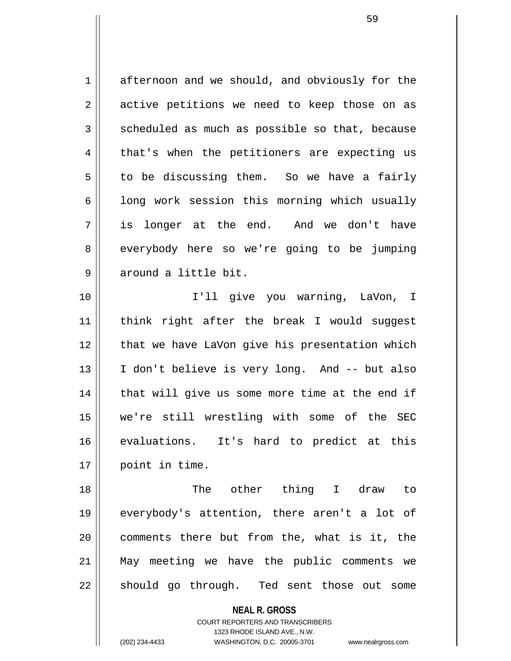1 afternoon and we should, and obviously for the  $2 \parallel$  active petitions we need to keep those on as  $3 \parallel$  scheduled as much as possible so that, because 4 || that's when the petitioners are expecting us  $5 \parallel$  to be discussing them. So we have a fairly  $6$  | long work session this morning which usually 7 is longer at the end. And we don't have 8 | everybody here so we're going to be jumping 9 around a little bit.

10 I'll give you warning, LaVon, I 11 || think right after the break I would suggest 12 || that we have LaVon give his presentation which 13 || I don't believe is very long. And -- but also 14 || that will give us some more time at the end if 15 we're still wrestling with some of the SEC 16 evaluations. It's hard to predict at this 17 | point in time.

18 The other thing I draw to 19 everybody's attention, there aren't a lot of 20 || comments there but from the, what is it, the 21 May meeting we have the public comments we 22 || should go through. Ted sent those out some

> **NEAL R. GROSS** COURT REPORTERS AND TRANSCRIBERS

> > 1323 RHODE ISLAND AVE., N.W.

(202) 234-4433 WASHINGTON, D.C. 20005-3701 www.nealrgross.com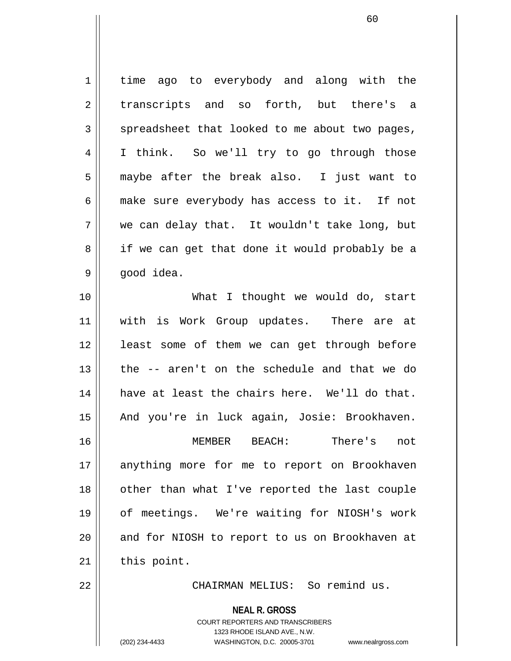1 | time ago to everybody and along with the 2 transcripts and so forth, but there's a  $3 \parallel$  spreadsheet that looked to me about two pages, 4 I think. So we'll try to go through those 5 maybe after the break also. I just want to 6 make sure everybody has access to it. If not 7 we can delay that. It wouldn't take long, but 8 || if we can get that done it would probably be a  $9 \parallel$  good idea. 10 What I thought we would do, start 11 || with is Work Group updates. There are at 12 || least some of them we can get through before 13 the -- aren't on the schedule and that we do 14 have at least the chairs here. We'll do that. 15 || And you're in luck again, Josie: Brookhaven. 16 MEMBER BEACH: There's not 17 || anything more for me to report on Brookhaven 18 || other than what I've reported the last couple 19 of meetings. We're waiting for NIOSH's work 20 || and for NIOSH to report to us on Brookhaven at  $21$  this point. 22 CHAIRMAN MELIUS: So remind us.

**NEAL R. GROSS**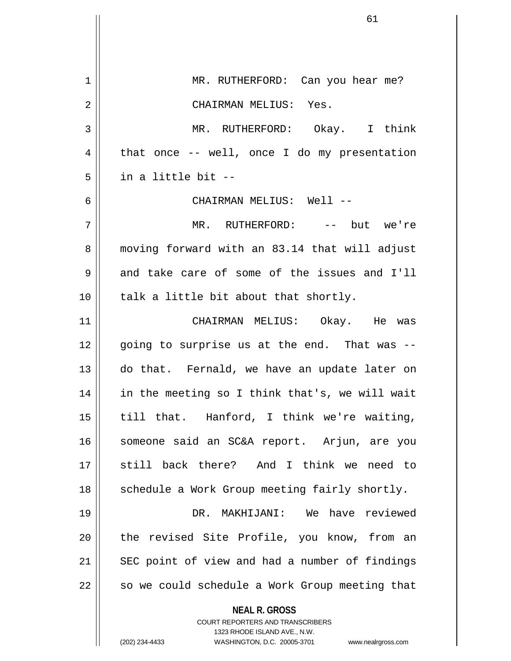**NEAL R. GROSS** COURT REPORTERS AND TRANSCRIBERS 1323 RHODE ISLAND AVE., N.W. (202) 234-4433 WASHINGTON, D.C. 20005-3701 www.nealrgross.com 1 MR. RUTHERFORD: Can you hear me? 2 CHAIRMAN MELIUS: Yes. 3 MR. RUTHERFORD: Okay. I think  $4 \parallel$  that once -- well, once I do my presentation 5 in a little bit -- 6 CHAIRMAN MELIUS: Well -- 7 MR. RUTHERFORD: -- but we're 8 || moving forward with an 83.14 that will adjust  $9 \parallel$  and take care of some of the issues and I'll  $10$  || talk a little bit about that shortly. 11 CHAIRMAN MELIUS: Okay. He was  $12$  || going to surprise us at the end. That was  $-$ 13 do that. Fernald, we have an update later on 14 || in the meeting so I think that's, we will wait 15 || till that. Hanford, I think we're waiting, 16 || someone said an SC&A report. Arjun, are you 17 still back there? And I think we need to  $18$  || schedule a Work Group meeting fairly shortly. 19 DR. MAKHIJANI: We have reviewed 20 || the revised Site Profile, you know, from an 21 || SEC point of view and had a number of findings  $22$  | so we could schedule a Work Group meeting that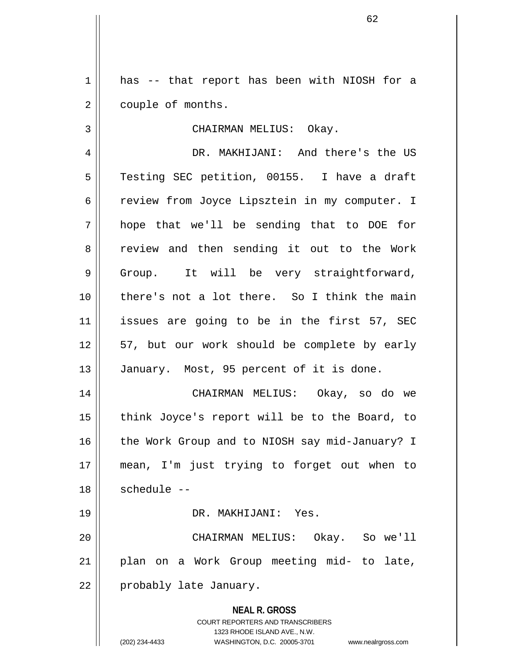$1 \parallel$  has -- that report has been with NIOSH for a 2 | couple of months.

3 || CHAIRMAN MELIUS: Okay.

4 DR. MAKHIJANI: And there's the US 5 | Testing SEC petition, 00155. I have a draft 6 | review from Joyce Lipsztein in my computer. I 7 hope that we'll be sending that to DOE for 8 review and then sending it out to the Work 9 || Group. It will be very straightforward, 10 there's not a lot there. So I think the main 11 issues are going to be in the first 57, SEC 12 || 57, but our work should be complete by early 13 || January. Most, 95 percent of it is done.

14 CHAIRMAN MELIUS: Okay, so do we 15 || think Joyce's report will be to the Board, to 16 || the Work Group and to NIOSH say mid-January? I 17 mean, I'm just trying to forget out when to  $18$   $\parallel$  schedule --

19 DR. MAKHIJANI: Yes.

20 CHAIRMAN MELIUS: Okay. So we'll 21 plan on a Work Group meeting mid- to late, 22 || probably late January.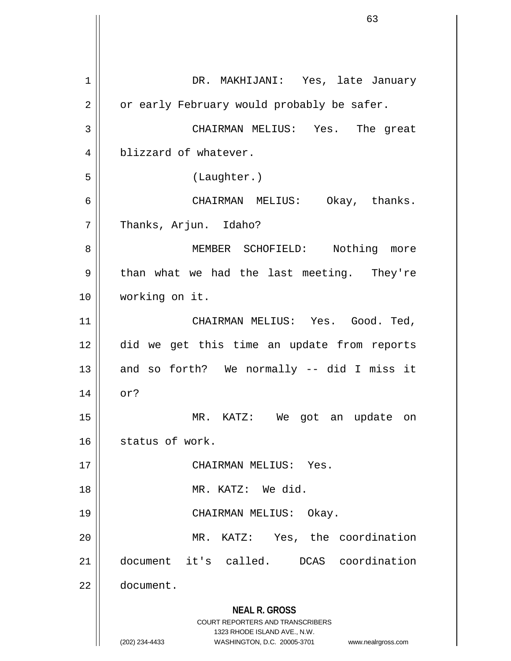**NEAL R. GROSS** COURT REPORTERS AND TRANSCRIBERS 1323 RHODE ISLAND AVE., N.W. (202) 234-4433 WASHINGTON, D.C. 20005-3701 www.nealrgross.com 1 DR. MAKHIJANI: Yes, late January  $2 \parallel$  or early February would probably be safer. 3 CHAIRMAN MELIUS: Yes. The great 4 blizzard of whatever. 5 (Laughter.) 6 CHAIRMAN MELIUS: Okay, thanks. 7 | Thanks, Arjun. Idaho? 8 || MEMBER SCHOFIELD: Nothing more  $9 \parallel$  than what we had the last meeting. They're 10 working on it. 11 CHAIRMAN MELIUS: Yes. Good. Ted, 12 did we get this time an update from reports 13  $\parallel$  and so forth? We normally -- did I miss it 14 or? 15 MR. KATZ: We got an update on 16 || status of work. 17 || CHAIRMAN MELIUS: Yes. 18 MR. KATZ: We did. 19 CHAIRMAN MELIUS: Okay. 20 MR. KATZ: Yes, the coordination 21 document it's called. DCAS coordination 22 document.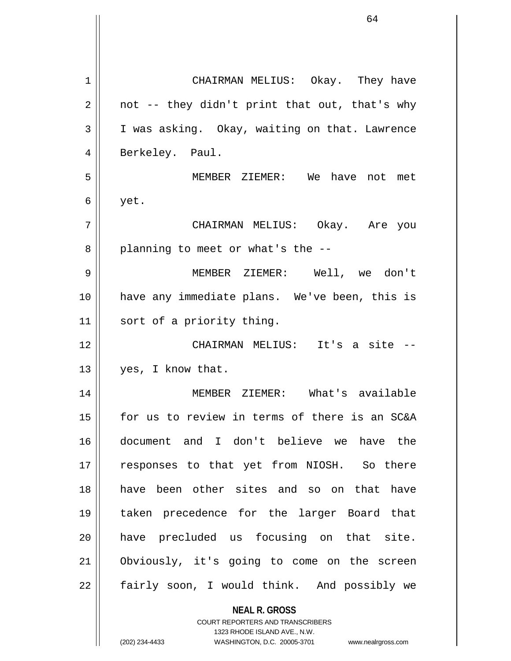| 1  | CHAIRMAN MELIUS: Okay. They have                         |
|----|----------------------------------------------------------|
| 2  | not -- they didn't print that out, that's why            |
| 3  | I was asking. Okay, waiting on that. Lawrence            |
| 4  | Berkeley. Paul.                                          |
| 5  | MEMBER ZIEMER: We have not met                           |
| 6  | yet.                                                     |
| 7  | CHAIRMAN MELIUS: Okay. Are you                           |
| 8  | planning to meet or what's the --                        |
| 9  | MEMBER ZIEMER: Well, we don't                            |
| 10 | have any immediate plans. We've been, this is            |
| 11 | sort of a priority thing.                                |
| 12 | CHAIRMAN MELIUS: It's a site --                          |
| 13 | yes, I know that.                                        |
| 14 | MEMBER ZIEMER: What's available                          |
| 15 | for us to review in terms of there is an SC&A            |
| 16 | document and I don't believe we have the                 |
| 17 | responses to that yet from NIOSH. So there               |
| 18 | have been other sites and so on that have                |
| 19 | taken precedence for the larger Board that               |
| 20 | have precluded us focusing on that site.                 |
| 21 | Obviously, it's going to come on the screen              |
| 22 | fairly soon, I would think. And possibly we              |
|    | <b>NEAL R. GROSS</b><br>COURT REPORTERS AND TRANSCRIBERS |

1323 RHODE ISLAND AVE., N.W.

 $\begin{array}{c} \hline \end{array}$ 

 $\mathsf{l}$ 

(202) 234-4433 WASHINGTON, D.C. 20005-3701 www.nealrgross.com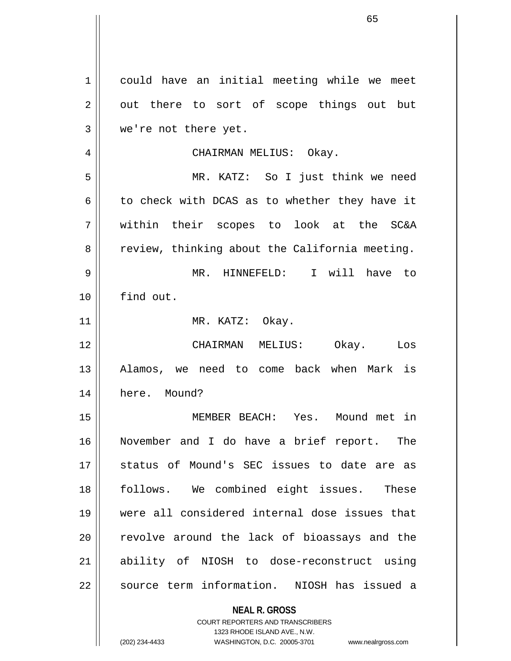**NEAL R. GROSS** COURT REPORTERS AND TRANSCRIBERS 1 || could have an initial meeting while we meet  $2 \parallel$  out there to sort of scope things out but 3 || we're not there yet. 4 CHAIRMAN MELIUS: Okay. 5 MR. KATZ: So I just think we need  $6 \parallel$  to check with DCAS as to whether they have it 7 within their scopes to look at the SC&A  $8 \parallel$  review, thinking about the California meeting. 9 MR. HINNEFELD: I will have to 10 find out. 11 || MR. KATZ: Okay. 12 CHAIRMAN MELIUS: Okay. Los 13 || Alamos, we need to come back when Mark is 14 here. Mound? 15 MEMBER BEACH: Yes. Mound met in 16 November and I do have a brief report. The 17 || status of Mound's SEC issues to date are as 18 || follows. We combined eight issues. These 19 were all considered internal dose issues that 20 || revolve around the lack of bioassays and the 21 ability of NIOSH to dose-reconstruct using 22 || source term information. NIOSH has issued a

> 1323 RHODE ISLAND AVE., N.W. (202) 234-4433 WASHINGTON, D.C. 20005-3701 www.nealrgross.com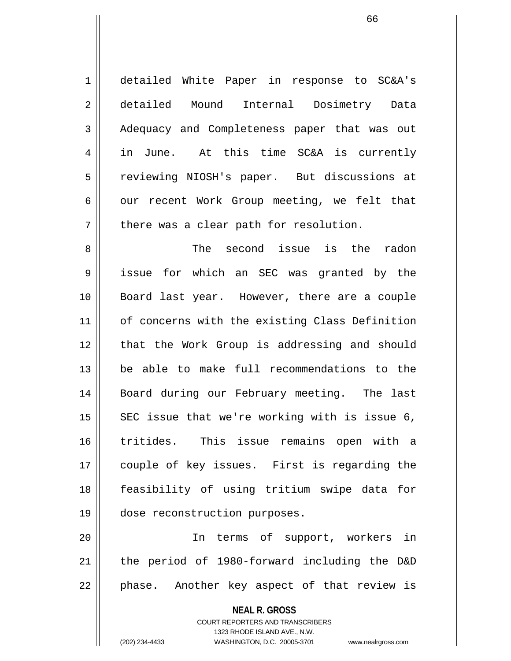1 detailed White Paper in response to SC&A's 2 detailed Mound Internal Dosimetry Data 3 Adequacy and Completeness paper that was out 4 || in June. At this time SC&A is currently 5 || reviewing NIOSH's paper. But discussions at  $6 \parallel$  our recent Work Group meeting, we felt that  $7$  | there was a clear path for resolution.

8 The second issue is the radon 9 issue for which an SEC was granted by the 10 Board last year. However, there are a couple 11 || of concerns with the existing Class Definition 12 || that the Work Group is addressing and should 13 be able to make full recommendations to the 14 || Board during our February meeting. The last  $15$  SEC issue that we're working with is issue 6, 16 tritides. This issue remains open with a 17 || couple of key issues. First is regarding the 18 feasibility of using tritium swipe data for 19 dose reconstruction purposes.

20 In terms of support, workers in 21 the period of 1980-forward including the D&D  $22$  || phase. Another key aspect of that review is

**NEAL R. GROSS**

COURT REPORTERS AND TRANSCRIBERS 1323 RHODE ISLAND AVE., N.W. (202) 234-4433 WASHINGTON, D.C. 20005-3701 www.nealrgross.com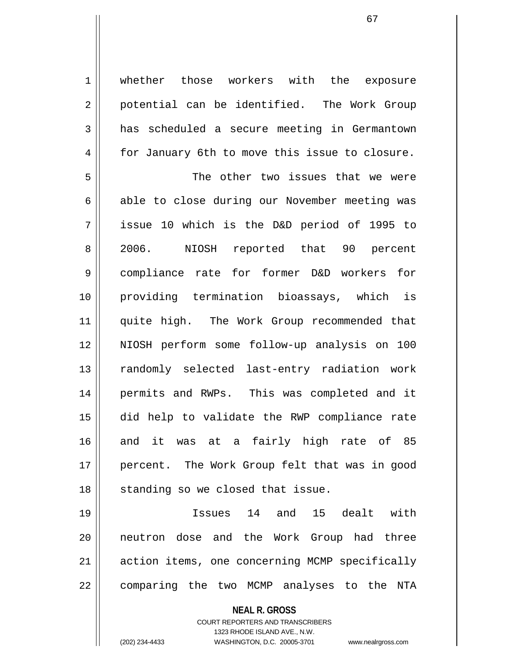1 | whether those workers with the exposure 2 | potential can be identified. The Work Group 3 has scheduled a secure meeting in Germantown 4 for January 6th to move this issue to closure.

5 The other two issues that we were  $6 \parallel$  able to close during our November meeting was 7 issue 10 which is the D&D period of 1995 to 8 2006. NIOSH reported that 90 percent 9 compliance rate for former D&D workers for 10 providing termination bioassays, which is 11 || quite high. The Work Group recommended that 12 NIOSH perform some follow-up analysis on 100 13 || randomly selected last-entry radiation work 14 permits and RWPs. This was completed and it 15 did help to validate the RWP compliance rate 16 and it was at a fairly high rate of 85 17 || percent. The Work Group felt that was in good  $18$   $\parallel$  standing so we closed that issue.

19 Issues 14 and 15 dealt with 20 neutron dose and the Work Group had three 21 || action items, one concerning MCMP specifically 22 || comparing the two MCMP analyses to the NTA

> **NEAL R. GROSS** COURT REPORTERS AND TRANSCRIBERS 1323 RHODE ISLAND AVE., N.W. (202) 234-4433 WASHINGTON, D.C. 20005-3701 www.nealrgross.com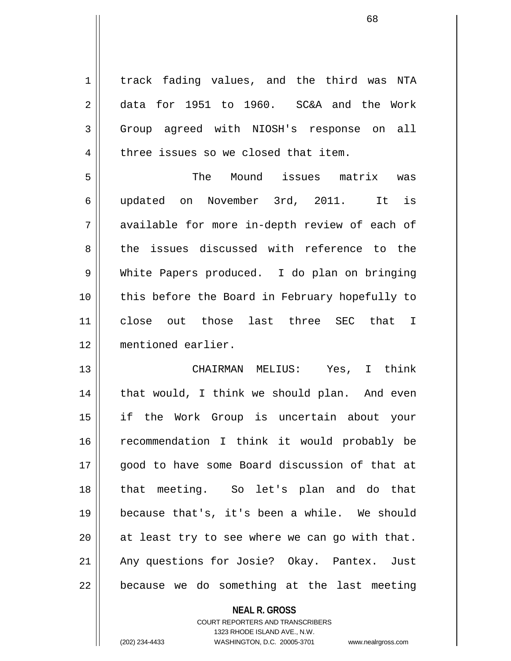1 | track fading values, and the third was NTA 2 data for 1951 to 1960. SC&A and the Work 3 Group agreed with NIOSH's response on all 4 | three issues so we closed that item. 5 The Mound issues matrix was 6 updated on November 3rd, 2011. It is 7 available for more in-depth review of each of 8 the issues discussed with reference to the 9 White Papers produced. I do plan on bringing 10 || this before the Board in February hopefully to 11 close out those last three SEC that I

12 mentioned earlier.

13 CHAIRMAN MELIUS: Yes, I think 14 || that would, I think we should plan. And even 15 if the Work Group is uncertain about your 16 recommendation I think it would probably be 17 || good to have some Board discussion of that at 18 that meeting. So let's plan and do that 19 because that's, it's been a while. We should  $20$  || at least try to see where we can go with that. 21 || Any questions for Josie? Okay. Pantex. Just  $22$  | because we do something at the last meeting

> **NEAL R. GROSS** COURT REPORTERS AND TRANSCRIBERS 1323 RHODE ISLAND AVE., N.W. (202) 234-4433 WASHINGTON, D.C. 20005-3701 www.nealrgross.com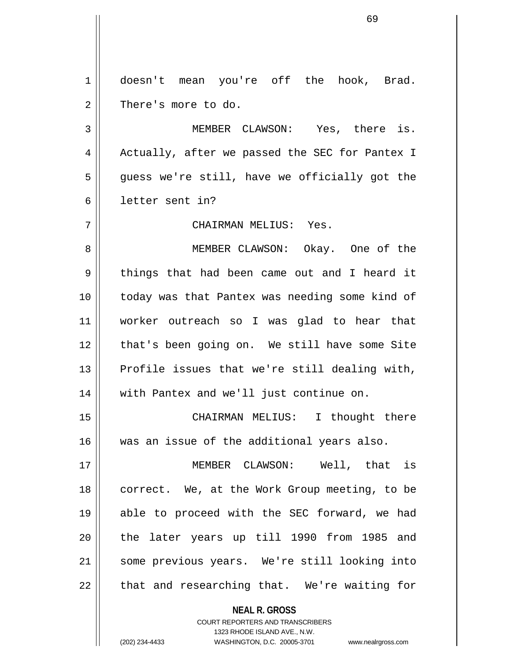1 || doesn't mean you're off the hook, Brad. 2 | There's more to do.

3 MEMBER CLAWSON: Yes, there is. 4 || Actually, after we passed the SEC for Pantex I  $5 \parallel$  guess we're still, have we officially got the 6 letter sent in?

7 CHAIRMAN MELIUS: Yes.

8 MEMBER CLAWSON: Okay. One of the 9 || things that had been came out and I heard it 10 today was that Pantex was needing some kind of 11 worker outreach so I was glad to hear that 12 || that's been going on. We still have some Site  $13$  Profile issues that we're still dealing with, 14 || with Pantex and we'll just continue on.

15 CHAIRMAN MELIUS: I thought there 16 was an issue of the additional years also.

17 MEMBER CLAWSON: Well, that is 18 || correct. We, at the Work Group meeting, to be 19 able to proceed with the SEC forward, we had 20 || the later years up till 1990 from 1985 and 21 some previous years. We're still looking into  $22$  || that and researching that. We're waiting for

**NEAL R. GROSS**

COURT REPORTERS AND TRANSCRIBERS 1323 RHODE ISLAND AVE., N.W. (202) 234-4433 WASHINGTON, D.C. 20005-3701 www.nealrgross.com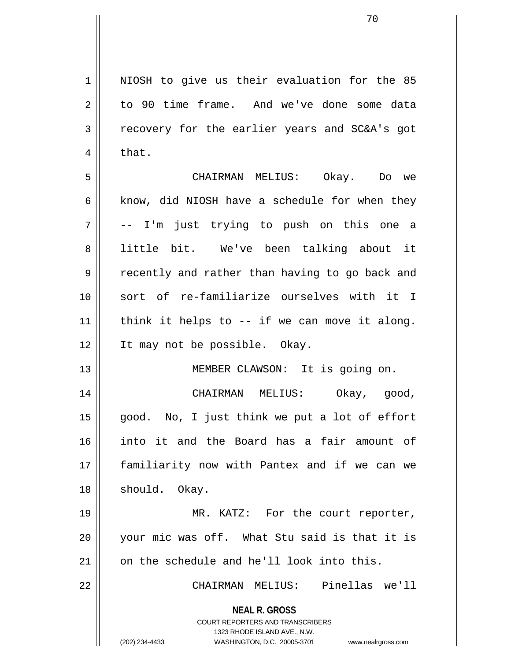**NEAL R. GROSS** COURT REPORTERS AND TRANSCRIBERS 1323 RHODE ISLAND AVE., N.W. (202) 234-4433 WASHINGTON, D.C. 20005-3701 www.nealrgross.com 1 || NIOSH to give us their evaluation for the 85 2 to 90 time frame. And we've done some data 3 Tecovery for the earlier years and SC&A's got  $4 \parallel$  that. 5 CHAIRMAN MELIUS: Okay. Do we  $6 \parallel$  know, did NIOSH have a schedule for when they  $7 \parallel$  -- I'm just trying to push on this one a 8 || little bit. We've been talking about it 9 || recently and rather than having to go back and 10 sort of re-familiarize ourselves with it I  $11$  | think it helps to -- if we can move it along. 12 It may not be possible. Okay. 13 || MEMBER CLAWSON: It is going on. 14 CHAIRMAN MELIUS: Okay, good, 15 good. No, I just think we put a lot of effort 16 into it and the Board has a fair amount of 17 familiarity now with Pantex and if we can we 18 || should. Okay. 19 || MR. KATZ: For the court reporter, 20 your mic was off. What Stu said is that it is 21 || on the schedule and he'll look into this. 22 CHAIRMAN MELIUS: Pinellas we'll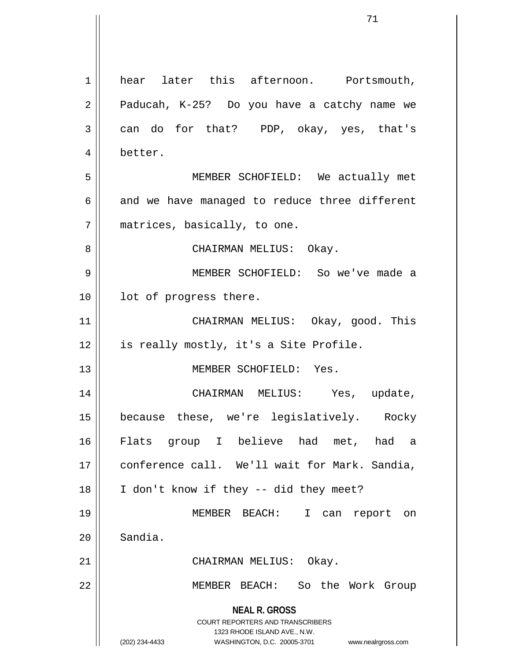**NEAL R. GROSS** COURT REPORTERS AND TRANSCRIBERS 1323 RHODE ISLAND AVE., N.W. (202) 234-4433 WASHINGTON, D.C. 20005-3701 www.nealrgross.com 1 || hear later this afternoon. Portsmouth,  $2 \parallel$  Paducah, K-25? Do you have a catchy name we  $3 \parallel$  can do for that? PDP, okay, yes, that's 4 better. 5 MEMBER SCHOFIELD: We actually met  $6 \parallel$  and we have managed to reduce three different 7 matrices, basically, to one. 8 CHAIRMAN MELIUS: Okay. 9 MEMBER SCHOFIELD: So we've made a 10 || lot of progress there. 11 CHAIRMAN MELIUS: Okay, good. This 12 || is really mostly, it's a Site Profile. 13 MEMBER SCHOFIELD: Yes. 14 CHAIRMAN MELIUS: Yes, update, 15 because these, we're legislatively. Rocky 16 Flats group I believe had met, had a 17 || conference call. We'll wait for Mark. Sandia, 18 || I don't know if they -- did they meet? 19 MEMBER BEACH: I can report on 20 Sandia. 21 CHAIRMAN MELIUS: Okay. 22 MEMBER BEACH: So the Work Group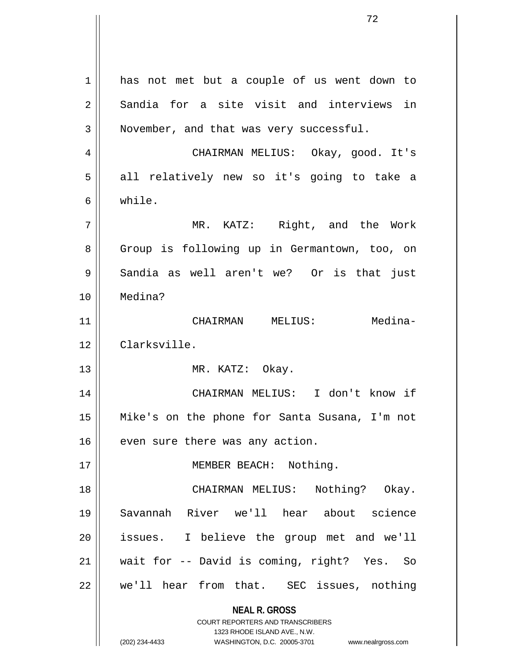**NEAL R. GROSS** COURT REPORTERS AND TRANSCRIBERS 1323 RHODE ISLAND AVE., N.W. (202) 234-4433 WASHINGTON, D.C. 20005-3701 www.nealrgross.com 1 || has not met but a couple of us went down to  $2 \parallel$  Sandia for a site visit and interviews in  $3 \parallel$  November, and that was very successful. 4 CHAIRMAN MELIUS: Okay, good. It's 5 all relatively new so it's going to take a 6 while. 7 MR. KATZ: Right, and the Work 8 | Group is following up in Germantown, too, on  $9 \parallel$  Sandia as well aren't we? Or is that just 10 Medina? 11 CHAIRMAN MELIUS: Medina-12 Clarksville. 13 || MR. KATZ: Okay. 14 CHAIRMAN MELIUS: I don't know if 15 Mike's on the phone for Santa Susana, I'm not  $16$  | even sure there was any action. 17 || MEMBER BEACH: Nothing. 18 CHAIRMAN MELIUS: Nothing? Okay. 19 Savannah River we'll hear about science 20 || issues. I believe the group met and we'll 21 wait for -- David is coming, right? Yes. So 22 || we'll hear from that. SEC issues, nothing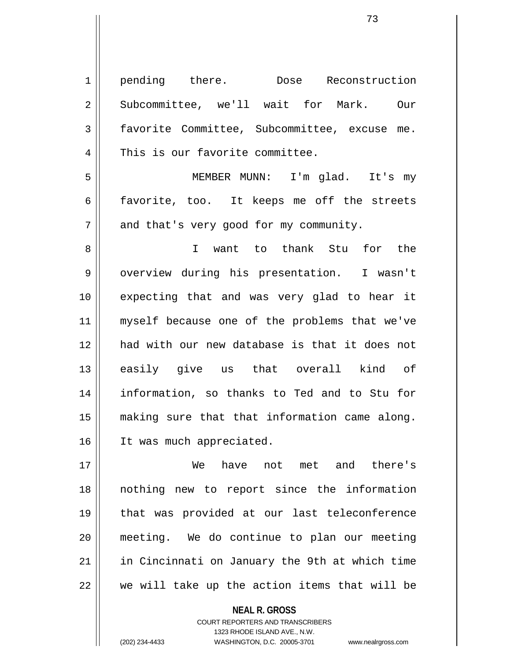1 pending there. Dose Reconstruction 2 Subcommittee, we'll wait for Mark. Our 3 | favorite Committee, Subcommittee, excuse me. 4 This is our favorite committee. 5 MEMBER MUNN: I'm glad. It's my  $6 \parallel$  favorite, too. It keeps me off the streets  $7 \parallel$  and that's very good for my community. 8 I want to thank Stu for the 9 || overview during his presentation. I wasn't 10 expecting that and was very glad to hear it 11 myself because one of the problems that we've 12 had with our new database is that it does not 13 easily give us that overall kind of 14 information, so thanks to Ted and to Stu for 15 making sure that that information came along. 16 It was much appreciated. 17 We have not met and there's 18 nothing new to report since the information 19 that was provided at our last teleconference 20 meeting. We do continue to plan our meeting 21 in Cincinnati on January the 9th at which time

 $22$   $\parallel$  we will take up the action items that will be

**NEAL R. GROSS** COURT REPORTERS AND TRANSCRIBERS

1323 RHODE ISLAND AVE., N.W. (202) 234-4433 WASHINGTON, D.C. 20005-3701 www.nealrgross.com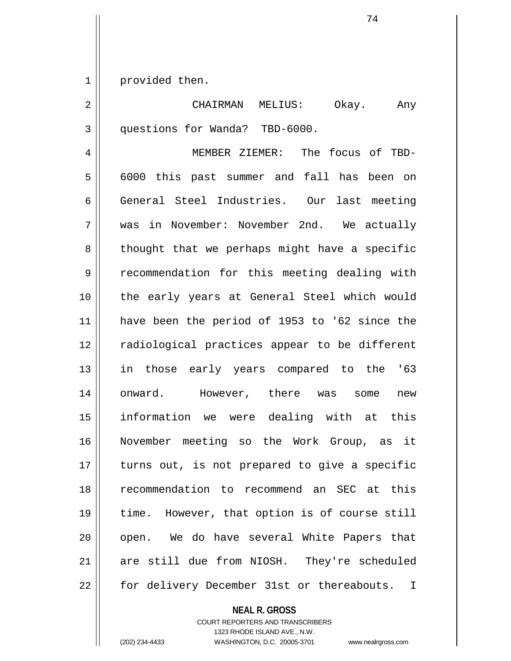1 | provided then.

2 CHAIRMAN MELIUS: Okay. Any 3 questions for Wanda? TBD-6000.

4 MEMBER ZIEMER: The focus of TBD-5 6000 this past summer and fall has been on 6 General Steel Industries. Our last meeting 7 was in November: November 2nd. We actually  $8 \parallel$  thought that we perhaps might have a specific 9 | recommendation for this meeting dealing with 10 the early years at General Steel which would 11 have been the period of 1953 to '62 since the 12 || radiological practices appear to be different 13 in those early years compared to the '63 14 onward. However, there was some new 15 information we were dealing with at this 16 November meeting so the Work Group, as it  $17$  | turns out, is not prepared to give a specific 18 recommendation to recommend an SEC at this 19 time. However, that option is of course still 20 || open. We do have several White Papers that 21 are still due from NIOSH. They're scheduled 22 || for delivery December 31st or thereabouts. I

**NEAL R. GROSS**

COURT REPORTERS AND TRANSCRIBERS 1323 RHODE ISLAND AVE., N.W. (202) 234-4433 WASHINGTON, D.C. 20005-3701 www.nealrgross.com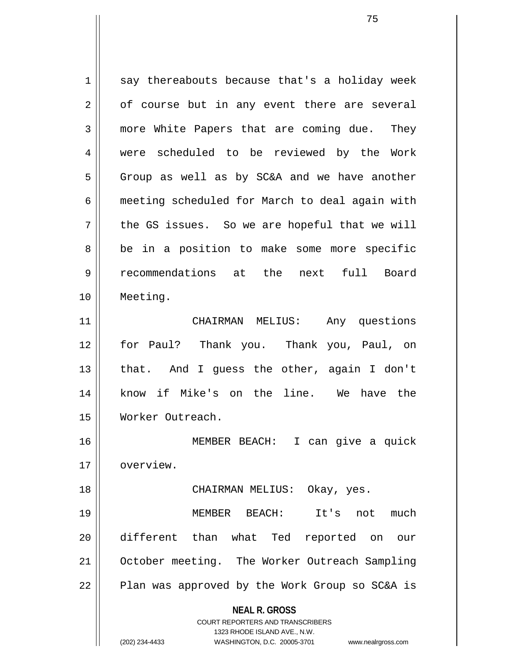**NEAL R. GROSS** COURT REPORTERS AND TRANSCRIBERS 1323 RHODE ISLAND AVE., N.W. (202) 234-4433 WASHINGTON, D.C. 20005-3701 www.nealrgross.com  $1 \parallel$  say thereabouts because that's a holiday week  $2 \parallel$  of course but in any event there are several 3 more White Papers that are coming due. They 4 || were scheduled to be reviewed by the Work  $5 \parallel$  Group as well as by SC&A and we have another 6 meeting scheduled for March to deal again with  $7 \parallel$  the GS issues. So we are hopeful that we will 8 || be in a position to make some more specific 9 recommendations at the next full Board 10 Meeting. 11 CHAIRMAN MELIUS: Any questions 12 for Paul? Thank you. Thank you, Paul, on 13 || that. And I guess the other, again I don't 14 know if Mike's on the line. We have the 15 Worker Outreach. 16 MEMBER BEACH: I can give a quick 17 | overview. 18 CHAIRMAN MELIUS: Okay, yes. 19 MEMBER BEACH: It's not much 20 different than what Ted reported on our 21 | October meeting. The Worker Outreach Sampling 22 || Plan was approved by the Work Group so SC&A is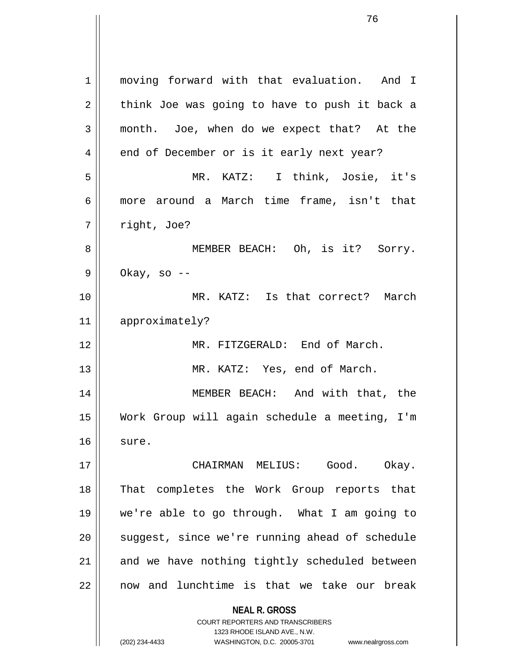**NEAL R. GROSS** COURT REPORTERS AND TRANSCRIBERS 1 moving forward with that evaluation. And I  $2 \parallel$  think Joe was going to have to push it back a 3 month. Joe, when do we expect that? At the 4 || end of December or is it early next year? 5 MR. KATZ: I think, Josie, it's 6 more around a March time frame, isn't that  $7 \parallel$  right, Joe? 8 MEMBER BEACH: Oh, is it? Sorry.  $9 \parallel$  Okay, so --10 MR. KATZ: Is that correct? March 11 approximately? 12 MR. FITZGERALD: End of March. 13 || MR. KATZ: Yes, end of March. 14 MEMBER BEACH: And with that, the 15 Work Group will again schedule a meeting, I'm  $16$  sure. 17 CHAIRMAN MELIUS: Good. Okay. 18 That completes the Work Group reports that 19 we're able to go through. What I am going to 20 || suggest, since we're running ahead of schedule  $21$  and we have nothing tightly scheduled between  $22$  || now and lunchtime is that we take our break

1323 RHODE ISLAND AVE., N.W.

(202) 234-4433 WASHINGTON, D.C. 20005-3701 www.nealrgross.com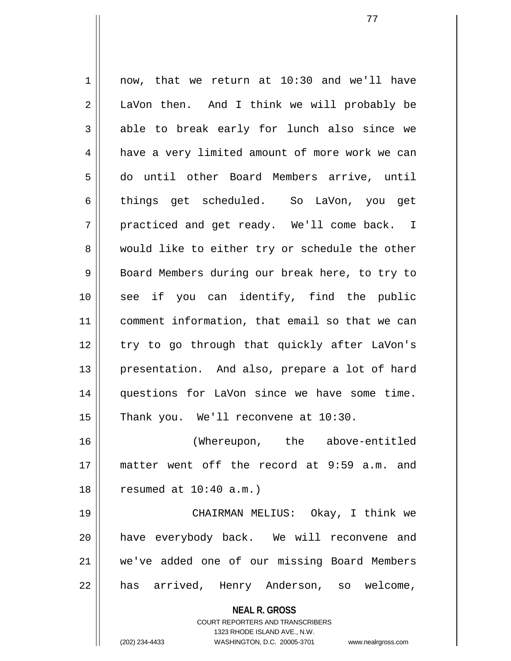**NEAL R. GROSS** COURT REPORTERS AND TRANSCRIBERS 1 || now, that we return at 10:30 and we'll have 2 || LaVon then. And I think we will probably be  $3 \parallel$  able to break early for lunch also since we 4 | have a very limited amount of more work we can 5 do until other Board Members arrive, until 6 things get scheduled. So LaVon, you get 7 || practiced and get ready. We'll come back. I 8 would like to either try or schedule the other 9 Board Members during our break here, to try to 10 || see if you can identify, find the public 11 comment information, that email so that we can 12 || try to go through that quickly after LaVon's 13 || presentation. And also, prepare a lot of hard 14 questions for LaVon since we have some time.  $15$  | Thank you. We'll reconvene at  $10:30$ . 16 (Whereupon, the above-entitled 17 matter went off the record at 9:59 a.m. and  $18$  | resumed at  $10:40$  a.m.) 19 CHAIRMAN MELIUS: Okay, I think we 20 have everybody back. We will reconvene and 21 we've added one of our missing Board Members 22 || has arrived, Henry Anderson, so welcome,

1323 RHODE ISLAND AVE., N.W.

(202) 234-4433 WASHINGTON, D.C. 20005-3701 www.nealrgross.com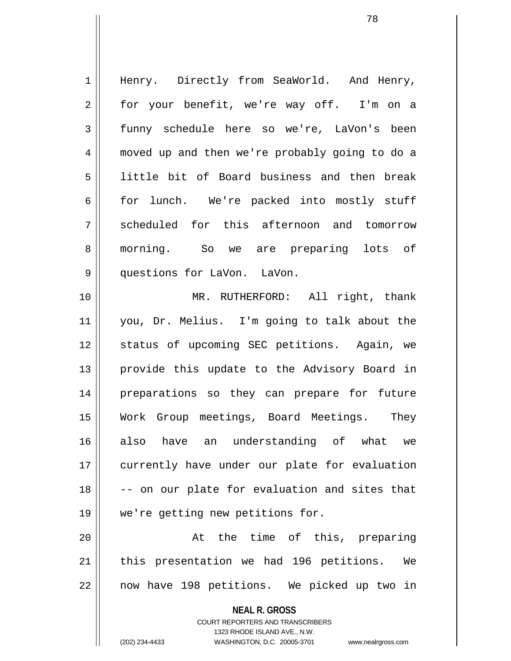**NEAL R. GROSS** 1 || Henry. Directly from SeaWorld. And Henry, 2 || for your benefit, we're way off. I'm on a 3 funny schedule here so we're, LaVon's been 4 moved up and then we're probably going to do a 5 little bit of Board business and then break 6 for lunch. We're packed into mostly stuff 7 Scheduled for this afternoon and tomorrow 8 || morning. So we are preparing lots of 9 || questions for LaVon. LaVon. 10 MR. RUTHERFORD: All right, thank 11 you, Dr. Melius. I'm going to talk about the 12 || status of upcoming SEC petitions. Again, we 13 || provide this update to the Advisory Board in 14 preparations so they can prepare for future 15 Work Group meetings, Board Meetings. They 16 also have an understanding of what we 17 || currently have under our plate for evaluation 18 -- on our plate for evaluation and sites that 19 we're getting new petitions for. 20 || The time of this, preparing 21 || this presentation we had 196 petitions. We 22 || now have 198 petitions. We picked up two in

> COURT REPORTERS AND TRANSCRIBERS 1323 RHODE ISLAND AVE., N.W.

(202) 234-4433 WASHINGTON, D.C. 20005-3701 www.nealrgross.com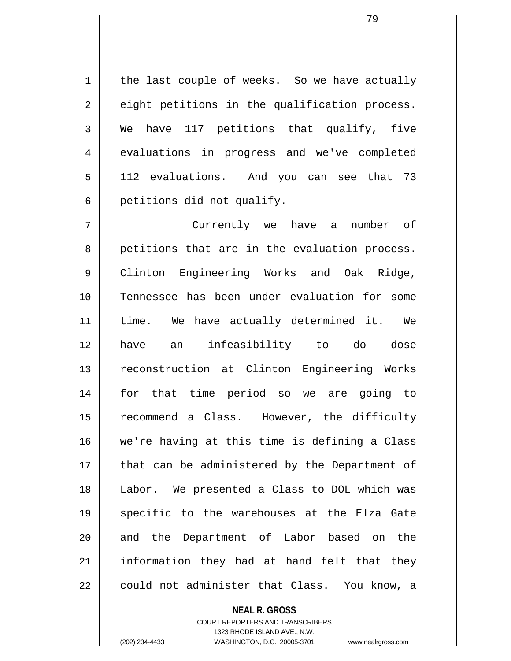$1 \parallel$  the last couple of weeks. So we have actually  $2 \parallel$  eight petitions in the qualification process.  $3 \parallel$  We have 117 petitions that qualify, five 4 evaluations in progress and we've completed 5 || 112 evaluations. And you can see that 73  $6 \parallel$  petitions did not qualify.

7 Currently we have a number of 8 || petitions that are in the evaluation process. 9 Clinton Engineering Works and Oak Ridge, 10 Tennessee has been under evaluation for some 11 || time. We have actually determined it. We 12 have an infeasibility to do dose 13 || reconstruction at Clinton Engineering Works 14 for that time period so we are going to 15 || recommend a Class. However, the difficulty 16 we're having at this time is defining a Class 17 || that can be administered by the Department of 18 Labor. We presented a Class to DOL which was 19 specific to the warehouses at the Elza Gate 20 || and the Department of Labor based on the  $21$  information they had at hand felt that they 22 || could not administer that Class. You know, a

## **NEAL R. GROSS**

COURT REPORTERS AND TRANSCRIBERS 1323 RHODE ISLAND AVE., N.W. (202) 234-4433 WASHINGTON, D.C. 20005-3701 www.nealrgross.com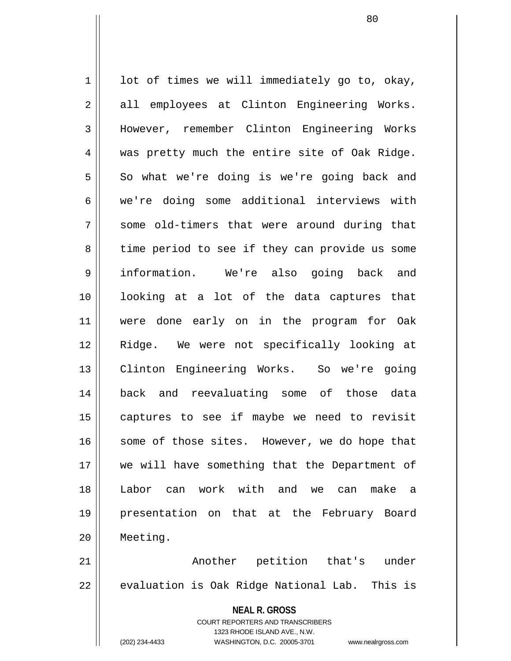$1 \parallel$  1 ot of times we will immediately go to, okay, 2 || all employees at Clinton Engineering Works. 3 However, remember Clinton Engineering Works 4 was pretty much the entire site of Oak Ridge.  $5 \parallel$  So what we're doing is we're going back and 6 we're doing some additional interviews with 7 || some old-timers that were around during that 8 || time period to see if they can provide us some 9 information. We're also going back and 10 looking at a lot of the data captures that 11 were done early on in the program for Oak 12 Ridge. We were not specifically looking at 13 || Clinton Engineering Works. So we're going 14 back and reevaluating some of those data 15 captures to see if maybe we need to revisit 16 || some of those sites. However, we do hope that 17 we will have something that the Department of 18 Labor can work with and we can make a 19 presentation on that at the February Board 20 Meeting. 21 Another petition that's under 22 || evaluation is Oak Ridge National Lab. This is

> **NEAL R. GROSS** COURT REPORTERS AND TRANSCRIBERS 1323 RHODE ISLAND AVE., N.W.

(202) 234-4433 WASHINGTON, D.C. 20005-3701 www.nealrgross.com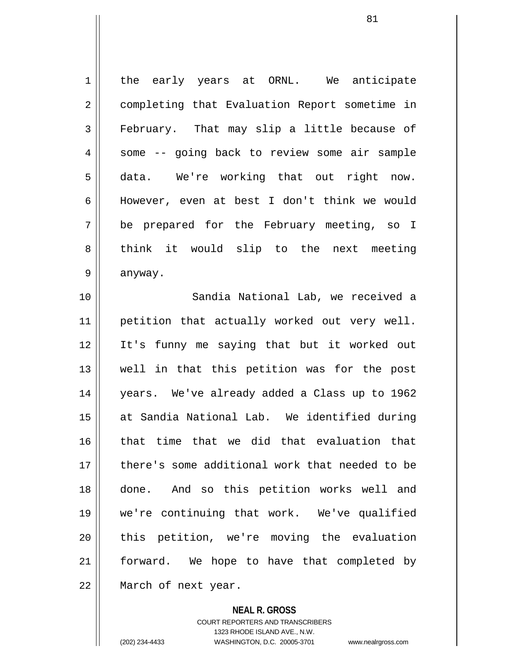1 the early years at ORNL. We anticipate 2 | completing that Evaluation Report sometime in 3 February. That may slip a little because of 4 || some -- going back to review some air sample 5 data. We're working that out right now. 6 || However, even at best I don't think we would 7 be prepared for the February meeting, so I 8 think it would slip to the next meeting 9 anyway. 10 Sandia National Lab, we received a

11 || petition that actually worked out very well. 12 It's funny me saying that but it worked out 13 well in that this petition was for the post 14 years. We've already added a Class up to 1962 15 at Sandia National Lab. We identified during 16 || that time that we did that evaluation that 17 || there's some additional work that needed to be 18 done. And so this petition works well and 19 we're continuing that work. We've qualified 20 || this petition, we're moving the evaluation 21 forward. We hope to have that completed by 22 || March of next year.

> **NEAL R. GROSS** COURT REPORTERS AND TRANSCRIBERS 1323 RHODE ISLAND AVE., N.W. (202) 234-4433 WASHINGTON, D.C. 20005-3701 www.nealrgross.com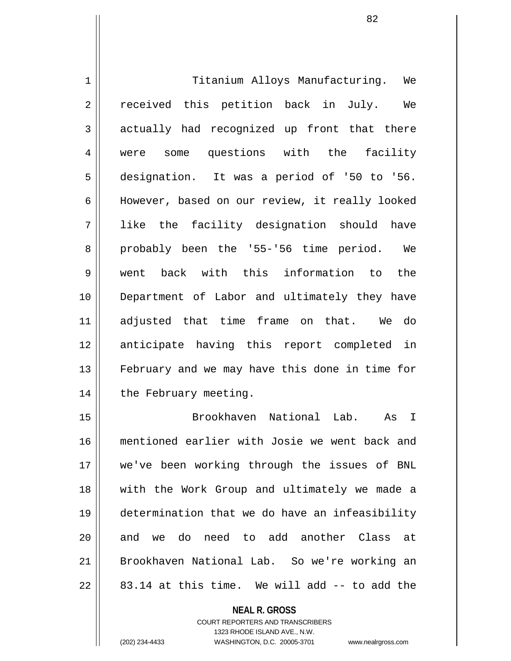1 | Titanium Alloys Manufacturing. We 2 || received this petition back in July. We 3 actually had recognized up front that there 4 were some questions with the facility 5 designation. It was a period of '50 to '56. 6 | However, based on our review, it really looked 7 like the facility designation should have 8 probably been the '55-'56 time period. We 9 went back with this information to the 10 || Department of Labor and ultimately they have 11 adjusted that time frame on that. We do 12 anticipate having this report completed in 13 || February and we may have this done in time for 14 | the February meeting.

15 Brookhaven National Lab. As I 16 mentioned earlier with Josie we went back and 17 we've been working through the issues of BNL 18 || with the Work Group and ultimately we made a 19 determination that we do have an infeasibility 20 || and we do need to add another Class at 21 Brookhaven National Lab. So we're working an  $22 \parallel 83.14$  at this time. We will add -- to add the

> **NEAL R. GROSS** COURT REPORTERS AND TRANSCRIBERS 1323 RHODE ISLAND AVE., N.W. (202) 234-4433 WASHINGTON, D.C. 20005-3701 www.nealrgross.com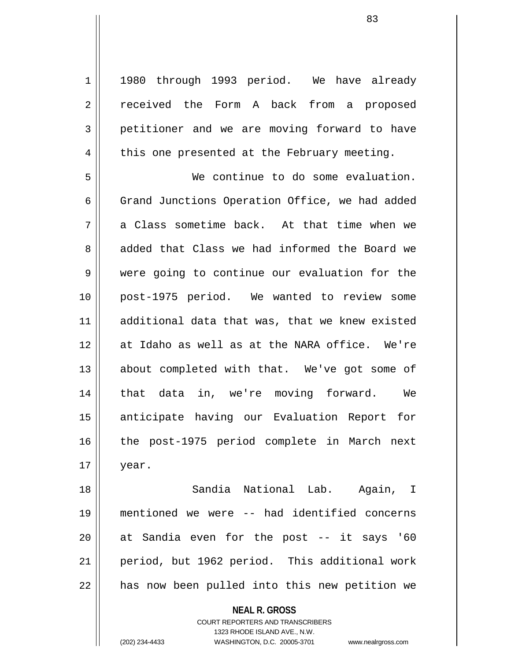1 || 1980 through 1993 period. We have already 2 received the Form A back from a proposed 3 petitioner and we are moving forward to have  $4 \parallel$  this one presented at the February meeting.

5 We continue to do some evaluation. 6 Grand Junctions Operation Office, we had added  $7 \parallel$  a Class sometime back. At that time when we 8 added that Class we had informed the Board we 9 were going to continue our evaluation for the 10 post-1975 period. We wanted to review some 11 additional data that was, that we knew existed 12 at Idaho as well as at the NARA office. We're 13 || about completed with that. We've got some of 14 that data in, we're moving forward. We 15 || anticipate having our Evaluation Report for 16 || the post-1975 period complete in March next  $17 \parallel$  year.

18 Sandia National Lab. Again, I 19 mentioned we were -- had identified concerns 20 || at Sandia even for the post -- it says '60 21 period, but 1962 period. This additional work  $22$  | has now been pulled into this new petition we

> **NEAL R. GROSS** COURT REPORTERS AND TRANSCRIBERS 1323 RHODE ISLAND AVE., N.W.

(202) 234-4433 WASHINGTON, D.C. 20005-3701 www.nealrgross.com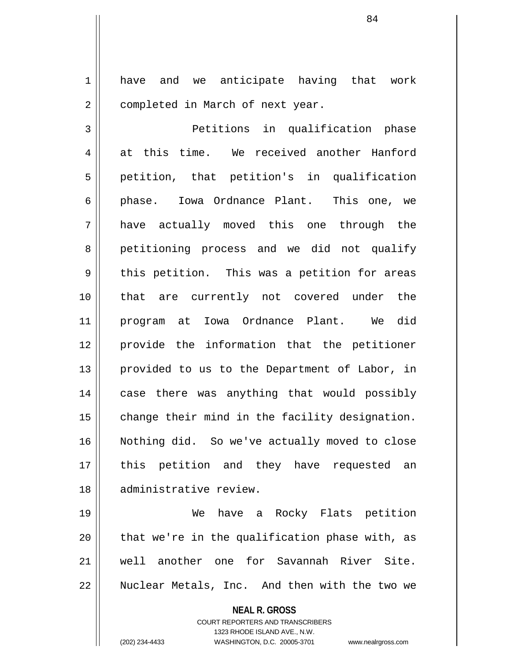1 | have and we anticipate having that work 2 | completed in March of next year.

3 Petitions in qualification phase  $4 \parallel$  at this time. We received another Hanford 5 petition, that petition's in qualification 6 || phase. Iowa Ordnance Plant. This one, we 7 have actually moved this one through the 8 || petitioning process and we did not qualify 9 || this petition. This was a petition for areas 10 that are currently not covered under the 11 program at Iowa Ordnance Plant. We did 12 provide the information that the petitioner 13 || provided to us to the Department of Labor, in 14 || case there was anything that would possibly  $15$  change their mind in the facility designation. 16 Nothing did. So we've actually moved to close 17 || this petition and they have requested an 18 administrative review.

19 We have a Rocky Flats petition  $20$  || that we're in the qualification phase with, as 21 well another one for Savannah River Site. 22 || Nuclear Metals, Inc. And then with the two we

**NEAL R. GROSS**

COURT REPORTERS AND TRANSCRIBERS 1323 RHODE ISLAND AVE., N.W. (202) 234-4433 WASHINGTON, D.C. 20005-3701 www.nealrgross.com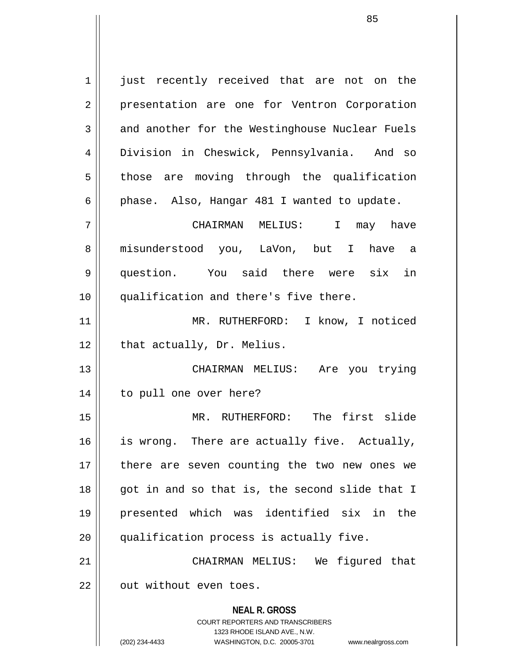**NEAL R. GROSS** COURT REPORTERS AND TRANSCRIBERS 1323 RHODE ISLAND AVE., N.W. 1 || just recently received that are not on the 2 | presentation are one for Ventron Corporation  $3 \parallel$  and another for the Westinghouse Nuclear Fuels 4 Division in Cheswick, Pennsylvania. And so  $5$  those are moving through the qualification 6 | phase. Also, Hangar 481 I wanted to update. 7 CHAIRMAN MELIUS: I may have 8 misunderstood you, LaVon, but I have a 9 question. You said there were six in 10 qualification and there's five there. 11 MR. RUTHERFORD: I know, I noticed  $12$  | that actually, Dr. Melius. 13 || CHAIRMAN MELIUS: Are you trying 14 || to pull one over here? 15 MR. RUTHERFORD: The first slide 16 || is wrong. There are actually five. Actually, 17 || there are seven counting the two new ones we  $18$  || got in and so that is, the second slide that I 19 presented which was identified six in the 20 || qualification process is actually five. 21 CHAIRMAN MELIUS: We figured that 22 || out without even toes.

(202) 234-4433 WASHINGTON, D.C. 20005-3701 www.nealrgross.com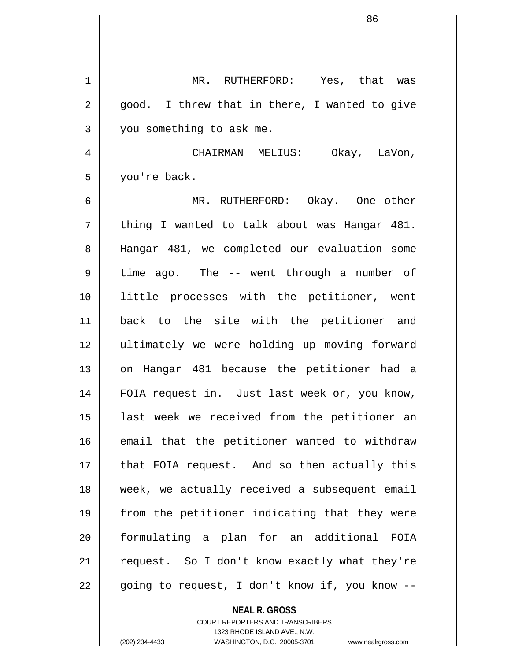1 MR. RUTHERFORD: Yes, that was  $2 \parallel$  good. I threw that in there, I wanted to give 3 | you something to ask me. 4 CHAIRMAN MELIUS: Okay, LaVon, 5 you're back. 6 MR. RUTHERFORD: Okay. One other  $7 \parallel$  thing I wanted to talk about was Hangar 481. 8 || Hangar 481, we completed our evaluation some  $9 \parallel$  time ago. The -- went through a number of 10 || little processes with the petitioner, went 11 back to the site with the petitioner and 12 ultimately we were holding up moving forward 13 || on Hangar 481 because the petitioner had a 14 || FOIA request in. Just last week or, you know, 15 || last week we received from the petitioner an 16 || email that the petitioner wanted to withdraw  $17$  || that FOIA request. And so then actually this 18 || week, we actually received a subsequent email 19 || from the petitioner indicating that they were 20 formulating a plan for an additional FOIA  $21$  | request. So I don't know exactly what they're 22 || going to request, I don't know if, you know --

> COURT REPORTERS AND TRANSCRIBERS 1323 RHODE ISLAND AVE., N.W. (202) 234-4433 WASHINGTON, D.C. 20005-3701 www.nealrgross.com

**NEAL R. GROSS**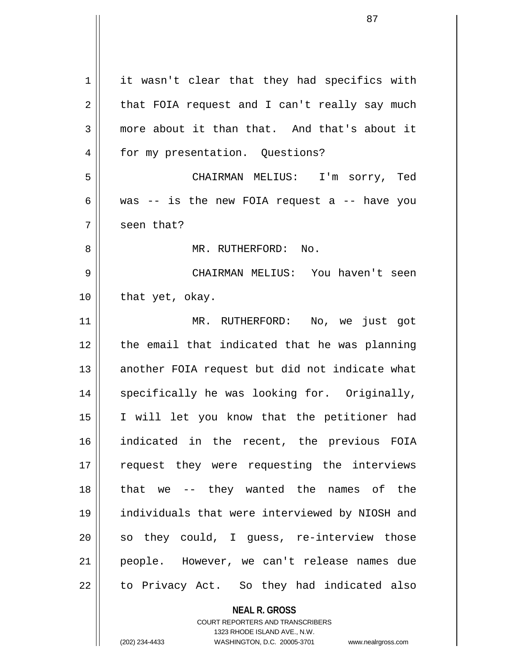| 1  | it wasn't clear that they had specifics with             |
|----|----------------------------------------------------------|
| 2  | that FOIA request and I can't really say much            |
| 3  | more about it than that. And that's about it             |
| 4  | for my presentation. Questions?                          |
| 5  | CHAIRMAN MELIUS: I'm sorry, Ted                          |
| 6  | was $-$ is the new FOIA request a $-$ have you           |
| 7  | seen that?                                               |
| 8  | MR. RUTHERFORD: No.                                      |
| 9  | CHAIRMAN MELIUS: You haven't seen                        |
| 10 | that yet, okay.                                          |
| 11 | MR. RUTHERFORD: No, we just got                          |
| 12 | the email that indicated that he was planning            |
| 13 | another FOIA request but did not indicate what           |
| 14 | specifically he was looking for. Originally,             |
| 15 | I will let you know that the petitioner had              |
| 16 | indicated in the recent, the previous FOIA               |
| 17 | request they were requesting the interviews              |
| 18 | that we -- they wanted the names of the                  |
| 19 | individuals that were interviewed by NIOSH and           |
|    |                                                          |
| 20 | so they could, I guess, re-interview those               |
| 21 | people. However, we can't release names due              |
| 22 | to Privacy Act. So they had indicated also               |
|    | <b>NEAL R. GROSS</b><br>COURT REPORTERS AND TRANSCRIBERS |

1323 RHODE ISLAND AVE., N.W.

 $\mathop{\text{||}}$ 

(202) 234-4433 WASHINGTON, D.C. 20005-3701 www.nealrgross.com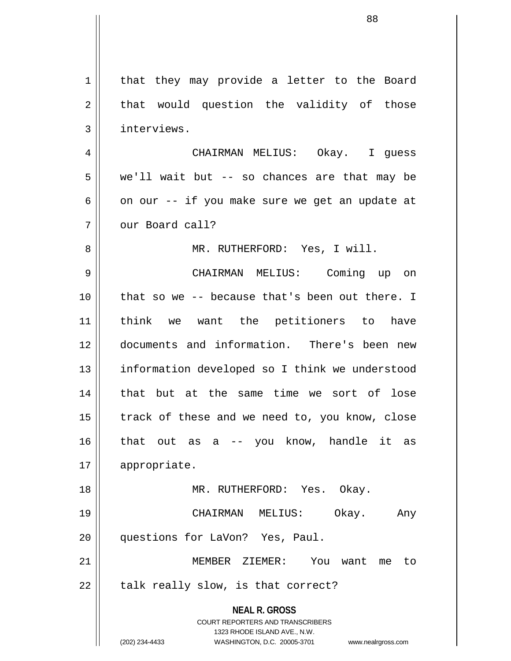**NEAL R. GROSS** COURT REPORTERS AND TRANSCRIBERS 1323 RHODE ISLAND AVE., N.W. (202) 234-4433 WASHINGTON, D.C. 20005-3701 www.nealrgross.com 1 | that they may provide a letter to the Board  $2 \parallel$  that would question the validity of those 3 | interviews. 4 CHAIRMAN MELIUS: Okay. I guess  $5 \parallel$  we'll wait but -- so chances are that may be 6 | on our -- if you make sure we get an update at 7 || our Board call? 8 || MR. RUTHERFORD: Yes, I will. 9 CHAIRMAN MELIUS: Coming up on 10 || that so we -- because that's been out there. I 11 think we want the petitioners to have 12 documents and information. There's been new 13 || information developed so I think we understood 14 || that but at the same time we sort of lose  $15$  | track of these and we need to, you know, close 16 that out as a -- you know, handle it as 17 | appropriate. 18 MR. RUTHERFORD: Yes. Okay. 19 CHAIRMAN MELIUS: Okay. Any 20 || questions for LaVon? Yes, Paul. 21 MEMBER ZIEMER: You want me to  $22$  | talk really slow, is that correct?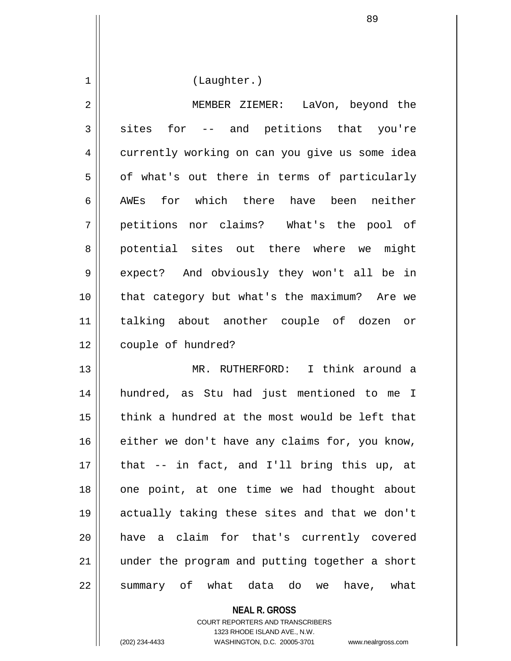1 | (Laughter.)

2 MEMBER ZIEMER: LaVon, beyond the  $3 \parallel$  sites for -- and petitions that you're 4 currently working on can you give us some idea  $5 \parallel$  of what's out there in terms of particularly 6 AWEs for which there have been neither 7 petitions nor claims? What's the pool of 8 || potential sites out there where we might 9 || expect? And obviously they won't all be in 10 || that category but what's the maximum? Are we 11 talking about another couple of dozen or 12 | couple of hundred?

13 MR. RUTHERFORD: I think around a 14 hundred, as Stu had just mentioned to me I 15 || think a hundred at the most would be left that  $16$  either we don't have any claims for, you know, 17 that -- in fact, and I'll bring this up, at 18 || one point, at one time we had thought about 19 actually taking these sites and that we don't 20 have a claim for that's currently covered 21 || under the program and putting together a short 22 || summary of what data do we have, what

> **NEAL R. GROSS** COURT REPORTERS AND TRANSCRIBERS 1323 RHODE ISLAND AVE., N.W.

(202) 234-4433 WASHINGTON, D.C. 20005-3701 www.nealrgross.com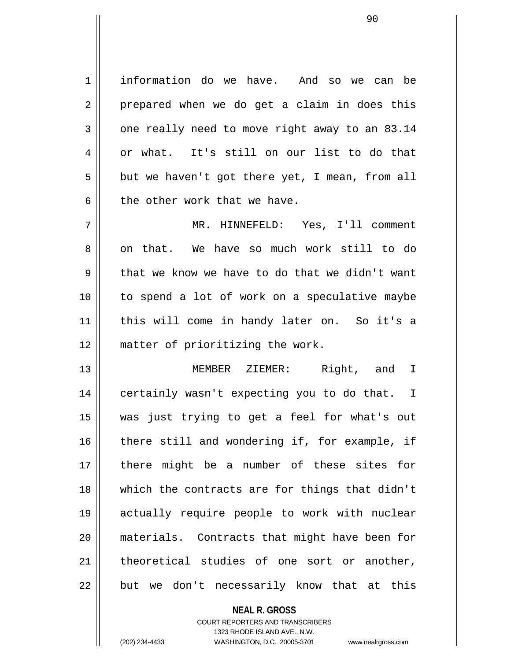1 information do we have. And so we can be  $2 \parallel$  prepared when we do get a claim in does this  $3 \parallel$  one really need to move right away to an 83.14  $4 \parallel$  or what. It's still on our list to do that  $5 \parallel$  but we haven't got there yet, I mean, from all  $6 \parallel$  the other work that we have.

7 MR. HINNEFELD: Yes, I'll comment 8 || on that. We have so much work still to do  $9 \parallel$  that we know we have to do that we didn't want 10 to spend a lot of work on a speculative maybe 11 this will come in handy later on. So it's a 12 || matter of prioritizing the work.

13 MEMBER ZIEMER: Right, and I 14 || certainly wasn't expecting you to do that. I 15 was just trying to get a feel for what's out 16 || there still and wondering if, for example, if 17 there might be a number of these sites for 18 which the contracts are for things that didn't 19 actually require people to work with nuclear 20 materials. Contracts that might have been for 21 || theoretical studies of one sort or another,  $22$  || but we don't necessarily know that at this

> **NEAL R. GROSS** COURT REPORTERS AND TRANSCRIBERS 1323 RHODE ISLAND AVE., N.W. (202) 234-4433 WASHINGTON, D.C. 20005-3701 www.nealrgross.com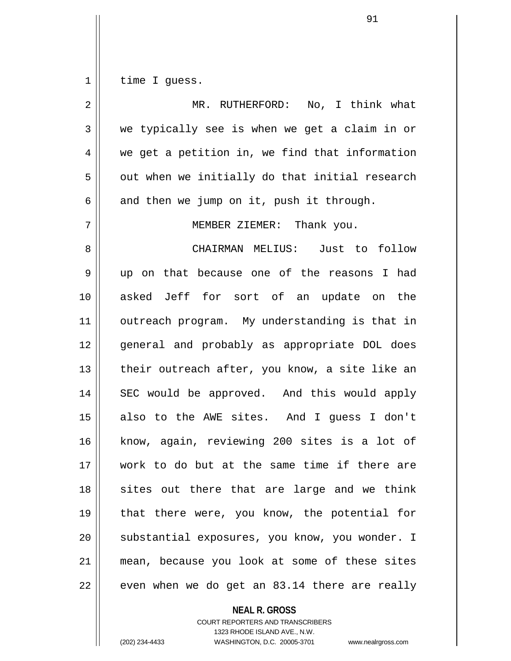$1$  time I guess.

| $\overline{2}$ | MR. RUTHERFORD: No, I think what               |
|----------------|------------------------------------------------|
| 3              | we typically see is when we get a claim in or  |
| 4              | we get a petition in, we find that information |
| 5              | out when we initially do that initial research |
| 6              | and then we jump on it, push it through.       |
| 7              | MEMBER ZIEMER: Thank you.                      |
| 8              | CHAIRMAN MELIUS: Just to follow                |
| 9              | up on that because one of the reasons I had    |
| 10             | asked Jeff for sort of an update on the        |
| 11             | outreach program. My understanding is that in  |
| 12             | general and probably as appropriate DOL does   |
| 13             | their outreach after, you know, a site like an |
| 14             | SEC would be approved. And this would apply    |
| 15             | also to the AWE sites. And I guess I don't     |
| 16             | know, again, reviewing 200 sites is a lot of   |
| 17             | work to do but at the same time if there are   |
| 18             | sites out there that are large and we think    |
| 19             | that there were, you know, the potential for   |
| 20             | substantial exposures, you know, you wonder. I |
| 21             | mean, because you look at some of these sites  |
| 22             | even when we do get an 83.14 there are really  |

**NEAL R. GROSS**

COURT REPORTERS AND TRANSCRIBERS 1323 RHODE ISLAND AVE., N.W. (202) 234-4433 WASHINGTON, D.C. 20005-3701 www.nealrgross.com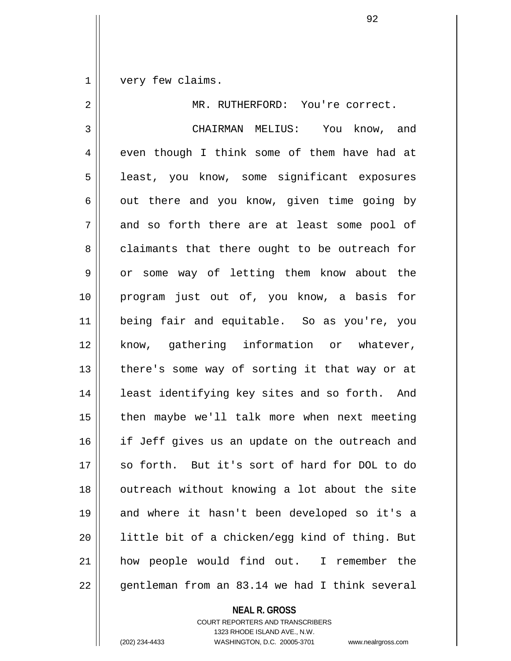1 very few claims.

| 2           | MR. RUTHERFORD: You're correct.                |
|-------------|------------------------------------------------|
| 3           | CHAIRMAN MELIUS: You know, and                 |
| 4           | even though I think some of them have had at   |
| 5           | least, you know, some significant exposures    |
| 6           | out there and you know, given time going by    |
| 7           | and so forth there are at least some pool of   |
| 8           | claimants that there ought to be outreach for  |
| $\mathsf 9$ | or some way of letting them know about the     |
| 10          | program just out of, you know, a basis for     |
| 11          | being fair and equitable. So as you're, you    |
| 12          | know, gathering information or whatever,       |
| 13          | there's some way of sorting it that way or at  |
| 14          | least identifying key sites and so forth. And  |
| 15          | then maybe we'll talk more when next meeting   |
| 16          | if Jeff gives us an update on the outreach and |
| 17          | so forth. But it's sort of hard for DOL to do  |
| 18          | outreach without knowing a lot about the site  |
| 19          | and where it hasn't been developed so it's a   |
| 20          | little bit of a chicken/egg kind of thing. But |
| 21          | how people would find out. I remember the      |
| 22          | gentleman from an 83.14 we had I think several |

**NEAL R. GROSS** COURT REPORTERS AND TRANSCRIBERS 1323 RHODE ISLAND AVE., N.W. (202) 234-4433 WASHINGTON, D.C. 20005-3701 www.nealrgross.com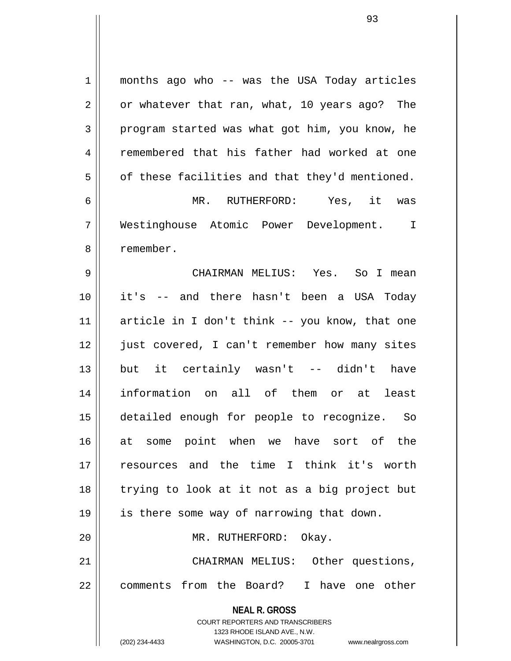**NEAL R. GROSS** COURT REPORTERS AND TRANSCRIBERS 1323 RHODE ISLAND AVE., N.W. (202) 234-4433 WASHINGTON, D.C. 20005-3701 www.nealrgross.com 1 || months ago who -- was the USA Today articles  $2 \parallel$  or whatever that ran, what, 10 years ago? The 3 program started was what got him, you know, he 4 Femembered that his father had worked at one  $5 \parallel$  of these facilities and that they'd mentioned. 6 MR. RUTHERFORD: Yes, it was 7 Westinghouse Atomic Power Development. I 8 l remember. 9 CHAIRMAN MELIUS: Yes. So I mean 10 it's -- and there hasn't been a USA Today 11 article in I don't think -- you know, that one 12 || just covered, I can't remember how many sites 13 but it certainly wasn't -- didn't have 14 information on all of them or at least 15 detailed enough for people to recognize. So 16 at some point when we have sort of the 17 resources and the time I think it's worth 18 trying to look at it not as a big project but 19 || is there some way of narrowing that down. 20 || MR. RUTHERFORD: Okay. 21 || CHAIRMAN MELIUS: Other questions, 22 || comments from the Board? I have one other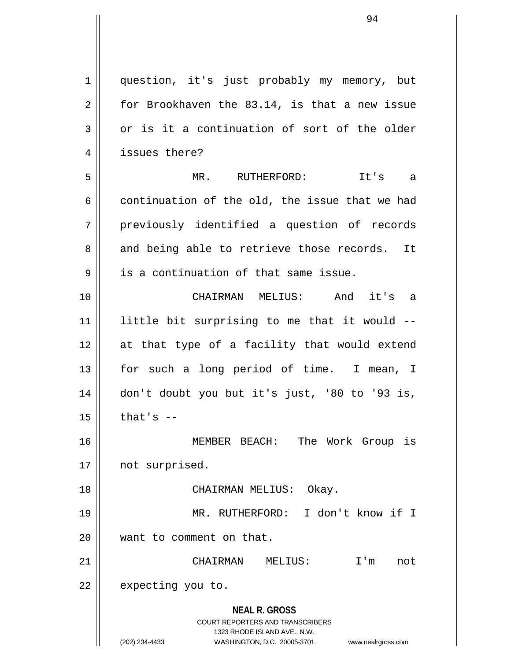**NEAL R. GROSS** COURT REPORTERS AND TRANSCRIBERS 1323 RHODE ISLAND AVE., N.W. (202) 234-4433 WASHINGTON, D.C. 20005-3701 www.nealrgross.com 1 question, it's just probably my memory, but  $2 \parallel$  for Brookhaven the 83.14, is that a new issue  $3 \parallel$  or is it a continuation of sort of the older 4 | issues there? 5 MR. RUTHERFORD: It's a 6 continuation of the old, the issue that we had 7 previously identified a question of records  $8 \parallel$  and being able to retrieve those records. It  $9 \parallel$  is a continuation of that same issue. 10 CHAIRMAN MELIUS: And it's a  $11$  little bit surprising to me that it would  $-$ 12 at that type of a facility that would extend 13 || for such a long period of time. I mean, I 14 don't doubt you but it's just, '80 to '93 is,  $15$  | that's  $-$ 16 MEMBER BEACH: The Work Group is 17 || not surprised. 18 CHAIRMAN MELIUS: Okay. 19 MR. RUTHERFORD: I don't know if I 20 || want to comment on that. 21 CHAIRMAN MELIUS: I'm not  $22$  | expecting you to.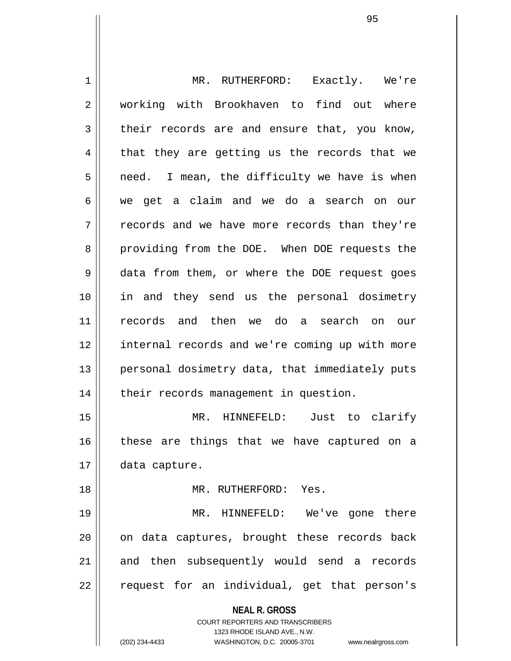**NEAL R. GROSS** COURT REPORTERS AND TRANSCRIBERS 1323 RHODE ISLAND AVE., N.W. 1 MR. RUTHERFORD: Exactly. We're 2 || working with Brookhaven to find out where  $3 \parallel$  their records are and ensure that, you know,  $4 \parallel$  that they are getting us the records that we  $5 \parallel$  need. I mean, the difficulty we have is when 6 we get a claim and we do a search on our 7 || records and we have more records than they're 8 || providing from the DOE. When DOE requests the 9 data from them, or where the DOE request goes 10 in and they send us the personal dosimetry 11 records and then we do a search on our 12 internal records and we're coming up with more 13 || personal dosimetry data, that immediately puts 14 | their records management in question. 15 MR. HINNEFELD: Just to clarify  $16$  these are things that we have captured on a 17 | data capture. 18 MR. RUTHERFORD: Yes. 19 MR. HINNEFELD: We've gone there 20 || on data captures, brought these records back 21 || and then subsequently would send a records 22 || request for an individual, get that person's

(202) 234-4433 WASHINGTON, D.C. 20005-3701 www.nealrgross.com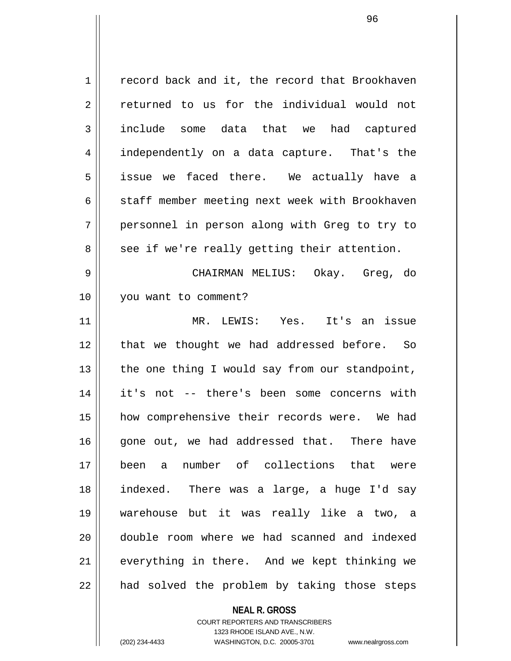$1 \parallel$  record back and it, the record that Brookhaven 2 returned to us for the individual would not 3 include some data that we had captured 4 || independently on a data capture. That's the 5 issue we faced there. We actually have a 6 | staff member meeting next week with Brookhaven 7 personnel in person along with Greg to try to  $8 \parallel$  see if we're really getting their attention. 9 CHAIRMAN MELIUS: Okay. Greg, do 10 you want to comment? 11 MR. LEWIS: Yes. It's an issue 12 || that we thought we had addressed before. So  $13$  | the one thing I would say from our standpoint, 14 it's not -- there's been some concerns with 15 || how comprehensive their records were. We had 16 gone out, we had addressed that. There have 17 been a number of collections that were 18 indexed. There was a large, a huge I'd say 19 warehouse but it was really like a two, a 20 double room where we had scanned and indexed 21 || everything in there. And we kept thinking we  $22$  || had solved the problem by taking those steps

> **NEAL R. GROSS** COURT REPORTERS AND TRANSCRIBERS 1323 RHODE ISLAND AVE., N.W.

(202) 234-4433 WASHINGTON, D.C. 20005-3701 www.nealrgross.com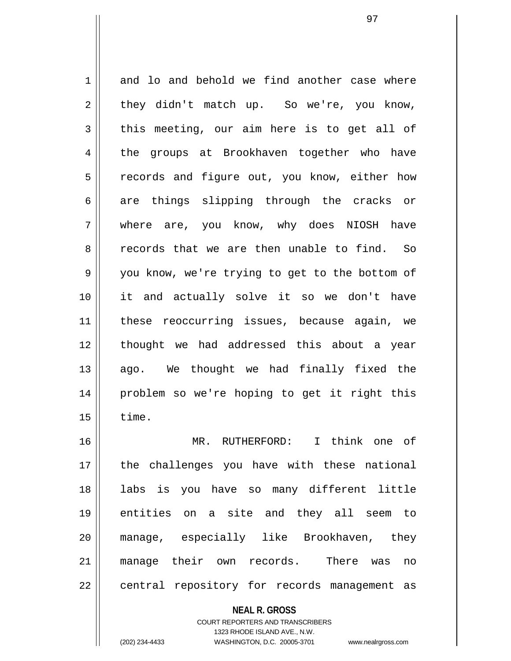1 and lo and behold we find another case where  $2 \parallel$  they didn't match up. So we're, you know,  $3 \parallel$  this meeting, our aim here is to get all of 4 the groups at Brookhaven together who have 5 || records and figure out, you know, either how  $6 \parallel$  are things slipping through the cracks or 7 where are, you know, why does NIOSH have 8 and records that we are then unable to find. So 9 || you know, we're trying to get to the bottom of 10 it and actually solve it so we don't have 11 || these reoccurring issues, because again, we 12 || thought we had addressed this about a year 13 || ago. We thought we had finally fixed the 14 problem so we're hoping to get it right this  $15 \parallel$  time. 16 MR. RUTHERFORD: I think one of 17 || the challenges you have with these national 18 labs is you have so many different little 19 entities on a site and they all seem to 20 manage, especially like Brookhaven, they 21 manage their own records. There was no 22 || central repository for records management as

**NEAL R. GROSS**

COURT REPORTERS AND TRANSCRIBERS 1323 RHODE ISLAND AVE., N.W. (202) 234-4433 WASHINGTON, D.C. 20005-3701 www.nealrgross.com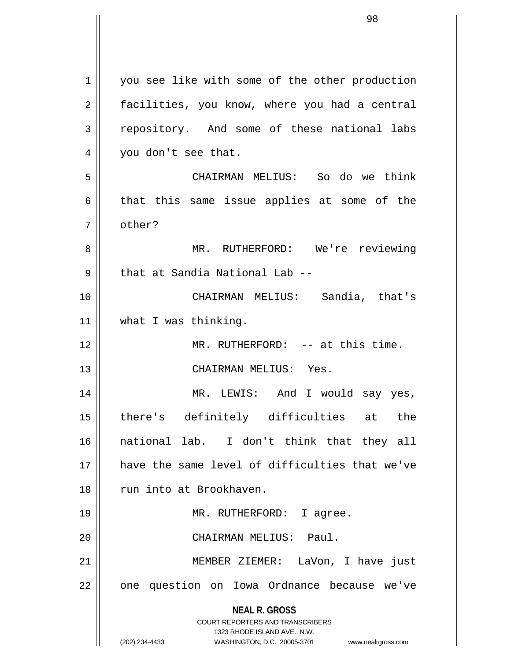**NEAL R. GROSS** COURT REPORTERS AND TRANSCRIBERS 1323 RHODE ISLAND AVE., N.W. (202) 234-4433 WASHINGTON, D.C. 20005-3701 www.nealrgross.com 1 | you see like with some of the other production 2 | facilities, you know, where you had a central  $3 \parallel$  repository. And some of these national labs 4 | you don't see that. 5 CHAIRMAN MELIUS: So do we think  $6 \parallel$  that this same issue applies at some of the 7 | other? 8 MR. RUTHERFORD: We're reviewing 9 || that at Sandia National Lab --10 CHAIRMAN MELIUS: Sandia, that's 11 | what I was thinking. 12 MR. RUTHERFORD: -- at this time. 13 || CHAIRMAN MELIUS: Yes. 14 MR. LEWIS: And I would say yes, 15 there's definitely difficulties at the 16 national lab. I don't think that they all 17 have the same level of difficulties that we've 18 || run into at Brookhaven. 19 || MR. RUTHERFORD: I agree. 20 CHAIRMAN MELIUS: Paul. 21 MEMBER ZIEMER: LaVon, I have just  $22$  || one question on Iowa Ordnance because we've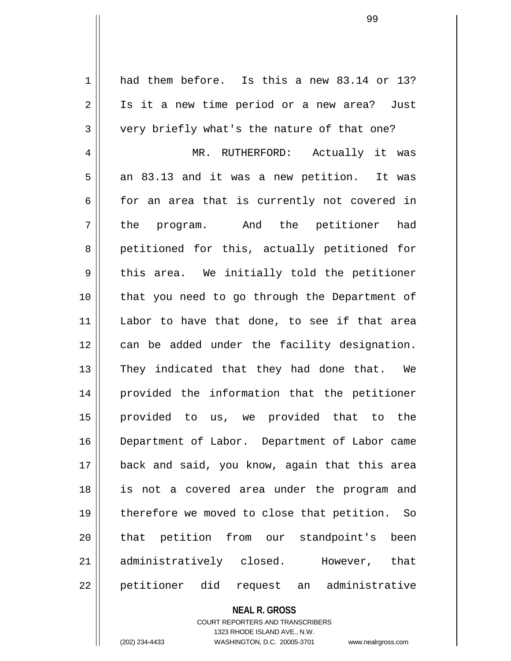1 had them before. Is this a new 83.14 or 13? 2 || Is it a new time period or a new area? Just  $3 \parallel$  very briefly what's the nature of that one? 4 MR. RUTHERFORD: Actually it was  $5 \parallel$  an 83.13 and it was a new petition. It was  $6 \parallel$  for an area that is currently not covered in 7 || the program. And the petitioner had 8 || petitioned for this, actually petitioned for  $9 \parallel$  this area. We initially told the petitioner 10 that you need to go through the Department of 11 Labor to have that done, to see if that area 12 || can be added under the facility designation. 13 || They indicated that they had done that. We 14 provided the information that the petitioner 15 provided to us, we provided that to the 16 Department of Labor. Department of Labor came 17 back and said, you know, again that this area 18 is not a covered area under the program and 19 || therefore we moved to close that petition. So 20 || that petition from our standpoint's been 21 administratively closed. However, that 22 || petitioner did request an administrative

## **NEAL R. GROSS**

COURT REPORTERS AND TRANSCRIBERS 1323 RHODE ISLAND AVE., N.W. (202) 234-4433 WASHINGTON, D.C. 20005-3701 www.nealrgross.com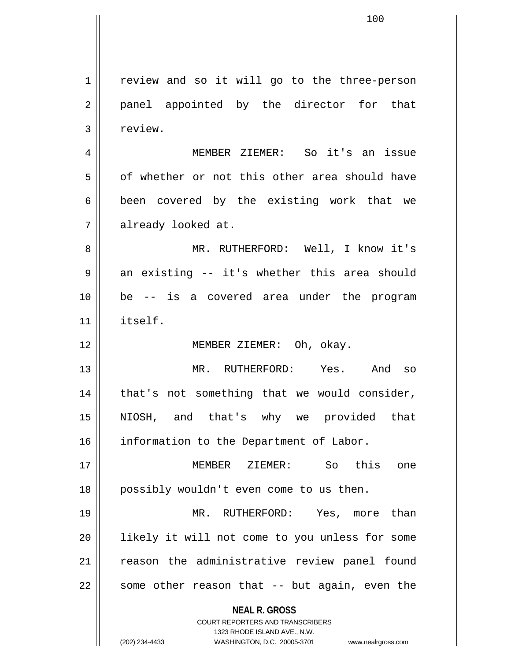**NEAL R. GROSS** COURT REPORTERS AND TRANSCRIBERS 1323 RHODE ISLAND AVE., N.W. 1 | review and so it will go to the three-person 2 || panel appointed by the director for that 3 | review. 4 MEMBER ZIEMER: So it's an issue 5 | of whether or not this other area should have  $6 \parallel$  been covered by the existing work that we 7 already looked at. 8 MR. RUTHERFORD: Well, I know it's  $9 \parallel$  an existing -- it's whether this area should 10 be -- is a covered area under the program 11 itself. 12 MEMBER ZIEMER: Oh, okay. 13 MR. RUTHERFORD: Yes. And so  $14$  | that's not something that we would consider, 15 NIOSH, and that's why we provided that 16 | information to the Department of Labor. 17 MEMBER ZIEMER: So this one 18 || possibly wouldn't even come to us then. 19 MR. RUTHERFORD: Yes, more than 20 || likely it will not come to you unless for some 21 || reason the administrative review panel found  $22$  || some other reason that  $-$  but again, even the

(202) 234-4433 WASHINGTON, D.C. 20005-3701 www.nealrgross.com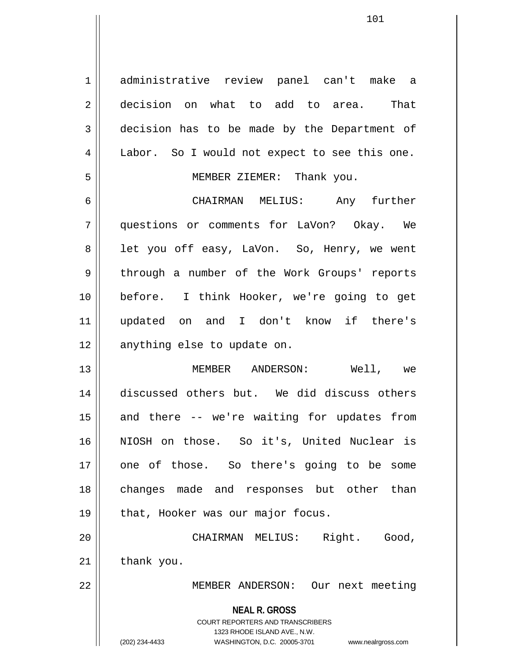1 administrative review panel can't make a 2 decision on what to add to area. That 3 decision has to be made by the Department of 4 | Labor. So I would not expect to see this one. 5 MEMBER ZIEMER: Thank you.

6 CHAIRMAN MELIUS: Any further 7 questions or comments for LaVon? Okay. We 8 || let you off easy, LaVon. So, Henry, we went 9 || through a number of the Work Groups' reports 10 before. I think Hooker, we're going to get 11 updated on and I don't know if there's 12 || anything else to update on.

13 MEMBER ANDERSON: Well, we 14 discussed others but. We did discuss others  $15$  and there  $-$  we're waiting for updates from 16 NIOSH on those. So it's, United Nuclear is 17 || one of those. So there's going to be some 18 || changes made and responses but other than 19 || that, Hooker was our major focus.

20 CHAIRMAN MELIUS: Right. Good,  $21$  | thank you.

22 || MEMBER ANDERSON: Our next meeting

**NEAL R. GROSS**

COURT REPORTERS AND TRANSCRIBERS 1323 RHODE ISLAND AVE., N.W. (202) 234-4433 WASHINGTON, D.C. 20005-3701 www.nealrgross.com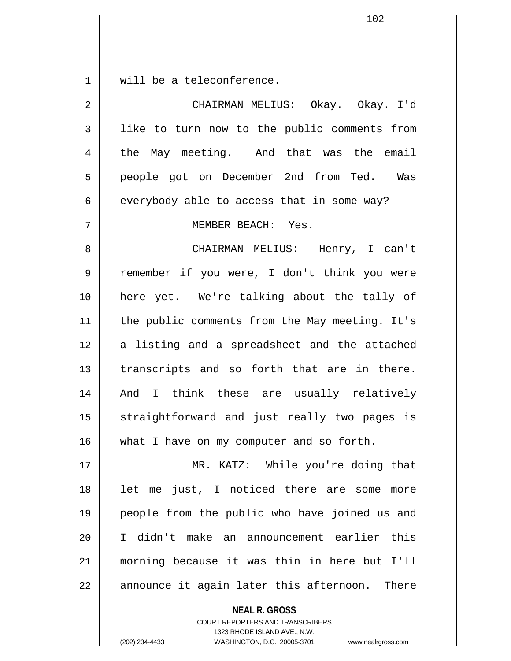$1$  will be a teleconference.

| $\overline{2}$ | CHAIRMAN MELIUS: Okay. Okay. I'd               |
|----------------|------------------------------------------------|
| $\mathbf{3}$   | like to turn now to the public comments from   |
| 4              | the May meeting. And that was the email        |
| 5              | people got on December 2nd from Ted. Was       |
| 6              | everybody able to access that in some way?     |
| 7              | MEMBER BEACH: Yes.                             |
| 8              | CHAIRMAN MELIUS: Henry, I can't                |
| 9              | remember if you were, I don't think you were   |
| 10             | here yet. We're talking about the tally of     |
| 11             | the public comments from the May meeting. It's |
| 12             | a listing and a spreadsheet and the attached   |
| 13             | transcripts and so forth that are in there.    |
| 14             | And I think these are usually relatively       |
| 15             | straightforward and just really two pages is   |
| 16             | what I have on my computer and so forth.       |
| 17             | MR. KATZ: While you're doing that              |
| 18             | let me just, I noticed there are some more     |
| 19             | people from the public who have joined us and  |
| 20             | I didn't make an announcement earlier this     |
| 21             | morning because it was thin in here but I'll   |
| 22             | announce it again later this afternoon. There  |

**NEAL R. GROSS**

COURT REPORTERS AND TRANSCRIBERS 1323 RHODE ISLAND AVE., N.W. (202) 234-4433 WASHINGTON, D.C. 20005-3701 www.nealrgross.com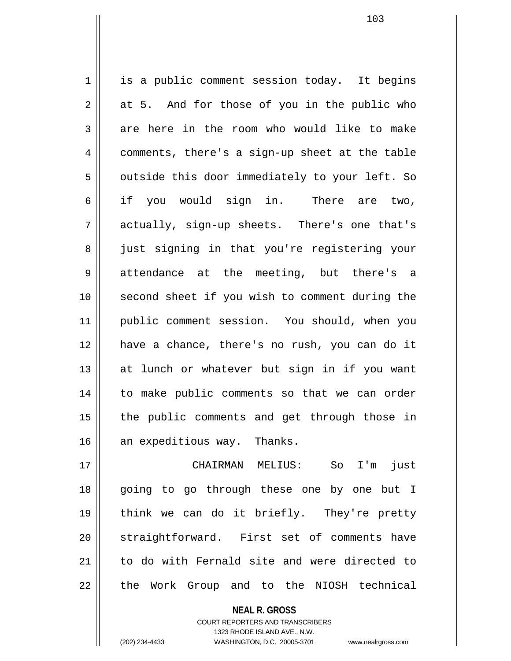1 is a public comment session today. It begins  $2 \parallel$  at 5. And for those of you in the public who  $3 \parallel$  are here in the room who would like to make  $4 \parallel$  comments, there's a sign-up sheet at the table  $5$  | outside this door immediately to your left. So 6 || if you would sign in. There are two, 7 actually, sign-up sheets. There's one that's 8 || just signing in that you're registering your 9 attendance at the meeting, but there's a 10 second sheet if you wish to comment during the 11 public comment session. You should, when you 12 have a chance, there's no rush, you can do it 13 || at lunch or whatever but sign in if you want 14 || to make public comments so that we can order 15 || the public comments and get through those in 16 an expeditious way. Thanks. 17 CHAIRMAN MELIUS: So I'm just

18 || going to go through these one by one but I 19 think we can do it briefly. They're pretty 20 || straightforward. First set of comments have 21 to do with Fernald site and were directed to 22 || the Work Group and to the NIOSH technical

**NEAL R. GROSS**

COURT REPORTERS AND TRANSCRIBERS 1323 RHODE ISLAND AVE., N.W.

(202) 234-4433 WASHINGTON, D.C. 20005-3701 www.nealrgross.com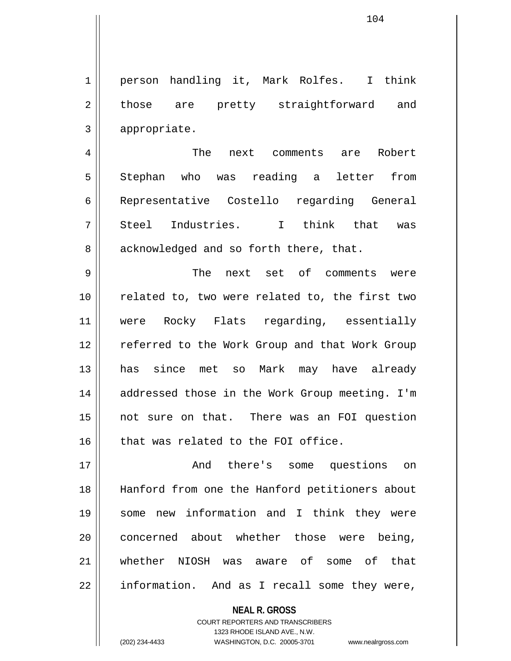1 || person handling it, Mark Rolfes. I think 2 those are pretty straightforward and 3 appropriate.

4 || The next comments are Robert 5 Stephan who was reading a letter from 6 || Representative Costello regarding General 7 || Steel Industries. I think that was  $8 \parallel$  acknowledged and so forth there, that.

9 The next set of comments were 10 || related to, two were related to, the first two 11 were Rocky Flats regarding, essentially 12 || referred to the Work Group and that Work Group 13 has since met so Mark may have already 14 || addressed those in the Work Group meeting. I'm 15 not sure on that. There was an FOI question 16 || that was related to the FOI office.

17 || The Rand there's some questions on 18 Hanford from one the Hanford petitioners about 19 some new information and I think they were 20 concerned about whether those were being, 21 whether NIOSH was aware of some of that 22 || information. And as I recall some they were,

> **NEAL R. GROSS** COURT REPORTERS AND TRANSCRIBERS 1323 RHODE ISLAND AVE., N.W. (202) 234-4433 WASHINGTON, D.C. 20005-3701 www.nealrgross.com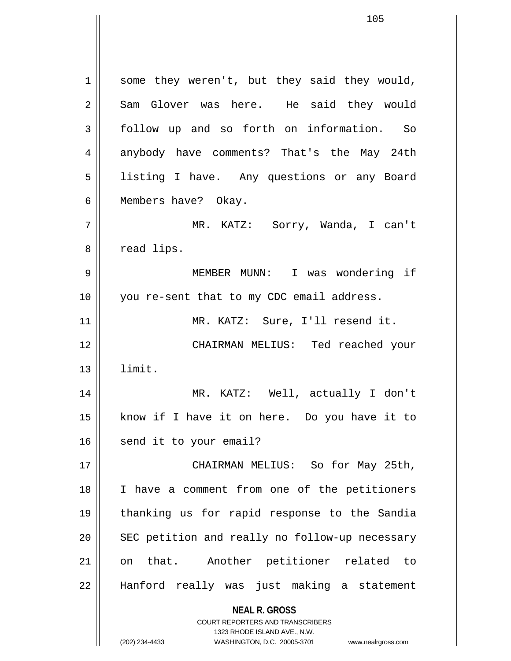**NEAL R. GROSS** COURT REPORTERS AND TRANSCRIBERS  $1 \parallel$  some they weren't, but they said they would, 2 Sam Glover was here. He said they would 3 follow up and so forth on information. So 4 anybody have comments? That's the May 24th 5 | listing I have. Any questions or any Board 6 | Members have? Okay. 7 MR. KATZ: Sorry, Wanda, I can't 8 | cad lips. 9 MEMBER MUNN: I was wondering if 10 || you re-sent that to my CDC email address. 11 || MR. KATZ: Sure, I'll resend it. 12 CHAIRMAN MELIUS: Ted reached your 13 limit. 14 MR. KATZ: Well, actually I don't 15 know if I have it on here. Do you have it to 16 send it to your email? 17 || CHAIRMAN MELIUS: So for May 25th, 18 || I have a comment from one of the petitioners 19 thanking us for rapid response to the Sandia  $20$   $\parallel$  SEC petition and really no follow-up necessary 21 on that. Another petitioner related to 22 Hanford really was just making a statement

> 1323 RHODE ISLAND AVE., N.W. (202) 234-4433 WASHINGTON, D.C. 20005-3701 www.nealrgross.com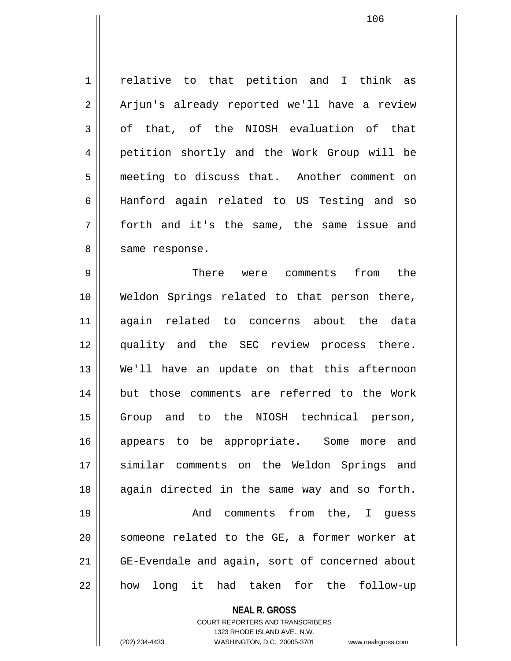1 | relative to that petition and I think as 2 || Arjun's already reported we'll have a review  $3 \parallel$  of that, of the NIOSH evaluation of that 4 petition shortly and the Work Group will be 5 meeting to discuss that. Another comment on 6 Hanford again related to US Testing and so 7 forth and it's the same, the same issue and 8 || same response.

9 There were comments from the 10 Weldon Springs related to that person there, 11 again related to concerns about the data 12 quality and the SEC review process there. 13 We'll have an update on that this afternoon 14 || but those comments are referred to the Work 15 Group and to the NIOSH technical person, 16 appears to be appropriate. Some more and 17 || similar comments on the Weldon Springs and 18 || again directed in the same way and so forth. 19 || The Comments from the, I quess 20 || someone related to the GE, a former worker at 21 GE-Evendale and again, sort of concerned about 22 || how long it had taken for the follow-up

**NEAL R. GROSS**

COURT REPORTERS AND TRANSCRIBERS 1323 RHODE ISLAND AVE., N.W. (202) 234-4433 WASHINGTON, D.C. 20005-3701 www.nealrgross.com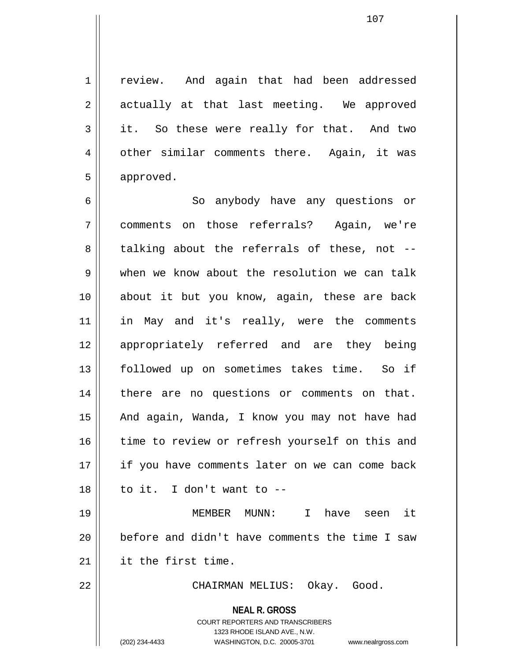107

1 || review. And again that had been addressed 2 || actually at that last meeting. We approved 3 it. So these were really for that. And two 4 | other similar comments there. Again, it was 5 | approved.

6 || So anybody have any questions or 7 comments on those referrals? Again, we're  $8 \parallel$  talking about the referrals of these, not -- $9 \parallel$  when we know about the resolution we can talk 10 about it but you know, again, these are back 11 in May and it's really, were the comments 12 appropriately referred and are they being 13 followed up on sometimes takes time. So if 14 || there are no questions or comments on that. 15 || And again, Wanda, I know you may not have had 16 time to review or refresh yourself on this and 17 || if you have comments later on we can come back  $18$  || to it. I don't want to  $-$ 19 MEMBER MUNN: I have seen it 20 || before and didn't have comments the time I saw

21 it the first time.

22 CHAIRMAN MELIUS: Okay. Good.

**NEAL R. GROSS** COURT REPORTERS AND TRANSCRIBERS

1323 RHODE ISLAND AVE., N.W.

(202) 234-4433 WASHINGTON, D.C. 20005-3701 www.nealrgross.com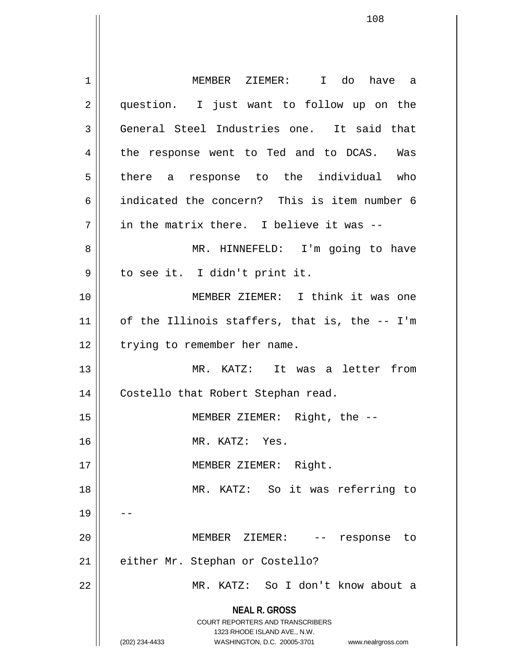**NEAL R. GROSS** COURT REPORTERS AND TRANSCRIBERS 1323 RHODE ISLAND AVE., N.W. (202) 234-4433 WASHINGTON, D.C. 20005-3701 www.nealrgross.com 1 MEMBER ZIEMER: I do have a 2 || question. I just want to follow up on the 3 General Steel Industries one. It said that 4 || the response went to Ted and to DCAS. Was 5 || there a response to the individual who 6 indicated the concern? This is item number 6  $7 \parallel$  in the matrix there. I believe it was --8 MR. HINNEFELD: I'm going to have 9 || to see it. I didn't print it. 10 MEMBER ZIEMER: I think it was one  $11$  of the Illinois staffers, that is, the -- I'm 12 | trying to remember her name. 13 MR. KATZ: It was a letter from 14 | Costello that Robert Stephan read. 15 MEMBER ZIEMER: Right, the -- 16 MR. KATZ: Yes. 17 || MEMBER ZIEMER: Right. 18 || MR. KATZ: So it was referring to 19 20 MEMBER ZIEMER: -- response to 21 | either Mr. Stephan or Costello? 22 MR. KATZ: So I don't know about a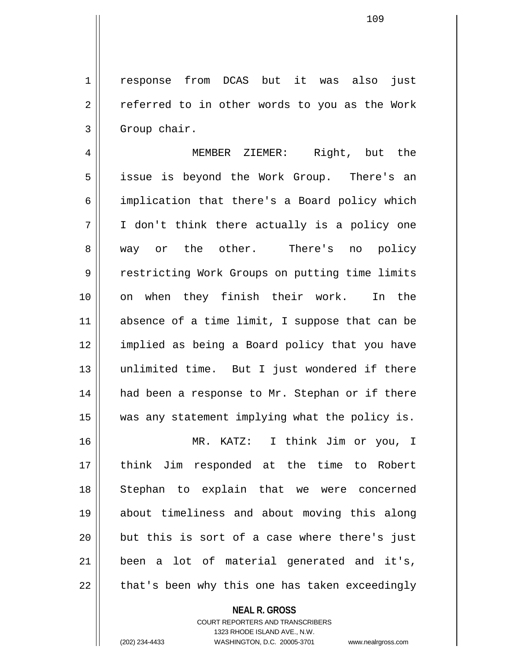1 response from DCAS but it was also just  $2 \parallel$  referred to in other words to you as the Work  $3 \parallel$  Group chair.

4 MEMBER ZIEMER: Right, but the 5 || issue is beyond the Work Group. There's an 6 implication that there's a Board policy which 7 I don't think there actually is a policy one 8 || way or the other. There's no policy 9 | Pestricting Work Groups on putting time limits 10 on when they finish their work. In the 11 || absence of a time limit, I suppose that can be 12 implied as being a Board policy that you have 13 unlimited time. But I just wondered if there 14 had been a response to Mr. Stephan or if there 15 was any statement implying what the policy is.

16 MR. KATZ: I think Jim or you, I 17 think Jim responded at the time to Robert 18 Stephan to explain that we were concerned 19 about timeliness and about moving this along  $20$  || but this is sort of a case where there's just 21 been a lot of material generated and it's,  $22 \parallel$  that's been why this one has taken exceedingly

# **NEAL R. GROSS**

COURT REPORTERS AND TRANSCRIBERS 1323 RHODE ISLAND AVE., N.W. (202) 234-4433 WASHINGTON, D.C. 20005-3701 www.nealrgross.com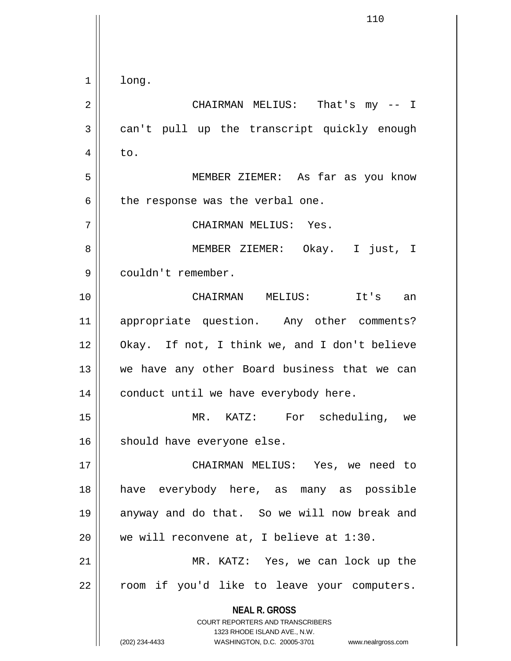**NEAL R. GROSS** COURT REPORTERS AND TRANSCRIBERS 1323 RHODE ISLAND AVE., N.W. (202) 234-4433 WASHINGTON, D.C. 20005-3701 www.nealrgross.com  $1 \parallel$  long. 2 CHAIRMAN MELIUS: That's my -- I 3 can't pull up the transcript quickly enough  $4 \parallel$  to. 5 MEMBER ZIEMER: As far as you know  $6$  || the response was the verbal one. 7 CHAIRMAN MELIUS: Yes. 8 MEMBER ZIEMER: Okay. I just, I 9 couldn't remember. 10 CHAIRMAN MELIUS: It's an 11 appropriate question. Any other comments? 12 Okay. If not, I think we, and I don't believe 13 || we have any other Board business that we can  $14$  | conduct until we have everybody here. 15 MR. KATZ: For scheduling, we 16 | should have everyone else. 17 CHAIRMAN MELIUS: Yes, we need to 18 have everybody here, as many as possible 19 anyway and do that. So we will now break and 20  $\parallel$  we will reconvene at, I believe at 1:30. 21 || MR. KATZ: Yes, we can lock up the 22 || room if you'd like to leave your computers.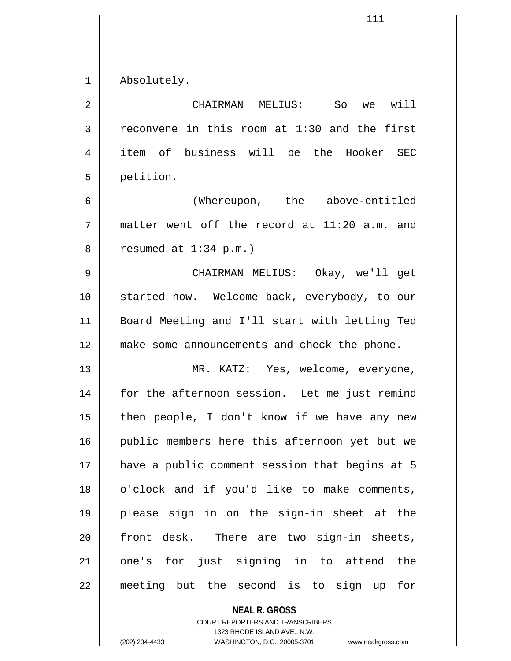1 Absolutely.

| $\overline{2}$ | will<br>CHAIRMAN MELIUS:<br>So<br>we           |
|----------------|------------------------------------------------|
| 3              | reconvene in this room at 1:30 and the first   |
| 4              | item of business will be the Hooker SEC        |
| 5              | petition.                                      |
| 6              | (Whereupon, the above-entitled                 |
| 7              | matter went off the record at 11:20 a.m. and   |
| 8              | resumed at $1:34$ p.m.)                        |
| 9              | CHAIRMAN MELIUS: Okay, we'll get               |
| 10             | started now. Welcome back, everybody, to our   |
| 11             | Board Meeting and I'll start with letting Ted  |
| 12             | make some announcements and check the phone.   |
| 13             | MR. KATZ: Yes, welcome, everyone,              |
| 14             | for the afternoon session. Let me just remind  |
| 15             | then people, I don't know if we have any new   |
| 16             | public members here this afternoon yet but we  |
| 17             | have a public comment session that begins at 5 |
| 18             | o'clock and if you'd like to make comments,    |
| 19             | please sign in on the sign-in sheet at the     |
| 20             | front desk. There are two sign-in sheets,      |
| 21             | one's for just signing in to attend the        |
| 22             | meeting but the second is to sign up<br>for    |

**NEAL R. GROSS** COURT REPORTERS AND TRANSCRIBERS

1323 RHODE ISLAND AVE., N.W.

(202) 234-4433 WASHINGTON, D.C. 20005-3701 www.nealrgross.com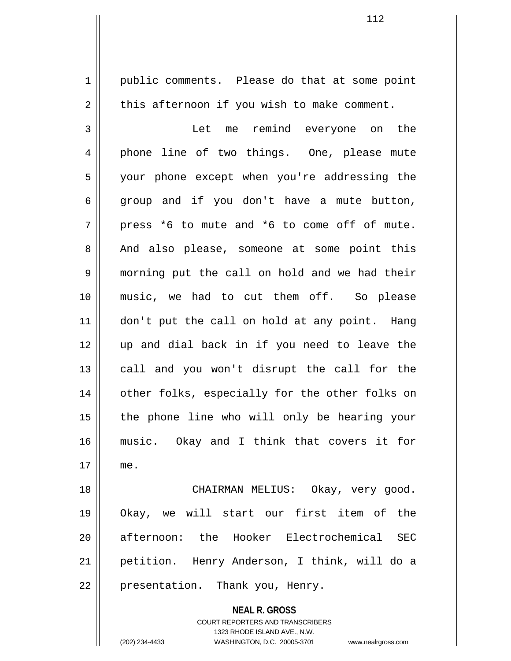1 | public comments. Please do that at some point  $2 \parallel$  this afternoon if you wish to make comment. 3 Let me remind everyone on the 4 || phone line of two things. One, please mute 5 || your phone except when you're addressing the  $6 \parallel$  group and if you don't have a mute button,  $7 \parallel$  press \*6 to mute and \*6 to come off of mute. 8 And also please, someone at some point this 9 morning put the call on hold and we had their 10 music, we had to cut them off. So please 11 || don't put the call on hold at any point. Hang 12 up and dial back in if you need to leave the  $13$  call and you won't disrupt the call for the 14 || other folks, especially for the other folks on 15 || the phone line who will only be hearing your 16 music. Okay and I think that covers it for 17 me. 18 CHAIRMAN MELIUS: Okay, very good. 19 Okay, we will start our first item of the

21 petition. Henry Anderson, I think, will do a 22 || presentation. Thank you, Henry.

20 afternoon: the Hooker Electrochemical SEC

**NEAL R. GROSS** COURT REPORTERS AND TRANSCRIBERS 1323 RHODE ISLAND AVE., N.W. (202) 234-4433 WASHINGTON, D.C. 20005-3701 www.nealrgross.com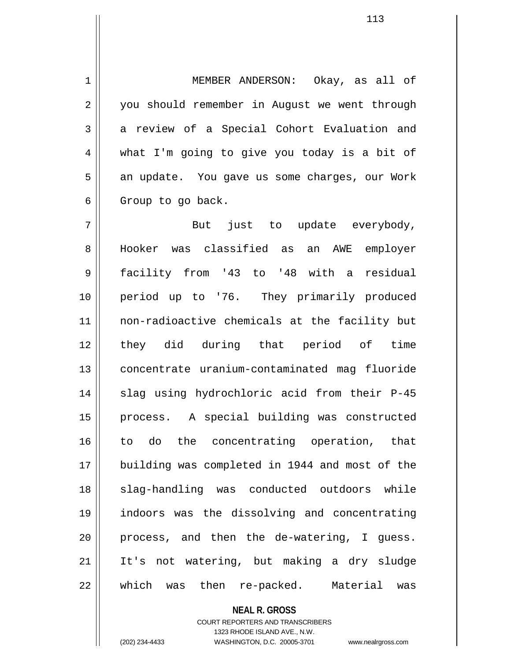1 MEMBER ANDERSON: Okay, as all of 2 | you should remember in August we went through 3 a review of a Special Cohort Evaluation and 4 what I'm going to give you today is a bit of 5 || an update. You gave us some charges, our Work  $6 \parallel$  Group to go back.

7 But just to update everybody, 8 Hooker was classified as an AWE employer 9 facility from '43 to '48 with a residual 10 period up to '76. They primarily produced 11 non-radioactive chemicals at the facility but 12 they did during that period of time 13 concentrate uranium-contaminated mag fluoride 14 || slag using hydrochloric acid from their P-45 15 process. A special building was constructed 16 || to do the concentrating operation, that 17 || building was completed in 1944 and most of the 18 || slag-handling was conducted outdoors while 19 indoors was the dissolving and concentrating  $20$  | process, and then the de-watering, I quess. 21 It's not watering, but making a dry sludge 22 which was then re-packed. Material was

## **NEAL R. GROSS**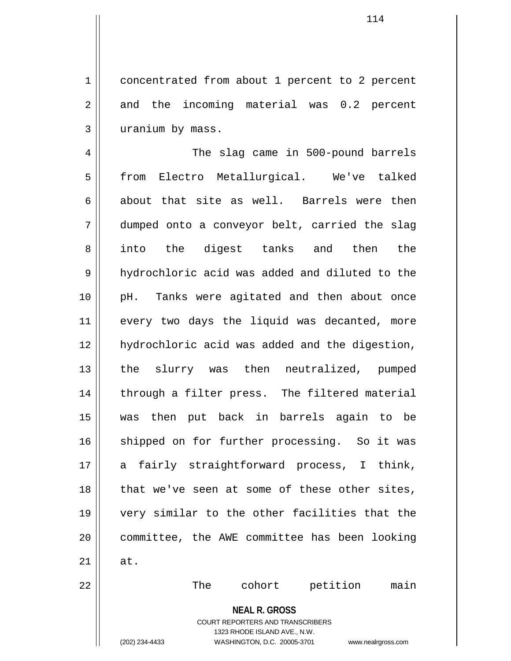1 | concentrated from about 1 percent to 2 percent  $2 \parallel$  and the incoming material was 0.2 percent 3 | uranium by mass.

4 || The slag came in 500-pound barrels 5 from Electro Metallurgical. We've talked 6 about that site as well. Barrels were then 7 dumped onto a conveyor belt, carried the slag 8 || into the digest tanks and then the 9 | hydrochloric acid was added and diluted to the 10 || pH. Tanks were agitated and then about once 11 || every two days the liquid was decanted, more 12 hydrochloric acid was added and the digestion, 13 || the slurry was then neutralized, pumped 14 || through a filter press. The filtered material 15 was then put back in barrels again to be 16 || shipped on for further processing. So it was 17 a fairly straightforward process, I think,  $18$  || that we've seen at some of these other sites, 19 very similar to the other facilities that the 20 committee, the AWE committee has been looking  $21$   $\parallel$  at. 22 The cohort petition main

> **NEAL R. GROSS** COURT REPORTERS AND TRANSCRIBERS 1323 RHODE ISLAND AVE., N.W.

114

(202) 234-4433 WASHINGTON, D.C. 20005-3701 www.nealrgross.com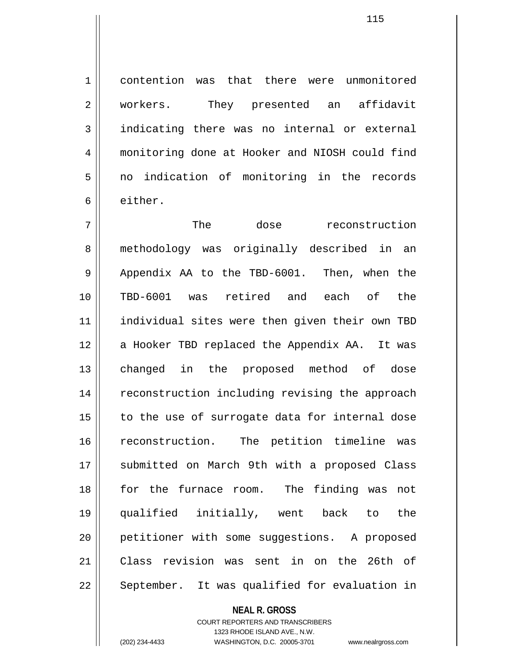1 contention was that there were unmonitored 2 || workers. They presented an affidavit 3 indicating there was no internal or external 4 monitoring done at Hooker and NIOSH could find 5 no indication of monitoring in the records 6 either.

7 The dose reconstruction 8 || methodology was originally described in an  $9 \parallel$  Appendix AA to the TBD-6001. Then, when the 10 TBD-6001 was retired and each of the 11 individual sites were then given their own TBD 12 || a Hooker TBD replaced the Appendix AA. It was 13 changed in the proposed method of dose 14 || reconstruction including revising the approach  $15$  to the use of surrogate data for internal dose 16 reconstruction. The petition timeline was 17 || submitted on March 9th with a proposed Class 18 for the furnace room. The finding was not 19 qualified initially, went back to the 20 || petitioner with some suggestions. A proposed 21 Class revision was sent in on the 26th of 22 || September. It was qualified for evaluation in

## **NEAL R. GROSS**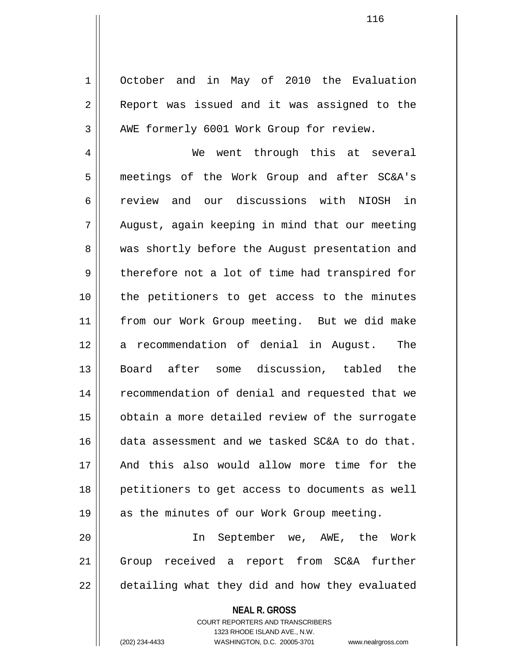1 October and in May of 2010 the Evaluation 2 || Report was issued and it was assigned to the 3 | AWE formerly 6001 Work Group for review.

4 We went through this at several 5 meetings of the Work Group and after SC&A's 6 review and our discussions with NIOSH in 7 August, again keeping in mind that our meeting 8 || was shortly before the August presentation and  $9 \parallel$  therefore not a lot of time had transpired for 10 the petitioners to get access to the minutes 11 from our Work Group meeting. But we did make 12 a recommendation of denial in August. The 13 Board after some discussion, tabled the 14 || recommendation of denial and requested that we 15 obtain a more detailed review of the surrogate 16 data assessment and we tasked SC&A to do that. 17 And this also would allow more time for the 18 petitioners to get access to documents as well 19 || as the minutes of our Work Group meeting.

20 || The September we, AWE, the Work 21 Group received a report from SC&A further 22 || detailing what they did and how they evaluated

> **NEAL R. GROSS** COURT REPORTERS AND TRANSCRIBERS 1323 RHODE ISLAND AVE., N.W.

(202) 234-4433 WASHINGTON, D.C. 20005-3701 www.nealrgross.com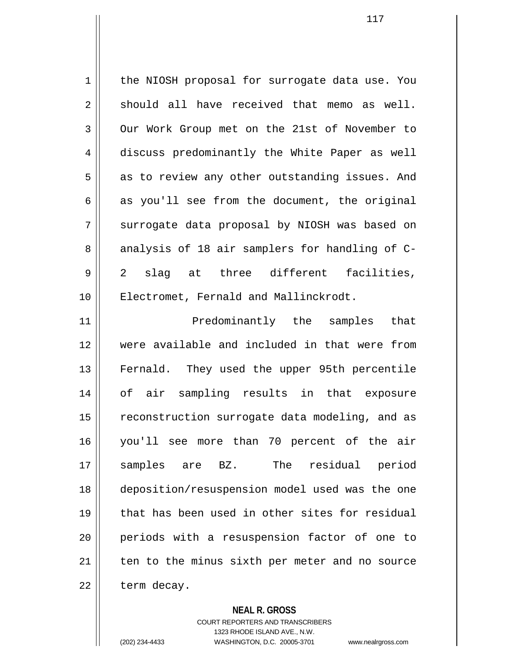1 || the NIOSH proposal for surrogate data use. You  $2 \parallel$  should all have received that memo as well. 3 Our Work Group met on the 21st of November to 4 discuss predominantly the White Paper as well  $5 \parallel$  as to review any other outstanding issues. And 6  $\parallel$  as you'll see from the document, the original  $7 \parallel$  surrogate data proposal by NIOSH was based on 8 analysis of 18 air samplers for handling of C-9 2 slag at three different facilities, 10 || Electromet, Fernald and Mallinckrodt. 11 Predominantly the samples that

12 were available and included in that were from 13 || Fernald. They used the upper 95th percentile 14 of air sampling results in that exposure 15 | reconstruction surrogate data modeling, and as 16 you'll see more than 70 percent of the air 17 samples are BZ. The residual period 18 deposition/resuspension model used was the one 19 that has been used in other sites for residual 20 periods with a resuspension factor of one to  $21$  ten to the minus sixth per meter and no source  $22$  | term decay.

### **NEAL R. GROSS**

COURT REPORTERS AND TRANSCRIBERS 1323 RHODE ISLAND AVE., N.W. (202) 234-4433 WASHINGTON, D.C. 20005-3701 www.nealrgross.com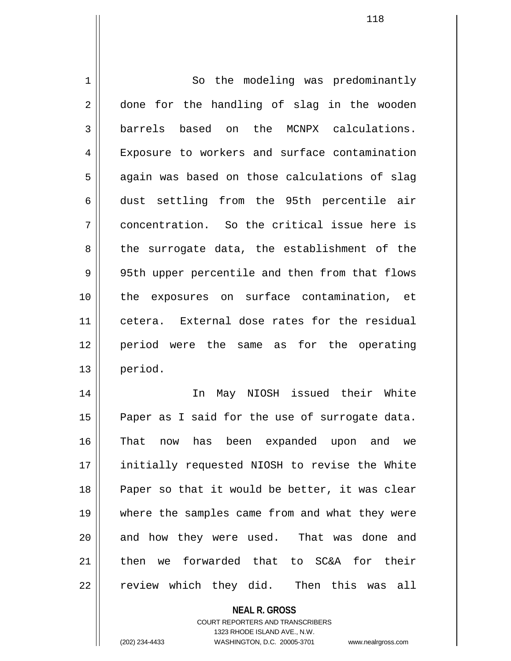1 | So the modeling was predominantly 2 done for the handling of slag in the wooden 3 barrels based on the MCNPX calculations. 4 Exposure to workers and surface contamination  $5 \parallel$  again was based on those calculations of slag 6 dust settling from the 95th percentile air 7 concentration. So the critical issue here is  $8 \parallel$  the surrogate data, the establishment of the 9 || 95th upper percentile and then from that flows 10 the exposures on surface contamination, et 11 cetera. External dose rates for the residual 12 period were the same as for the operating 13 period. 14 In May NIOSH issued their White  $15$  Paper as I said for the use of surrogate data. 16 That now has been expanded upon and we 17 || initially requested NIOSH to revise the White 18 || Paper so that it would be better, it was clear 19 where the samples came from and what they were 20 || and how they were used. That was done and 21 then we forwarded that to SC&A for their 22 || review which they did. Then this was all

1323 RHODE ISLAND AVE., N.W.

**NEAL R. GROSS** COURT REPORTERS AND TRANSCRIBERS

(202) 234-4433 WASHINGTON, D.C. 20005-3701 www.nealrgross.com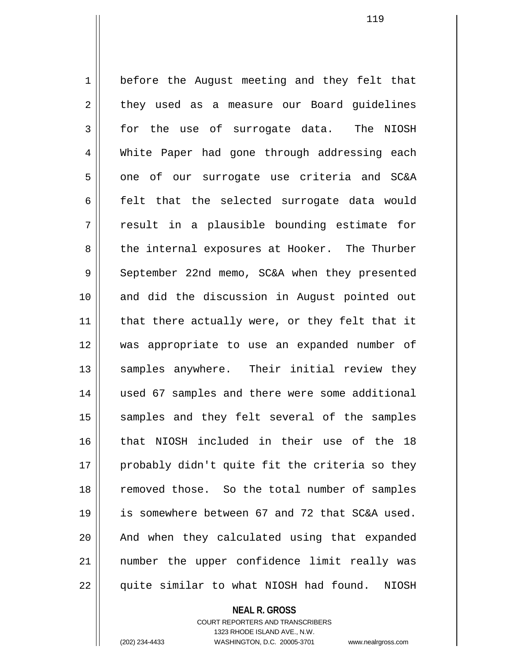1 | before the August meeting and they felt that  $2 \parallel$  they used as a measure our Board guidelines 3 for the use of surrogate data. The NIOSH 4 White Paper had gone through addressing each 5 one of our surrogate use criteria and SC&A 6 felt that the selected surrogate data would  $7 \parallel$  result in a plausible bounding estimate for 8 the internal exposures at Hooker. The Thurber 9 September 22nd memo, SC&A when they presented 10 and did the discussion in August pointed out  $11$  | that there actually were, or they felt that it 12 was appropriate to use an expanded number of 13 || samples anywhere. Their initial review they 14 used 67 samples and there were some additional 15 || samples and they felt several of the samples 16 || that NIOSH included in their use of the 18 17 || probably didn't quite fit the criteria so they 18 || removed those. So the total number of samples 19 is somewhere between 67 and 72 that SC&A used. 20 || And when they calculated using that expanded 21 number the upper confidence limit really was 22 || quite similar to what NIOSH had found. NIOSH

> **NEAL R. GROSS** COURT REPORTERS AND TRANSCRIBERS

> > 1323 RHODE ISLAND AVE., N.W.

(202) 234-4433 WASHINGTON, D.C. 20005-3701 www.nealrgross.com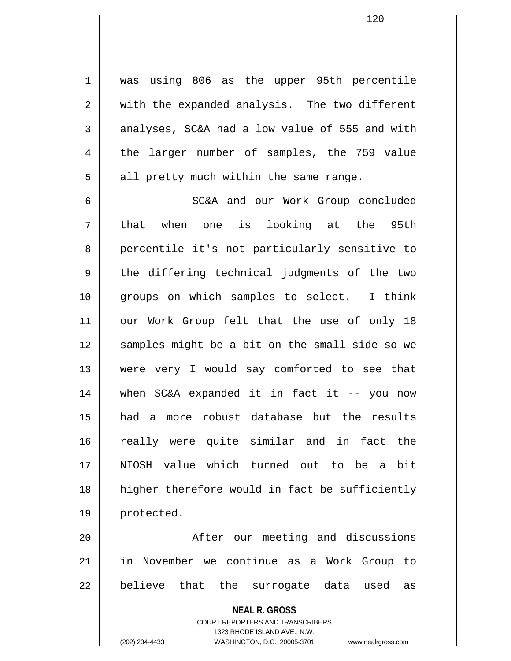1 || was using 806 as the upper 95th percentile 2 || with the expanded analysis. The two different  $3 \parallel$  analyses, SC&A had a low value of 555 and with 4 the larger number of samples, the 759 value  $5 \parallel$  all pretty much within the same range.

6 SC&A and our Work Group concluded 7 || that when one is looking at the 95th 8 percentile it's not particularly sensitive to 9 the differing technical judgments of the two 10 || groups on which samples to select. I think 11 || our Work Group felt that the use of only 18 12 || samples might be a bit on the small side so we 13 were very I would say comforted to see that 14 when SC&A expanded it in fact it -- you now 15 had a more robust database but the results 16 really were quite similar and in fact the 17 NIOSH value which turned out to be a bit 18 || higher therefore would in fact be sufficiently 19 | protected.

20 || After our meeting and discussions 21 in November we continue as a Work Group to 22 || believe that the surrogate data used as

> **NEAL R. GROSS** COURT REPORTERS AND TRANSCRIBERS 1323 RHODE ISLAND AVE., N.W. (202) 234-4433 WASHINGTON, D.C. 20005-3701 www.nealrgross.com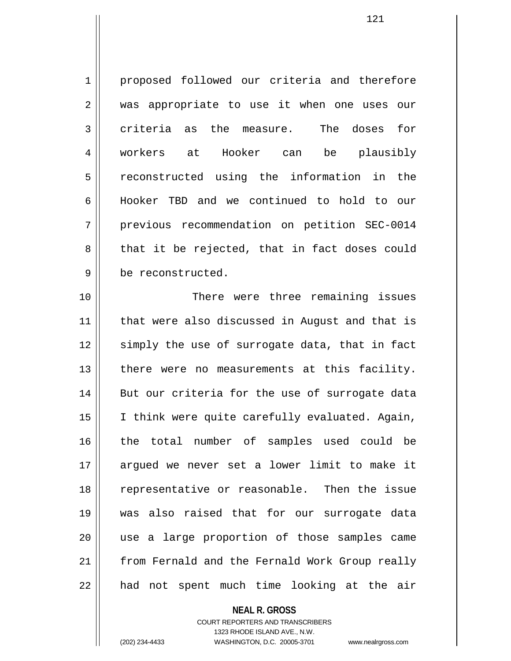1 proposed followed our criteria and therefore 2 || was appropriate to use it when one uses our 3 criteria as the measure. The doses for 4 workers at Hooker can be plausibly 5 || reconstructed using the information in the 6 Hooker TBD and we continued to hold to our 7 | previous recommendation on petition SEC-0014  $8 \parallel$  that it be rejected, that in fact doses could 9 | be reconstructed.

10 || There were three remaining issues 11 that were also discussed in August and that is 12 || simply the use of surrogate data, that in fact 13 || there were no measurements at this facility. 14 || But our criteria for the use of surrogate data 15 || I think were quite carefully evaluated. Again, 16 the total number of samples used could be 17 argued we never set a lower limit to make it 18 representative or reasonable. Then the issue 19 was also raised that for our surrogate data 20 use a large proportion of those samples came 21 from Fernald and the Fernald Work Group really  $22$  || had not spent much time looking at the air

# **NEAL R. GROSS**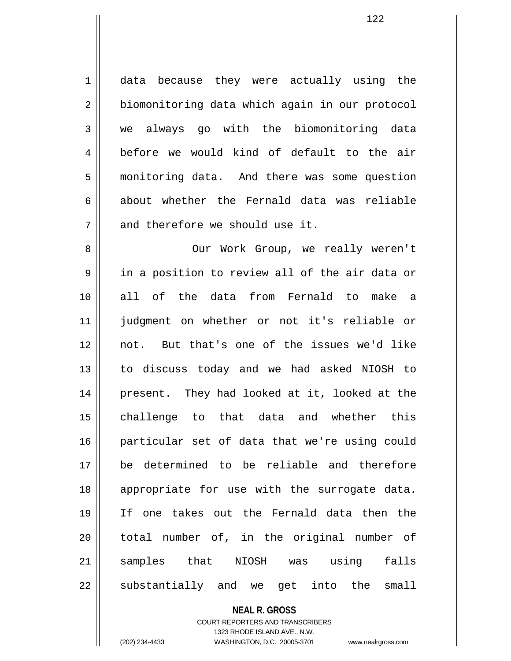1 || data because they were actually using the 2 | biomonitoring data which again in our protocol 3 we always go with the biomonitoring data 4 before we would kind of default to the air 5 monitoring data. And there was some question  $6 \parallel$  about whether the Fernald data was reliable  $7$   $\parallel$  and therefore we should use it.

8 || Our Work Group, we really weren't  $9 \parallel$  in a position to review all of the air data or 10 all of the data from Fernald to make a 11 judgment on whether or not it's reliable or 12 not. But that's one of the issues we'd like 13 to discuss today and we had asked NIOSH to 14 || present. They had looked at it, looked at the 15 challenge to that data and whether this 16 particular set of data that we're using could 17 be determined to be reliable and therefore 18 || appropriate for use with the surrogate data. 19 If one takes out the Fernald data then the 20 || total number of, in the original number of 21 samples that NIOSH was using falls  $22$  substantially and we get into the small

#### **NEAL R. GROSS**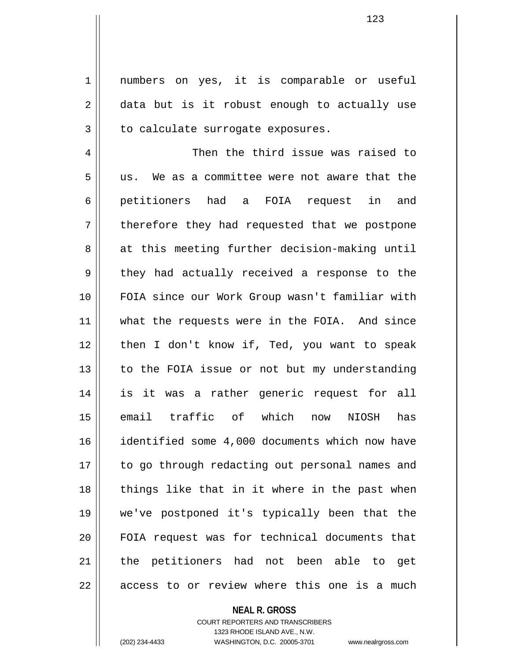1 || numbers on yes, it is comparable or useful  $2 \parallel$  data but is it robust enough to actually use  $3$  | to calculate surrogate exposures.

4 Then the third issue was raised to 5 us. We as a committee were not aware that the 6 petitioners had a FOIA request in and  $7 \parallel$  therefore they had requested that we postpone 8 at this meeting further decision-making until  $9 \parallel$  they had actually received a response to the 10 FOIA since our Work Group wasn't familiar with 11 || what the requests were in the FOIA. And since 12 || then I don't know if, Ted, you want to speak 13 || to the FOIA issue or not but my understanding 14 is it was a rather generic request for all 15 email traffic of which now NIOSH has 16 identified some 4,000 documents which now have 17 || to go through redacting out personal names and 18 || things like that in it where in the past when 19 we've postponed it's typically been that the 20 || FOIA request was for technical documents that 21 || the petitioners had not been able to get  $22$  ||  $\alpha$  access to or review where this one is a much

#### **NEAL R. GROSS**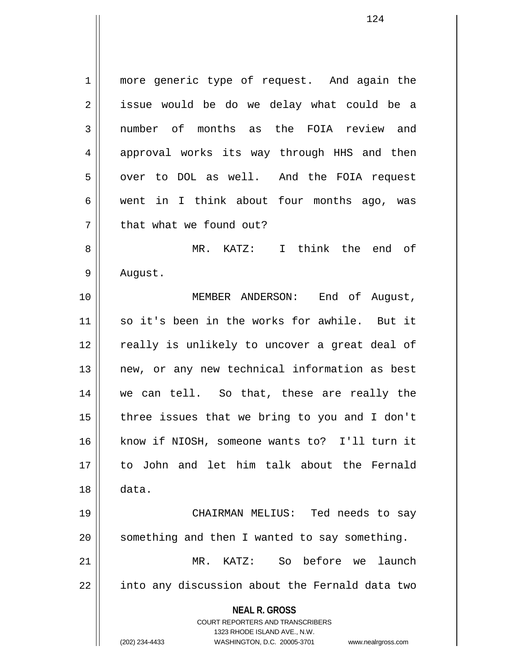**NEAL R. GROSS** COURT REPORTERS AND TRANSCRIBERS 1323 RHODE ISLAND AVE., N.W. 1 || more generic type of request. And again the  $2 \parallel$  issue would be do we delay what could be a 3 || number of months as the FOIA review and 4 approval works its way through HHS and then 5 | over to DOL as well. And the FOIA request 6 || went in I think about four months ago, was 7 | that what we found out? 8 MR. KATZ: I think the end of 9 | August. 10 MEMBER ANDERSON: End of August, 11 so it's been in the works for awhile. But it 12 || really is unlikely to uncover a great deal of 13 || new, or any new technical information as best 14 we can tell. So that, these are really the  $15$  | three issues that we bring to you and I don't 16 know if NIOSH, someone wants to? I'll turn it 17 to John and let him talk about the Fernald 18 data. 19 CHAIRMAN MELIUS: Ted needs to say  $20$  || something and then I wanted to say something. 21 MR. KATZ: So before we launch 22 || into any discussion about the Fernald data two

(202) 234-4433 WASHINGTON, D.C. 20005-3701 www.nealrgross.com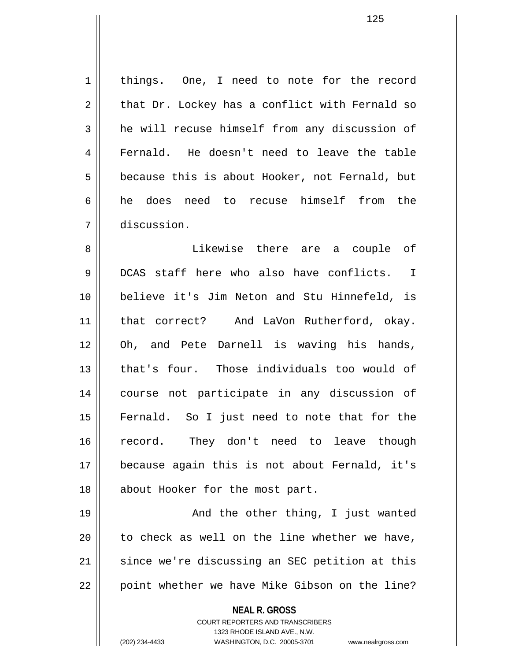1 | things. One, I need to note for the record  $2 \parallel$  that Dr. Lockey has a conflict with Fernald so 3 **h** he will recuse himself from any discussion of 4 || Fernald. He doesn't need to leave the table  $5 \parallel$  because this is about Hooker, not Fernald, but 6 he does need to recuse himself from the 7 discussion.

8 Likewise there are a couple of 9 DCAS staff here who also have conflicts. I 10 believe it's Jim Neton and Stu Hinnefeld, is 11 || that correct? And LaVon Rutherford, okay. 12 Oh, and Pete Darnell is waving his hands, 13 that's four. Those individuals too would of 14 course not participate in any discussion of 15 Fernald. So I just need to note that for the 16 record. They don't need to leave though 17 because again this is not about Fernald, it's 18 || about Hooker for the most part.

19 || And the other thing, I just wanted  $20$  | to check as well on the line whether we have, 21 || since we're discussing an SEC petition at this  $22$  | point whether we have Mike Gibson on the line?

**NEAL R. GROSS**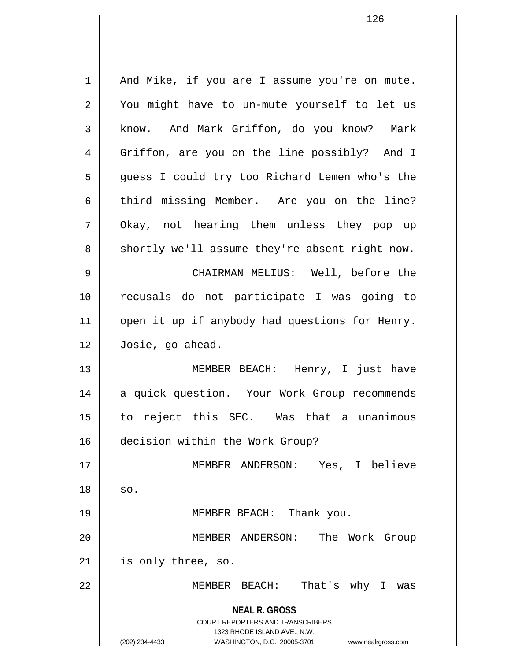**NEAL R. GROSS** COURT REPORTERS AND TRANSCRIBERS 1323 RHODE ISLAND AVE., N.W. (202) 234-4433 WASHINGTON, D.C. 20005-3701 www.nealrgross.com 1 || And Mike, if you are I assume you're on mute. 2 || You might have to un-mute yourself to let us 3 | know. And Mark Griffon, do you know? Mark 4 || Griffon, are you on the line possibly? And I 5 || guess I could try too Richard Lemen who's the 6 third missing Member. Are you on the line? 7 || Okay, not hearing them unless they pop up  $8 \parallel$  shortly we'll assume they're absent right now. 9 CHAIRMAN MELIUS: Well, before the 10 recusals do not participate I was going to 11 || open it up if anybody had questions for Henry. 12 Josie, go ahead. 13 MEMBER BEACH: Henry, I just have 14 || a quick question. Your Work Group recommends 15 to reject this SEC. Was that a unanimous 16 decision within the Work Group? 17 MEMBER ANDERSON: Yes, I believe  $18 \parallel$  so. 19 MEMBER BEACH: Thank you. 20 MEMBER ANDERSON: The Work Group 21 is only three, so. 22 MEMBER BEACH: That's why I was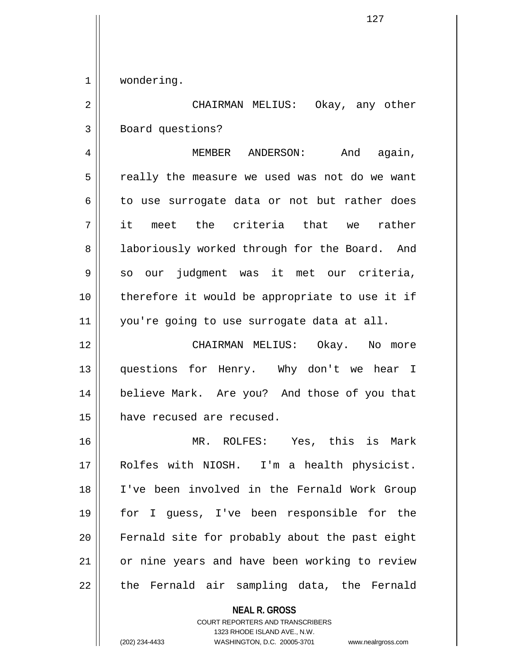1 | wondering.

2 CHAIRMAN MELIUS: Okay, any other 3 | Board questions?

4 MEMBER ANDERSON: And again, 5 || really the measure we used was not do we want  $6 \parallel$  to use surrogate data or not but rather does 7 it meet the criteria that we rather 8 || laboriously worked through for the Board. And 9 so our judgment was it met our criteria, 10 therefore it would be appropriate to use it if 11 you're going to use surrogate data at all.

12 CHAIRMAN MELIUS: Okay. No more 13 || questions for Henry. Why don't we hear I 14 believe Mark. Are you? And those of you that 15 have recused are recused.

16 MR. ROLFES: Yes, this is Mark 17 Rolfes with NIOSH. I'm a health physicist. 18 I've been involved in the Fernald Work Group 19 for I guess, I've been responsible for the 20 Fernald site for probably about the past eight 21 | or nine years and have been working to review 22 || the Fernald air sampling data, the Fernald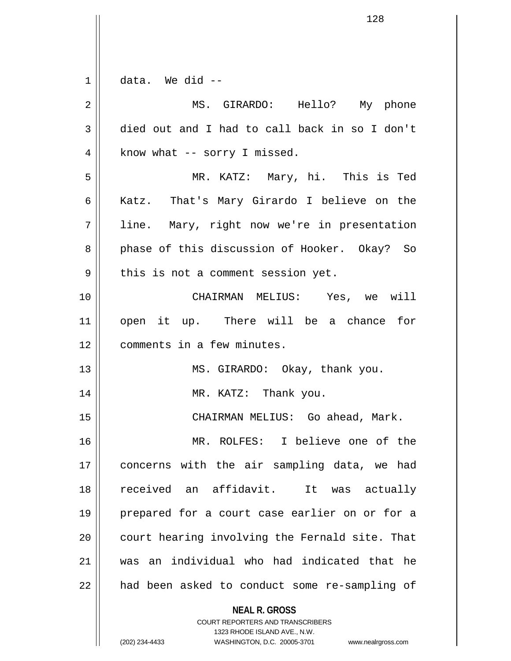| $\mathbf 1$    | data. We did --                                                     |
|----------------|---------------------------------------------------------------------|
| $\overline{2}$ | MS. GIRARDO: Hello? My phone                                        |
| 3              | died out and I had to call back in so I don't                       |
| 4              | know what -- sorry I missed.                                        |
| 5              | MR. KATZ: Mary, hi. This is Ted                                     |
| 6              | Katz. That's Mary Girardo I believe on the                          |
| 7              | line. Mary, right now we're in presentation                         |
| 8              | phase of this discussion of Hooker. Okay? So                        |
| 9              | this is not a comment session yet.                                  |
| 10             | CHAIRMAN MELIUS: Yes, we will                                       |
| 11             | open it up. There will be a chance for                              |
| 12             | comments in a few minutes.                                          |
| 13             | MS. GIRARDO: Okay, thank you.                                       |
| 14             | MR. KATZ: Thank you.                                                |
| 15             | CHAIRMAN MELIUS: Go ahead, Mark.                                    |
| 16             | I believe one of the<br>MR. ROLFES:                                 |
| 17             | concerns with the air sampling data, we had                         |
| 18             | received an affidavit.<br>It was actually                           |
| 19             | prepared for a court case earlier on or for a                       |
| 20             | court hearing involving the Fernald site. That                      |
| 21             | was an individual who had indicated that he                         |
| 22             | had been asked to conduct some re-sampling of                       |
|                | <b>NEAL R. GROSS</b><br><b>COURT REPORTERS AND TRANSCRIBERS</b>     |
|                | 1323 RHODE ISLAND AVE., N.W.                                        |
|                | (202) 234-4433<br>WASHINGTON, D.C. 20005-3701<br>www.nealrgross.com |

 $\overline{\mathsf{I}}$  $\mathbf{\mathcal{L}}$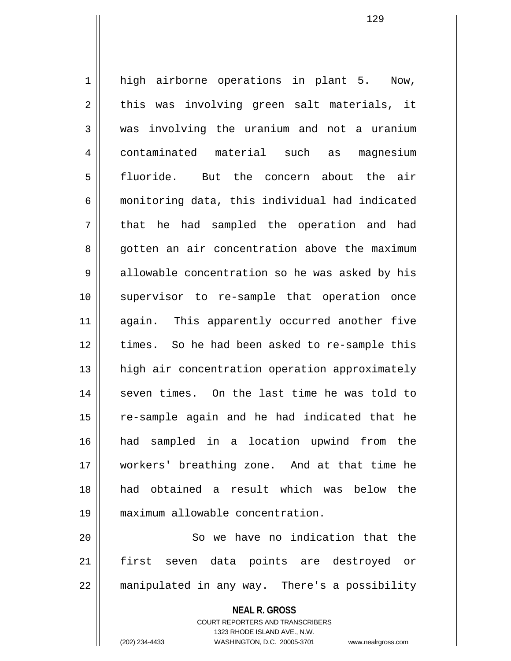1 || high airborne operations in plant 5. Now,  $2 \parallel$  this was involving green salt materials, it  $3 \parallel$  was involving the uranium and not a uranium 4 contaminated material such as magnesium 5 fluoride. But the concern about the air 6 monitoring data, this individual had indicated 7 || that he had sampled the operation and had 8 gotten an air concentration above the maximum  $9 \parallel$  allowable concentration so he was asked by his 10 || supervisor to re-sample that operation once 11 || again. This apparently occurred another five 12 || times. So he had been asked to re-sample this 13 || high air concentration operation approximately 14 || seven times. On the last time he was told to 15 || re-sample again and he had indicated that he 16 had sampled in a location upwind from the 17 workers' breathing zone. And at that time he 18 had obtained a result which was below the 19 maximum allowable concentration.

20 || So we have no indication that the 21 first seven data points are destroyed or 22 | manipulated in any way. There's a possibility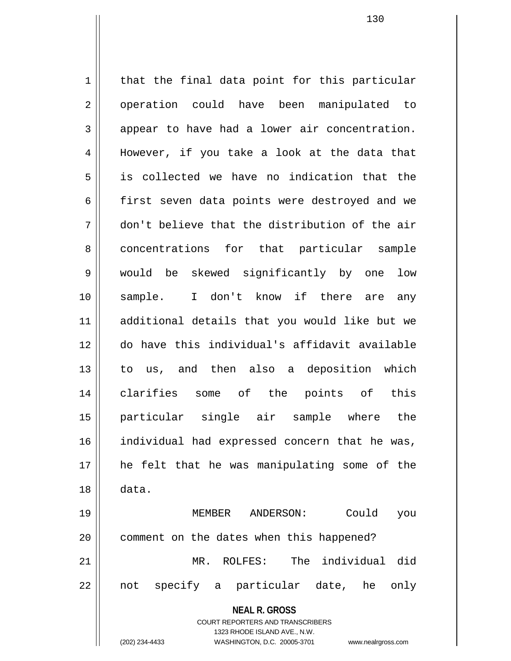**NEAL R. GROSS** COURT REPORTERS AND TRANSCRIBERS  $1$  that the final data point for this particular 2 || operation could have been manipulated to  $3 \parallel$  appear to have had a lower air concentration. 4 || However, if you take a look at the data that 5 is collected we have no indication that the 6 first seven data points were destroyed and we 7 don't believe that the distribution of the air 8 concentrations for that particular sample 9 would be skewed significantly by one low 10 sample. I don't know if there are any 11 additional details that you would like but we 12 do have this individual's affidavit available 13 to us, and then also a deposition which 14 clarifies some of the points of this 15 particular single air sample where the 16 || individual had expressed concern that he was, 17 he felt that he was manipulating some of the 18 data. 19 MEMBER ANDERSON: Could you 20 | comment on the dates when this happened? 21 MR. ROLFES: The individual did 22 || not specify a particular date, he only

1323 RHODE ISLAND AVE., N.W.

(202) 234-4433 WASHINGTON, D.C. 20005-3701 www.nealrgross.com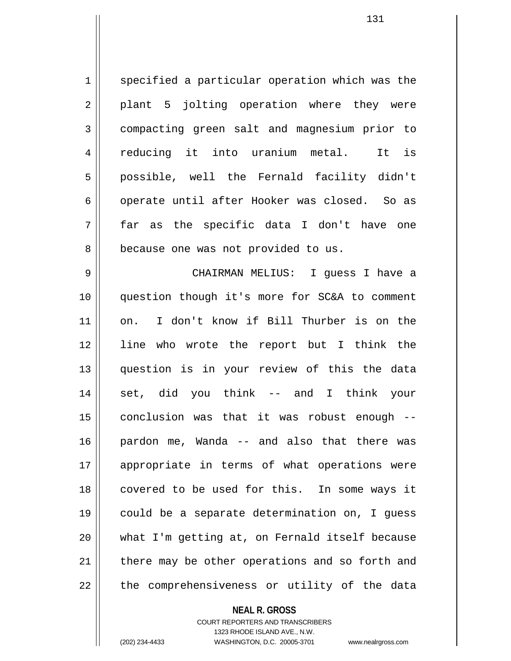1 specified a particular operation which was the  $2 \parallel$  plant 5 jolting operation where they were 3 compacting green salt and magnesium prior to 4 reducing it into uranium metal. It is 5 || possible, well the Fernald facility didn't 6 || operate until after Hooker was closed. So as 7 far as the specific data I don't have one 8 || because one was not provided to us.

9 CHAIRMAN MELIUS: I guess I have a 10 question though it's more for SC&A to comment 11 on. I don't know if Bill Thurber is on the 12 line who wrote the report but I think the 13 question is in your review of this the data 14 set, did you think -- and I think your  $15$  conclusion was that it was robust enough  $-$ 16 pardon me, Wanda -- and also that there was 17 appropriate in terms of what operations were 18 || covered to be used for this. In some ways it 19 could be a separate determination on, I guess 20 what I'm getting at, on Fernald itself because  $21$  | there may be other operations and so forth and  $22$  || the comprehensiveness or utility of the data

## **NEAL R. GROSS**

COURT REPORTERS AND TRANSCRIBERS 1323 RHODE ISLAND AVE., N.W. (202) 234-4433 WASHINGTON, D.C. 20005-3701 www.nealrgross.com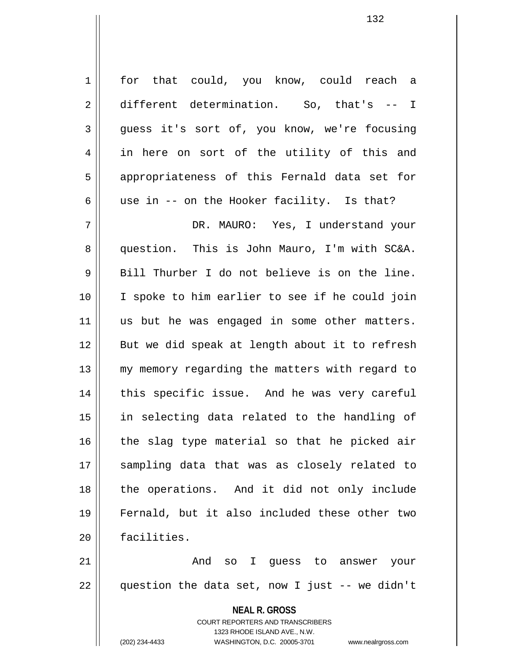1 | for that could, you know, could reach a 2 different determination. So, that's -- I  $3 \parallel$  quess it's sort of, you know, we're focusing 4 || in here on sort of the utility of this and 5 || appropriateness of this Fernald data set for 6  $\parallel$  use in -- on the Hooker facility. Is that?

7 DR. MAURO: Yes, I understand your 8 question. This is John Mauro, I'm with SC&A.  $9 \parallel$  Bill Thurber I do not believe is on the line. 10 || I spoke to him earlier to see if he could join 11 || us but he was engaged in some other matters. 12 || But we did speak at length about it to refresh 13 || my memory regarding the matters with regard to 14 || this specific issue. And he was very careful 15 in selecting data related to the handling of  $16$  the slag type material so that he picked air 17 sampling data that was as closely related to 18 || the operations. And it did not only include 19 Fernald, but it also included these other two 20 facilities.

21 And so I guess to answer your  $22$  || question the data set, now I just -- we didn't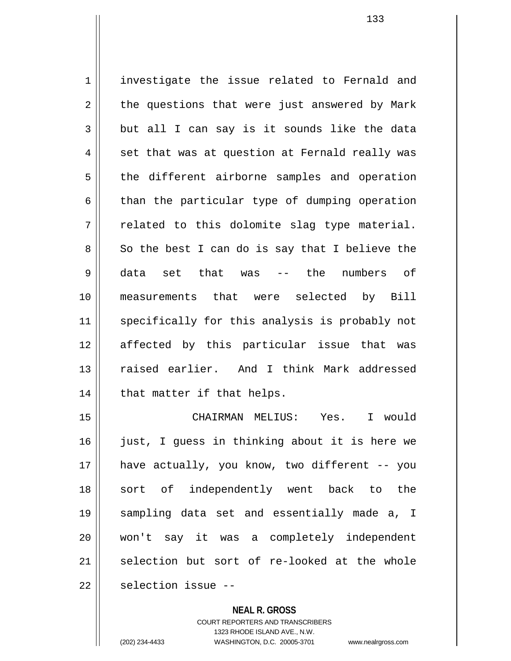1 | investigate the issue related to Fernald and  $2 \parallel$  the questions that were just answered by Mark  $3 \parallel$  but all I can say is it sounds like the data  $4 \parallel$  set that was at question at Fernald really was 5 || the different airborne samples and operation  $6 \parallel$  than the particular type of dumping operation  $7 \parallel$  related to this dolomite slag type material.  $8 \parallel$  So the best I can do is say that I believe the 9 data set that was -- the numbers of 10 measurements that were selected by Bill 11 || specifically for this analysis is probably not 12 affected by this particular issue that was 13 raised earlier. And I think Mark addressed  $14$  | that matter if that helps.

15 CHAIRMAN MELIUS: Yes. I would 16 || just, I guess in thinking about it is here we 17 have actually, you know, two different -- you 18 || sort of independently went back to the 19 sampling data set and essentially made a, I 20 won't say it was a completely independent  $21$  selection but sort of re-looked at the whole 22 | selection issue --

**NEAL R. GROSS**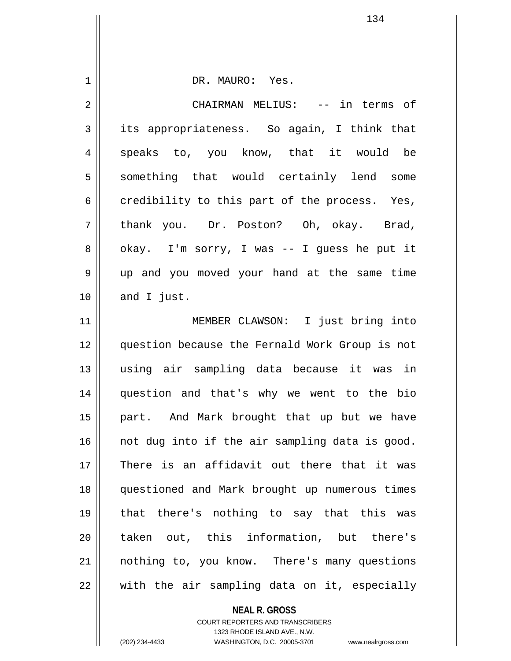| 1              | DR. MAURO: Yes.                                |
|----------------|------------------------------------------------|
| $\overline{2}$ | CHAIRMAN MELIUS: -- in terms of                |
| 3              | its appropriateness. So again, I think that    |
| 4              | speaks to, you know, that it would be          |
| 5              | something that would certainly lend some       |
| 6              | credibility to this part of the process. Yes,  |
| 7              | thank you. Dr. Poston? Oh, okay. Brad,         |
| 8              | okay. I'm sorry, I was -- I guess he put it    |
| 9              | up and you moved your hand at the same time    |
| 10             | and I just.                                    |
| 11             | MEMBER CLAWSON: I just bring into              |
| 12             | question because the Fernald Work Group is not |
| 13             | using air sampling data because it was in      |
| 14             | question and that's why we went to the bio     |
| 15             | part. And Mark brought that up but we have     |
| 16             | not dug into if the air sampling data is good. |
| 17             | There is an affidavit out there that it was    |
| 18             | questioned and Mark brought up numerous times  |
| 19             | that there's nothing to say that this was      |
| 20             | taken out, this information, but there's       |
| 21             | nothing to, you know. There's many questions   |
| 22             | with the air sampling data on it, especially   |

**NEAL R. GROSS** COURT REPORTERS AND TRANSCRIBERS 1323 RHODE ISLAND AVE., N.W.

(202) 234-4433 WASHINGTON, D.C. 20005-3701 www.nealrgross.com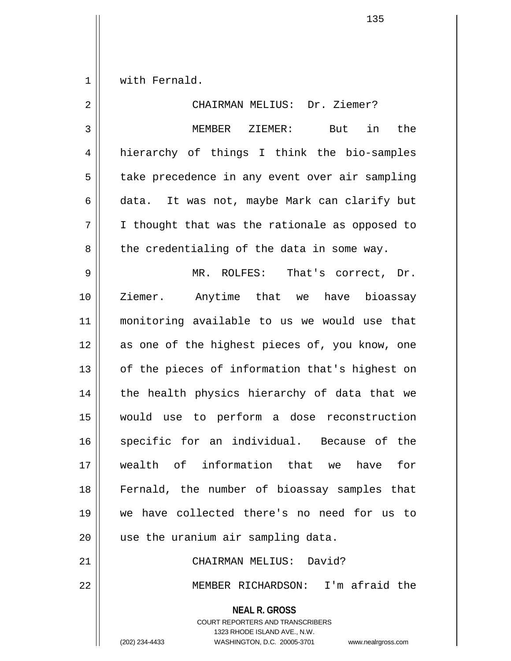1 | with Fernald.

**NEAL R. GROSS** 2 || CHAIRMAN MELIUS: Dr. Ziemer? 3 MEMBER ZIEMER: But in the 4 hierarchy of things I think the bio-samples 5 | take precedence in any event over air sampling 6 data. It was not, maybe Mark can clarify but  $7 \parallel$  I thought that was the rationale as opposed to  $8 \parallel$  the credentialing of the data in some way. 9 MR. ROLFES: That's correct, Dr. 10 Ziemer. Anytime that we have bioassay 11 monitoring available to us we would use that 12 || as one of the highest pieces of, you know, one 13 || of the pieces of information that's highest on  $14$  | the health physics hierarchy of data that we 15 would use to perform a dose reconstruction 16 || specific for an individual. Because of the 17 wealth of information that we have for 18 Fernald, the number of bioassay samples that 19 we have collected there's no need for us to 20 | use the uranium air sampling data. 21 CHAIRMAN MELIUS: David? 22 MEMBER RICHARDSON: I'm afraid the

> COURT REPORTERS AND TRANSCRIBERS 1323 RHODE ISLAND AVE., N.W.

(202) 234-4433 WASHINGTON, D.C. 20005-3701 www.nealrgross.com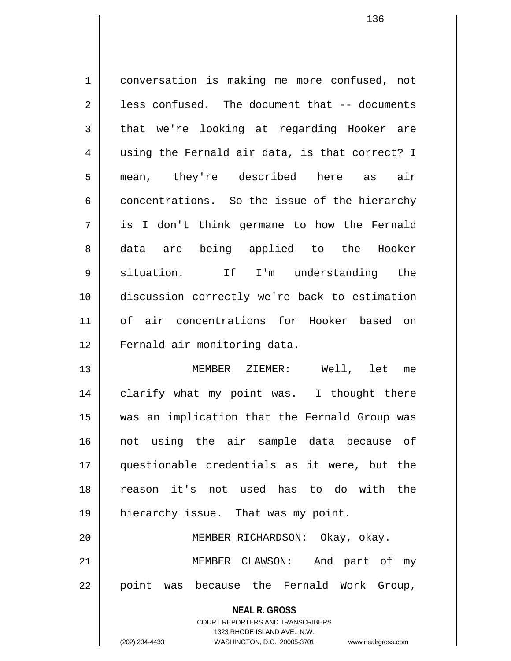1 conversation is making me more confused, not  $2 \parallel$  less confused. The document that  $-$ - documents  $3 \parallel$  that we're looking at regarding Hooker are 4 || using the Fernald air data, is that correct? I 5 mean, they're described here as air 6 concentrations. So the issue of the hierarchy 7 is I don't think germane to how the Fernald 8 data are being applied to the Hooker 9 situation. If I'm understanding the 10 discussion correctly we're back to estimation 11 of air concentrations for Hooker based on 12 | Fernald air monitoring data. 13 MEMBER ZIEMER: Well, let me 14 clarify what my point was. I thought there 15 was an implication that the Fernald Group was 16 not using the air sample data because of 17 questionable credentials as it were, but the 18 reason it's not used has to do with the 19 || hierarchy issue. That was my point.

20 MEMBER RICHARDSON: Okay, okay. 21 MEMBER CLAWSON: And part of my 22 || point was because the Fernald Work Group,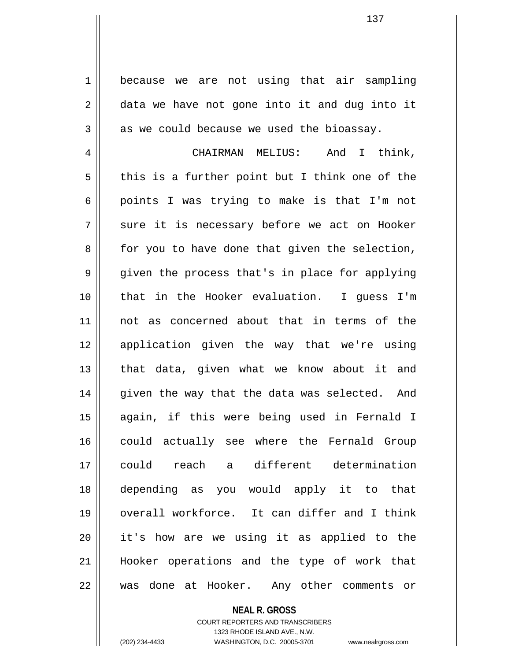1 because we are not using that air sampling  $2 \parallel$  data we have not gone into it and dug into it  $3 \parallel$  as we could because we used the bioassay.

4 CHAIRMAN MELIUS: And I think,  $5 \parallel$  this is a further point but I think one of the 6 points I was trying to make is that I'm not  $7 \parallel$  sure it is necessary before we act on Hooker  $8 \parallel$  for you to have done that given the selection, 9 || given the process that's in place for applying 10 that in the Hooker evaluation. I guess I'm 11 not as concerned about that in terms of the 12 application given the way that we're using 13 || that data, given what we know about it and  $14$  given the way that the data was selected. And 15 again, if this were being used in Fernald I 16 could actually see where the Fernald Group 17 could reach a different determination 18 depending as you would apply it to that 19 overall workforce. It can differ and I think 20 it's how are we using it as applied to the 21 Hooker operations and the type of work that 22 was done at Hooker. Any other comments or

**NEAL R. GROSS**

COURT REPORTERS AND TRANSCRIBERS 1323 RHODE ISLAND AVE., N.W. (202) 234-4433 WASHINGTON, D.C. 20005-3701 www.nealrgross.com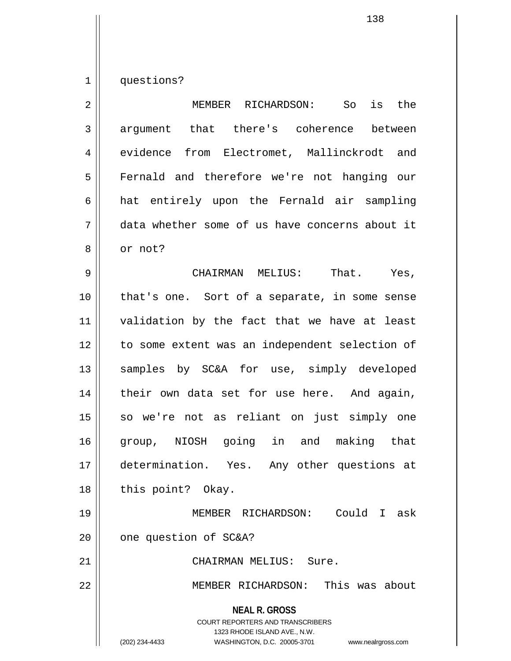1 questions?

| $\overline{2}$ | the<br>MEMBER RICHARDSON:<br>So<br>is                                                                                                                                  |
|----------------|------------------------------------------------------------------------------------------------------------------------------------------------------------------------|
| $\mathbf{3}$   | argument that there's coherence<br>between                                                                                                                             |
| 4              | evidence from Electromet, Mallinckrodt and                                                                                                                             |
| 5              | Fernald and therefore we're not hanging our                                                                                                                            |
| 6              | hat entirely upon the Fernald air sampling                                                                                                                             |
| 7              | data whether some of us have concerns about it                                                                                                                         |
| 8              | or not?                                                                                                                                                                |
| 9              | CHAIRMAN MELIUS: That. Yes,                                                                                                                                            |
| 10             | that's one. Sort of a separate, in some sense                                                                                                                          |
| 11             | validation by the fact that we have at least                                                                                                                           |
| 12             | to some extent was an independent selection of                                                                                                                         |
| 13             | samples by SC&A for use, simply developed                                                                                                                              |
| 14             | their own data set for use here. And again,                                                                                                                            |
| 15             | so we're not as reliant on just simply one                                                                                                                             |
| 16             | group, NIOSH going in and making that                                                                                                                                  |
| 17             | determination. Yes. Any other questions at                                                                                                                             |
| 18             | this point? Okay.                                                                                                                                                      |
| 19             | Could I ask<br>MEMBER RICHARDSON:                                                                                                                                      |
| 20             | one question of SC&A?                                                                                                                                                  |
| 21             | CHAIRMAN MELIUS: Sure.                                                                                                                                                 |
| 22             | MEMBER RICHARDSON: This was about                                                                                                                                      |
|                | <b>NEAL R. GROSS</b><br><b>COURT REPORTERS AND TRANSCRIBERS</b><br>1323 RHODE ISLAND AVE., N.W.<br>(202) 234-4433<br>WASHINGTON, D.C. 20005-3701<br>www.nealrgross.com |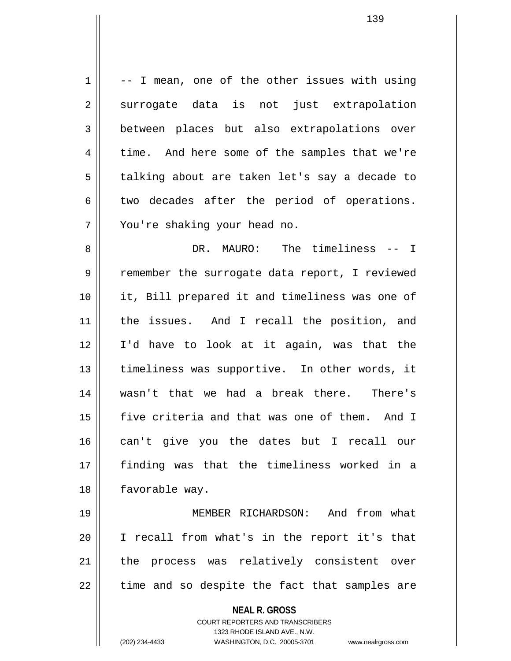**NEAL R. GROSS** COURT REPORTERS AND TRANSCRIBERS 1323 RHODE ISLAND AVE., N.W.  $1 \parallel$  -- I mean, one of the other issues with using 2 surrogate data is not just extrapolation 3 between places but also extrapolations over  $4 \parallel$  time. And here some of the samples that we're 5 | talking about are taken let's say a decade to  $6 \parallel$  two decades after the period of operations. 7 || You're shaking your head no. 8 DR. MAURO: The timeliness -- I 9 Temember the surrogate data report, I reviewed 10 it, Bill prepared it and timeliness was one of 11 || the issues. And I recall the position, and 12 I'd have to look at it again, was that the 13 || timeliness was supportive. In other words, it 14 wasn't that we had a break there. There's 15 five criteria and that was one of them. And I 16 can't give you the dates but I recall our 17 finding was that the timeliness worked in a 18 | favorable way. 19 MEMBER RICHARDSON: And from what 20 I recall from what's in the report it's that 21 || the process was relatively consistent over  $22$  || time and so despite the fact that samples are

(202) 234-4433 WASHINGTON, D.C. 20005-3701 www.nealrgross.com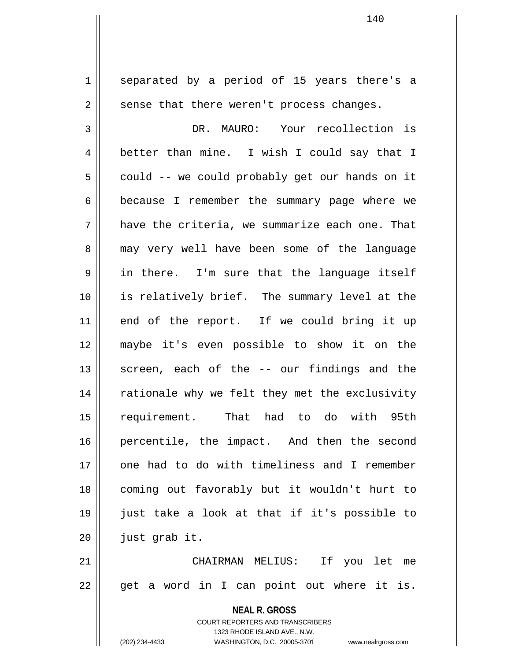**NEAL R. GROSS** 1 || separated by a period of 15 years there's a  $2 \parallel$  sense that there weren't process changes. 3 DR. MAURO: Your recollection is 4 better than mine. I wish I could say that I  $5 \parallel$  could -- we could probably get our hands on it 6 | because I remember the summary page where we  $7 \parallel$  have the criteria, we summarize each one. That 8 may very well have been some of the language  $9 \parallel$  in there. I'm sure that the language itself 10 is relatively brief. The summary level at the 11 || end of the report. If we could bring it up 12 maybe it's even possible to show it on the  $13$  screen, each of the  $-$  our findings and the 14 || rationale why we felt they met the exclusivity 15 requirement. That had to do with 95th 16 percentile, the impact. And then the second 17 one had to do with timeliness and I remember 18 coming out favorably but it wouldn't hurt to 19 just take a look at that if it's possible to  $20$  | just grab it. 21 CHAIRMAN MELIUS: If you let me  $22 \parallel$  get a word in I can point out where it is.

> COURT REPORTERS AND TRANSCRIBERS 1323 RHODE ISLAND AVE., N.W. (202) 234-4433 WASHINGTON, D.C. 20005-3701 www.nealrgross.com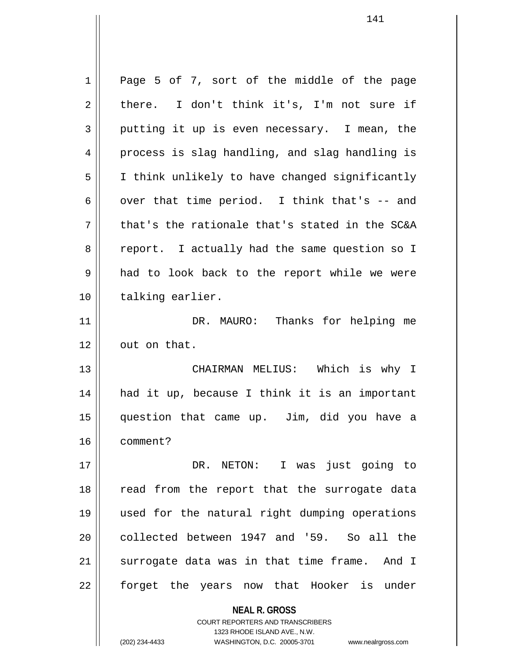| $\mathbf 1$ | Page 5 of 7, sort of the middle of the page              |
|-------------|----------------------------------------------------------|
| 2           | there. I don't think it's, I'm not sure if               |
| 3           | putting it up is even necessary. I mean, the             |
| 4           | process is slag handling, and slag handling is           |
| 5           | I think unlikely to have changed significantly           |
| 6           | over that time period. I think that's -- and             |
| 7           | that's the rationale that's stated in the SC&A           |
| 8           | report. I actually had the same question so I            |
| 9           | had to look back to the report while we were             |
| 10          | talking earlier.                                         |
| 11          | DR. MAURO: Thanks for helping me                         |
| 12          | out on that.                                             |
| 13          | CHAIRMAN MELIUS: Which is why I                          |
| 14          | had it up, because I think it is an important            |
| 15          | question that came up. Jim, did you have a               |
| 16          | comment?                                                 |
| 17          | DR. NETON: I was just going to                           |
| 18          | read from the report that the surrogate data             |
| 19          | used for the natural right dumping operations            |
| 20          | collected between 1947 and '59. So all the               |
| 21          | surrogate data was in that time frame. And I             |
| 22          | forget the years now that Hooker is under                |
|             | <b>NEAL R. GROSS</b><br>COURT REPORTERS AND TRANSCRIBERS |

1323 RHODE ISLAND AVE., N.W.

 $\prod$ 

(202) 234-4433 WASHINGTON, D.C. 20005-3701 www.nealrgross.com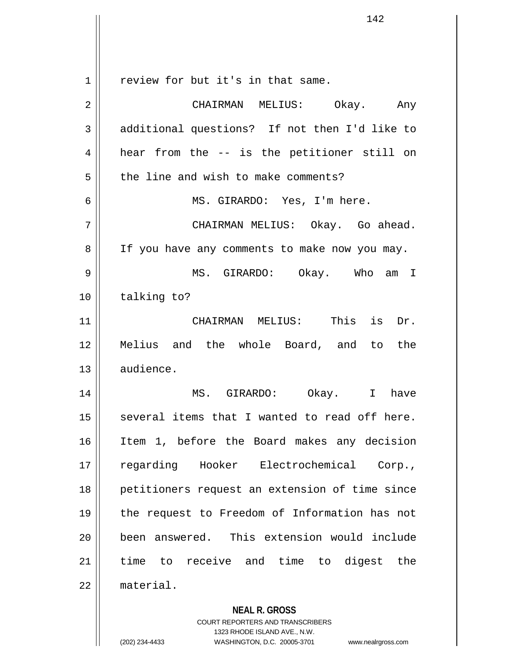**NEAL R. GROSS** COURT REPORTERS AND TRANSCRIBERS  $1$  review for but it's in that same. 2 CHAIRMAN MELIUS: Okay. Any 3 || additional questions? If not then I'd like to  $4 \parallel$  hear from the -- is the petitioner still on  $5 \parallel$  the line and wish to make comments? 6 || MS. GIRARDO: Yes, I'm here. 7 CHAIRMAN MELIUS: Okay. Go ahead. 8 | If you have any comments to make now you may. 9 MS. GIRARDO: Okay. Who am I 10 || talking to? 11 CHAIRMAN MELIUS: This is Dr. 12 Melius and the whole Board, and to the 13 audience. 14 MS. GIRARDO: Okay. I have  $15$  several items that I wanted to read off here. 16 Item 1, before the Board makes any decision 17 regarding Hooker Electrochemical Corp., 18 petitioners request an extension of time since 19 the request to Freedom of Information has not 20 || been answered. This extension would include 21 time to receive and time to digest the 22 material.

1323 RHODE ISLAND AVE., N.W.

(202) 234-4433 WASHINGTON, D.C. 20005-3701 www.nealrgross.com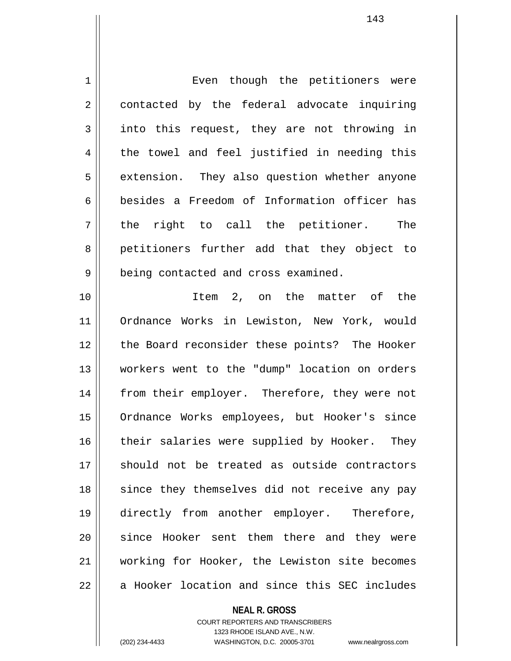| Even though the petitioners were              |
|-----------------------------------------------|
| contacted by the federal advocate inquiring   |
| into this request, they are not throwing in   |
| the towel and feel justified in needing this  |
| extension. They also question whether anyone  |
| besides a Freedom of Information officer has  |
| the right to call the petitioner. The         |
| petitioners further add that they object to   |
| being contacted and cross examined.           |
| Item 2, on the matter of the                  |
| Ordnance Works in Lewiston, New York, would   |
| the Board reconsider these points? The Hooker |
| workers went to the "dump" location on orders |
| from their employer. Therefore, they were not |
| Ordnance Works employees, but Hooker's since  |
| their salaries were supplied by Hooker. They  |
| should not be treated as outside contractors  |
| since they themselves did not receive any pay |
| directly from another employer. Therefore,    |
| since Hooker sent them there and they were    |
| working for Hooker, the Lewiston site becomes |
| a Hooker location and since this SEC includes |
|                                               |

**NEAL R. GROSS**

<sup>143</sup>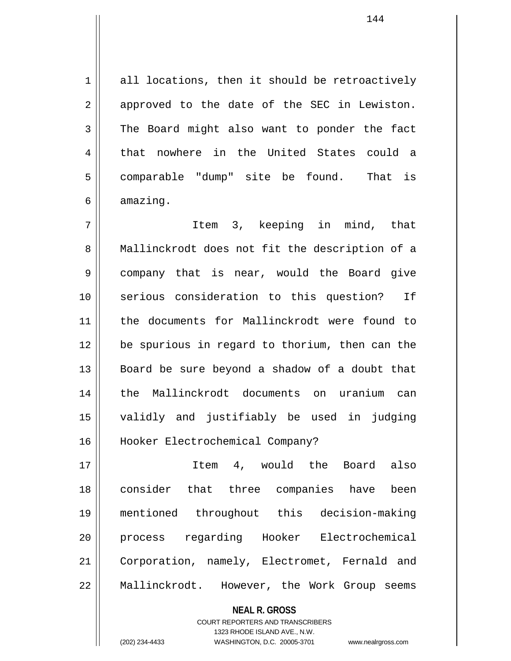$1 \parallel$  all locations, then it should be retroactively  $2 \parallel$  approved to the date of the SEC in Lewiston. 3 The Board might also want to ponder the fact 4 that nowhere in the United States could a 5 comparable "dump" site be found. That is  $6 \parallel$  amazing.

7 Item 3, keeping in mind, that 8 || Mallinckrodt does not fit the description of a 9 company that is near, would the Board give 10 serious consideration to this question? If 11 the documents for Mallinckrodt were found to 12 be spurious in regard to thorium, then can the 13 Board be sure beyond a shadow of a doubt that 14 the Mallinckrodt documents on uranium can 15 validly and justifiably be used in judging 16 Hooker Electrochemical Company?

17 Item 4, would the Board also 18 consider that three companies have been 19 mentioned throughout this decision-making 20 || process regarding Hooker Electrochemical 21 Corporation, namely, Electromet, Fernald and 22 | Mallinckrodt. However, the Work Group seems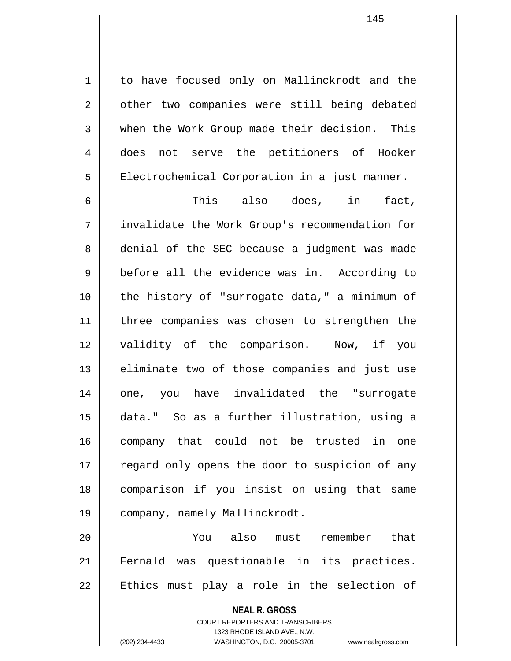1 to have focused only on Mallinckrodt and the 2 | other two companies were still being debated 3 when the Work Group made their decision. This 4 does not serve the petitioners of Hooker 5 | Electrochemical Corporation in a just manner.

6  $\parallel$  This also does, in fact, 7 invalidate the Work Group's recommendation for 8 denial of the SEC because a judgment was made 9 before all the evidence was in. According to 10 the history of "surrogate data," a minimum of 11 || three companies was chosen to strengthen the 12 validity of the comparison. Now, if you  $13$  || eliminate two of those companies and just use 14 || one, you have invalidated the "surrogate 15 data." So as a further illustration, using a 16 company that could not be trusted in one 17 || regard only opens the door to suspicion of any 18 comparison if you insist on using that same 19 || company, namely Mallinckrodt.

20 You also must remember that 21 Fernald was questionable in its practices.  $22$  || Ethics must play a role in the selection of

> **NEAL R. GROSS** COURT REPORTERS AND TRANSCRIBERS 1323 RHODE ISLAND AVE., N.W.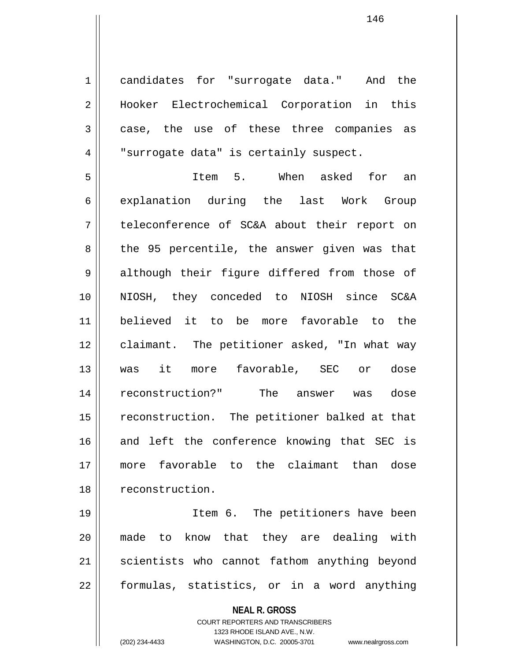1 || candidates for "surrogate data." And the 2 || Hooker Electrochemical Corporation in this 3 case, the use of these three companies as 4 | "surrogate data" is certainly suspect.

5 Item 5. When asked for an 6 explanation during the last Work Group 7 teleconference of SC&A about their report on  $8 \parallel$  the 95 percentile, the answer given was that 9 || although their figure differed from those of 10 NIOSH, they conceded to NIOSH since SC&A 11 believed it to be more favorable to the 12 || claimant. The petitioner asked, "In what way 13 was it more favorable, SEC or dose 14 reconstruction?" The answer was dose 15 || reconstruction. The petitioner balked at that 16 and left the conference knowing that SEC is 17 more favorable to the claimant than dose 18 | reconstruction.

19 || Item 6. The petitioners have been 20 made to know that they are dealing with 21 || scientists who cannot fathom anything beyond  $22$  || formulas, statistics, or in a word anything

> **NEAL R. GROSS** COURT REPORTERS AND TRANSCRIBERS 1323 RHODE ISLAND AVE., N.W. (202) 234-4433 WASHINGTON, D.C. 20005-3701 www.nealrgross.com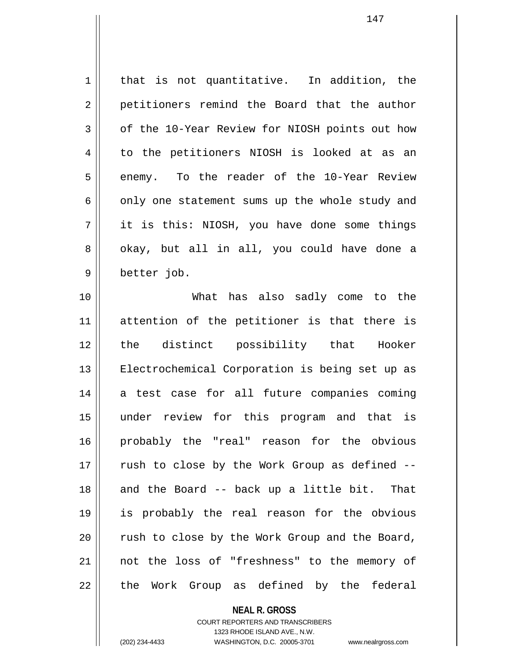| $\mathbf 1$ | that is not quantitative. In addition, the     |
|-------------|------------------------------------------------|
| 2           | petitioners remind the Board that the author   |
| 3           | of the 10-Year Review for NIOSH points out how |
| 4           | to the petitioners NIOSH is looked at as an    |
| 5           | enemy. To the reader of the 10-Year Review     |
| 6           | only one statement sums up the whole study and |
| 7           | it is this: NIOSH, you have done some things   |
| 8           | okay, but all in all, you could have done a    |
| $\mathsf 9$ | better job.                                    |
| 10          | What has also sadly come to the                |
| 11          | attention of the petitioner is that there is   |
| 12          | the distinct possibility that Hooker           |
| 13          | Electrochemical Corporation is being set up as |
| 14          | a test case for all future companies coming    |
| 15          | under review for this program and that is      |
| 16          | probably the "real" reason for the obvious     |
| 17          | rush to close by the Work Group as defined --  |
| 18          | and the Board -- back up a little bit. That    |
| 19          | is probably the real reason for the obvious    |
| 20          | rush to close by the Work Group and the Board, |
| 21          | not the loss of "freshness" to the memory of   |
| 22          | the Work Group as defined by the federal       |

**NEAL R. GROSS** COURT REPORTERS AND TRANSCRIBERS 1323 RHODE ISLAND AVE., N.W. (202) 234-4433 WASHINGTON, D.C. 20005-3701 www.nealrgross.com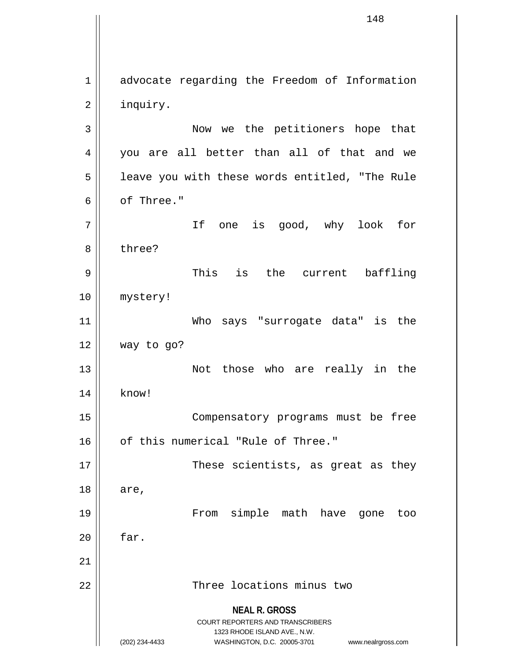**NEAL R. GROSS** COURT REPORTERS AND TRANSCRIBERS 1323 RHODE ISLAND AVE., N.W. (202) 234-4433 WASHINGTON, D.C. 20005-3701 www.nealrgross.com 1 advocate regarding the Freedom of Information 2 | inquiry. 3 Now we the petitioners hope that 4 you are all better than all of that and we  $5 \parallel$  leave you with these words entitled, "The Rule 6 b of Three." 7 If one is good, why look for 8 bhree? 9 This is the current baffling 10 | mystery! 11 Who says "surrogate data" is the  $12 \parallel$  way to go? 13 || Not those who are really in the 14 || know! 15 || Compensatory programs must be free 16 || of this numerical "Rule of Three." 17 || These scientists, as great as they 18 || are, 19 From simple math have gone too  $20$  |  $\sigma$  far. 21 22 Three locations minus two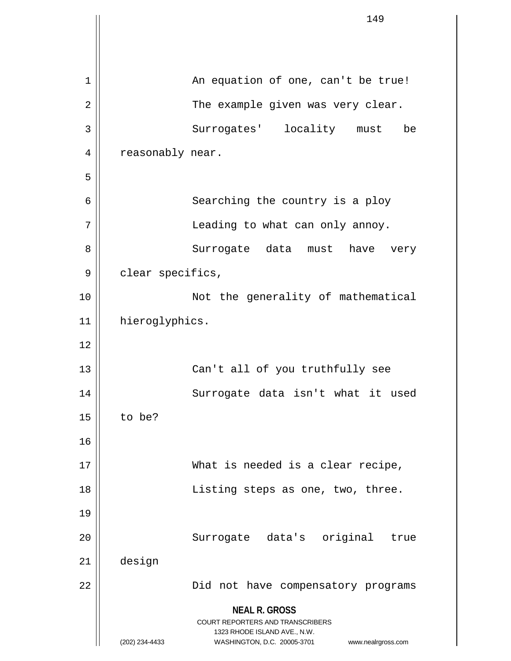|             |                  | 149                                                                                                                                           |
|-------------|------------------|-----------------------------------------------------------------------------------------------------------------------------------------------|
|             |                  |                                                                                                                                               |
|             |                  |                                                                                                                                               |
| $\mathbf 1$ |                  | An equation of one, can't be true!                                                                                                            |
| 2           |                  | The example given was very clear.                                                                                                             |
| 3           |                  | Surrogates' locality must<br>be                                                                                                               |
| 4           | reasonably near. |                                                                                                                                               |
| 5           |                  |                                                                                                                                               |
| 6           |                  | Searching the country is a ploy                                                                                                               |
| 7           |                  | Leading to what can only annoy.                                                                                                               |
| 8           |                  | Surrogate data must have very                                                                                                                 |
| 9           | clear specifics, |                                                                                                                                               |
| 10          |                  | Not the generality of mathematical                                                                                                            |
| 11          | hieroglyphics.   |                                                                                                                                               |
| 12          |                  |                                                                                                                                               |
| 13          |                  | Can't all of you truthfully see                                                                                                               |
| 14          |                  | Surrogate data isn't what it used                                                                                                             |
| 15          | to be?           |                                                                                                                                               |
| 16          |                  |                                                                                                                                               |
| 17          |                  | What is needed is a clear recipe,                                                                                                             |
| 18          |                  | Listing steps as one, two, three.                                                                                                             |
| 19          |                  |                                                                                                                                               |
| 20          |                  | Surrogate data's original<br>true                                                                                                             |
| 21          | design           |                                                                                                                                               |
| 22          |                  | Did not have compensatory programs                                                                                                            |
|             | (202) 234-4433   | <b>NEAL R. GROSS</b><br>COURT REPORTERS AND TRANSCRIBERS<br>1323 RHODE ISLAND AVE., N.W.<br>WASHINGTON, D.C. 20005-3701<br>www.nealrgross.com |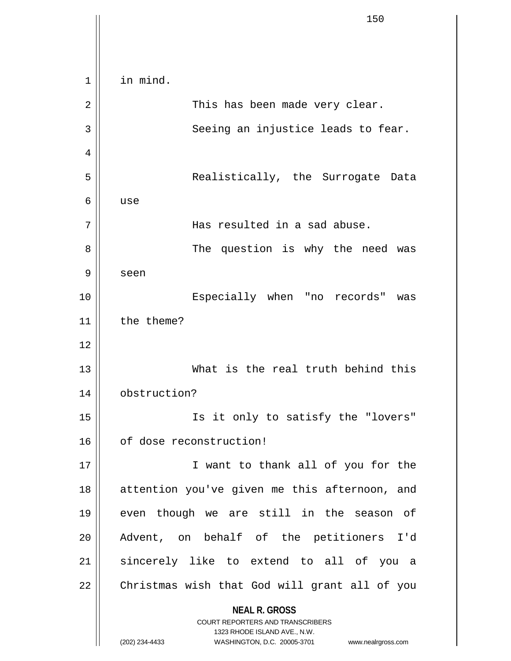**NEAL R. GROSS** COURT REPORTERS AND TRANSCRIBERS 1323 RHODE ISLAND AVE., N.W. (202) 234-4433 WASHINGTON, D.C. 20005-3701 www.nealrgross.com 1 | in mind. 2 || This has been made very clear. 3 || Seeing an injustice leads to fear. 4 5 Realistically, the Surrogate Data 6 use 7 Has resulted in a sad abuse. 8 || The question is why the need was 9 seen 10 || Especially when "no records" was 11 | the theme? 12 13 What is the real truth behind this 14 obstruction? 15 Is it only to satisfy the "lovers" 16 | of dose reconstruction! 17 || I want to thank all of you for the 18 || attention you've given me this afternoon, and 19 even though we are still in the season of 20 Advent, on behalf of the petitioners I'd 21 || sincerely like to extend to all of you a 22 | Christmas wish that God will grant all of you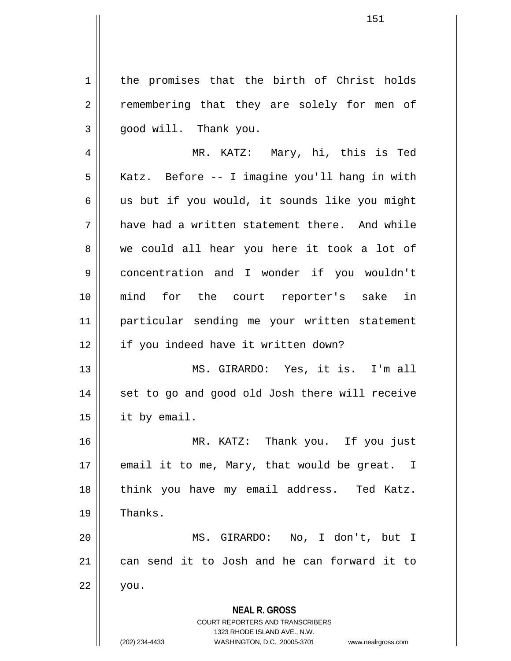1 | the promises that the birth of Christ holds 2 || remembering that they are solely for men of  $3 \parallel$  qood will. Thank you.

4 MR. KATZ: Mary, hi, this is Ted 5 | Katz. Before -- I imagine you'll hang in with  $6 \parallel$  us but if you would, it sounds like you might  $7 \parallel$  have had a written statement there. And while 8 we could all hear you here it took a lot of 9 concentration and I wonder if you wouldn't 10 mind for the court reporter's sake in 11 particular sending me your written statement 12 || if you indeed have it written down?

13 MS. GIRARDO: Yes, it is. I'm all 14 || set to go and good old Josh there will receive 15 it by email.

16 MR. KATZ: Thank you. If you just 17  $\parallel$  email it to me, Mary, that would be great. I 18 || think you have my email address. Ted Katz.  $19 \parallel$  Thanks.

20 MS. GIRARDO: No, I don't, but I 21 can send it to Josh and he can forward it to  $22 \parallel$  you.

> **NEAL R. GROSS** COURT REPORTERS AND TRANSCRIBERS 1323 RHODE ISLAND AVE., N.W.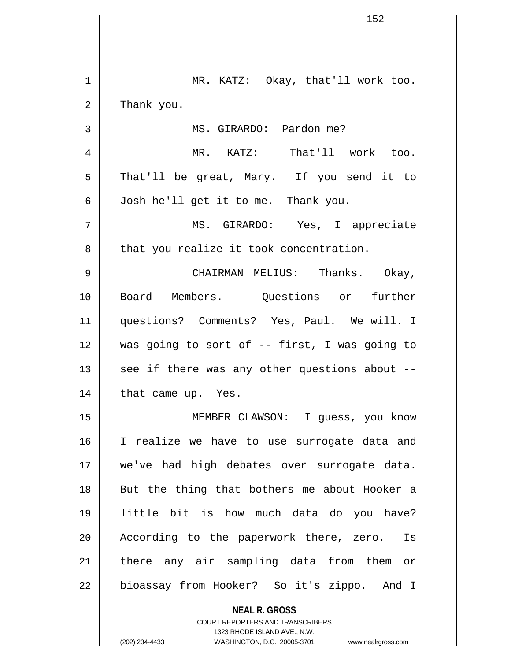| 1  | MR. KATZ: Okay, that'll work too.                        |
|----|----------------------------------------------------------|
| 2  | Thank you.                                               |
| 3  | MS. GIRARDO: Pardon me?                                  |
| 4  | MR. KATZ: That'll work too.                              |
| 5  | That'll be great, Mary. If you send it to                |
| 6  | Josh he'll get it to me. Thank you.                      |
| 7  | MS. GIRARDO: Yes, I appreciate                           |
| 8  | that you realize it took concentration.                  |
| 9  | CHAIRMAN MELIUS: Thanks. Okay,                           |
| 10 | Board Members. Questions or further                      |
| 11 | questions? Comments? Yes, Paul. We will. I               |
| 12 | was going to sort of -- first, I was going to            |
| 13 | see if there was any other questions about --            |
| 14 | that came up. Yes.                                       |
| 15 | MEMBER CLAWSON: I guess, you know                        |
| 16 | I realize we have to use surrogate data and              |
| 17 | we've had high debates over surrogate data.              |
| 18 | But the thing that bothers me about Hooker a             |
| 19 | little bit is how much data do you have?                 |
| 20 | According to the paperwork there, zero. Is               |
| 21 | there any air sampling data from them or                 |
| 22 | bioassay from Hooker? So it's zippo. And I               |
|    | <b>NEAL R. GROSS</b><br>COURT REPORTERS AND TRANSCRIBERS |

1323 RHODE ISLAND AVE., N.W.

 $\begin{array}{c} \hline \end{array}$ 

 $\overline{\phantom{a}}$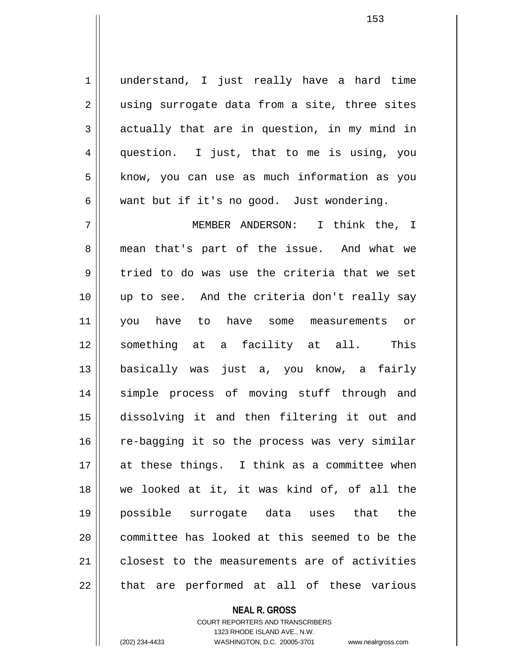1 || understand, I just really have a hard time  $2 \parallel$  using surrogate data from a site, three sites  $3 \parallel$  actually that are in question, in my mind in 4 question. I just, that to me is using, you 5 | know, you can use as much information as you  $6 \parallel$  want but if it's no good. Just wondering.

7 MEMBER ANDERSON: I think the, I 8 mean that's part of the issue. And what we  $9 \parallel$  tried to do was use the criteria that we set 10 up to see. And the criteria don't really say 11 you have to have some measurements or 12 something at a facility at all. This 13 basically was just a, you know, a fairly 14 simple process of moving stuff through and 15 dissolving it and then filtering it out and 16 || re-bagging it so the process was very similar 17 at these things. I think as a committee when 18 we looked at it, it was kind of, of all the 19 possible surrogate data uses that the 20 committee has looked at this seemed to be the 21 closest to the measurements are of activities  $22$  || that are performed at all of these various

## **NEAL R. GROSS** COURT REPORTERS AND TRANSCRIBERS 1323 RHODE ISLAND AVE., N.W.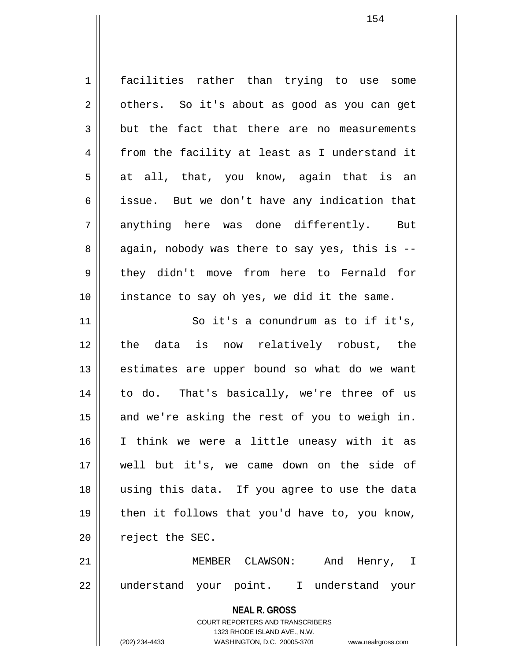**NEAL R. GROSS** COURT REPORTERS AND TRANSCRIBERS 1 || facilities rather than trying to use some  $2 \parallel$  others. So it's about as good as you can get  $3 \parallel$  but the fact that there are no measurements 4 from the facility at least as I understand it  $5 \parallel$  at all, that, you know, again that is an 6 || issue. But we don't have any indication that 7 anything here was done differently. But 8 || again, nobody was there to say yes, this is --9 || they didn't move from here to Fernald for 10 instance to say oh yes, we did it the same. 11 || So it's a conundrum as to if it's, 12 the data is now relatively robust, the 13 || estimates are upper bound so what do we want 14 || to do. That's basically, we're three of us  $15$  and we're asking the rest of you to weigh in. 16 I think we were a little uneasy with it as 17 well but it's, we came down on the side of 18 using this data. If you agree to use the data  $19$  | then it follows that you'd have to, you know,  $20$  || reject the SEC. 21 MEMBER CLAWSON: And Henry, I 22 understand your point. I understand your

1323 RHODE ISLAND AVE., N.W.

(202) 234-4433 WASHINGTON, D.C. 20005-3701 www.nealrgross.com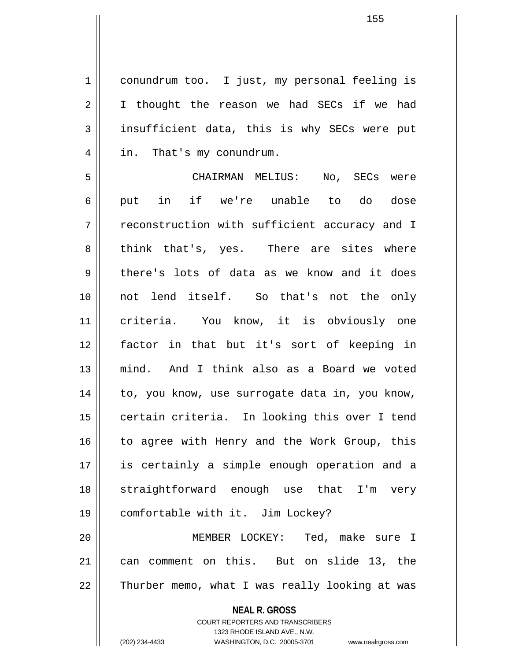1 conundrum too. I just, my personal feeling is  $2 \parallel$  I thought the reason we had SECs if we had  $3 \parallel$  insufficient data, this is why SECs were put 4 | in. That's my conundrum.

5 CHAIRMAN MELIUS: No, SECs were 6|| put in if we're unable to do dose 7 || reconstruction with sufficient accuracy and I 8 think that's, yes. There are sites where  $9 \parallel$  there's lots of data as we know and it does 10 not lend itself. So that's not the only 11 criteria. You know, it is obviously one 12 factor in that but it's sort of keeping in 13 mind. And I think also as a Board we voted 14 || to, you know, use surrogate data in, you know, 15 || certain criteria. In looking this over I tend 16 || to agree with Henry and the Work Group, this 17 is certainly a simple enough operation and a 18 straightforward enough use that I'm very 19 comfortable with it. Jim Lockey? 20 MEMBER LOCKEY: Ted, make sure I

21 can comment on this. But on slide 13, the 22 || Thurber memo, what I was really looking at was

> **NEAL R. GROSS** COURT REPORTERS AND TRANSCRIBERS

> > 1323 RHODE ISLAND AVE., N.W.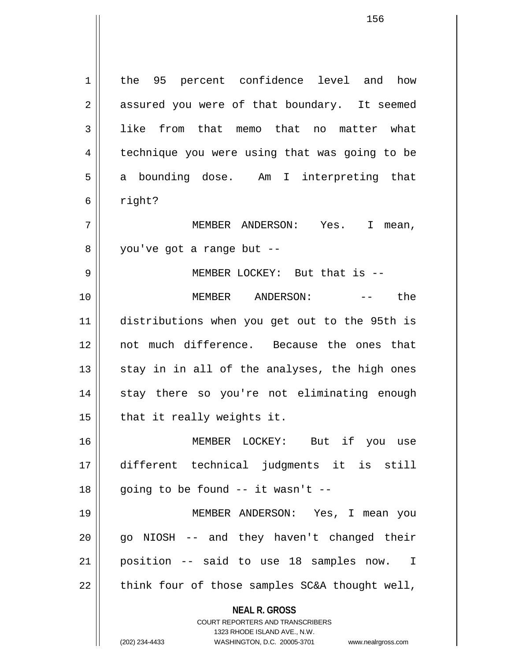**NEAL R. GROSS** COURT REPORTERS AND TRANSCRIBERS 1323 RHODE ISLAND AVE., N.W. 1 || the 95 percent confidence level and how 2 || assured you were of that boundary. It seemed 3 ll like from that memo that no matter what 4 || technique you were using that was going to be 5 || a bounding dose. Am I interpreting that  $6 \parallel$  right? 7 MEMBER ANDERSON: Yes. I mean,  $8 \parallel$  you've got a range but --9 || MEMBER LOCKEY: But that is --10 MEMBER ANDERSON: -- the 11 distributions when you get out to the 95th is 12 not much difference. Because the ones that  $13$  stay in in all of the analyses, the high ones 14 || stay there so you're not eliminating enough  $15$  | that it really weights it. 16 MEMBER LOCKEY: But if you use 17 different technical judgments it is still  $18$  || going to be found  $-$  it wasn't  $-$ 19 MEMBER ANDERSON: Yes, I mean you  $20$  || go NIOSH -- and they haven't changed their 21 position -- said to use 18 samples now. I  $22$  || think four of those samples SC&A thought well,

(202) 234-4433 WASHINGTON, D.C. 20005-3701 www.nealrgross.com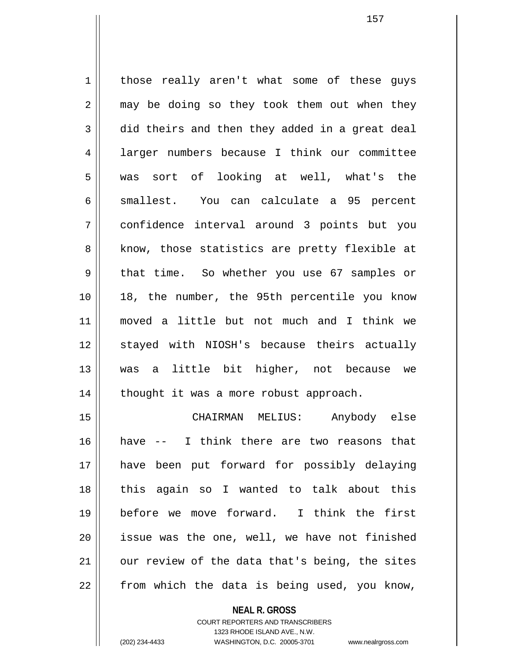1 | those really aren't what some of these guys  $2 \parallel$  may be doing so they took them out when they  $3 \parallel$  did theirs and then they added in a great deal 4 | larger numbers because I think our committee 5 was sort of looking at well, what's the 6 || smallest. You can calculate a 95 percent 7 confidence interval around 3 points but you 8 || know, those statistics are pretty flexible at 9 || that time. So whether you use 67 samples or 10 || 18, the number, the 95th percentile you know 11 moved a little but not much and I think we 12 || stayed with NIOSH's because theirs actually 13 was a little bit higher, not because we 14 || thought it was a more robust approach.

15 CHAIRMAN MELIUS: Anybody else 16 have -- I think there are two reasons that 17 have been put forward for possibly delaying 18 this again so I wanted to talk about this 19 before we move forward. I think the first 20 || issue was the one, well, we have not finished  $21$  | our review of the data that's being, the sites  $22$  | from which the data is being used, you know,

> **NEAL R. GROSS** COURT REPORTERS AND TRANSCRIBERS 1323 RHODE ISLAND AVE., N.W. (202) 234-4433 WASHINGTON, D.C. 20005-3701 www.nealrgross.com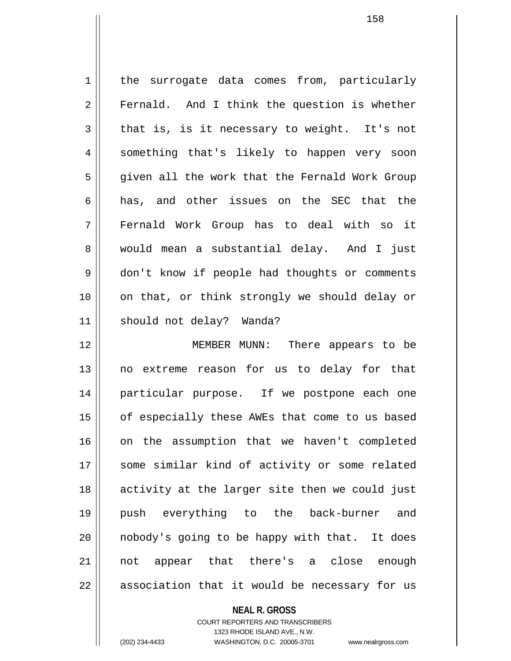1 | the surrogate data comes from, particularly 2 || Fernald. And I think the question is whether  $3 \parallel$  that is, is it necessary to weight. It's not 4 || something that's likely to happen very soon 5 || given all the work that the Fernald Work Group 6 has, and other issues on the SEC that the 7 Fernald Work Group has to deal with so it 8 would mean a substantial delay. And I just 9 | don't know if people had thoughts or comments 10 on that, or think strongly we should delay or 11 || should not delay? Wanda?

12 MEMBER MUNN: There appears to be 13 no extreme reason for us to delay for that 14 particular purpose. If we postpone each one 15 | of especially these AWEs that come to us based 16 || on the assumption that we haven't completed 17 || some similar kind of activity or some related 18 activity at the larger site then we could just 19 push everything to the back-burner and 20 || nobody's going to be happy with that. It does 21 not appear that there's a close enough  $22 \parallel$  association that it would be necessary for us

#### **NEAL R. GROSS**

COURT REPORTERS AND TRANSCRIBERS 1323 RHODE ISLAND AVE., N.W. (202) 234-4433 WASHINGTON, D.C. 20005-3701 www.nealrgross.com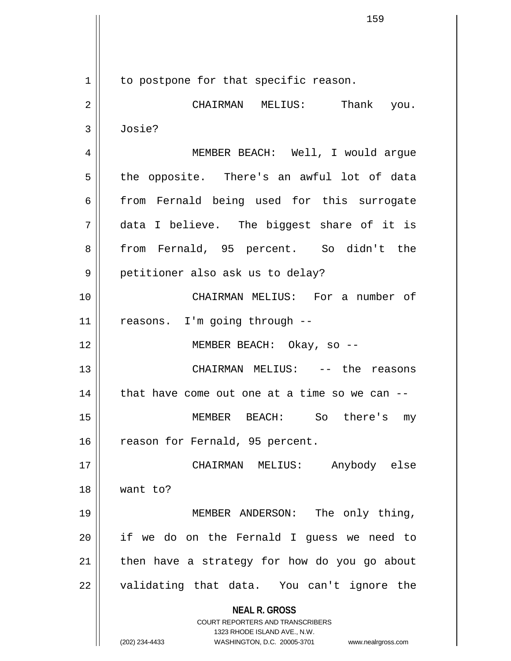**NEAL R. GROSS** COURT REPORTERS AND TRANSCRIBERS 1323 RHODE ISLAND AVE., N.W. (202) 234-4433 WASHINGTON, D.C. 20005-3701 www.nealrgross.com 1 | to postpone for that specific reason. 2 CHAIRMAN MELIUS: Thank you. 3 Josie? 4 || MEMBER BEACH: Well, I would argue 5 || the opposite. There's an awful lot of data  $6$  from Fernald being used for this surrogate 7 data I believe. The biggest share of it is 8 from Fernald, 95 percent. So didn't the 9 || petitioner also ask us to delay? 10 CHAIRMAN MELIUS: For a number of 11 || reasons. I'm going through --12 MEMBER BEACH: Okay, so -- 13 CHAIRMAN MELIUS: -- the reasons  $14$  | that have come out one at a time so we can  $-$ 15 MEMBER BEACH: So there's my 16 | reason for Fernald, 95 percent. 17 CHAIRMAN MELIUS: Anybody else 18 want to? 19 || MEMBER ANDERSON: The only thing,  $20$  || if we do on the Fernald I guess we need to  $21$  | then have a strategy for how do you go about 22 || validating that data. You can't ignore the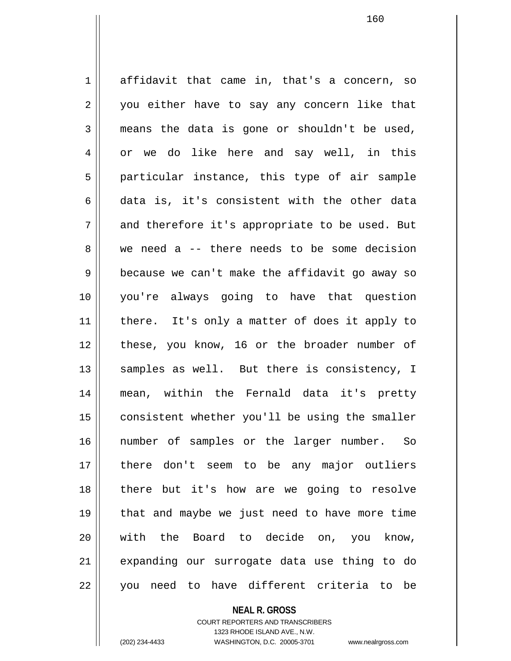1 affidavit that came in, that's a concern, so 2 || you either have to say any concern like that  $3 \parallel$  means the data is gone or shouldn't be used, 4 or we do like here and say well, in this 5 || particular instance, this type of air sample 6 data is, it's consistent with the other data 7 and therefore it's appropriate to be used. But 8 we need a -- there needs to be some decision 9 | because we can't make the affidavit go away so 10 you're always going to have that question 11 || there. It's only a matter of does it apply to 12 || these, you know, 16 or the broader number of 13  $\parallel$  samples as well. But there is consistency, I 14 mean, within the Fernald data it's pretty 15 | consistent whether you'll be using the smaller 16 number of samples or the larger number. So 17 there don't seem to be any major outliers 18 there but it's how are we going to resolve 19 that and maybe we just need to have more time 20 with the Board to decide on, you know, 21 expanding our surrogate data use thing to do 22 || you need to have different criteria to be

> **NEAL R. GROSS** COURT REPORTERS AND TRANSCRIBERS

1323 RHODE ISLAND AVE., N.W. (202) 234-4433 WASHINGTON, D.C. 20005-3701 www.nealrgross.com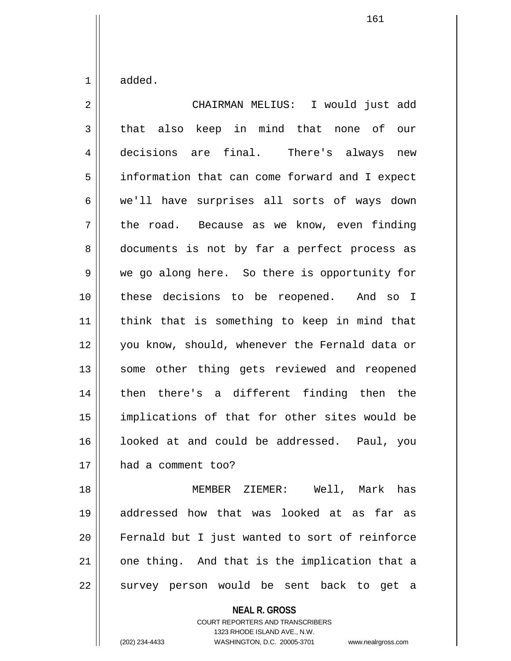$1 \parallel$  added.

2 CHAIRMAN MELIUS: I would just add 3 that also keep in mind that none of our 4 decisions are final. There's always new 5 | information that can come forward and I expect 6 we'll have surprises all sorts of ways down  $7 \parallel$  the road. Because as we know, even finding 8 documents is not by far a perfect process as 9 We go along here. So there is opportunity for 10 these decisions to be reopened. And so I 11 || think that is something to keep in mind that 12 || you know, should, whenever the Fernald data or 13 || some other thing gets reviewed and reopened 14 then there's a different finding then the 15 implications of that for other sites would be 16 || looked at and could be addressed. Paul, you 17 || had a comment too? 18 MEMBER ZIEMER: Well, Mark has

19 addressed how that was looked at as far as 20 Fernald but I just wanted to sort of reinforce  $21$  | one thing. And that is the implication that a 22 || survey person would be sent back to get a

> **NEAL R. GROSS** COURT REPORTERS AND TRANSCRIBERS 1323 RHODE ISLAND AVE., N.W.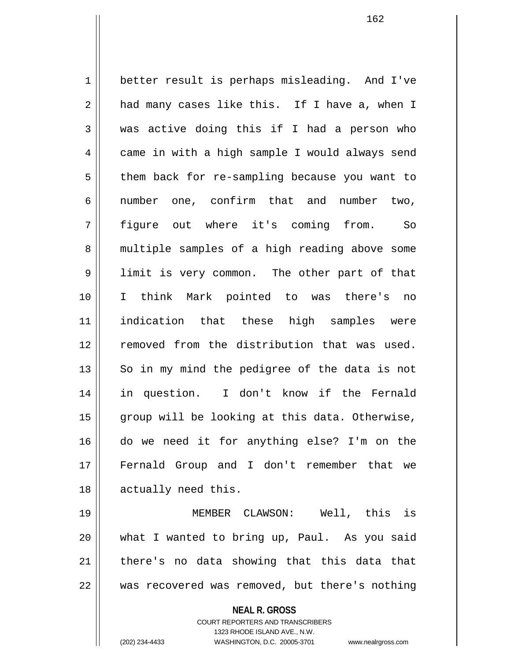1 | better result is perhaps misleading. And I've  $2 \parallel$  had many cases like this. If I have a, when I 3 was active doing this if I had a person who 4 | came in with a high sample I would always send 5 | them back for re-sampling because you want to 6 || number one, confirm that and number two, 7 figure out where it's coming from. So 8 || multiple samples of a high reading above some 9 I limit is very common. The other part of that 10 I think Mark pointed to was there's no 11 indication that these high samples were 12 || removed from the distribution that was used.  $13$  So in my mind the pedigree of the data is not 14 in question. I don't know if the Fernald 15 || group will be looking at this data. Otherwise, 16 do we need it for anything else? I'm on the 17 Fernald Group and I don't remember that we 18 || actually need this. 19 MEMBER CLAWSON: Well, this is

20 what I wanted to bring up, Paul. As you said  $21$  | there's no data showing that this data that 22 was recovered was removed, but there's nothing

**NEAL R. GROSS**

COURT REPORTERS AND TRANSCRIBERS 1323 RHODE ISLAND AVE., N.W. (202) 234-4433 WASHINGTON, D.C. 20005-3701 www.nealrgross.com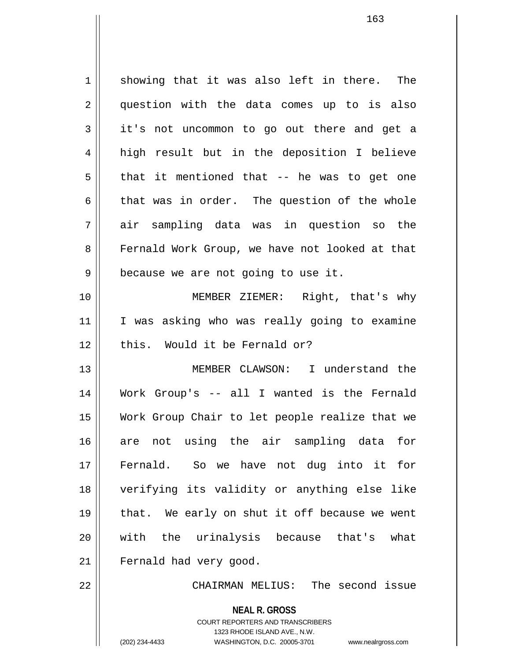$1 \parallel$  showing that it was also left in there. The 2 || question with the data comes up to is also  $3 \parallel$  it's not uncommon to go out there and get a 4 || high result but in the deposition I believe  $5 \parallel$  that it mentioned that -- he was to get one  $6 \parallel$  that was in order. The question of the whole 7 air sampling data was in question so the 8 Fernald Work Group, we have not looked at that  $9 \parallel$  because we are not going to use it. 10 MEMBER ZIEMER: Right, that's why 11 I was asking who was really going to examine  $12$  | this. Would it be Fernald or? 13 MEMBER CLAWSON: I understand the 14 Work Group's -- all I wanted is the Fernald 15 Work Group Chair to let people realize that we 16 are not using the air sampling data for 17 Fernald. So we have not dug into it for 18 verifying its validity or anything else like 19  $\parallel$  that. We early on shut it off because we went 20 with the urinalysis because that's what 21 | Fernald had very good.

22 CHAIRMAN MELIUS: The second issue

**NEAL R. GROSS** COURT REPORTERS AND TRANSCRIBERS

1323 RHODE ISLAND AVE., N.W.

(202) 234-4433 WASHINGTON, D.C. 20005-3701 www.nealrgross.com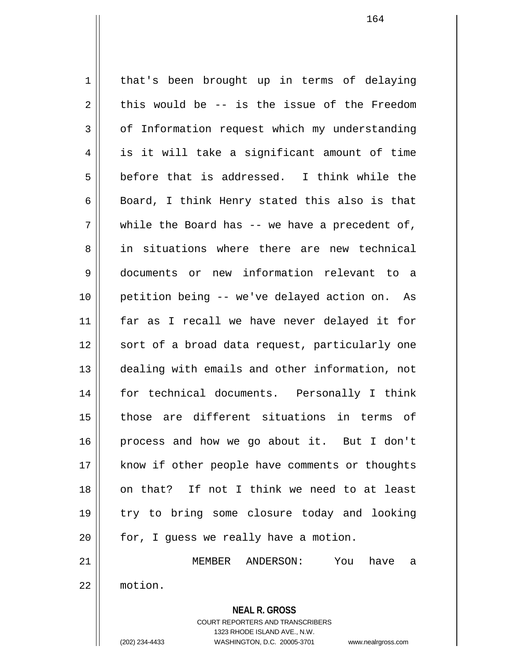**NEAL R. GROSS** 1 | that's been brought up in terms of delaying  $2 \parallel$  this would be -- is the issue of the Freedom 3 | of Information request which my understanding 4 is it will take a significant amount of time  $5 \parallel$  before that is addressed. I think while the 6 Board, I think Henry stated this also is that  $7 \parallel$  while the Board has -- we have a precedent of, 8 in situations where there are new technical 9 documents or new information relevant to a 10 petition being -- we've delayed action on. As 11 far as I recall we have never delayed it for 12 || sort of a broad data request, particularly one 13 dealing with emails and other information, not 14 for technical documents. Personally I think 15 those are different situations in terms of 16 process and how we go about it. But I don't 17 || know if other people have comments or thoughts 18 on that? If not I think we need to at least 19 try to bring some closure today and looking  $20$  |  $\pm$  for, I quess we really have a motion. 21 MEMBER ANDERSON: You have a 22 motion.

> COURT REPORTERS AND TRANSCRIBERS 1323 RHODE ISLAND AVE., N.W.

(202) 234-4433 WASHINGTON, D.C. 20005-3701 www.nealrgross.com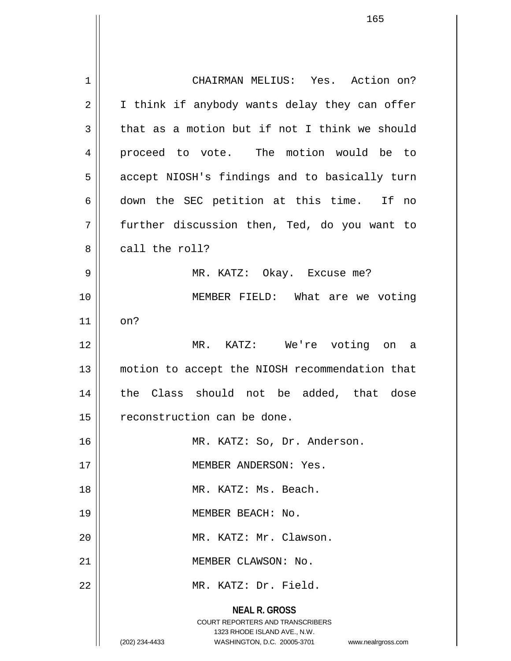**NEAL R. GROSS** COURT REPORTERS AND TRANSCRIBERS 1323 RHODE ISLAND AVE., N.W. (202) 234-4433 WASHINGTON, D.C. 20005-3701 www.nealrgross.com 1 CHAIRMAN MELIUS: Yes. Action on?  $2 \parallel$  I think if anybody wants delay they can offer  $3 \parallel$  that as a motion but if not I think we should 4 proceed to vote. The motion would be to 5 | accept NIOSH's findings and to basically turn 6 down the SEC petition at this time. If no  $7 \parallel$  further discussion then, Ted, do you want to 8 call the roll? 9 MR. KATZ: Okay. Excuse me? 10 MEMBER FIELD: What are we voting  $11$  on? 12 MR. KATZ: We're voting on a 13 || motion to accept the NIOSH recommendation that 14 the Class should not be added, that dose 15 | reconstruction can be done. 16 MR. KATZ: So, Dr. Anderson. 17 MEMBER ANDERSON: Yes. 18 MR. KATZ: Ms. Beach. 19 MEMBER BEACH: No. 20 || MR. KATZ: Mr. Clawson. 21 | MEMBER CLAWSON: No. 22 || MR. KATZ: Dr. Field.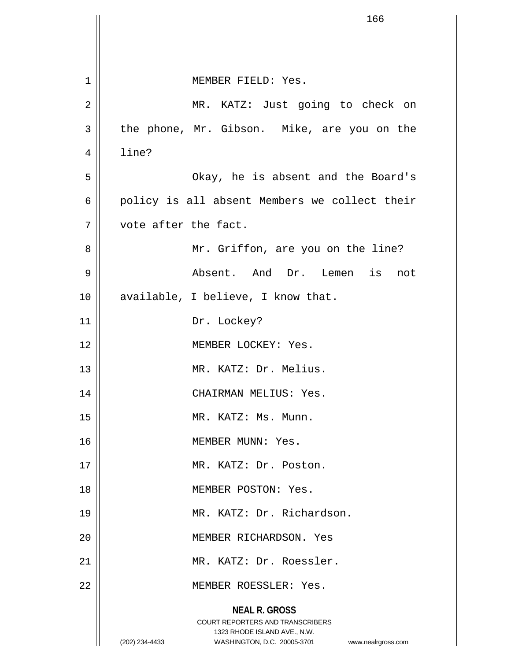|    | 166                                                                                                                                                             |
|----|-----------------------------------------------------------------------------------------------------------------------------------------------------------------|
|    |                                                                                                                                                                 |
|    |                                                                                                                                                                 |
| 1  | MEMBER FIELD: Yes.                                                                                                                                              |
| 2  | MR. KATZ: Just going to check on                                                                                                                                |
| 3  | the phone, Mr. Gibson. Mike, are you on the                                                                                                                     |
| 4  | line?                                                                                                                                                           |
| 5  | Okay, he is absent and the Board's                                                                                                                              |
| 6  | policy is all absent Members we collect their                                                                                                                   |
| 7  | vote after the fact.                                                                                                                                            |
| 8  | Mr. Griffon, are you on the line?                                                                                                                               |
| 9  | Absent. And Dr. Lemen is not                                                                                                                                    |
| 10 | available, I believe, I know that.                                                                                                                              |
| 11 | Dr. Lockey?                                                                                                                                                     |
| 12 | MEMBER LOCKEY: Yes.                                                                                                                                             |
| 13 | MR. KATZ: Dr. Melius.                                                                                                                                           |
| 14 | CHAIRMAN MELIUS: Yes.                                                                                                                                           |
| 15 | MR. KATZ: Ms. Munn.                                                                                                                                             |
| 16 | MEMBER MUNN: Yes.                                                                                                                                               |
| 17 | MR. KATZ: Dr. Poston.                                                                                                                                           |
| 18 | MEMBER POSTON: Yes.                                                                                                                                             |
| 19 | MR. KATZ: Dr. Richardson.                                                                                                                                       |
| 20 | MEMBER RICHARDSON. Yes                                                                                                                                          |
| 21 | MR. KATZ: Dr. Roessler.                                                                                                                                         |
| 22 | MEMBER ROESSLER: Yes.                                                                                                                                           |
|    | <b>NEAL R. GROSS</b><br>COURT REPORTERS AND TRANSCRIBERS<br>1323 RHODE ISLAND AVE., N.W.<br>WASHINGTON, D.C. 20005-3701<br>(202) 234-4433<br>www.nealrgross.com |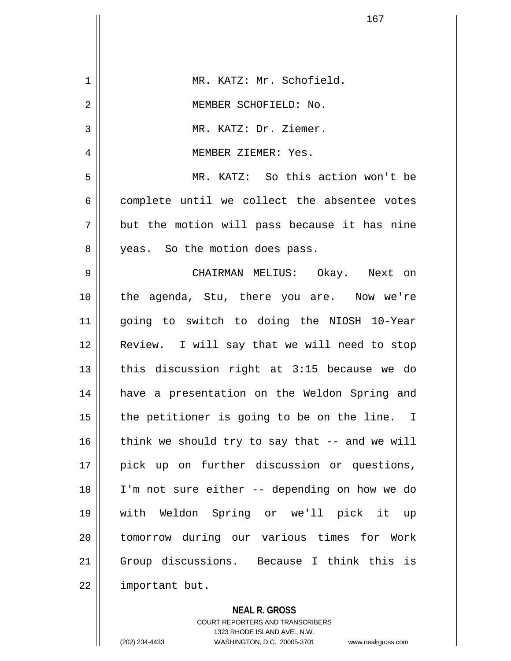| 1  | MR. KATZ: Mr. Schofield.                       |
|----|------------------------------------------------|
| 2  | MEMBER SCHOFIELD: No.                          |
| 3  | MR. KATZ: Dr. Ziemer.                          |
| 4  | MEMBER ZIEMER: Yes.                            |
| 5  | MR. KATZ: So this action won't be              |
| 6  | complete until we collect the absentee votes   |
| 7  | but the motion will pass because it has nine   |
| 8  | yeas. So the motion does pass.                 |
| 9  | CHAIRMAN MELIUS: Okay. Next on                 |
| 10 | the agenda, Stu, there you are. Now we're      |
| 11 | going to switch to doing the NIOSH 10-Year     |
| 12 | Review. I will say that we will need to stop   |
| 13 | this discussion right at 3:15 because we do    |
| 14 | have a presentation on the Weldon Spring and   |
| 15 | the petitioner is going to be on the line. I   |
| 16 | think we should try to say that -- and we will |
| 17 | pick up on further discussion or questions,    |
| 18 | I'm not sure either -- depending on how we do  |
| 19 | with Weldon Spring or we'll pick it up         |
| 20 | tomorrow during our various times for Work     |
| 21 | Group discussions. Because I think this is     |
| 22 | important but.                                 |
|    |                                                |

**NEAL R. GROSS** COURT REPORTERS AND TRANSCRIBERS 1323 RHODE ISLAND AVE., N.W. (202) 234-4433 WASHINGTON, D.C. 20005-3701 www.nealrgross.com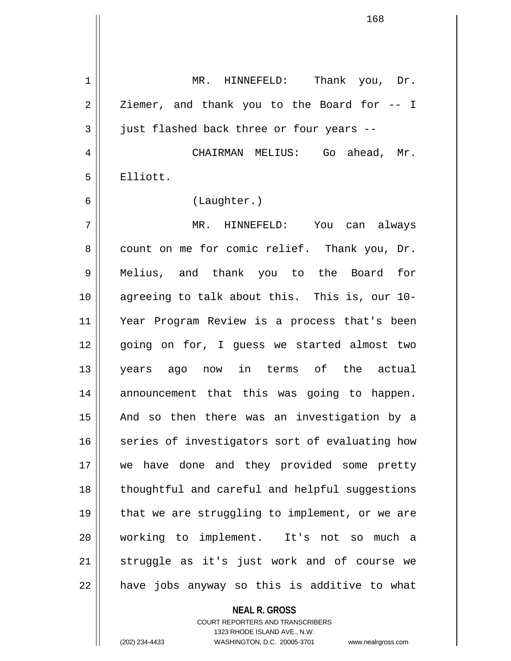| $\mathbf 1$ | MR. HINNEFELD: Thank you, Dr.                  |
|-------------|------------------------------------------------|
| 2           | Ziemer, and thank you to the Board for -- I    |
| 3           | just flashed back three or four years --       |
| 4           | CHAIRMAN MELIUS: Go ahead, Mr.                 |
| 5           | Elliott.                                       |
| 6           | (Laughter.)                                    |
| 7           | MR. HINNEFELD: You can always                  |
| 8           | count on me for comic relief. Thank you, Dr.   |
| 9           | Melius, and thank you to the Board for         |
| 10          | agreeing to talk about this. This is, our 10-  |
| 11          | Year Program Review is a process that's been   |
| 12          | going on for, I guess we started almost two    |
| 13          | years ago now in terms of the actual           |
| 14          | announcement that this was going to happen.    |
| 15          | And so then there was an investigation by a    |
| 16          | series of investigators sort of evaluating how |
| 17          | we have done and they provided some pretty     |
| 18          | thoughtful and careful and helpful suggestions |
| 19          | that we are struggling to implement, or we are |
| 20          | working to implement. It's not so much a       |
| 21          | struggle as it's just work and of course we    |
| 22          | have jobs anyway so this is additive to what   |

**NEAL R. GROSS** COURT REPORTERS AND TRANSCRIBERS

1323 RHODE ISLAND AVE., N.W.

(202) 234-4433 WASHINGTON, D.C. 20005-3701 www.nealrgross.com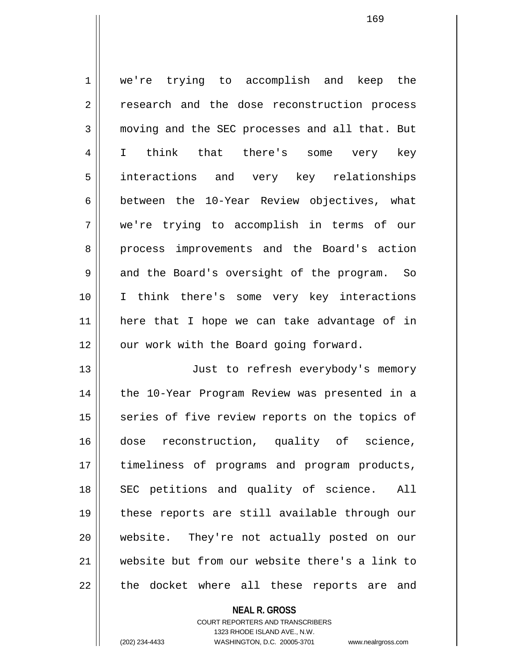1 we're trying to accomplish and keep the 2 || research and the dose reconstruction process 3 moving and the SEC processes and all that. But 4 || I think that there's some very key 5 interactions and very key relationships 6 between the 10-Year Review objectives, what 7 we're trying to accomplish in terms of our 8 || process improvements and the Board's action 9 and the Board's oversight of the program. So 10 I think there's some very key interactions 11 here that I hope we can take advantage of in 12 || our work with the Board going forward. 13 || Just to refresh everybody's memory

14 || the 10-Year Program Review was presented in a 15 || series of five review reports on the topics of 16 dose reconstruction, quality of science, 17 || timeliness of programs and program products, 18 || SEC petitions and quality of science. All 19 these reports are still available through our 20 website. They're not actually posted on our 21 website but from our website there's a link to 22 || the docket where all these reports are and

## **NEAL R. GROSS** COURT REPORTERS AND TRANSCRIBERS 1323 RHODE ISLAND AVE., N.W. (202) 234-4433 WASHINGTON, D.C. 20005-3701 www.nealrgross.com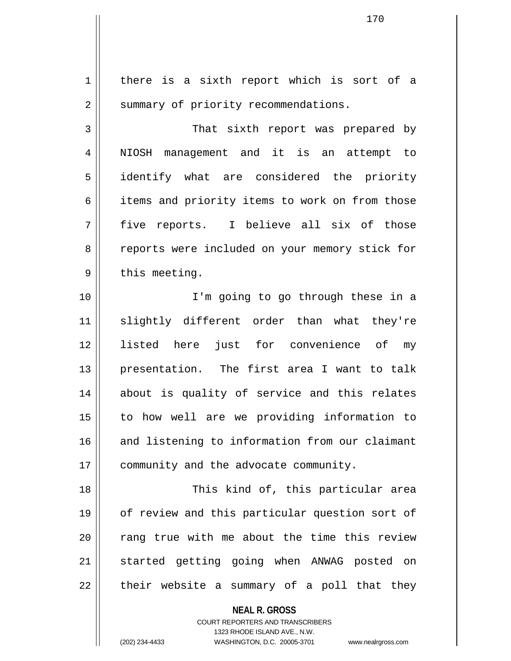**NEAL R. GROSS** 1 | there is a sixth report which is sort of a 2 | summary of priority recommendations. 3 || That sixth report was prepared by 4 || NIOSH management and it is an attempt to 5 identify what are considered the priority 6 | items and priority items to work on from those  $7$  five reports. I believe all six of those 8 || reports were included on your memory stick for  $9 \parallel$  this meeting. 10 || I'm going to go through these in a 11 slightly different order than what they're 12 listed here just for convenience of my 13 presentation. The first area I want to talk 14 about is quality of service and this relates 15 to how well are we providing information to 16 and listening to information from our claimant 17 | community and the advocate community. 18 || This kind of, this particular area 19 || of review and this particular question sort of 20 || rang true with me about the time this review 21 || started getting going when ANWAG posted on  $22$  || their website a summary of a poll that they

> COURT REPORTERS AND TRANSCRIBERS 1323 RHODE ISLAND AVE., N.W.

(202) 234-4433 WASHINGTON, D.C. 20005-3701 www.nealrgross.com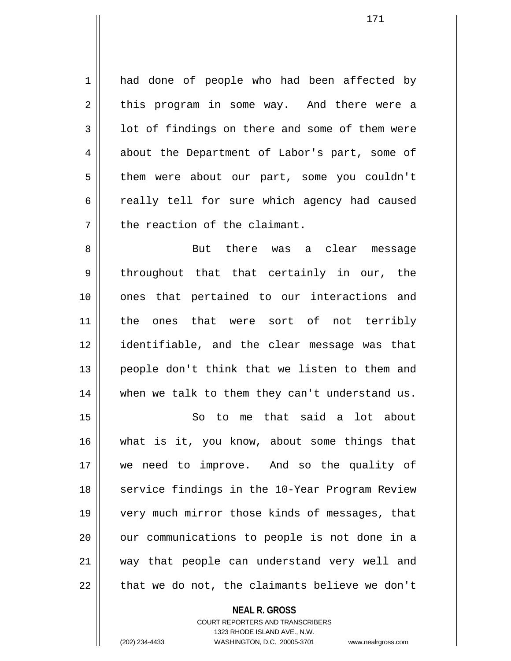1 || had done of people who had been affected by  $2 \parallel$  this program in some way. And there were a  $3 \parallel$  1 ot of findings on there and some of them were 4 about the Department of Labor's part, some of 5 | them were about our part, some you couldn't 6 cally tell for sure which agency had caused  $7$   $\parallel$  the reaction of the claimant.

8 But there was a clear message  $9 \parallel$  throughout that that certainly in our, the 10 ones that pertained to our interactions and 11 the ones that were sort of not terribly 12 identifiable, and the clear message was that 13 || people don't think that we listen to them and 14 || when we talk to them they can't understand us.

15 So to me that said a lot about 16 what is it, you know, about some things that 17 we need to improve. And so the quality of 18 || service findings in the 10-Year Program Review 19 very much mirror those kinds of messages, that 20 || our communications to people is not done in a 21 way that people can understand very well and  $22$  | that we do not, the claimants believe we don't

> **NEAL R. GROSS** COURT REPORTERS AND TRANSCRIBERS 1323 RHODE ISLAND AVE., N.W. (202) 234-4433 WASHINGTON, D.C. 20005-3701 www.nealrgross.com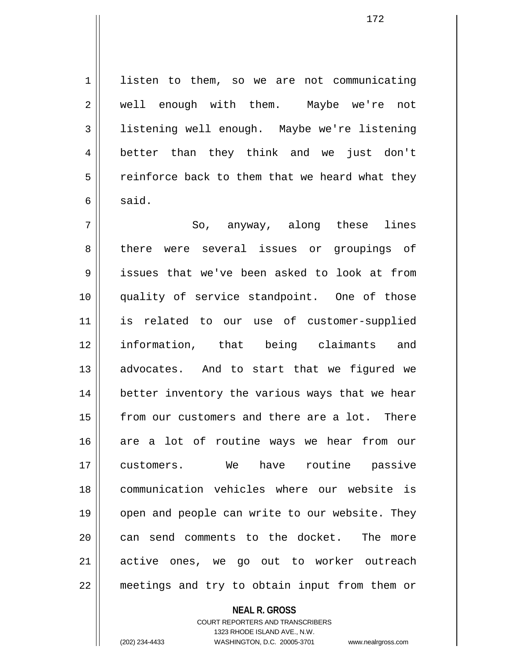1 listen to them, so we are not communicating 2 || well enough with them. Maybe we're not 3 listening well enough. Maybe we're listening 4 better than they think and we just don't  $5 \parallel$  reinforce back to them that we heard what they  $6 \parallel$  said.

 $7 \parallel$  So, anyway, along these lines 8 there were several issues or groupings of 9 issues that we've been asked to look at from 10 quality of service standpoint. One of those 11 is related to our use of customer-supplied 12 information, that being claimants and 13 || advocates. And to start that we figured we 14 || better inventory the various ways that we hear 15 || from our customers and there are a lot. There 16 are a lot of routine ways we hear from our 17 customers. We have routine passive 18 communication vehicles where our website is 19 || open and people can write to our website. They 20 || can send comments to the docket. The more 21 active ones, we go out to worker outreach 22 meetings and try to obtain input from them or

> **NEAL R. GROSS** COURT REPORTERS AND TRANSCRIBERS 1323 RHODE ISLAND AVE., N.W. (202) 234-4433 WASHINGTON, D.C. 20005-3701 www.nealrgross.com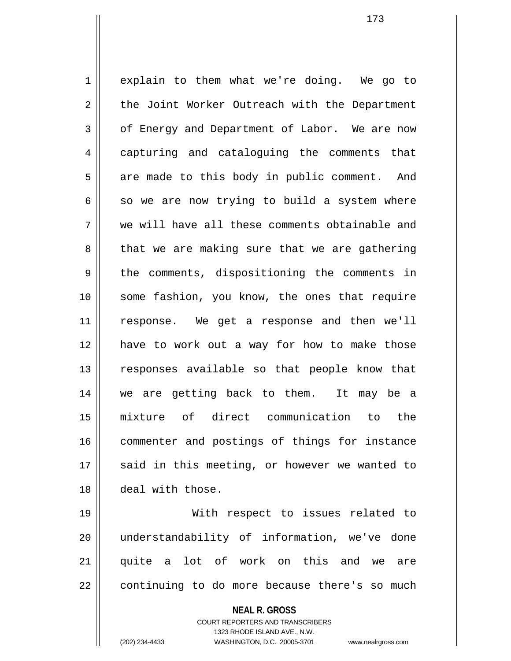1 explain to them what we're doing. We go to 2 the Joint Worker Outreach with the Department 3 | of Energy and Department of Labor. We are now 4 capturing and cataloguing the comments that  $5 \parallel$  are made to this body in public comment. And  $6 \parallel$  so we are now trying to build a system where 7 we will have all these comments obtainable and  $8 \parallel$  that we are making sure that we are gathering  $9 \parallel$  the comments, dispositioning the comments in 10 || some fashion, you know, the ones that require 11 response. We get a response and then we'll 12 have to work out a way for how to make those 13 || responses available so that people know that 14 we are getting back to them. It may be a 15 mixture of direct communication to the 16 || commenter and postings of things for instance 17 || said in this meeting, or however we wanted to 18 deal with those.

19 With respect to issues related to 20 understandability of information, we've done 21 || quite a lot of work on this and we are  $22$   $\vert$  continuing to do more because there's so much

> **NEAL R. GROSS** COURT REPORTERS AND TRANSCRIBERS

1323 RHODE ISLAND AVE., N.W. (202) 234-4433 WASHINGTON, D.C. 20005-3701 www.nealrgross.com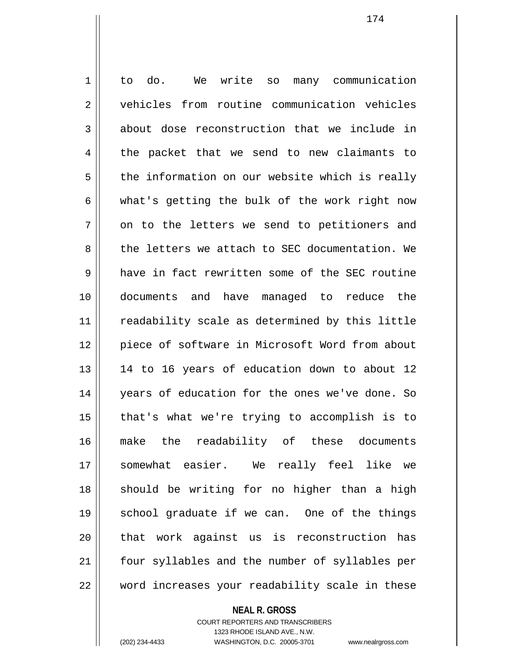1 || to do. We write so many communication 2 vehicles from routine communication vehicles  $3 \parallel$  about dose reconstruction that we include in  $4 \parallel$  the packet that we send to new claimants to  $5 \parallel$  the information on our website which is really  $6 \parallel$  what's getting the bulk of the work right now  $7 \parallel$  on to the letters we send to petitioners and 8 the letters we attach to SEC documentation. We 9 have in fact rewritten some of the SEC routine 10 documents and have managed to reduce the 11 || readability scale as determined by this little 12 || piece of software in Microsoft Word from about 13 || 14 to 16 years of education down to about 12 14 || years of education for the ones we've done. So  $15$  || that's what we're trying to accomplish is to 16 make the readability of these documents 17 somewhat easier. We really feel like we 18 || should be writing for no higher than a high 19 || school graduate if we can. One of the things 20 || that work against us is reconstruction has 21 || four syllables and the number of syllables per 22 word increases your readability scale in these

> COURT REPORTERS AND TRANSCRIBERS 1323 RHODE ISLAND AVE., N.W.

**NEAL R. GROSS**

(202) 234-4433 WASHINGTON, D.C. 20005-3701 www.nealrgross.com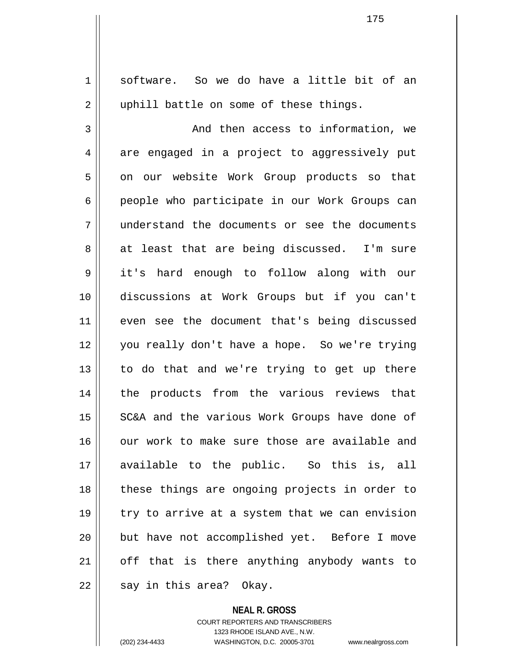1 || software. So we do have a little bit of an 2 || uphill battle on some of these things. 3 And then access to information, we 4 are engaged in a project to aggressively put 5 | on our website Work Group products so that 6 people who participate in our Work Groups can 7 understand the documents or see the documents 8 || at least that are being discussed. I'm sure 9 it's hard enough to follow along with our 10 discussions at Work Groups but if you can't 11 || even see the document that's being discussed 12 you really don't have a hope. So we're trying  $13$  to do that and we're trying to get up there 14 || the products from the various reviews that 15 || SC&A and the various Work Groups have done of 16 || our work to make sure those are available and 17 available to the public. So this is, all 18 these things are ongoing projects in order to 19 || try to arrive at a system that we can envision 20 || but have not accomplished yet. Before I move  $21$  | off that is there anything anybody wants to  $22$  || say in this area? Okay.

**NEAL R. GROSS**

COURT REPORTERS AND TRANSCRIBERS 1323 RHODE ISLAND AVE., N.W. (202) 234-4433 WASHINGTON, D.C. 20005-3701 www.nealrgross.com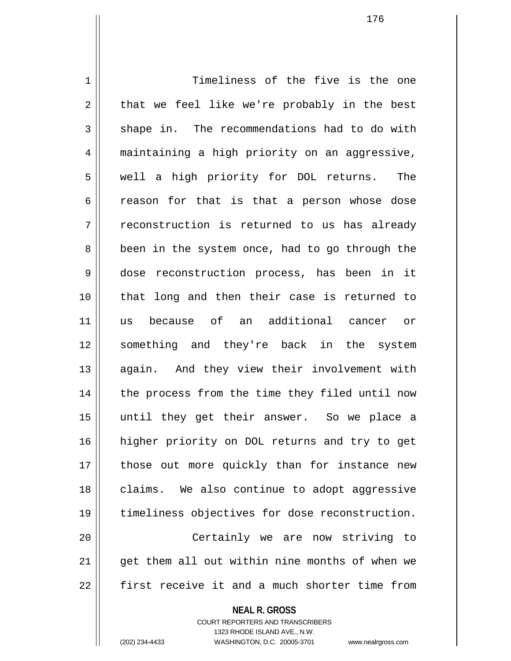1 1 Timeliness of the five is the one  $2 \parallel$  that we feel like we're probably in the best 3 || shape in. The recommendations had to do with 4 maintaining a high priority on an aggressive, 5 || well a high priority for DOL returns. The  $6 \parallel$  reason for that is that a person whose dose  $7 \parallel$  reconstruction is returned to us has already 8 | been in the system once, had to go through the 9 dose reconstruction process, has been in it 10 that long and then their case is returned to 11 us because of an additional cancer or 12 something and they're back in the system 13 || again. And they view their involvement with 14 || the process from the time they filed until now 15 until they get their answer. So we place a 16 higher priority on DOL returns and try to get 17 || those out more quickly than for instance new 18 || claims. We also continue to adopt aggressive 19 timeliness objectives for dose reconstruction. 20 Certainly we are now striving to  $21$  || qet them all out within nine months of when we 22 First receive it and a much shorter time from

**NEAL R. GROSS**

COURT REPORTERS AND TRANSCRIBERS 1323 RHODE ISLAND AVE., N.W.

(202) 234-4433 WASHINGTON, D.C. 20005-3701 www.nealrgross.com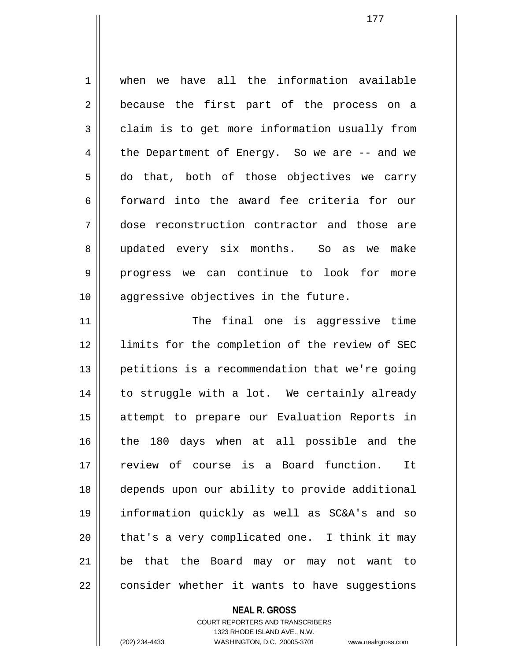1 when we have all the information available 2 || because the first part of the process on a  $3 \parallel$  claim is to get more information usually from  $4 \parallel$  the Department of Energy. So we are  $-$  and we  $5 \parallel$  do that, both of those objectives we carry 6 forward into the award fee criteria for our 7 dose reconstruction contractor and those are 8 || updated every six months. So as we make 9 progress we can continue to look for more 10 || aggressive objectives in the future.

11 || The final one is aggressive time 12 || limits for the completion of the review of SEC 13 petitions is a recommendation that we're going 14 || to struggle with a lot. We certainly already 15 attempt to prepare our Evaluation Reports in 16 the 180 days when at all possible and the 17 review of course is a Board function. It 18 depends upon our ability to provide additional 19 information quickly as well as SC&A's and so  $20$  || that's a very complicated one. I think it may 21 be that the Board may or may not want to 22 | consider whether it wants to have suggestions

## **NEAL R. GROSS** COURT REPORTERS AND TRANSCRIBERS 1323 RHODE ISLAND AVE., N.W. (202) 234-4433 WASHINGTON, D.C. 20005-3701 www.nealrgross.com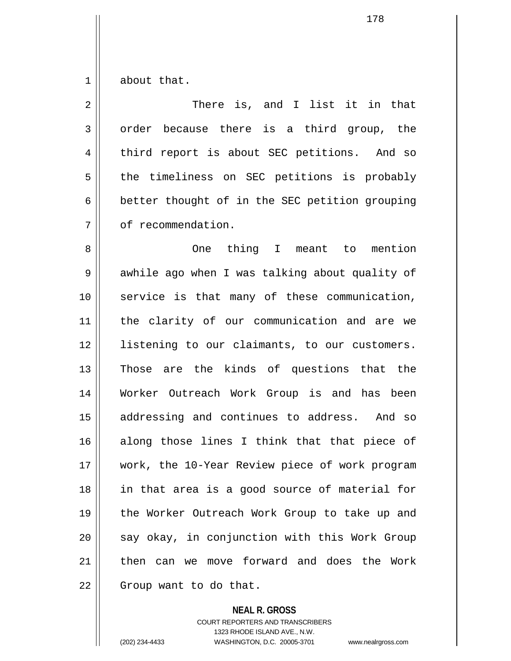$1 \parallel$  about that.

| $\overline{2}$ | There is, and I list it in that                |
|----------------|------------------------------------------------|
| 3              | order because there is a third group, the      |
| 4              | third report is about SEC petitions. And so    |
| 5              | the timeliness on SEC petitions is probably    |
| 6              | better thought of in the SEC petition grouping |
| 7              | of recommendation.                             |
| 8              | thing I meant to mention<br><b>One</b>         |
| $\mathsf 9$    | awhile ago when I was talking about quality of |
| 10             | service is that many of these communication,   |
| 11             | the clarity of our communication and are we    |
| 12             | listening to our claimants, to our customers.  |
| 13             | Those are the kinds of questions that the      |
| 14             | Worker Outreach Work Group is and has been     |
| 15             | addressing and continues to address. And so    |
| 16             | along those lines I think that that piece of   |
| 17             | work, the 10-Year Review piece of work program |
| 18             | in that area is a good source of material for  |
| 19             | the Worker Outreach Work Group to take up and  |
| 20             | say okay, in conjunction with this Work Group  |
| 21             | then can we move forward and does the Work     |
| 22             | Group want to do that.                         |

# **NEAL R. GROSS**

COURT REPORTERS AND TRANSCRIBERS 1323 RHODE ISLAND AVE., N.W. (202) 234-4433 WASHINGTON, D.C. 20005-3701 www.nealrgross.com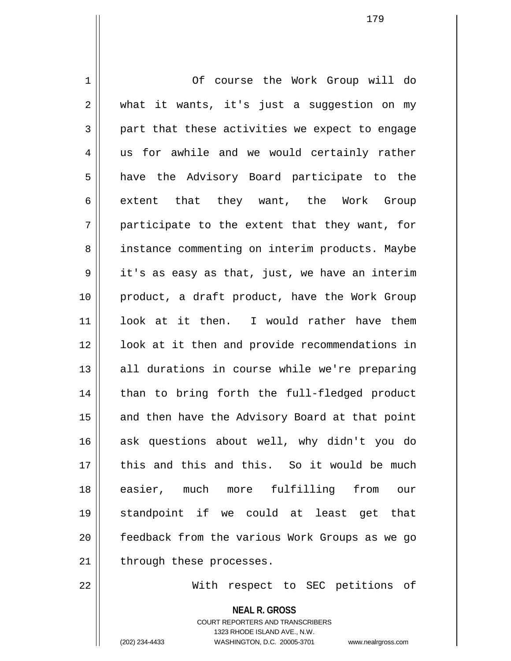1 | Of course the Work Group will do  $2 \parallel$  what it wants, it's just a suggestion on my  $3 \parallel$  part that these activities we expect to engage 4 || us for awhile and we would certainly rather 5 || have the Advisory Board participate to the 6 extent that they want, the Work Group  $7 \parallel$  participate to the extent that they want, for 8 | instance commenting on interim products. Maybe  $9 \parallel$  it's as easy as that, just, we have an interim 10 || product, a draft product, have the Work Group 11 look at it then. I would rather have them 12 || look at it then and provide recommendations in  $13$  || all durations in course while we're preparing 14 || than to bring forth the full-fledged product 15 || and then have the Advisory Board at that point 16 ask questions about well, why didn't you do 17 H this and this and this. So it would be much 18 easier, much more fulfilling from our 19 standpoint if we could at least get that 20 feedback from the various Work Groups as we go  $21$  | through these processes.

22 With respect to SEC petitions of

**NEAL R. GROSS** COURT REPORTERS AND TRANSCRIBERS 1323 RHODE ISLAND AVE., N.W. (202) 234-4433 WASHINGTON, D.C. 20005-3701 www.nealrgross.com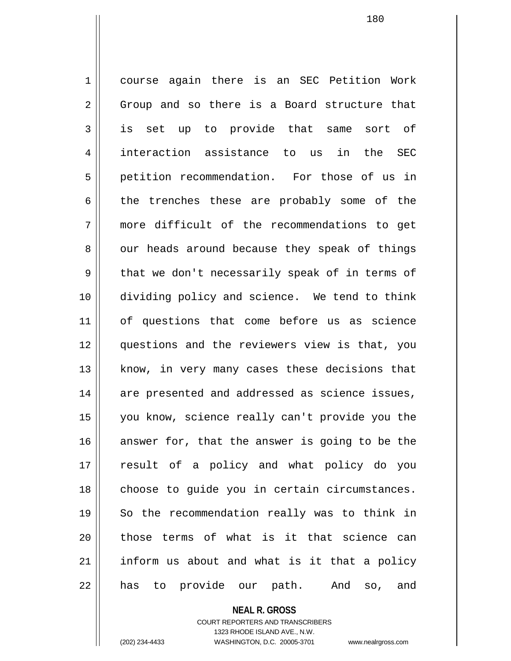1 course again there is an SEC Petition Work  $2 \parallel$  Group and so there is a Board structure that 3 is set up to provide that same sort of 4 interaction assistance to us in the SEC 5 petition recommendation. For those of us in  $6 \parallel$  the trenches these are probably some of the 7 more difficult of the recommendations to get  $8 \parallel$  our heads around because they speak of things  $9 \parallel$  that we don't necessarily speak of in terms of 10 dividing policy and science. We tend to think 11 of questions that come before us as science 12 questions and the reviewers view is that, you 13 || know, in very many cases these decisions that 14 || are presented and addressed as science issues, 15 you know, science really can't provide you the  $16$  answer for, that the answer is going to be the 17 result of a policy and what policy do you 18 || choose to guide you in certain circumstances. 19 || So the recommendation really was to think in 20 || those terms of what is it that science can  $21$  inform us about and what is it that a policy 22 || has to provide our path. And so, and

#### **NEAL R. GROSS**

COURT REPORTERS AND TRANSCRIBERS 1323 RHODE ISLAND AVE., N.W. (202) 234-4433 WASHINGTON, D.C. 20005-3701 www.nealrgross.com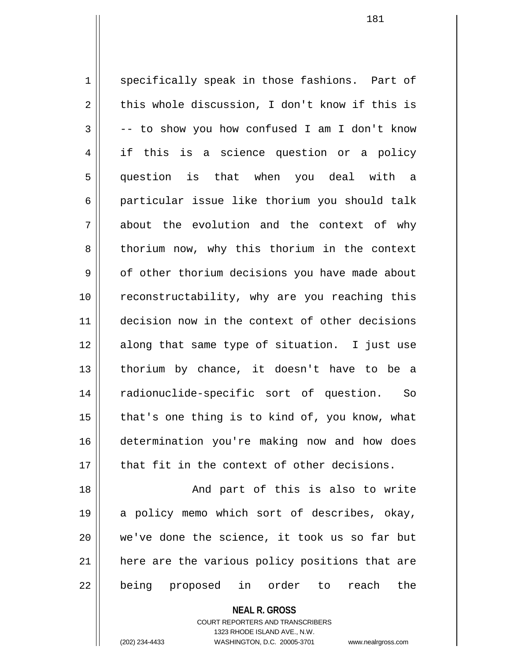1 specifically speak in those fashions. Part of  $2 \parallel$  this whole discussion, I don't know if this is  $3 \parallel$  -- to show you how confused I am I don't know 4 if this is a science question or a policy 5 question is that when you deal with a 6 | particular issue like thorium you should talk 7 about the evolution and the context of why 8 || thorium now, why this thorium in the context 9 | of other thorium decisions you have made about 10 || reconstructability, why are you reaching this 11 decision now in the context of other decisions 12 along that same type of situation. I just use 13 || thorium by chance, it doesn't have to be a 14 radionuclide-specific sort of question. So 15  $\parallel$  that's one thing is to kind of, you know, what 16 determination you're making now and how does 17 that fit in the context of other decisions. 18 And part of this is also to write

19 a policy memo which sort of describes, okay,  $20$  || we've done the science, it took us so far but 21 || here are the various policy positions that are 22 || being proposed in order to reach the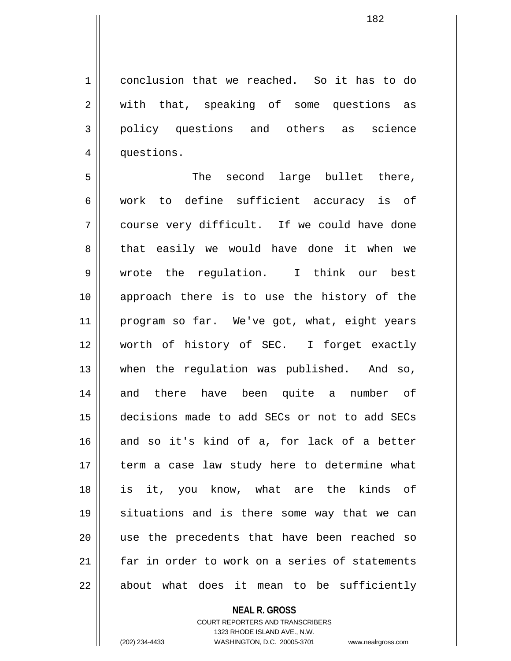1 conclusion that we reached. So it has to do 2 || with that, speaking of some questions as 3 policy questions and others as science 4 | questions.

5 The second large bullet there, 6 work to define sufficient accuracy is of 7 course very difficult. If we could have done 8 that easily we would have done it when we 9 wrote the regulation. I think our best 10 approach there is to use the history of the 11 program so far. We've got, what, eight years 12 worth of history of SEC. I forget exactly 13 when the regulation was published. And so, 14 and there have been quite a number of 15 decisions made to add SECs or not to add SECs 16 and so it's kind of a, for lack of a better 17 || term a case law study here to determine what 18 is it, you know, what are the kinds of 19 situations and is there some way that we can 20 || use the precedents that have been reached so 21 far in order to work on a series of statements  $22 \parallel$  about what does it mean to be sufficiently

# **NEAL R. GROSS**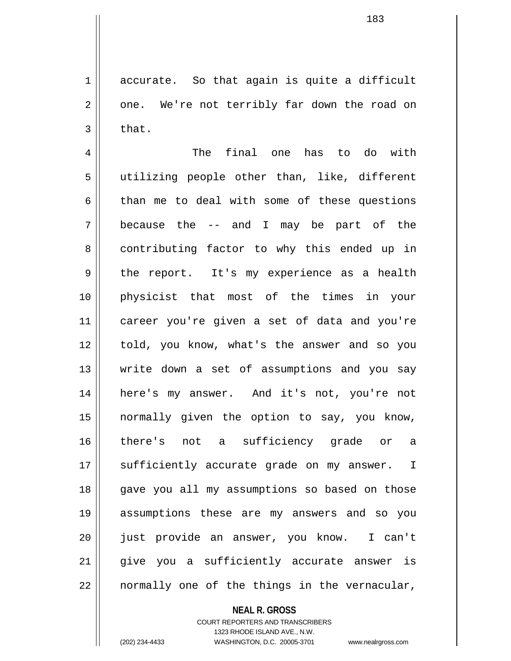$1 \parallel$  accurate. So that again is quite a difficult  $2 \parallel$  one. We're not terribly far down the road on  $3 \parallel$  that.

4 The final one has to do with 5 utilizing people other than, like, different  $6$  than me to deal with some of these questions 7 because the -- and I may be part of the 8 || contributing factor to why this ended up in 9 || the report. It's my experience as a health 10 physicist that most of the times in your 11 career you're given a set of data and you're 12 told, you know, what's the answer and so you 13 Write down a set of assumptions and you say 14 here's my answer. And it's not, you're not 15 normally given the option to say, you know, 16 there's not a sufficiency grade or a 17 || sufficiently accurate grade on my answer. I 18 || gave you all my assumptions so based on those 19 assumptions these are my answers and so you 20 just provide an answer, you know. I can't 21 || give you a sufficiently accurate answer is  $22$  || normally one of the things in the vernacular,

### **NEAL R. GROSS**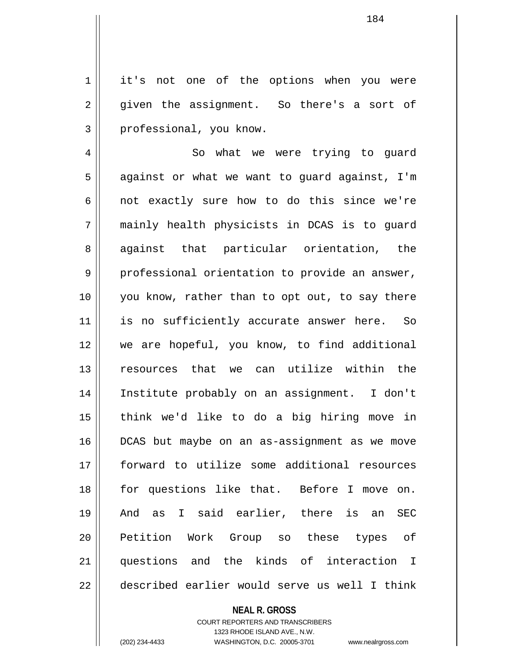1 || it's not one of the options when you were  $2 \parallel$  given the assignment. So there's a sort of 3 || professional, you know.

4 || So what we were trying to quard  $5 \parallel$  against or what we want to guard against, I'm  $6$  || not exactly sure how to do this since we're 7 mainly health physicists in DCAS is to guard 8 aqainst that particular orientation, the 9 professional orientation to provide an answer, 10 you know, rather than to opt out, to say there 11 || is no sufficiently accurate answer here. So 12 we are hopeful, you know, to find additional 13 resources that we can utilize within the 14 Institute probably on an assignment. I don't 15 think we'd like to do a big hiring move in 16 DCAS but maybe on an as-assignment as we move 17 forward to utilize some additional resources 18 for questions like that. Before I move on. 19 And as I said earlier, there is an SEC 20 || Petition Work Group so these types of 21 || questions and the kinds of interaction I 22 described earlier would serve us well I think

**NEAL R. GROSS**

COURT REPORTERS AND TRANSCRIBERS 1323 RHODE ISLAND AVE., N.W. (202) 234-4433 WASHINGTON, D.C. 20005-3701 www.nealrgross.com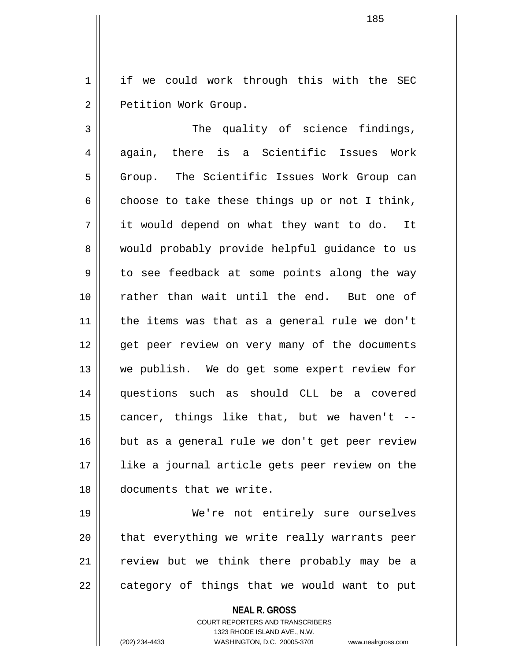1 | if we could work through this with the SEC 2 | Petition Work Group.

185

3 The quality of science findings, 4 again, there is a Scientific Issues Work 5 Group. The Scientific Issues Work Group can 6 choose to take these things up or not I think, 7 it would depend on what they want to do. It 8 would probably provide helpful guidance to us 9 to see feedback at some points along the way 10 rather than wait until the end. But one of 11 the items was that as a general rule we don't 12 || qet peer review on very many of the documents 13 we publish. We do get some expert review for 14 questions such as should CLL be a covered 15  $\parallel$  cancer, things like that, but we haven't --16 || but as a general rule we don't get peer review 17 like a journal article gets peer review on the 18 documents that we write.

19 We're not entirely sure ourselves  $20$  || that everything we write really warrants peer 21 || review but we think there probably may be a  $22$  | category of things that we would want to put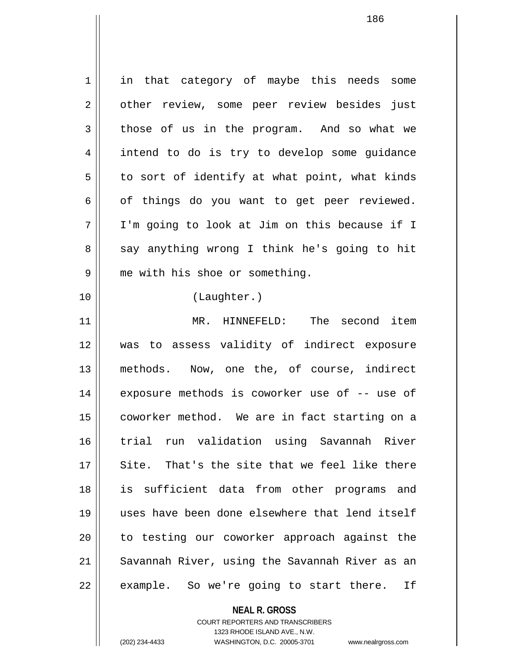1 || in that category of maybe this needs some 2 || other review, some peer review besides just  $3 \parallel$  those of us in the program. And so what we 4 intend to do is try to develop some quidance  $5 \parallel$  to sort of identify at what point, what kinds  $6 \parallel$  of things do you want to get peer reviewed. 7 I'm going to look at Jim on this because if I 8 || say anything wrong I think he's going to hit 9 | me with his shoe or something. 10 (Laughter.) 11 MR. HINNEFELD: The second item 12 was to assess validity of indirect exposure 13 methods. Now, one the, of course, indirect 14 || exposure methods is coworker use of -- use of 15 | coworker method. We are in fact starting on a 16 trial run validation using Savannah River 17 Site. That's the site that we feel like there 18 is sufficient data from other programs and 19 uses have been done elsewhere that lend itself 20 || to testing our coworker approach against the 21 || Savannah River, using the Savannah River as an  $22$  || example. So we're going to start there. If

> **NEAL R. GROSS** COURT REPORTERS AND TRANSCRIBERS

> > 1323 RHODE ISLAND AVE., N.W.

(202) 234-4433 WASHINGTON, D.C. 20005-3701 www.nealrgross.com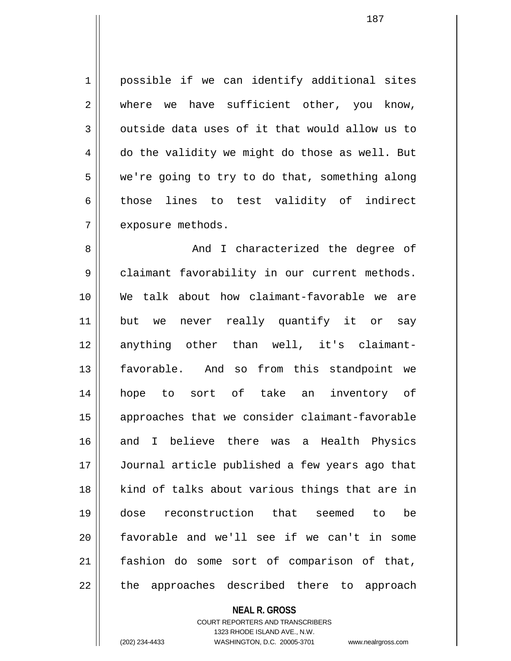1 || possible if we can identify additional sites 2 where we have sufficient other, you know,  $3 \parallel$  outside data uses of it that would allow us to  $4 \parallel$  do the validity we might do those as well. But  $5 \parallel$  we're going to try to do that, something along 6 those lines to test validity of indirect 7 | exposure methods.

8 And I characterized the degree of 9 | claimant favorability in our current methods. 10 We talk about how claimant-favorable we are 11 but we never really quantify it or say 12 anything other than well, it's claimant-13 favorable. And so from this standpoint we 14 hope to sort of take an inventory of 15 approaches that we consider claimant-favorable 16 and I believe there was a Health Physics 17 Journal article published a few years ago that 18 || kind of talks about various things that are in 19 dose reconstruction that seemed to be  $20$  favorable and we'll see if we can't in some 21 fashion do some sort of comparison of that, 22 || the approaches described there to approach

**NEAL R. GROSS**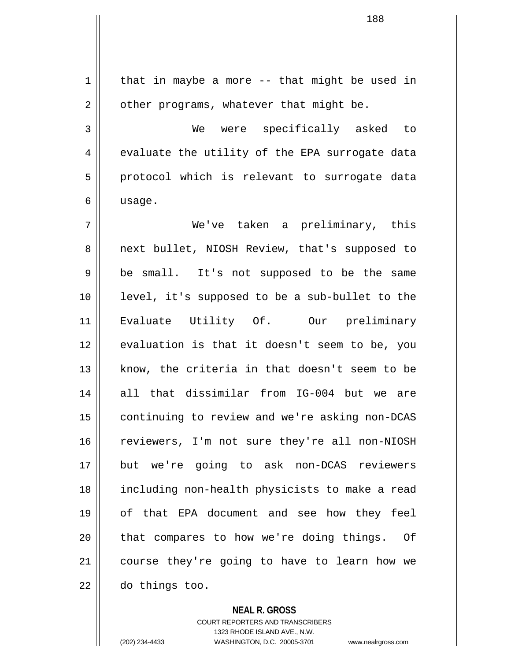$1 \parallel$  that in maybe a more -- that might be used in  $2 \parallel$  other programs, whatever that might be. 3 We were specifically asked to  $4 \parallel$  evaluate the utility of the EPA surrogate data  $5 \parallel$  protocol which is relevant to surrogate data  $6 \parallel$  usage. 7 We've taken a preliminary, this 8 || next bullet, NIOSH Review, that's supposed to 9 || be small. It's not supposed to be the same 10 || level, it's supposed to be a sub-bullet to the 11 Evaluate Utility Of. Our preliminary 12 || evaluation is that it doesn't seem to be, you 13  $\parallel$  know, the criteria in that doesn't seem to be 14 all that dissimilar from IG-004 but we are 15 | continuing to review and we're asking non-DCAS 16 || reviewers, I'm not sure they're all non-NIOSH 17 but we're going to ask non-DCAS reviewers 18 including non-health physicists to make a read 19 of that EPA document and see how they feel 20 || that compares to how we're doing things. Of 21 course they're going to have to learn how we 22 do things too.

**NEAL R. GROSS**

COURT REPORTERS AND TRANSCRIBERS 1323 RHODE ISLAND AVE., N.W. (202) 234-4433 WASHINGTON, D.C. 20005-3701 www.nealrgross.com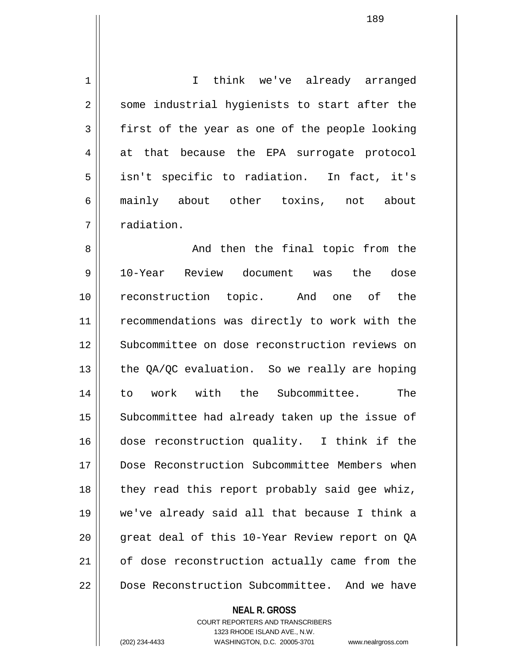1 | I think we've already arranged 2 || some industrial hygienists to start after the  $3 \parallel$  first of the year as one of the people looking 4 at that because the EPA surrogate protocol 5 || isn't specific to radiation. In fact, it's 6 mainly about other toxins, not about 7 | radiation. 8 And then the final topic from the 9 10-Year Review document was the dose 10 reconstruction topic. And one of the 11 || recommendations was directly to work with the 12 || Subcommittee on dose reconstruction reviews on 13  $\parallel$  the QA/QC evaluation. So we really are hoping 14 to work with the Subcommittee. The 15 || Subcommittee had already taken up the issue of 16 dose reconstruction quality. I think if the 17 Dose Reconstruction Subcommittee Members when 18 || they read this report probably said gee whiz, 19 we've already said all that because I think a 20 || great deal of this 10-Year Review report on QA 21 | of dose reconstruction actually came from the

22 Dose Reconstruction Subcommittee. And we have

**NEAL R. GROSS**

COURT REPORTERS AND TRANSCRIBERS 1323 RHODE ISLAND AVE., N.W. (202) 234-4433 WASHINGTON, D.C. 20005-3701 www.nealrgross.com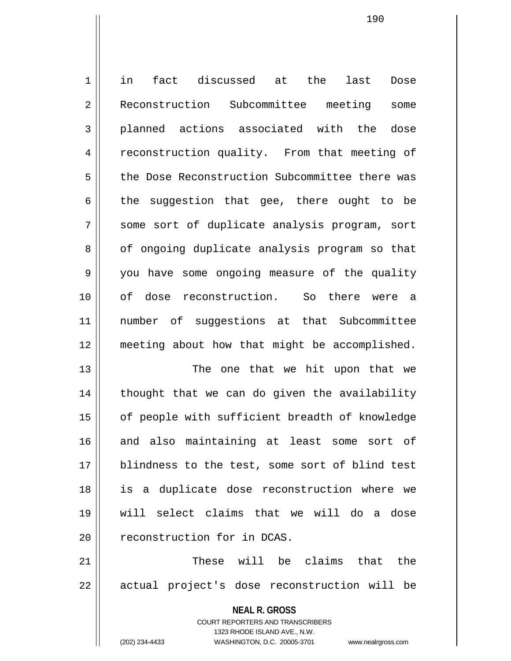1 in fact discussed at the last Dose 2 Reconstruction Subcommittee meeting some 3 planned actions associated with the dose 4 Feconstruction quality. From that meeting of 5 | the Dose Reconstruction Subcommittee there was  $6 \parallel$  the suggestion that gee, there ought to be 7 Some sort of duplicate analysis program, sort 8 | of ongoing duplicate analysis program so that 9 | you have some ongoing measure of the quality 10 of dose reconstruction. So there were a 11 number of suggestions at that Subcommittee 12 meeting about how that might be accomplished. 13 || The one that we hit upon that we

 $14$  | thought that we can do given the availability 15 | of people with sufficient breadth of knowledge 16 and also maintaining at least some sort of 17 || blindness to the test, some sort of blind test 18 is a duplicate dose reconstruction where we 19 will select claims that we will do a dose 20 | reconstruction for in DCAS.

21 These will be claims that the 22 || actual project's dose reconstruction will be

> **NEAL R. GROSS** COURT REPORTERS AND TRANSCRIBERS 1323 RHODE ISLAND AVE., N.W.

(202) 234-4433 WASHINGTON, D.C. 20005-3701 www.nealrgross.com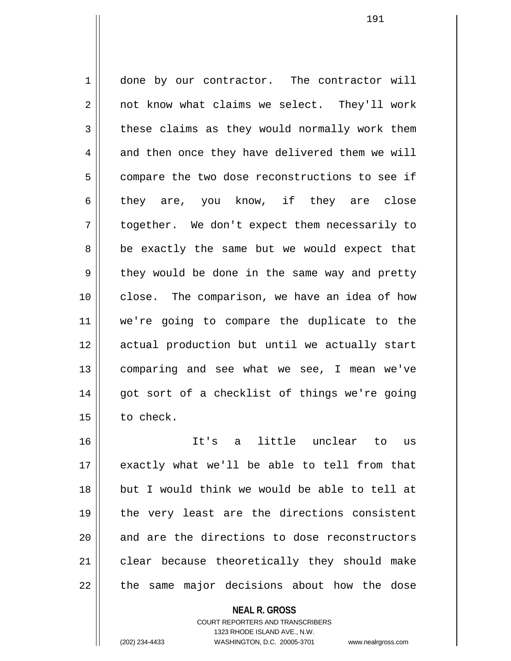1 done by our contractor. The contractor will 2 | not know what claims we select. They'll work  $3 \parallel$  these claims as they would normally work them 4 and then once they have delivered them we will 5 compare the two dose reconstructions to see if  $6$  || they are, you know, if they are close 7 || together. We don't expect them necessarily to 8 || be exactly the same but we would expect that 9 they would be done in the same way and pretty 10 || close. The comparison, we have an idea of how 11 we're going to compare the duplicate to the 12 actual production but until we actually start 13 comparing and see what we see, I mean we've 14 || got sort of a checklist of things we're going 15 to check. 16 It's a little unclear to us

17 exactly what we'll be able to tell from that 18 but I would think we would be able to tell at 19 || the very least are the directions consistent  $20$  and are the directions to dose reconstructors 21 | clear because theoretically they should make  $22$  || the same major decisions about how the dose

> **NEAL R. GROSS** COURT REPORTERS AND TRANSCRIBERS 1323 RHODE ISLAND AVE., N.W.

(202) 234-4433 WASHINGTON, D.C. 20005-3701 www.nealrgross.com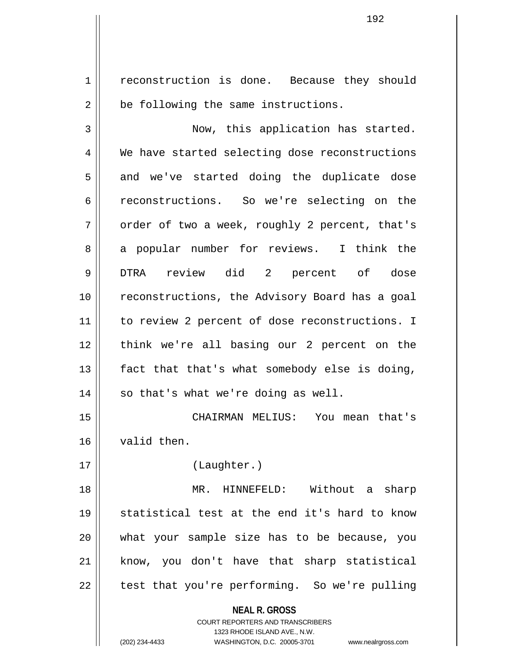1 reconstruction is done. Because they should  $2 \parallel$  be following the same instructions. 3 Now, this application has started. 4 We have started selecting dose reconstructions 5 and we've started doing the duplicate dose 6 constructions. So we're selecting on the  $7 \parallel$  order of two a week, roughly 2 percent, that's 8 a popular number for reviews. I think the 9 DTRA review did 2 percent of dose 10 || reconstructions, the Advisory Board has a goal 11 || to review 2 percent of dose reconstructions. I 12 || think we're all basing our 2 percent on the  $13$  | fact that that's what somebody else is doing,  $14$  || so that's what we're doing as well. 15 CHAIRMAN MELIUS: You mean that's 16 valid then. 17 (Laughter.)

18 MR. HINNEFELD: Without a sharp 19 statistical test at the end it's hard to know 20 what your sample size has to be because, you 21 || know, you don't have that sharp statistical  $22$  || test that you're performing. So we're pulling

> **NEAL R. GROSS** COURT REPORTERS AND TRANSCRIBERS 1323 RHODE ISLAND AVE., N.W. (202) 234-4433 WASHINGTON, D.C. 20005-3701 www.nealrgross.com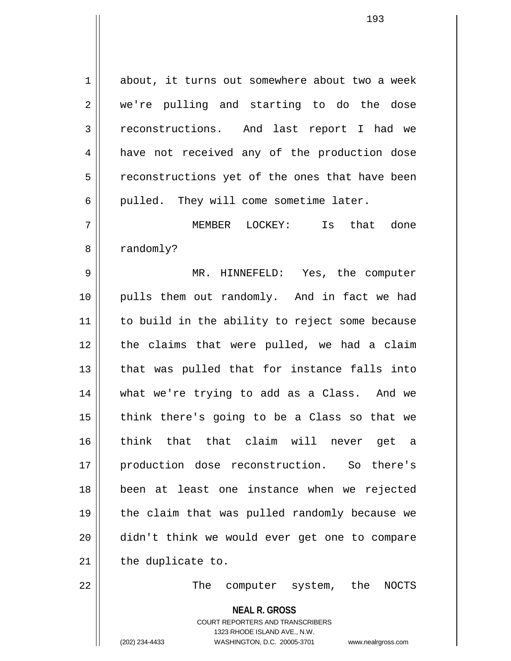1 about, it turns out somewhere about two a week 2 || we're pulling and starting to do the dose 3 reconstructions. And last report I had we 4 || have not received any of the production dose 5 | reconstructions yet of the ones that have been  $6$  | pulled. They will come sometime later. 7 MEMBER LOCKEY: Is that done 8 | randomly? 9 MR. HINNEFELD: Yes, the computer 10 pulls them out randomly. And in fact we had 11 || to build in the ability to reject some because 12 || the claims that were pulled, we had a claim  $13$  || that was pulled that for instance falls into 14 what we're trying to add as a Class. And we  $15$  | think there's going to be a Class so that we 16 think that that claim will never get a 17 production dose reconstruction. So there's 18 been at least one instance when we rejected 19 || the claim that was pulled randomly because we 20 didn't think we would ever get one to compare  $21$  | the duplicate to. 22 The computer system, the NOCTS

> **NEAL R. GROSS** COURT REPORTERS AND TRANSCRIBERS 1323 RHODE ISLAND AVE., N.W.

(202) 234-4433 WASHINGTON, D.C. 20005-3701 www.nealrgross.com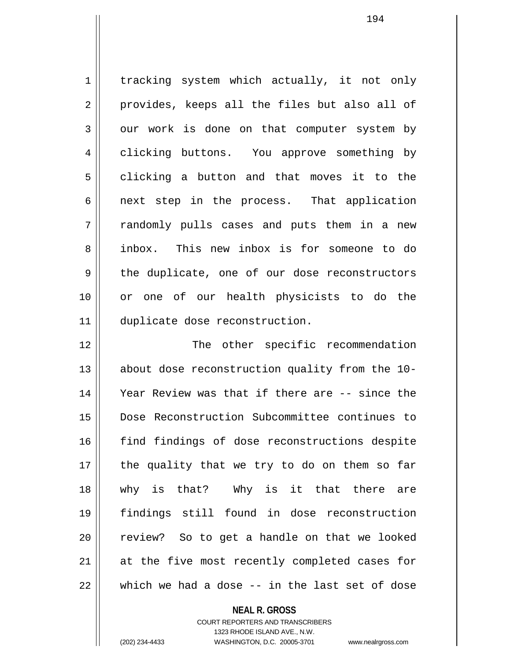1 | tracking system which actually, it not only 2 || provides, keeps all the files but also all of  $3 \parallel$  our work is done on that computer system by 4 clicking buttons. You approve something by  $5 \parallel$  clicking a button and that moves it to the  $6 \parallel$  next step in the process. That application 7 || randomly pulls cases and puts them in a new 8 inbox. This new inbox is for someone to do 9 the duplicate, one of our dose reconstructors 10 || or one of our health physicists to do the 11 duplicate dose reconstruction.

12 || The other specific recommendation 13 about dose reconstruction quality from the 10- 14 Year Review was that if there are -- since the 15 Dose Reconstruction Subcommittee continues to 16 || find findings of dose reconstructions despite 17 the quality that we try to do on them so far 18 why is that? Why is it that there are 19 findings still found in dose reconstruction 20 || review? So to get a handle on that we looked 21 || at the five most recently completed cases for  $22$   $\parallel$  which we had a dose  $-$  in the last set of dose

## **NEAL R. GROSS**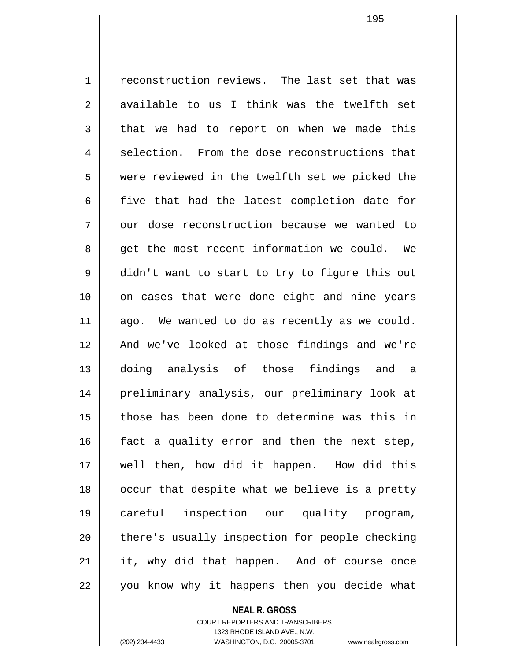1 reconstruction reviews. The last set that was  $2 \parallel$  available to us I think was the twelfth set  $3 \parallel$  that we had to report on when we made this  $4 \parallel$  selection. From the dose reconstructions that 5 were reviewed in the twelfth set we picked the  $6 \parallel$  five that had the latest completion date for  $7 \parallel$  our dose reconstruction because we wanted to 8 || get the most recent information we could. We 9 didn't want to start to try to figure this out 10 || on cases that were done eight and nine years  $11$  ago. We wanted to do as recently as we could. 12 And we've looked at those findings and we're 13 doing analysis of those findings and a 14 preliminary analysis, our preliminary look at 15 those has been done to determine was this in  $16$  fact a quality error and then the next step, 17 well then, how did it happen. How did this 18 || occur that despite what we believe is a pretty 19 careful inspection our quality program, 20 || there's usually inspection for people checking 21 || it, why did that happen. And of course once 22 || you know why it happens then you decide what

> COURT REPORTERS AND TRANSCRIBERS 1323 RHODE ISLAND AVE., N.W.

**NEAL R. GROSS**

(202) 234-4433 WASHINGTON, D.C. 20005-3701 www.nealrgross.com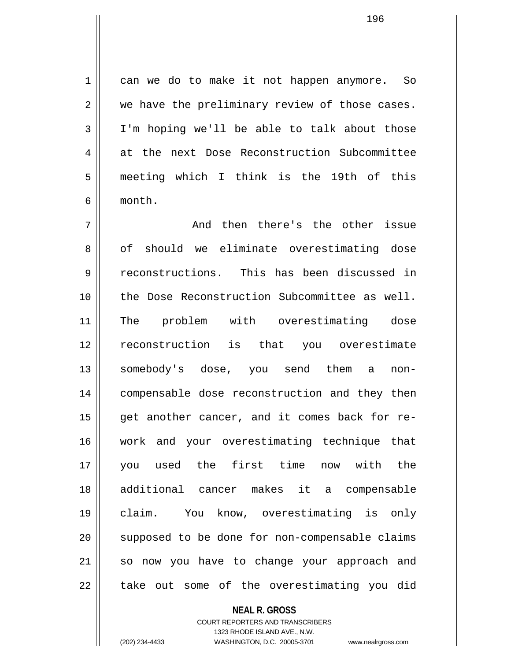1 || can we do to make it not happen anymore. So  $2 \parallel$  we have the preliminary review of those cases.  $3 \parallel$  I'm hoping we'll be able to talk about those 4 at the next Dose Reconstruction Subcommittee 5 meeting which I think is the 19th of this 6 month.

 $7 \parallel$  and then there's the other issue 8 of should we eliminate overestimating dose 9 reconstructions. This has been discussed in 10 the Dose Reconstruction Subcommittee as well. 11 The problem with overestimating dose 12 reconstruction is that you overestimate 13 || somebody's dose, you send them a non-14 compensable dose reconstruction and they then  $15$  || get another cancer, and it comes back for re-16 work and your overestimating technique that 17 you used the first time now with the 18 additional cancer makes it a compensable 19 claim. You know, overestimating is only 20 || supposed to be done for non-compensable claims 21 so now you have to change your approach and  $22$   $\parallel$  take out some of the overestimating you did

> **NEAL R. GROSS** COURT REPORTERS AND TRANSCRIBERS

> > 1323 RHODE ISLAND AVE., N.W.

(202) 234-4433 WASHINGTON, D.C. 20005-3701 www.nealrgross.com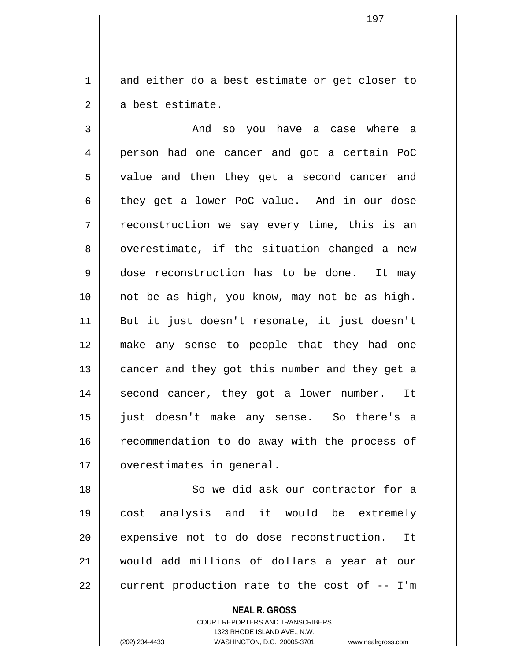1 and either do a best estimate or get closer to  $2 \parallel$  a best estimate.

3 and so you have a case where a 4 person had one cancer and got a certain PoC 5 || value and then they get a second cancer and 6 they get a lower PoC value. And in our dose  $7 \parallel$  reconstruction we say every time, this is an  $8 \parallel$  overestimate, if the situation changed a new 9 dose reconstruction has to be done. It may 10 || not be as high, you know, may not be as high. 11 But it just doesn't resonate, it just doesn't 12 make any sense to people that they had one 13 || cancer and they got this number and they get a 14 || second cancer, they got a lower number. It 15 just doesn't make any sense. So there's a 16 || recommendation to do away with the process of 17 | overestimates in general.

18 || So we did ask our contractor for a 19 cost analysis and it would be extremely 20 || expensive not to do dose reconstruction. It 21 would add millions of dollars a year at our  $22$  | current production rate to the cost of  $-$  I'm

> **NEAL R. GROSS** COURT REPORTERS AND TRANSCRIBERS 1323 RHODE ISLAND AVE., N.W.

(202) 234-4433 WASHINGTON, D.C. 20005-3701 www.nealrgross.com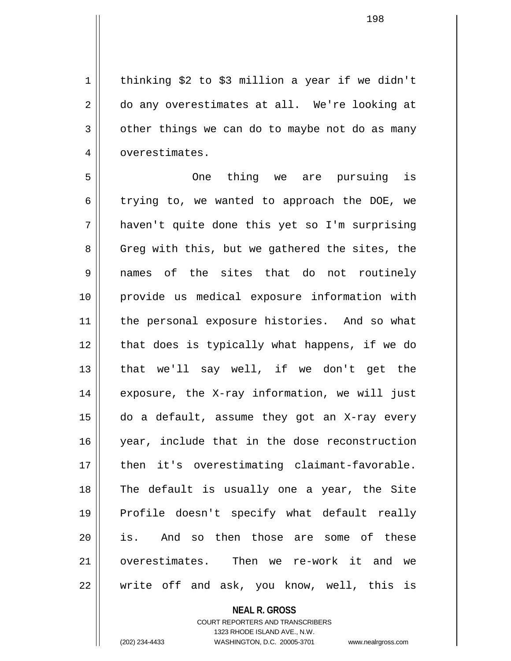1 | thinking \$2 to \$3 million a year if we didn't 2 || do any overestimates at all. We're looking at  $3 \parallel$  other things we can do to maybe not do as many 4 | overestimates.

5 One thing we are pursuing is  $6 \parallel$  trying to, we wanted to approach the DOE, we 7 haven't quite done this yet so I'm surprising 8 Greg with this, but we gathered the sites, the 9 names of the sites that do not routinely 10 provide us medical exposure information with 11 || the personal exposure histories. And so what 12 || that does is typically what happens, if we do 13 || that we'll say well, if we don't get the 14 || exposure, the X-ray information, we will just 15 do a default, assume they got an X-ray every 16 || year, include that in the dose reconstruction 17 || then it's overestimating claimant-favorable. 18 The default is usually one a year, the Site 19 Profile doesn't specify what default really 20 || is. And so then those are some of these 21 overestimates. Then we re-work it and we  $22$  || write off and ask, you know, well, this is

**NEAL R. GROSS**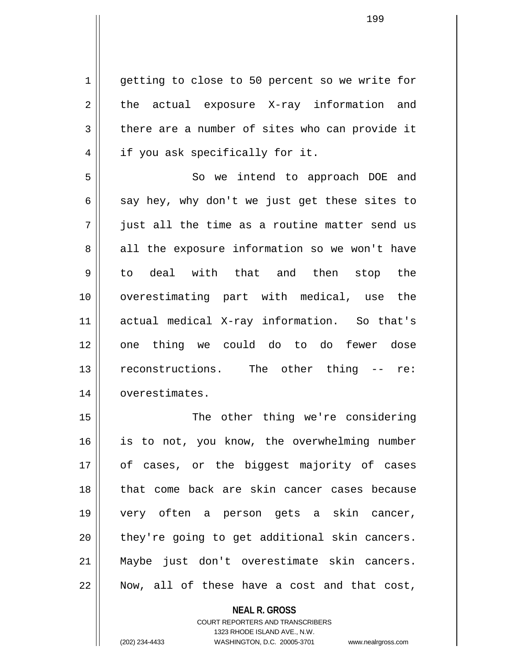1 | getting to close to 50 percent so we write for  $2 \parallel$  the actual exposure X-ray information and  $3 \parallel$  there are a number of sites who can provide it 4 || if you ask specifically for it.

5 || So we intend to approach DOE and  $6 \parallel$  say hey, why don't we just get these sites to  $7 \parallel$  just all the time as a routine matter send us  $8 \parallel$  all the exposure information so we won't have 9 || to deal with that and then stop the 10 overestimating part with medical, use the 11 actual medical X-ray information. So that's 12 || one thing we could do to do fewer dose 13 || reconstructions. The other thing -- re: 14 | overestimates.

15 || The other thing we're considering 16 || is to not, you know, the overwhelming number 17 of cases, or the biggest majority of cases 18 || that come back are skin cancer cases because 19 very often a person gets a skin cancer,  $20$  | they're going to get additional skin cancers. 21 Maybe just don't overestimate skin cancers. 22 Now, all of these have a cost and that cost,

> **NEAL R. GROSS** COURT REPORTERS AND TRANSCRIBERS 1323 RHODE ISLAND AVE., N.W. (202) 234-4433 WASHINGTON, D.C. 20005-3701 www.nealrgross.com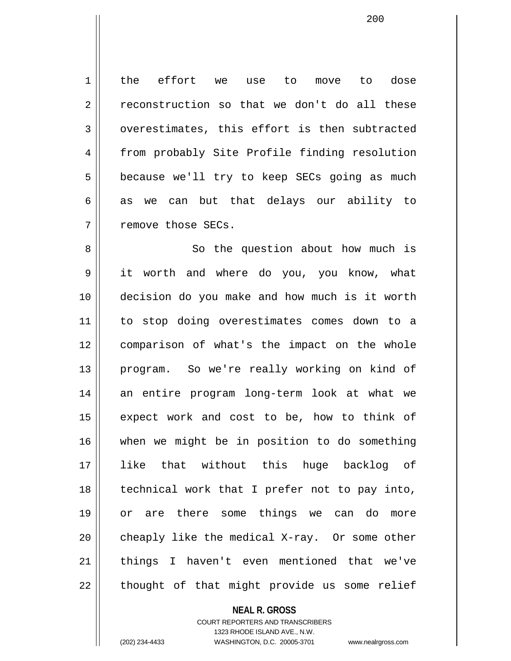1 the effort we use to move to dose  $2 \parallel$  reconstruction so that we don't do all these  $3 \parallel$  overestimates, this effort is then subtracted 4 | from probably Site Profile finding resolution  $5 \parallel$  because we'll try to keep SECs going as much  $6 \parallel$  as we can but that delays our ability to 7 | remove those SECs.

8 || So the question about how much is 9 it worth and where do you, you know, what 10 decision do you make and how much is it worth 11 to stop doing overestimates comes down to a 12 comparison of what's the impact on the whole 13 || program. So we're really working on kind of 14 an entire program long-term look at what we  $15$  expect work and cost to be, how to think of 16 when we might be in position to do something 17 like that without this huge backlog of 18 technical work that I prefer not to pay into, 19 or are there some things we can do more  $20$  cheaply like the medical X-ray. Or some other 21 || things I haven't even mentioned that we've  $22$  || thought of that might provide us some relief

> **NEAL R. GROSS** COURT REPORTERS AND TRANSCRIBERS

1323 RHODE ISLAND AVE., N.W. (202) 234-4433 WASHINGTON, D.C. 20005-3701 www.nealrgross.com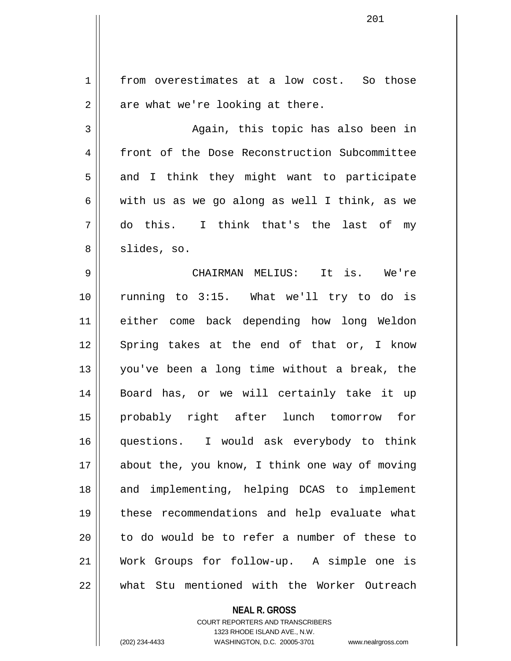1 | from overestimates at a low cost. So those  $2 \parallel$  are what we're looking at there. 3 || Again, this topic has also been in 4 | front of the Dose Reconstruction Subcommittee  $5 \parallel$  and I think they might want to participate 6 | with us as we go along as well I think, as we 7 do this. I think that's the last of my  $8 \parallel$  slides, so. 9 CHAIRMAN MELIUS: It is. We're 10 running to 3:15. What we'll try to do is 11 either come back depending how long Weldon 12 Spring takes at the end of that or, I know 13 you've been a long time without a break, the 14 Board has, or we will certainly take it up 15 probably right after lunch tomorrow for 16 questions. I would ask everybody to think 17 || about the, you know, I think one way of moving 18 || and implementing, helping DCAS to implement 19 these recommendations and help evaluate what 20 || to do would be to refer a number of these to 21 Work Groups for follow-up. A simple one is 22 what Stu mentioned with the Worker Outreach

**NEAL R. GROSS**

COURT REPORTERS AND TRANSCRIBERS 1323 RHODE ISLAND AVE., N.W. (202) 234-4433 WASHINGTON, D.C. 20005-3701 www.nealrgross.com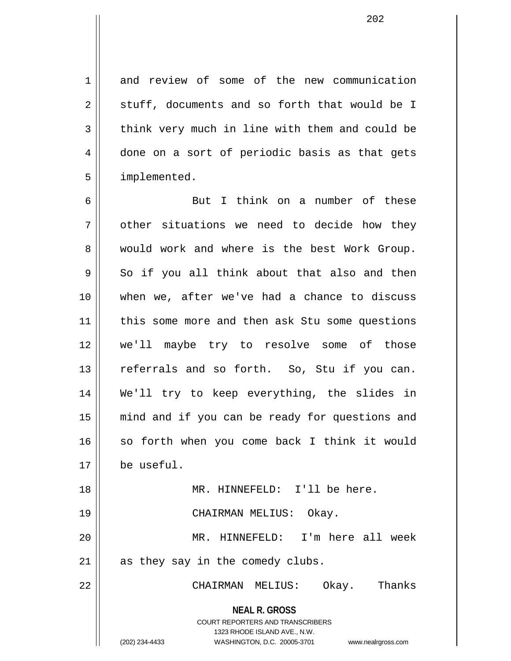1 and review of some of the new communication  $2 \parallel$  stuff, documents and so forth that would be I  $3 \parallel$  think very much in line with them and could be 4 done on a sort of periodic basis as that gets 5 | implemented.

**NEAL R. GROSS** COURT REPORTERS AND TRANSCRIBERS 6 || But I think on a number of these  $7$  | other situations we need to decide how they 8 would work and where is the best Work Group.  $9 \parallel$  So if you all think about that also and then 10 when we, after we've had a chance to discuss 11 || this some more and then ask Stu some questions 12 we'll maybe try to resolve some of those 13 || referrals and so forth. So, Stu if you can. 14 We'll try to keep everything, the slides in 15 mind and if you can be ready for questions and 16 || so forth when you come back I think it would 17 be useful. 18 || MR. HINNEFELD: I'll be here. 19 CHAIRMAN MELIUS: Okay. 20 MR. HINNEFELD: I'm here all week  $21$  as they say in the comedy clubs. 22 CHAIRMAN MELIUS: Okay. Thanks

1323 RHODE ISLAND AVE., N.W.

(202) 234-4433 WASHINGTON, D.C. 20005-3701 www.nealrgross.com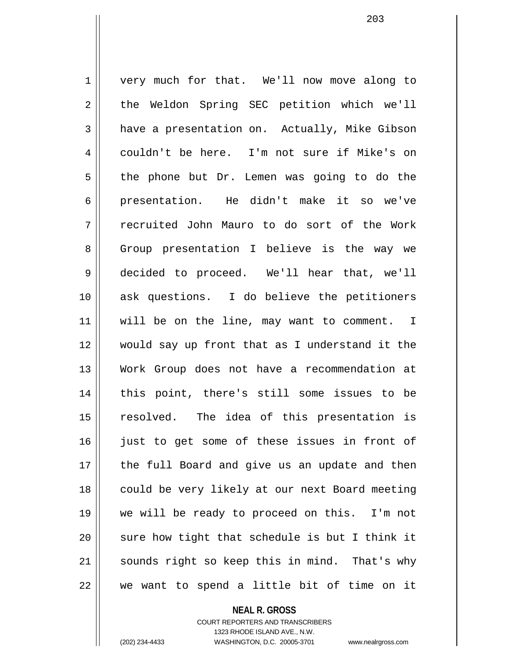1 | very much for that. We'll now move along to 2 || the Weldon Spring SEC petition which we'll 3 have a presentation on. Actually, Mike Gibson 4 couldn't be here. I'm not sure if Mike's on  $5 \parallel$  the phone but Dr. Lemen was going to do the 6 presentation. He didn't make it so we've 7 recruited John Mauro to do sort of the Work 8 || Group presentation I believe is the way we 9 decided to proceed. We'll hear that, we'll 10 || ask questions. I do believe the petitioners 11 || will be on the line, may want to comment. I 12 would say up front that as I understand it the 13 Work Group does not have a recommendation at 14 || this point, there's still some issues to be 15 resolved. The idea of this presentation is 16 just to get some of these issues in front of 17 || the full Board and give us an update and then 18 || could be very likely at our next Board meeting 19 we will be ready to proceed on this. I'm not  $20$  sure how tight that schedule is but I think it 21 || sounds right so keep this in mind. That's why  $22$   $\parallel$  we want to spend a little bit of time on it

> **NEAL R. GROSS** COURT REPORTERS AND TRANSCRIBERS 1323 RHODE ISLAND AVE., N.W.

(202) 234-4433 WASHINGTON, D.C. 20005-3701 www.nealrgross.com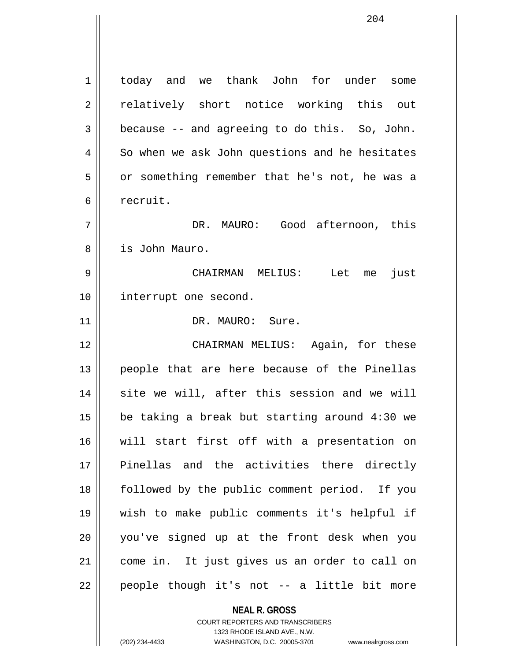1 today and we thank John for under some 2 || relatively short notice working this out  $3 \parallel$  because -- and agreeing to do this. So, John.  $4 \parallel$  So when we ask John questions and he hesitates 5 | or something remember that he's not, he was a 6 recruit. 7 DR. MAURO: Good afternoon, this 8 is John Mauro. 9 CHAIRMAN MELIUS: Let me just 10 || interrupt one second. 11 || DR. MAURO: Sure. 12 CHAIRMAN MELIUS: Again, for these 13 || people that are here because of the Pinellas 14 || site we will, after this session and we will 15  $\parallel$  be taking a break but starting around 4:30 we 16 will start first off with a presentation on 17 Pinellas and the activities there directly 18 followed by the public comment period. If you 19 wish to make public comments it's helpful if 20 you've signed up at the front desk when you 21 come in. It just gives us an order to call on 22 || people though it's not -- a little bit more

> **NEAL R. GROSS** COURT REPORTERS AND TRANSCRIBERS

1323 RHODE ISLAND AVE., N.W. (202) 234-4433 WASHINGTON, D.C. 20005-3701 www.nealrgross.com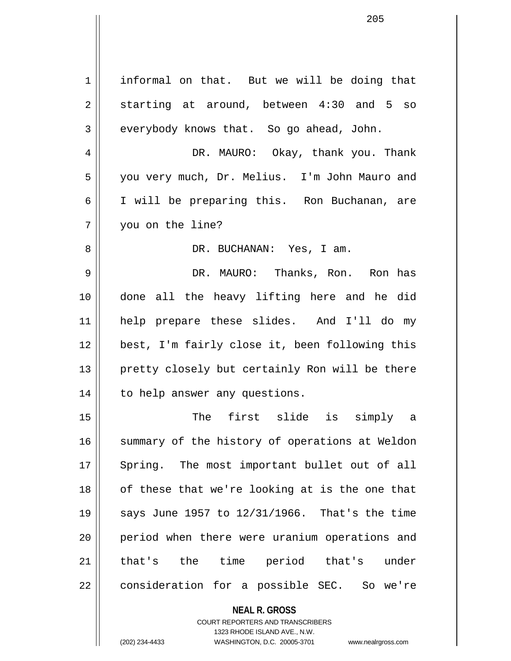| 1  | informal on that. But we will be doing that    |
|----|------------------------------------------------|
| 2  | starting at around, between 4:30 and 5 so      |
| 3  | everybody knows that. So go ahead, John.       |
| 4  | DR. MAURO: Okay, thank you. Thank              |
| 5  | you very much, Dr. Melius. I'm John Mauro and  |
| 6  | I will be preparing this. Ron Buchanan, are    |
| 7  | you on the line?                               |
| 8  | DR. BUCHANAN: Yes, I am.                       |
| 9  | DR. MAURO: Thanks, Ron. Ron has                |
| 10 | done all the heavy lifting here and he did     |
| 11 | help prepare these slides. And I'll do my      |
| 12 | best, I'm fairly close it, been following this |
| 13 | pretty closely but certainly Ron will be there |
| 14 | to help answer any questions.                  |
| 15 | The first slide is simply a                    |
| 16 | summary of the history of operations at Weldon |
| 17 | Spring. The most important bullet out of all   |
| 18 | of these that we're looking at is the one that |
| 19 | says June 1957 to 12/31/1966. That's the time  |
| 20 | period when there were uranium operations and  |
| 21 | that's the time period that's under            |
| 22 | consideration for a possible SEC. So we're     |
|    | <b>NEAL R. GROSS</b>                           |

COURT REPORTERS AND TRANSCRIBERS 1323 RHODE ISLAND AVE., N.W.

(202) 234-4433 WASHINGTON, D.C. 20005-3701 www.nealrgross.com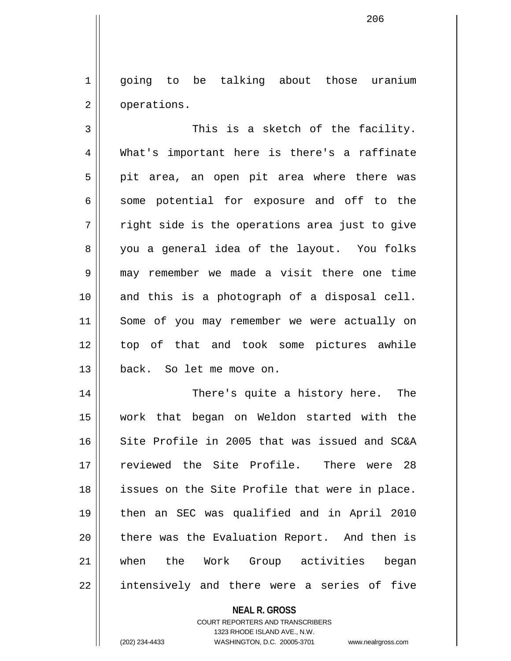1 going to be talking about those uranium 2 | operations.

206

 $3$   $\parallel$  This is a sketch of the facility. 4 What's important here is there's a raffinate  $5 \parallel$  pit area, an open pit area where there was  $6 \parallel$  some potential for exposure and off to the  $7 \parallel$  right side is the operations area just to give 8 you a general idea of the layout. You folks 9 may remember we made a visit there one time 10 and this is a photograph of a disposal cell. 11 Some of you may remember we were actually on 12 top of that and took some pictures awhile 13 back. So let me move on.

14 There's quite a history here. The 15 work that began on Weldon started with the 16  $\parallel$  Site Profile in 2005 that was issued and SC&A 17 reviewed the Site Profile. There were 28 18 || issues on the Site Profile that were in place. 19 then an SEC was qualified and in April 2010 20 || there was the Evaluation Report. And then is 21 when the Work Group activities began 22 || intensively and there were a series of five

### **NEAL R. GROSS**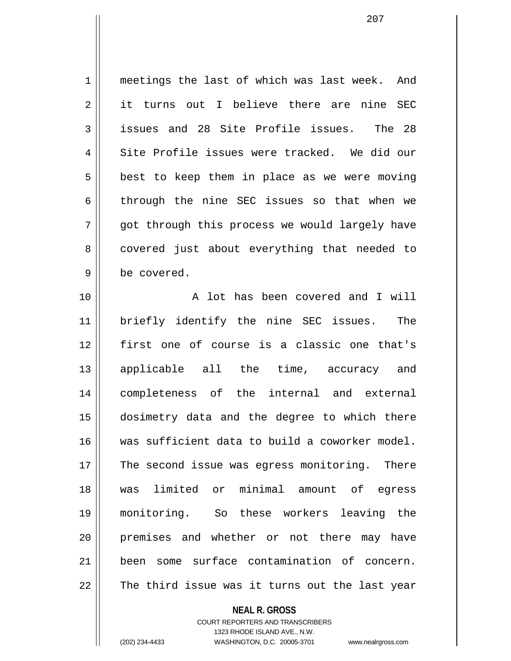1 meetings the last of which was last week. And 2 it turns out I believe there are nine SEC 3 || issues and 28 Site Profile issues. The 28  $4 \parallel$  Site Profile issues were tracked. We did our  $5 \parallel$  best to keep them in place as we were moving  $6$  || through the nine SEC issues so that when we  $7 \parallel$  got through this process we would largely have 8 || covered just about everything that needed to 9 | be covered.

10 || A lot has been covered and I will 11 briefly identify the nine SEC issues. The 12 first one of course is a classic one that's 13 applicable all the time, accuracy and 14 completeness of the internal and external 15 dosimetry data and the degree to which there 16 was sufficient data to build a coworker model. 17 The second issue was eqress monitoring. There 18 was limited or minimal amount of egress 19 monitoring. So these workers leaving the 20 || premises and whether or not there may have 21 been some surface contamination of concern.  $22$   $\parallel$  The third issue was it turns out the last year

### **NEAL R. GROSS**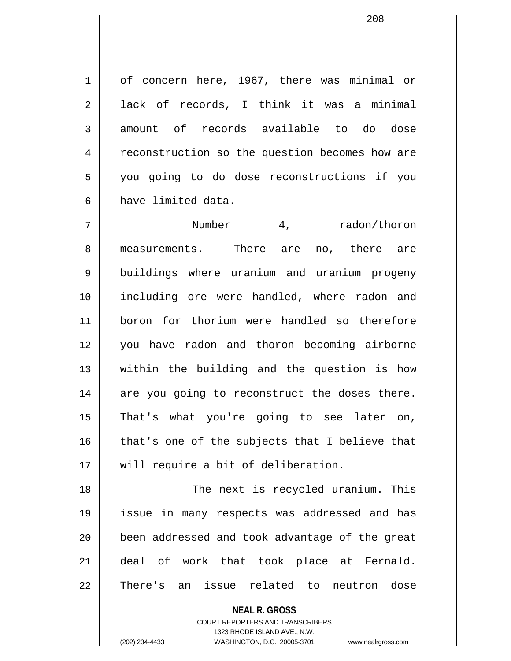1 of concern here, 1967, there was minimal or  $2 \parallel$  lack of records, I think it was a minimal 3 amount of records available to do dose 4 | reconstruction so the question becomes how are 5 you going to do dose reconstructions if you 6 have limited data.

7 Number 4, radon/thoron 8 measurements. There are no, there are 9 || buildings where uranium and uranium progeny 10 including ore were handled, where radon and 11 boron for thorium were handled so therefore 12 you have radon and thoron becoming airborne 13 within the building and the question is how 14 || are you going to reconstruct the doses there. 15 That's what you're going to see later on,  $16$  | that's one of the subjects that I believe that 17 || will require a bit of deliberation.

18 || The next is recycled uranium. This 19 issue in many respects was addressed and has 20 || been addressed and took advantage of the great 21 deal of work that took place at Fernald. 22 || There's an issue related to neutron dose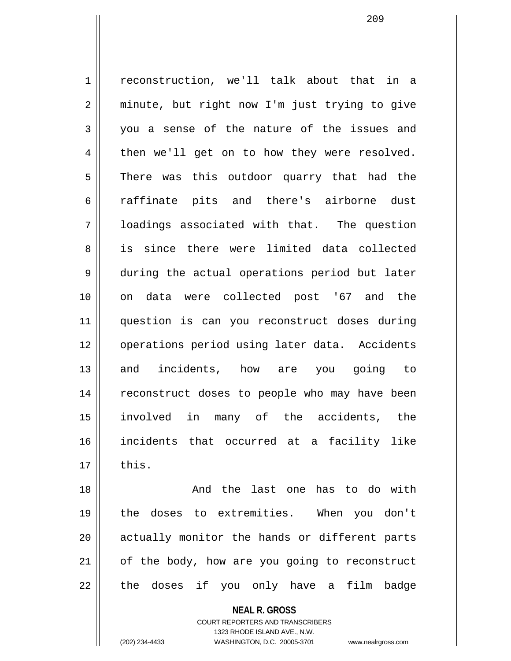1 | reconstruction, we'll talk about that in a 2 || minute, but right now I'm just trying to give  $3 \parallel$  you a sense of the nature of the issues and  $4 \parallel$  then we'll get on to how they were resolved.  $5 \parallel$  There was this outdoor quarry that had the 6 || raffinate pits and there's airborne dust 7 loadings associated with that. The question 8 || is since there were limited data collected 9 during the actual operations period but later 10 on data were collected post '67 and the 11 question is can you reconstruct doses during 12 || operations period using later data. Accidents 13 and incidents, how are you going to 14 || reconstruct doses to people who may have been 15 involved in many of the accidents, the 16 incidents that occurred at a facility like  $17 \parallel$  this.

18 And the last one has to do with 19 the doses to extremities. When you don't 20 || actually monitor the hands or different parts  $21$  of the body, how are you going to reconstruct  $22$  || the doses if you only have a film badge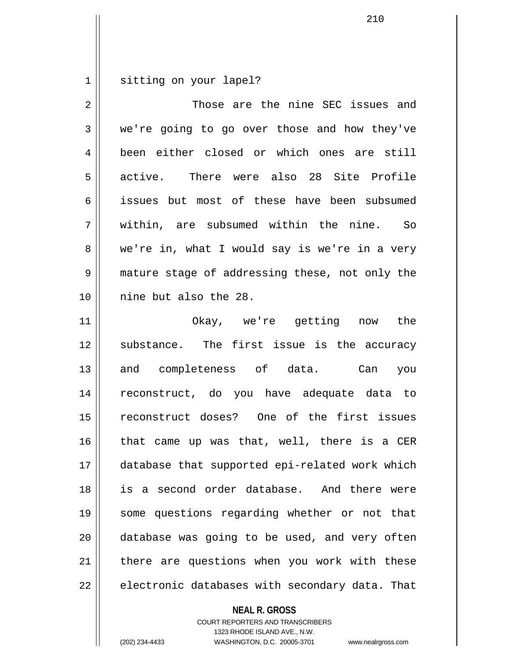1 | sitting on your lapel?

| 2  | Those are the nine SEC issues and              |
|----|------------------------------------------------|
| 3  | we're going to go over those and how they've   |
| 4  | been either closed or which ones are still     |
| 5  | There were also 28 Site Profile<br>active.     |
| 6  | issues but most of these have been subsumed    |
| 7  | within, are subsumed within the nine. So       |
| 8  | we're in, what I would say is we're in a very  |
| 9  | mature stage of addressing these, not only the |
| 10 | nine but also the 28.                          |
| 11 | Okay, we're getting now the                    |
| 12 | substance. The first issue is the accuracy     |
| 13 | and completeness of data. Can<br>you           |
| 14 | reconstruct, do you have adequate data to      |
| 15 | reconstruct doses? One of the first issues     |
| 16 | that came up was that, well, there is a CER    |
| 17 | database that supported epi-related work which |
| 18 | is a second order database. And there were     |
| 19 | some questions regarding whether or not that   |
| 20 | database was going to be used, and very often  |
| 21 | there are questions when you work with these   |
| 22 | electronic databases with secondary data. That |

**NEAL R. GROSS**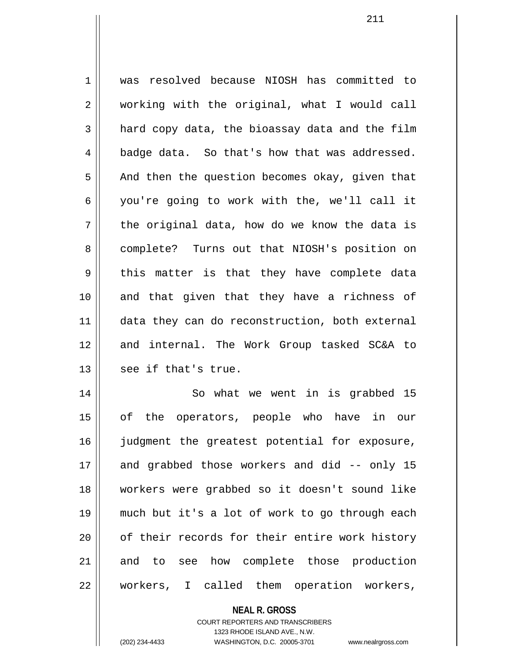1 was resolved because NIOSH has committed to 2 || working with the original, what I would call  $3 \parallel$  hard copy data, the bioassay data and the film  $4 \parallel$  badge data. So that's how that was addressed.  $5 \parallel$  And then the question becomes okay, given that 6 || you're going to work with the, we'll call it  $7 \parallel$  the original data, how do we know the data is 8 complete? Turns out that NIOSH's position on  $9 \parallel$  this matter is that they have complete data 10 and that given that they have a richness of 11 || data they can do reconstruction, both external 12 and internal. The Work Group tasked SC&A to  $13$  | see if that's true. 14 || So what we went in is grabbed 15

15 of the operators, people who have in our 16 judgment the greatest potential for exposure, 17 and grabbed those workers and did -- only 15 18 workers were grabbed so it doesn't sound like 19 much but it's a lot of work to go through each 20 || of their records for their entire work history 21 and to see how complete those production 22 || workers, I called them operation workers,

> **NEAL R. GROSS** COURT REPORTERS AND TRANSCRIBERS 1323 RHODE ISLAND AVE., N.W. (202) 234-4433 WASHINGTON, D.C. 20005-3701 www.nealrgross.com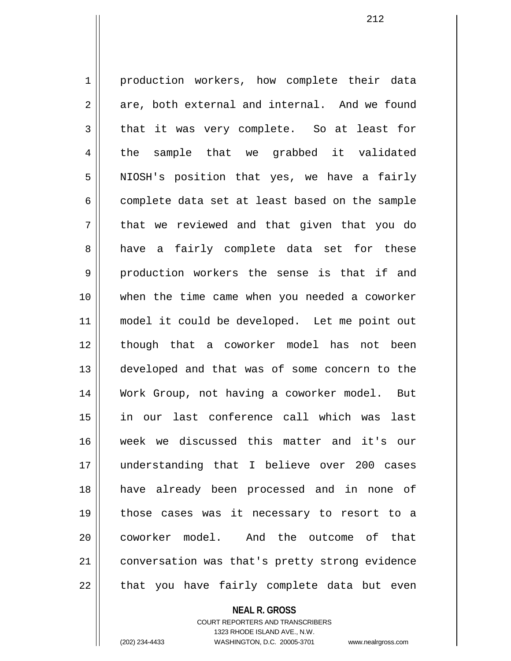1 | production workers, how complete their data  $2 \parallel$  are, both external and internal. And we found  $3 \parallel$  that it was very complete. So at least for  $4 \parallel$  the sample that we grabbed it validated 5 || NIOSH's position that yes, we have a fairly  $6 \parallel$  complete data set at least based on the sample 7 || that we reviewed and that given that you do 8 a have a fairly complete data set for these 9 production workers the sense is that if and 10 when the time came when you needed a coworker 11 || model it could be developed. Let me point out 12 || though that a coworker model has not been 13 || developed and that was of some concern to the 14 Work Group, not having a coworker model. But 15 in our last conference call which was last 16 week we discussed this matter and it's our 17 understanding that I believe over 200 cases 18 have already been processed and in none of 19 those cases was it necessary to resort to a 20 ll coworker model. And the outcome of that 21 | conversation was that's pretty strong evidence 22 || that you have fairly complete data but even

**NEAL R. GROSS**

COURT REPORTERS AND TRANSCRIBERS 1323 RHODE ISLAND AVE., N.W. (202) 234-4433 WASHINGTON, D.C. 20005-3701 www.nealrgross.com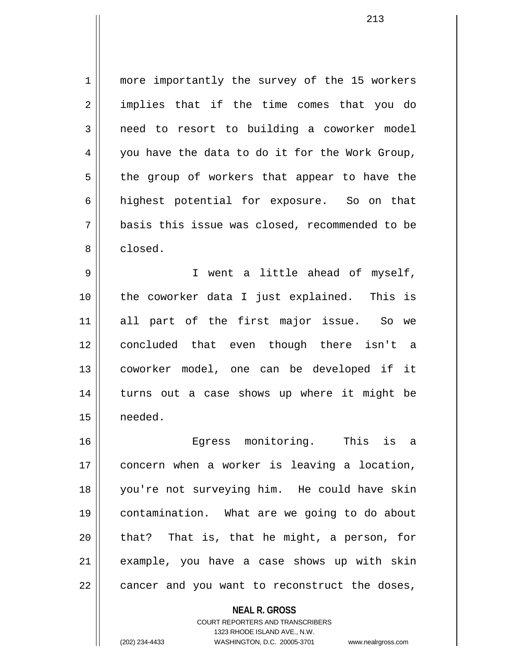1 || more importantly the survey of the 15 workers 2 || implies that if the time comes that you do  $3 \parallel$  need to resort to building a coworker model  $4 \parallel$  you have the data to do it for the Work Group,  $5 \parallel$  the group of workers that appear to have the 6 highest potential for exposure. So on that 7 basis this issue was closed, recommended to be 8 closed.

9 || I went a little ahead of myself, 10 the coworker data I just explained. This is 11 all part of the first major issue. So we 12 concluded that even though there isn't a 13 coworker model, one can be developed if it 14 || turns out a case shows up where it might be 15 needed.

16 Egress monitoring. This is a 17 concern when a worker is leaving a location, 18 you're not surveying him. He could have skin 19 contamination. What are we going to do about  $20$  || that? That is, that he might, a person, for 21 example, you have a case shows up with skin  $22$  || cancer and you want to reconstruct the doses,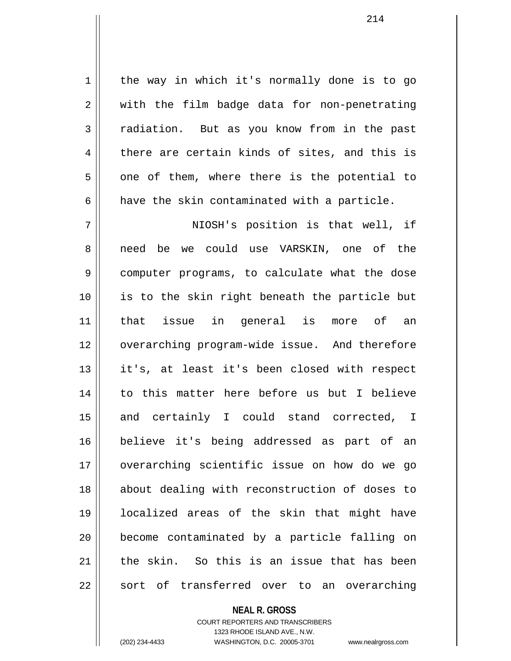1 | the way in which it's normally done is to go 2 || with the film badge data for non-penetrating 3 Tadiation. But as you know from in the past  $4 \parallel$  there are certain kinds of sites, and this is  $5 \parallel$  one of them, where there is the potential to  $6 \parallel$  have the skin contaminated with a particle.

7 NIOSH's position is that well, if 8 need be we could use VARSKIN, one of the 9 || computer programs, to calculate what the dose 10 is to the skin right beneath the particle but 11 that issue in general is more of an 12 || overarching program-wide issue. And therefore 13 it's, at least it's been closed with respect 14 to this matter here before us but I believe 15 and certainly I could stand corrected, I 16 believe it's being addressed as part of an 17 overarching scientific issue on how do we go 18 about dealing with reconstruction of doses to 19 localized areas of the skin that might have 20 || become contaminated by a particle falling on 21 the skin. So this is an issue that has been  $22 \parallel$  sort of transferred over to an overarching

## **NEAL R. GROSS**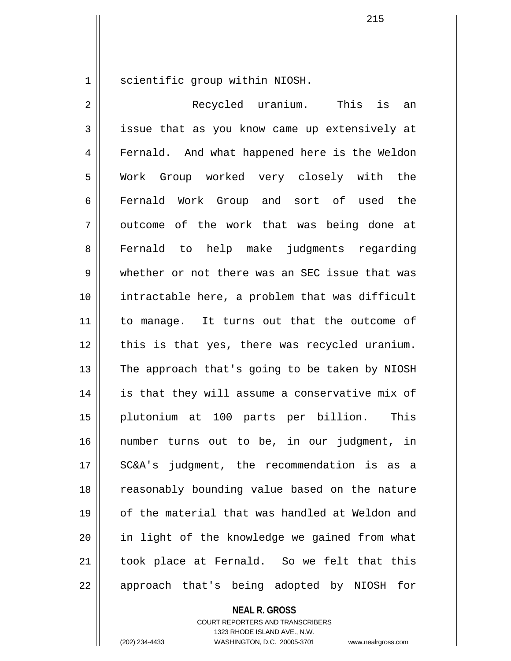1 || scientific group within NIOSH.

2 Recycled uranium. This is an 3 || issue that as you know came up extensively at 4 | Fernald. And what happened here is the Weldon 5 Work Group worked very closely with the 6 Fernald Work Group and sort of used the  $7 \parallel$  outcome of the work that was being done at 8 Fernald to help make judgments regarding 9 whether or not there was an SEC issue that was 10 intractable here, a problem that was difficult 11 || to manage. It turns out that the outcome of 12 || this is that yes, there was recycled uranium.  $13$  The approach that's going to be taken by NIOSH 14 || is that they will assume a conservative mix of 15 plutonium at 100 parts per billion. This 16 number turns out to be, in our judgment, in 17 SC&A's judgment, the recommendation is as a 18 || reasonably bounding value based on the nature 19 of the material that was handled at Weldon and 20 in light of the knowledge we gained from what  $21$  took place at Fernald. So we felt that this 22 || approach that's being adopted by NIOSH for

**NEAL R. GROSS**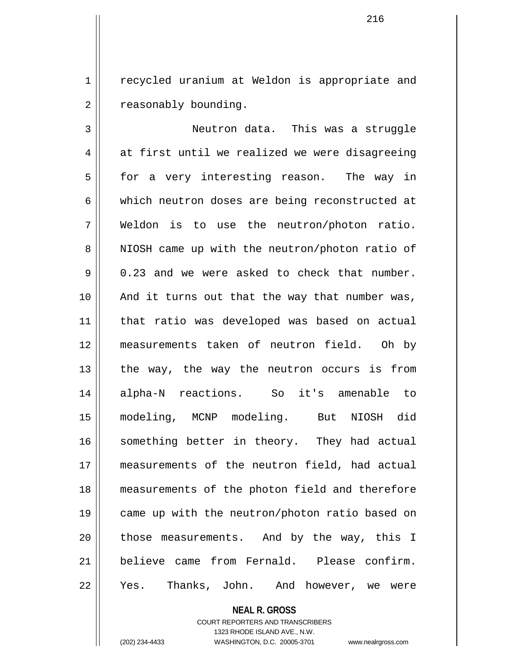1 || recycled uranium at Weldon is appropriate and 2 | reasonably bounding.

3 Neutron data. This was a struggle  $4 \parallel$  at first until we realized we were disagreeing 5 | for a very interesting reason. The way in 6 which neutron doses are being reconstructed at 7 Weldon is to use the neutron/photon ratio. 8 || NIOSH came up with the neutron/photon ratio of  $9 \parallel 0.23$  and we were asked to check that number. 10 And it turns out that the way that number was, 11 that ratio was developed was based on actual 12 measurements taken of neutron field. Oh by 13 the way, the way the neutron occurs is from 14 alpha-N reactions. So it's amenable to 15 modeling, MCNP modeling. But NIOSH did 16 something better in theory. They had actual 17 measurements of the neutron field, had actual 18 measurements of the photon field and therefore 19 came up with the neutron/photon ratio based on  $20$  || those measurements. And by the way, this I 21 believe came from Fernald. Please confirm. 22 || Yes. Thanks, John. And however, we were

**NEAL R. GROSS**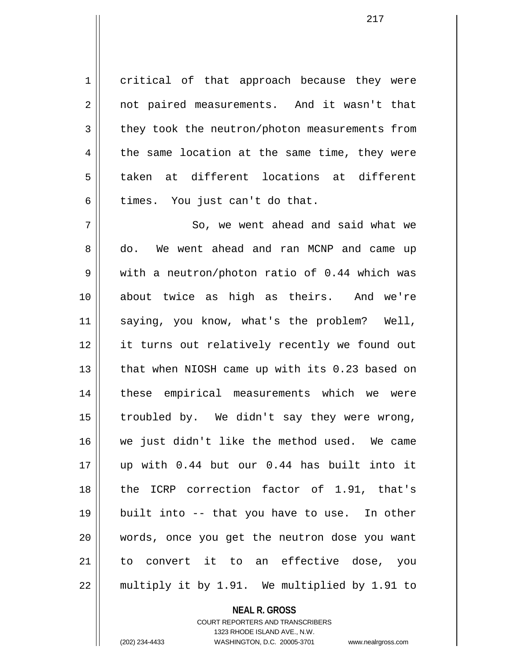1 critical of that approach because they were 2 || not paired measurements. And it wasn't that 3 they took the neutron/photon measurements from  $4 \parallel$  the same location at the same time, they were 5 taken at different locations at different  $6 \parallel$  times. You just can't do that.

 $7 \parallel$  So, we went ahead and said what we 8 do. We went ahead and ran MCNP and came up 9 with a neutron/photon ratio of 0.44 which was 10 about twice as high as theirs. And we're 11 saying, you know, what's the problem? Well, 12 || it turns out relatively recently we found out 13 || that when NIOSH came up with its 0.23 based on 14 these empirical measurements which we were 15  $\parallel$  troubled by. We didn't say they were wrong, 16 we just didn't like the method used. We came 17 up with 0.44 but our 0.44 has built into it 18 the ICRP correction factor of 1.91, that's 19 built into -- that you have to use. In other 20 words, once you get the neutron dose you want 21 to convert it to an effective dose, you  $22$  | multiply it by 1.91. We multiplied by 1.91 to

## **NEAL R. GROSS**

COURT REPORTERS AND TRANSCRIBERS 1323 RHODE ISLAND AVE., N.W. (202) 234-4433 WASHINGTON, D.C. 20005-3701 www.nealrgross.com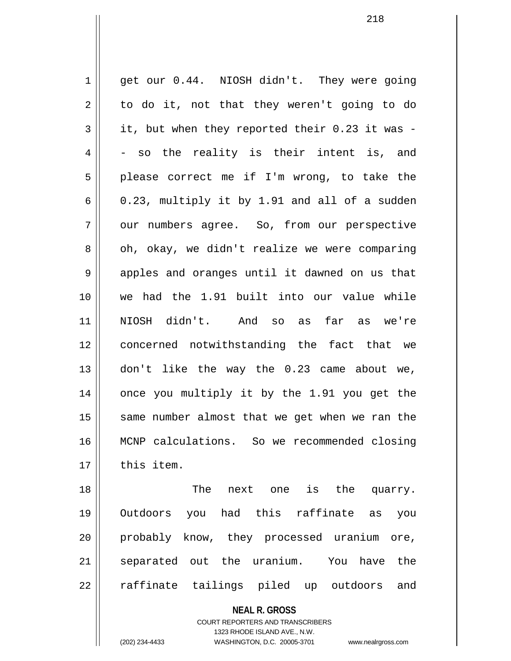1 || get our 0.44. NIOSH didn't. They were going  $2 \parallel$  to do it, not that they weren't going to do  $3 \parallel$  it, but when they reported their 0.23 it was - $4 \parallel$  - so the reality is their intent is, and  $5 \parallel$  please correct me if I'm wrong, to take the  $6 \parallel$  0.23, multiply it by 1.91 and all of a sudden 7 | our numbers agree. So, from our perspective  $8 \parallel$  oh, okay, we didn't realize we were comparing 9 apples and oranges until it dawned on us that 10 we had the 1.91 built into our value while 11 NIOSH didn't. And so as far as we're 12 concerned notwithstanding the fact that we 13 don't like the way the 0.23 came about we, 14 || once you multiply it by the 1.91 you get the  $15$  same number almost that we get when we ran the 16 MCNP calculations. So we recommended closing  $17$   $\parallel$  this item. 18 The next one is the quarry.

19 Outdoors you had this raffinate as you 20 probably know, they processed uranium ore, 21 || separated out the uranium. You have the 22 || raffinate tailings piled up outdoors and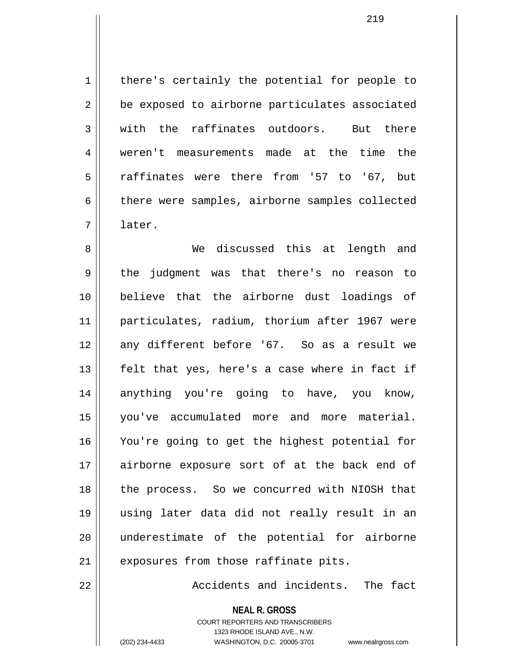1 | there's certainly the potential for people to 2 | be exposed to airborne particulates associated  $3 \parallel$  with the raffinates outdoors. But there 4 weren't measurements made at the time the 5 raffinates were there from '57 to '67, but 6 there were samples, airborne samples collected 7 later.

8 We discussed this at length and 9 the judgment was that there's no reason to 10 believe that the airborne dust loadings of 11 particulates, radium, thorium after 1967 were 12 any different before '67. So as a result we 13 felt that yes, here's a case where in fact if 14 anything you're going to have, you know, 15 you've accumulated more and more material. 16 You're going to get the highest potential for 17 airborne exposure sort of at the back end of 18 || the process. So we concurred with NIOSH that 19 using later data did not really result in an 20 underestimate of the potential for airborne  $21$  || exposures from those raffinate pits.

22 **Accidents** and incidents. The fact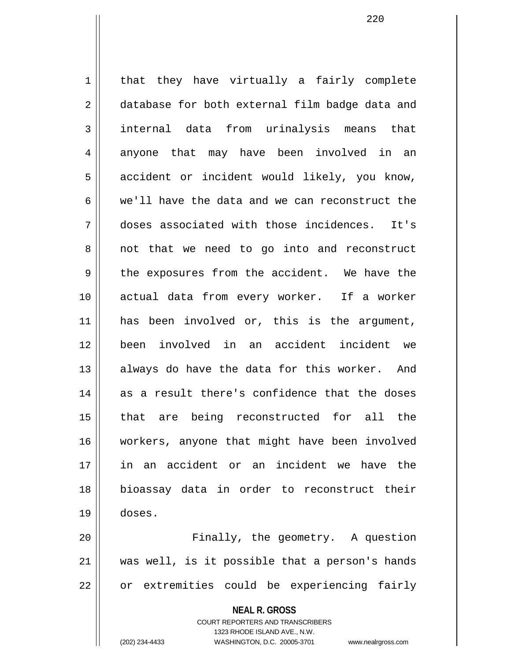1 | that they have virtually a fairly complete 2 database for both external film badge data and 3 internal data from urinalysis means that 4 anyone that may have been involved in an 5 || accident or incident would likely, you know, 6 we'll have the data and we can reconstruct the 7 doses associated with those incidences. It's  $8 \parallel$  not that we need to go into and reconstruct 9 the exposures from the accident. We have the 10 actual data from every worker. If a worker 11 has been involved or, this is the argument, 12 been involved in an accident incident we 13 || always do have the data for this worker. And 14 as a result there's confidence that the doses 15 that are being reconstructed for all the 16 workers, anyone that might have been involved 17 in an accident or an incident we have the 18 bioassay data in order to reconstruct their 19 doses.

20 || Finally, the geometry. A question 21 was well, is it possible that a person's hands  $22$  | or extremities could be experiencing fairly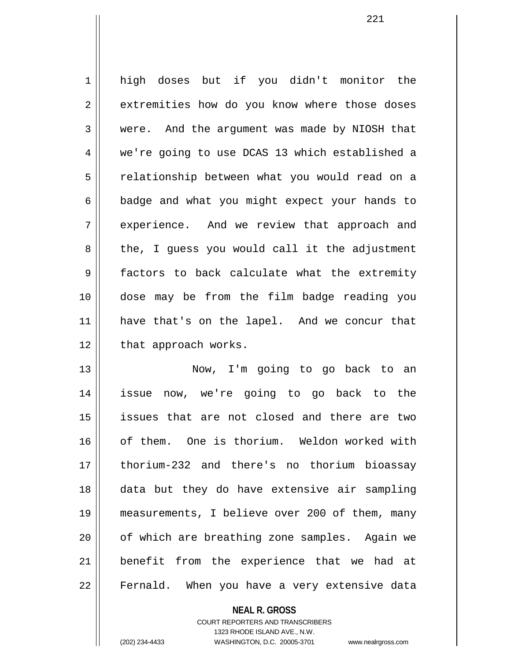1 high doses but if you didn't monitor the 2 | extremities how do you know where those doses 3 were. And the argument was made by NIOSH that 4 we're going to use DCAS 13 which established a 5 | relationship between what you would read on a  $6 \parallel$  badge and what you might expect your hands to 7 || experience. And we review that approach and 8 || the, I guess you would call it the adjustment 9 factors to back calculate what the extremity 10 dose may be from the film badge reading you 11 have that's on the lapel. And we concur that  $12$  | that approach works.

13 Now, I'm going to go back to an 14 issue now, we're going to go back to the 15 issues that are not closed and there are two 16 of them. One is thorium. Weldon worked with 17 thorium-232 and there's no thorium bioassay 18 data but they do have extensive air sampling 19 measurements, I believe over 200 of them, many 20 || of which are breathing zone samples. Again we 21 benefit from the experience that we had at 22 || Fernald. When you have a very extensive data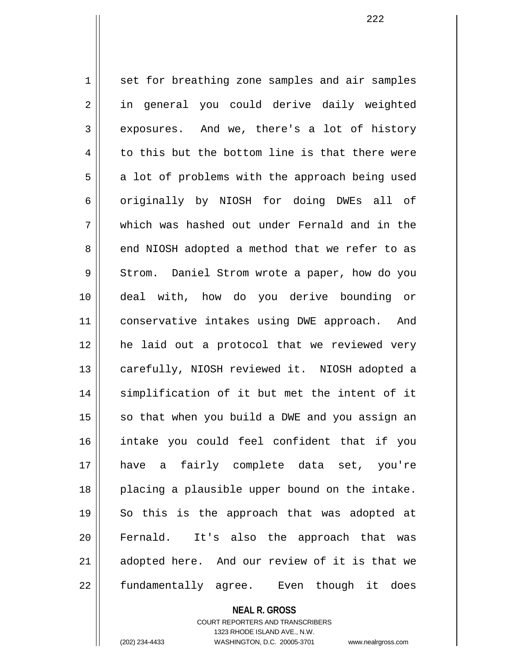1 set for breathing zone samples and air samples 2 || in general you could derive daily weighted 3 || exposures. And we, there's a lot of history  $4 \parallel$  to this but the bottom line is that there were  $5 \parallel$  a lot of problems with the approach being used 6 || originally by NIOSH for doing DWEs all of 7 which was hashed out under Fernald and in the 8 end NIOSH adopted a method that we refer to as 9 Strom. Daniel Strom wrote a paper, how do you 10 deal with, how do you derive bounding or 11 || conservative intakes using DWE approach. And 12 he laid out a protocol that we reviewed very 13 || carefully, NIOSH reviewed it. NIOSH adopted a 14 || simplification of it but met the intent of it  $15$  so that when you build a DWE and you assign an 16 intake you could feel confident that if you 17 have a fairly complete data set, you're 18 placing a plausible upper bound on the intake. 19 || So this is the approach that was adopted at 20 Fernald. It's also the approach that was 21 || adopted here. And our review of it is that we 22 || fundamentally agree. Even though it does

> **NEAL R. GROSS** COURT REPORTERS AND TRANSCRIBERS

> > 1323 RHODE ISLAND AVE., N.W.

(202) 234-4433 WASHINGTON, D.C. 20005-3701 www.nealrgross.com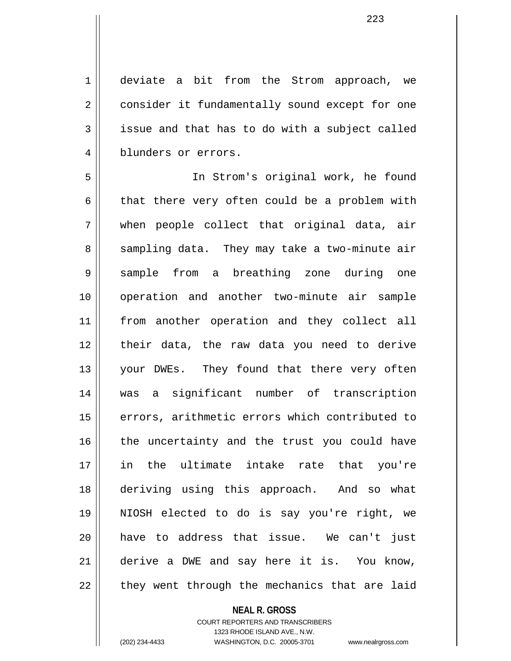1 deviate a bit from the Strom approach, we 2 | consider it fundamentally sound except for one  $3 \parallel$  issue and that has to do with a subject called 4 blunders or errors.

5 In Strom's original work, he found  $6 \parallel$  that there very often could be a problem with  $7 \parallel$  when people collect that original data, air 8 Sampling data. They may take a two-minute air 9 sample from a breathing zone during one 10 operation and another two-minute air sample 11 from another operation and they collect all 12 their data, the raw data you need to derive 13 || your DWEs. They found that there very often 14 was a significant number of transcription 15 || errors, arithmetic errors which contributed to  $16$  the uncertainty and the trust you could have 17 in the ultimate intake rate that you're 18 deriving using this approach. And so what 19 NIOSH elected to do is say you're right, we 20 have to address that issue. We can't just 21 derive a DWE and say here it is. You know,  $22$  || they went through the mechanics that are laid

## **NEAL R. GROSS**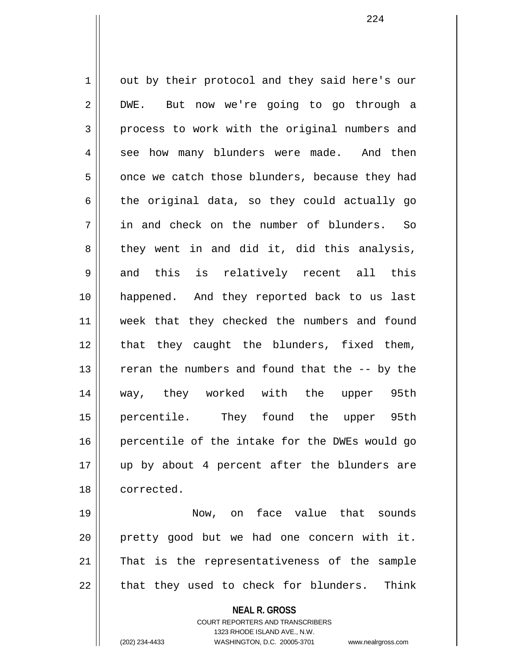1 | out by their protocol and they said here's our 2 DWE. But now we're going to go through a 3 process to work with the original numbers and 4 || see how many blunders were made. And then  $5 \parallel$  once we catch those blunders, because they had  $6 \parallel$  the original data, so they could actually go 7 in and check on the number of blunders. So  $8 \parallel$  they went in and did it, did this analysis,  $9 \parallel$  and this is relatively recent all this 10 happened. And they reported back to us last 11 week that they checked the numbers and found 12 || that they caught the blunders, fixed them, 13 || reran the numbers and found that the -- by the 14 way, they worked with the upper 95th 15 percentile. They found the upper 95th 16 percentile of the intake for the DWEs would go 17 up by about 4 percent after the blunders are 18 corrected.

19 Now, on face value that sounds 20 pretty good but we had one concern with it. 21 That is the representativeness of the sample  $22$  || that they used to check for blunders. Think

> **NEAL R. GROSS** COURT REPORTERS AND TRANSCRIBERS

1323 RHODE ISLAND AVE., N.W. (202) 234-4433 WASHINGTON, D.C. 20005-3701 www.nealrgross.com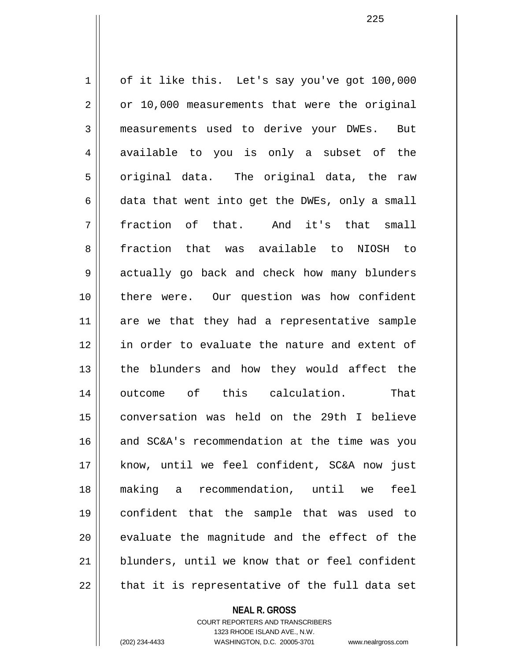1 | of it like this. Let's say you've got 100,000  $2 \parallel$  or 10,000 measurements that were the original 3 measurements used to derive your DWEs. But  $4 \parallel$  available to you is only a subset of the  $5 \parallel$  original data. The original data, the raw  $6 \parallel$  data that went into get the DWEs, only a small 7 || fraction of that. And it's that small 8 fraction that was available to NIOSH to 9 actually go back and check how many blunders 10 there were. Our question was how confident 11 are we that they had a representative sample 12 || in order to evaluate the nature and extent of 13 || the blunders and how they would affect the 14 outcome of this calculation. That 15 conversation was held on the 29th I believe 16 and SC&A's recommendation at the time was you 17 know, until we feel confident, SC&A now just 18 making a recommendation, until we feel 19 confident that the sample that was used to  $20$   $\parallel$  evaluate the magnitude and the effect of the 21 || blunders, until we know that or feel confident  $22$  || that it is representative of the full data set

> **NEAL R. GROSS** COURT REPORTERS AND TRANSCRIBERS

> > 1323 RHODE ISLAND AVE., N.W.

(202) 234-4433 WASHINGTON, D.C. 20005-3701 www.nealrgross.com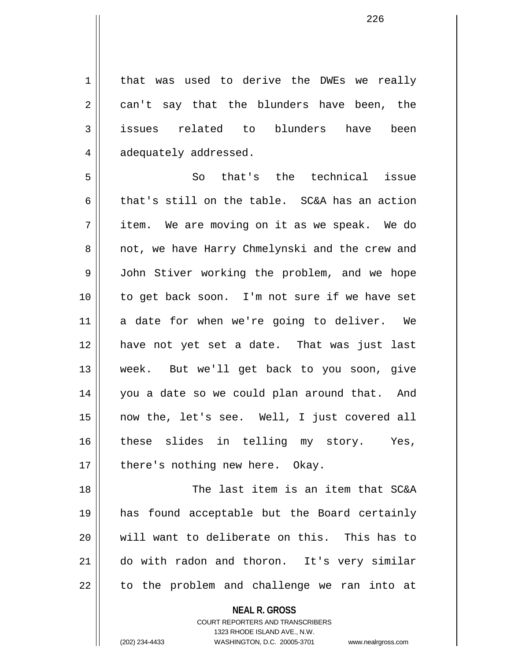1 | that was used to derive the DWEs we really  $2 \parallel$  can't say that the blunders have been, the 3 || issues related to blunders have been 4 adequately addressed.

5 So that's the technical issue 6 that's still on the table. SC&A has an action  $7 \parallel$  item. We are moving on it as we speak. We do 8 || not, we have Harry Chmelynski and the crew and 9 | John Stiver working the problem, and we hope 10 to get back soon. I'm not sure if we have set 11 a date for when we're going to deliver. We 12 have not yet set a date. That was just last 13 week. But we'll get back to you soon, give 14 you a date so we could plan around that. And 15 now the, let's see. Well, I just covered all 16 || these slides in telling my story. Yes,  $17$  | there's nothing new here. Okay.

18 The last item is an item that SC&A 19 has found acceptable but the Board certainly 20 will want to deliberate on this. This has to 21 do with radon and thoron. It's very similar 22 || to the problem and challenge we ran into at

> **NEAL R. GROSS** COURT REPORTERS AND TRANSCRIBERS

> > 1323 RHODE ISLAND AVE., N.W.

(202) 234-4433 WASHINGTON, D.C. 20005-3701 www.nealrgross.com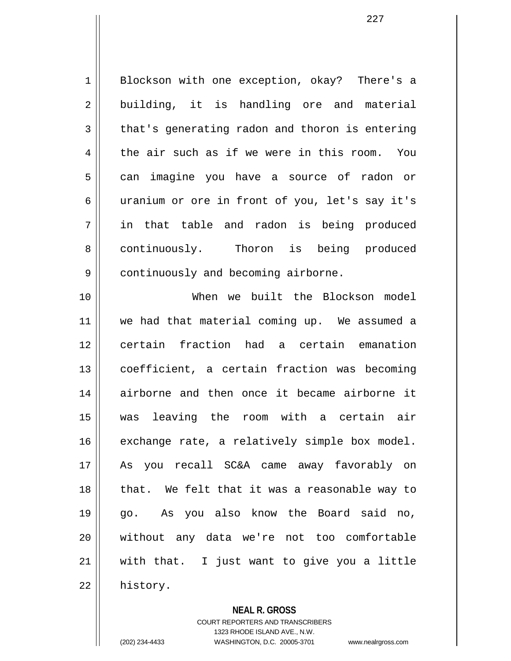1 || Blockson with one exception, okay? There's a  $2 \parallel$  building, it is handling ore and material  $3 \parallel$  that's generating radon and thoron is entering  $4 \parallel$  the air such as if we were in this room. You 5 can imagine you have a source of radon or 6 uranium or ore in front of you, let's say it's 7 in that table and radon is being produced 8 continuously. Thoron is being produced 9 | continuously and becoming airborne.

10 When we built the Blockson model 11 we had that material coming up. We assumed a 12 certain fraction had a certain emanation 13 coefficient, a certain fraction was becoming 14 airborne and then once it became airborne it 15 was leaving the room with a certain air  $16$  exchange rate, a relatively simple box model. 17 As you recall SC&A came away favorably on 18 || that. We felt that it was a reasonable way to 19 go. As you also know the Board said no, 20 without any data we're not too comfortable  $21$  with that. I just want to give you a little 22 | history.

**NEAL R. GROSS**

COURT REPORTERS AND TRANSCRIBERS 1323 RHODE ISLAND AVE., N.W. (202) 234-4433 WASHINGTON, D.C. 20005-3701 www.nealrgross.com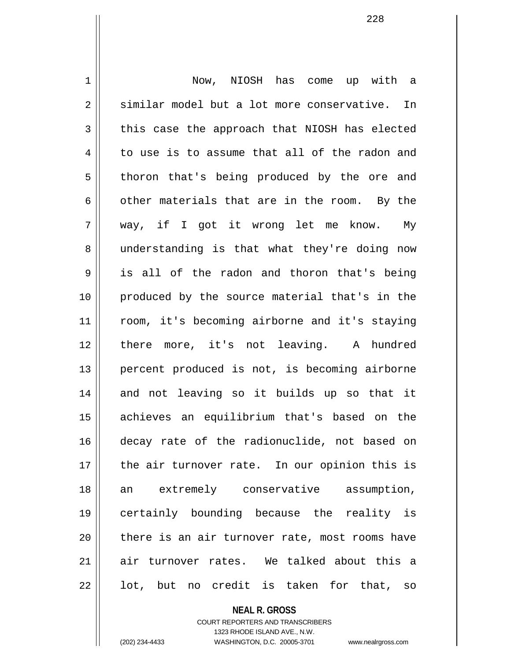1 Now, NIOSH has come up with a  $2 \parallel$  similar model but a lot more conservative. In  $3 \parallel$  this case the approach that NIOSH has elected  $4 \parallel$  to use is to assume that all of the radon and 5 || thoron that's being produced by the ore and 6  $\parallel$  other materials that are in the room. By the 7 way, if I got it wrong let me know. My 8 || understanding is that what they're doing now 9 || is all of the radon and thoron that's being 10 produced by the source material that's in the 11 room, it's becoming airborne and it's staying 12 there more, it's not leaving. A hundred 13 || percent produced is not, is becoming airborne 14 and not leaving so it builds up so that it 15 achieves an equilibrium that's based on the 16 decay rate of the radionuclide, not based on  $17$  || the air turnover rate. In our opinion this is 18 an extremely conservative assumption, 19 certainly bounding because the reality is  $20$  || there is an air turnover rate, most rooms have 21 air turnover rates. We talked about this a  $22 \parallel$  lot, but no credit is taken for that, so

**NEAL R. GROSS**

COURT REPORTERS AND TRANSCRIBERS 1323 RHODE ISLAND AVE., N.W. (202) 234-4433 WASHINGTON, D.C. 20005-3701 www.nealrgross.com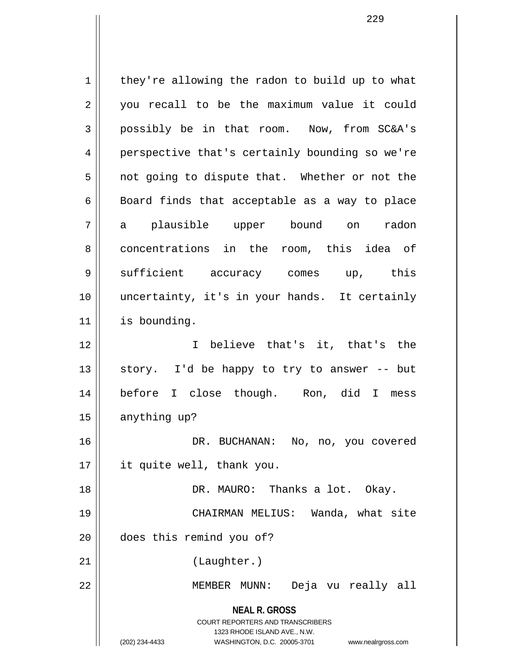**NEAL R. GROSS** COURT REPORTERS AND TRANSCRIBERS 1323 RHODE ISLAND AVE., N.W. (202) 234-4433 WASHINGTON, D.C. 20005-3701 www.nealrgross.com  $1 \parallel$  they're allowing the radon to build up to what 2 || you recall to be the maximum value it could 3 possibly be in that room. Now, from SC&A's 4 || perspective that's certainly bounding so we're  $5 \parallel$  not going to dispute that. Whether or not the  $6 \parallel$  Board finds that acceptable as a way to place 7 a plausible upper bound on radon 8 concentrations in the room, this idea of 9 Sufficient accuracy comes up, this 10 uncertainty, it's in your hands. It certainly 11 is bounding. 12 I believe that's it, that's the 13  $\parallel$  story. I'd be happy to try to answer -- but 14 before I close though. Ron, did I mess 15 | anything up? 16 DR. BUCHANAN: No, no, you covered 17 it quite well, thank you. 18 || DR. MAURO: Thanks a lot. Okay. 19 CHAIRMAN MELIUS: Wanda, what site 20 does this remind you of? 21 (Laughter.) 22 MEMBER MUNN: Deja vu really all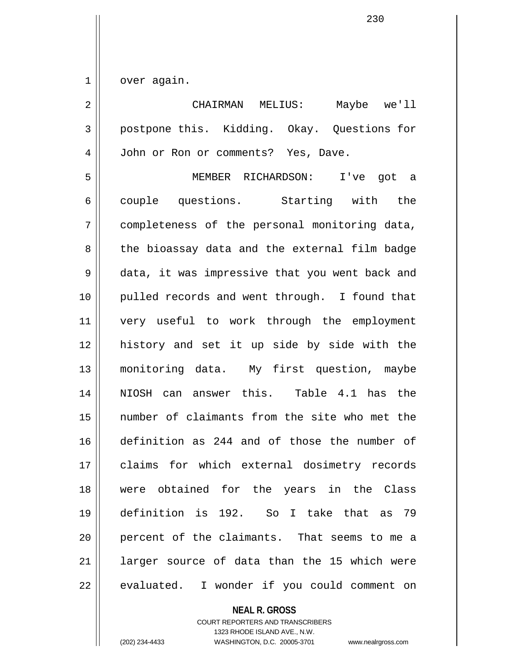$1 \parallel$  over again.

| 2              | CHAIRMAN MELIUS: Maybe we'll                   |
|----------------|------------------------------------------------|
| $\mathfrak{Z}$ | postpone this. Kidding. Okay. Questions for    |
| 4              | John or Ron or comments? Yes, Dave.            |
| 5              | MEMBER RICHARDSON: I've got a                  |
| 6              | couple questions. Starting with the            |
| 7              | completeness of the personal monitoring data,  |
| 8              | the bioassay data and the external film badge  |
| 9              | data, it was impressive that you went back and |
| 10             | pulled records and went through. I found that  |
| 11             | very useful to work through the employment     |
| 12             | history and set it up side by side with the    |
| 13             | monitoring data. My first question, maybe      |
| 14             | NIOSH can answer this. Table 4.1 has the       |
| 15             | number of claimants from the site who met the  |
| 16             | definition as 244 and of those the number of   |
| 17             | claims for which external dosimetry records    |
| 18             | were obtained for the years in the Class       |
| 19             | definition is 192. So I take that as 79        |
| 20             | percent of the claimants. That seems to me a   |
| 21             | larger source of data than the 15 which were   |
| 22             | evaluated. I wonder if you could comment on    |

**NEAL R. GROSS**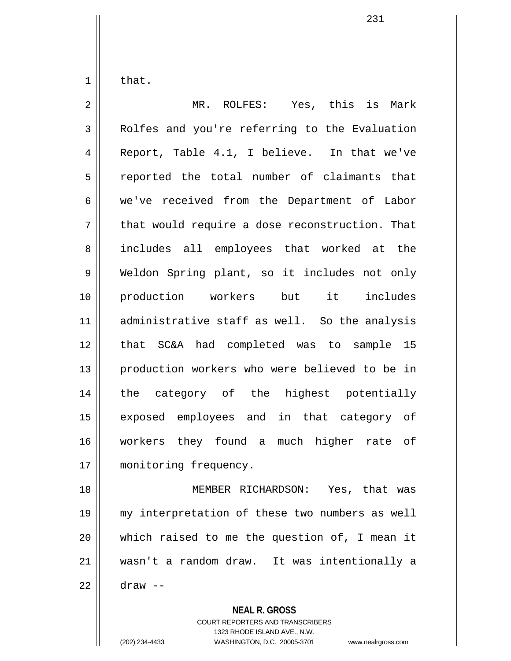$1 \parallel$  that.

2 MR. ROLFES: Yes, this is Mark 3 Rolfes and you're referring to the Evaluation 4 Report, Table 4.1, I believe. In that we've 5 || reported the total number of claimants that 6 we've received from the Department of Labor  $7 \parallel$  that would require a dose reconstruction. That 8 || includes all employees that worked at the 9 Weldon Spring plant, so it includes not only 10 production workers but it includes 11 administrative staff as well. So the analysis 12 that SC&A had completed was to sample 15 13 || production workers who were believed to be in 14 the category of the highest potentially 15 || exposed employees and in that category of 16 workers they found a much higher rate of 17 | monitoring frequency. 18 || MEMBER RICHARDSON: Yes, that was 19 my interpretation of these two numbers as well 20 which raised to me the question of, I mean it

21 wasn't a random draw. It was intentionally a

22 draw --

**NEAL R. GROSS**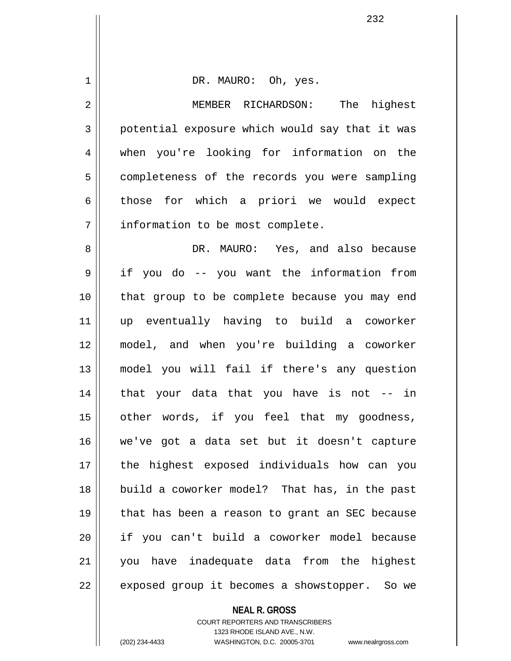| $\mathbf 1$ | DR. MAURO: Oh, yes.                            |
|-------------|------------------------------------------------|
| 2           | MEMBER RICHARDSON: The<br>highest              |
| 3           | potential exposure which would say that it was |
| 4           | when you're looking for information on the     |
| 5           | completeness of the records you were sampling  |
| 6           | those for which a priori we would expect       |
| 7           | information to be most complete.               |
| 8           | DR. MAURO: Yes, and also because               |
| 9           | if you do -- you want the information from     |
| 10          | that group to be complete because you may end  |
| 11          | up eventually having to build a coworker       |
| 12          | model, and when you're building a coworker     |
| 13          | model you will fail if there's any question    |
| 14          | that your data that you have is not -- in      |
| 15          | other words, if you feel that my goodness,     |
| 16          | we've got a data set but it doesn't capture    |
| 17          | the highest exposed individuals how can you    |
| 18          | build a coworker model? That has, in the past  |
| 19          | that has been a reason to grant an SEC because |
| 20          | if you can't build a coworker model because    |
| 21          | you have inadequate data from the highest      |
| 22          | exposed group it becomes a showstopper. So we  |
|             | <b>NEAL R. GROSS</b>                           |

COURT REPORTERS AND TRANSCRIBERS 1323 RHODE ISLAND AVE., N.W.

 $\mathbf{I}$ 

(202) 234-4433 WASHINGTON, D.C. 20005-3701 www.nealrgross.com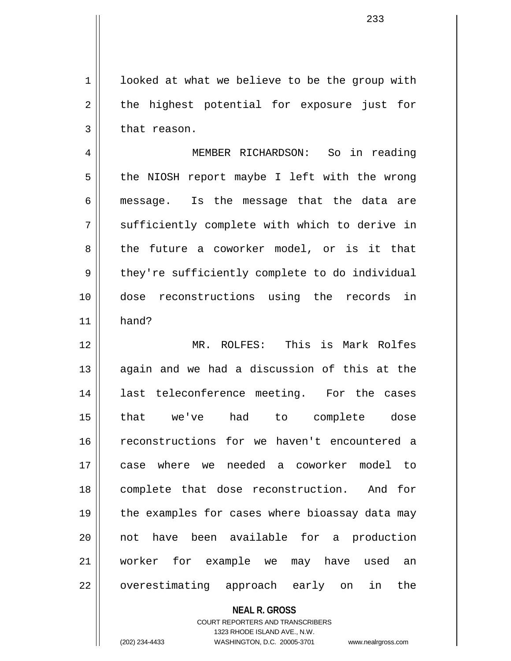$1 \parallel$  looked at what we believe to be the group with  $2 \parallel$  the highest potential for exposure just for  $3 \parallel$  that reason.

4 MEMBER RICHARDSON: So in reading  $5 \parallel$  the NIOSH report maybe I left with the wrong 6 message. Is the message that the data are 7 Sufficiently complete with which to derive in 8 the future a coworker model, or is it that  $9 \parallel$  they're sufficiently complete to do individual 10 dose reconstructions using the records in  $11$  hand?

12 MR. ROLFES: This is Mark Rolfes 13 || again and we had a discussion of this at the 14 last teleconference meeting. For the cases 15 that we've had to complete dose 16 || reconstructions for we haven't encountered a 17 case where we needed a coworker model to 18 complete that dose reconstruction. And for 19 || the examples for cases where bioassay data may 20 not have been available for a production 21 worker for example we may have used an 22 || overestimating approach early on in the

## **NEAL R. GROSS** COURT REPORTERS AND TRANSCRIBERS 1323 RHODE ISLAND AVE., N.W. (202) 234-4433 WASHINGTON, D.C. 20005-3701 www.nealrgross.com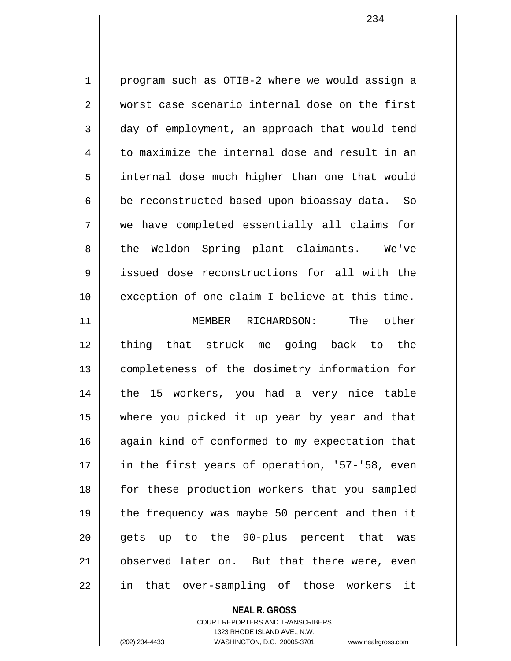1 program such as OTIB-2 where we would assign a 2 worst case scenario internal dose on the first 3 day of employment, an approach that would tend  $4 \parallel$  to maximize the internal dose and result in an 5 internal dose much higher than one that would  $6 \parallel$  be reconstructed based upon bioassay data. So 7 we have completed essentially all claims for 8 || the Weldon Spring plant claimants. We've 9 issued dose reconstructions for all with the 10 exception of one claim I believe at this time. 11 MEMBER RICHARDSON: The other 12 thing that struck me going back to the 13 completeness of the dosimetry information for 14 || the 15 workers, you had a very nice table 15 where you picked it up year by year and that 16 || again kind of conformed to my expectation that 17 || in the first years of operation, '57-'58, even 18 for these production workers that you sampled 19 || the frequency was maybe 50 percent and then it 20 || gets up to the 90-plus percent that was 21 observed later on. But that there were, even 22 || in that over-sampling of those workers it

## **NEAL R. GROSS** COURT REPORTERS AND TRANSCRIBERS 1323 RHODE ISLAND AVE., N.W.

(202) 234-4433 WASHINGTON, D.C. 20005-3701 www.nealrgross.com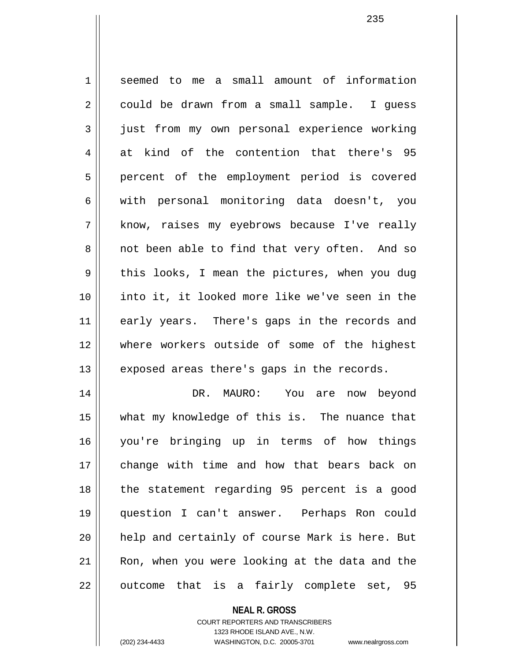1 seemed to me a small amount of information 2 could be drawn from a small sample. I quess 3 just from my own personal experience working 4 at kind of the contention that there's 95 5 || percent of the employment period is covered 6 with personal monitoring data doesn't, you 7 || know, raises my eyebrows because I've really 8 || not been able to find that very often. And so  $9 \parallel$  this looks, I mean the pictures, when you dug 10 into it, it looked more like we've seen in the 11 early years. There's gaps in the records and 12 where workers outside of some of the highest  $13$  | exposed areas there's gaps in the records. 14 DR. MAURO: You are now beyond 15 what my knowledge of this is. The nuance that 16 you're bringing up in terms of how things

17 change with time and how that bears back on 18 || the statement regarding 95 percent is a good 19 question I can't answer. Perhaps Ron could 20 || help and certainly of course Mark is here. But 21 || Ron, when you were looking at the data and the  $22$  || outcome that is a fairly complete set, 95

**NEAL R. GROSS**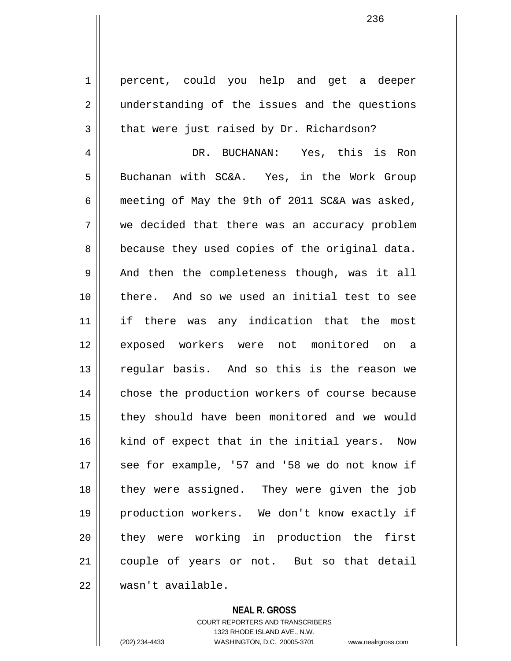1 || percent, could you help and get a deeper 2 || understanding of the issues and the questions  $3 \parallel$  that were just raised by Dr. Richardson?

4 DR. BUCHANAN: Yes, this is Ron 5 || Buchanan with SC&A. Yes, in the Work Group 6  $\parallel$  meeting of May the 9th of 2011 SC&A was asked, 7 we decided that there was an accuracy problem  $8 \parallel$  because they used copies of the original data.  $9 \parallel$  And then the completeness though, was it all 10 || there. And so we used an initial test to see 11 if there was any indication that the most 12 exposed workers were not monitored on a 13 || reqular basis. And so this is the reason we 14 || chose the production workers of course because 15 || they should have been monitored and we would  $16$  kind of expect that in the initial years. Now  $17$  | see for example, '57 and '58 we do not know if 18 || they were assigned. They were given the job 19 production workers. We don't know exactly if 20 they were working in production the first 21 || couple of years or not. But so that detail 22 wasn't available.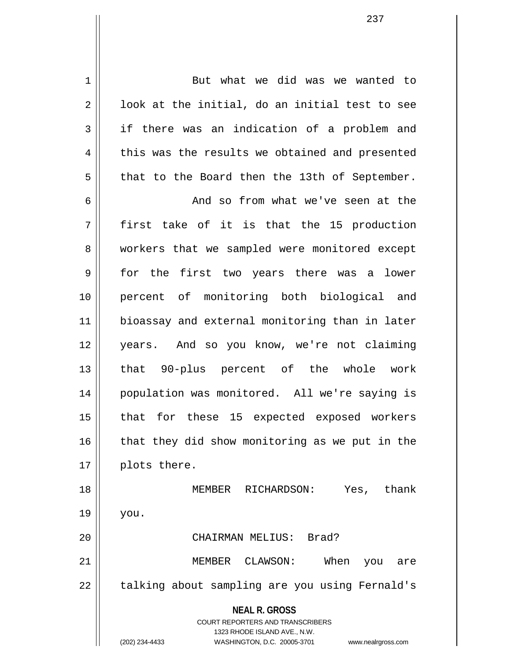1 But what we did was we wanted to  $2 \parallel$  100k at the initial, do an initial test to see  $3 \parallel$  if there was an indication of a problem and  $4 \parallel$  this was the results we obtained and presented  $5 \parallel$  that to the Board then the 13th of September. 6 and so from what we've seen at the  $7 \parallel$  first take of it is that the 15 production 8 || workers that we sampled were monitored except 9 || for the first two years there was a lower 10 percent of monitoring both biological and 11 bioassay and external monitoring than in later 12 years. And so you know, we're not claiming 13 || that 90-plus percent of the whole work 14 || population was monitored. All we're saying is 15 || that for these 15 expected exposed workers  $16$  that they did show monitoring as we put in the 17 | plots there. 18 || MEMBER RICHARDSON: Yes, thank  $19 \parallel$  you.

20 CHAIRMAN MELIUS: Brad?

21 MEMBER CLAWSON: When you are 22 | talking about sampling are you using Fernald's

**NEAL R. GROSS**

COURT REPORTERS AND TRANSCRIBERS 1323 RHODE ISLAND AVE., N.W. (202) 234-4433 WASHINGTON, D.C. 20005-3701 www.nealrgross.com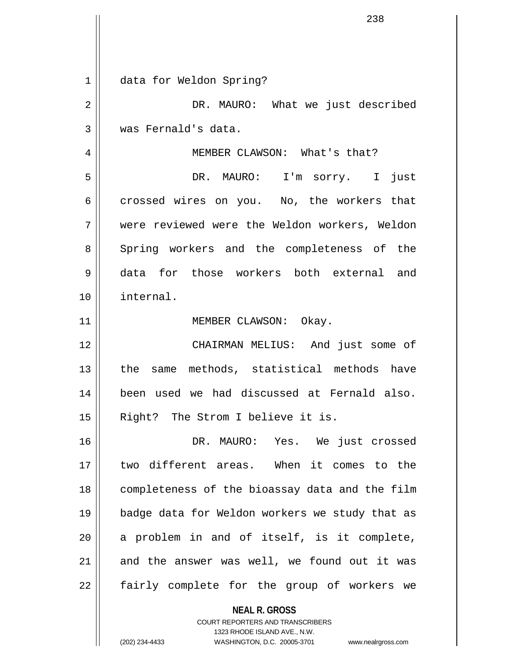**NEAL R. GROSS** 1 data for Weldon Spring? 2 DR. MAURO: What we just described 3 was Fernald's data. 4 || MEMBER CLAWSON: What's that? 5 DR. MAURO: I'm sorry. I just  $6 \parallel$  crossed wires on you. No, the workers that 7 were reviewed were the Weldon workers, Weldon 8 Spring workers and the completeness of the 9 data for those workers both external and 10 internal. 11 || MEMBER CLAWSON: Okay. 12 CHAIRMAN MELIUS: And just some of 13 || the same methods, statistical methods have 14 been used we had discussed at Fernald also. 15 || Right? The Strom I believe it is. 16 DR. MAURO: Yes. We just crossed 17 two different areas. When it comes to the 18 completeness of the bioassay data and the film 19 badge data for Weldon workers we study that as  $20$  a problem in and of itself, is it complete,  $21$  || and the answer was well, we found out it was  $22$  || fairly complete for the group of workers we

> COURT REPORTERS AND TRANSCRIBERS 1323 RHODE ISLAND AVE., N.W.

(202) 234-4433 WASHINGTON, D.C. 20005-3701 www.nealrgross.com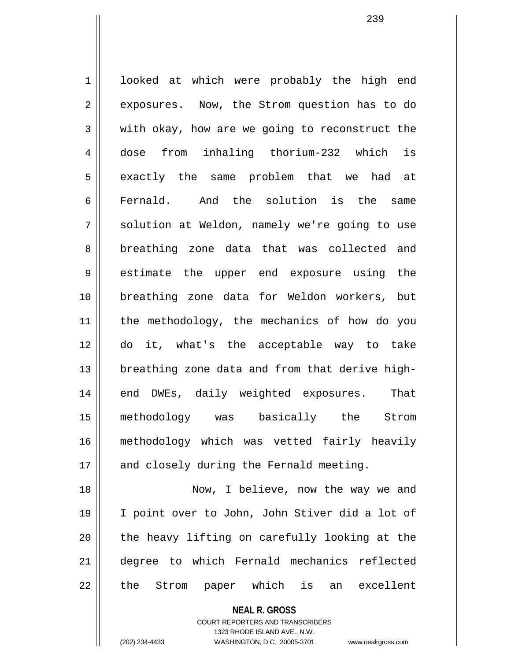1 looked at which were probably the high end 2 | exposures. Now, the Strom question has to do  $3 \parallel$  with okay, how are we going to reconstruct the 4 dose from inhaling thorium-232 which is 5 || exactly the same problem that we had at 6 Fernald. And the solution is the same 7 || solution at Weldon, namely we're going to use 8 breathing zone data that was collected and 9 estimate the upper end exposure using the 10 breathing zone data for Weldon workers, but 11 the methodology, the mechanics of how do you 12 do it, what's the acceptable way to take 13 || breathing zone data and from that derive high-14 || end DWEs, daily weighted exposures. That 15 methodology was basically the Strom 16 methodology which was vetted fairly heavily 17 || and closely during the Fernald meeting. 18 || Now, I believe, now the way we and

19 I point over to John, John Stiver did a lot of  $20$  || the heavy lifting on carefully looking at the 21 degree to which Fernald mechanics reflected 22 || the Strom paper which is an excellent

> **NEAL R. GROSS** COURT REPORTERS AND TRANSCRIBERS

1323 RHODE ISLAND AVE., N.W. (202) 234-4433 WASHINGTON, D.C. 20005-3701 www.nealrgross.com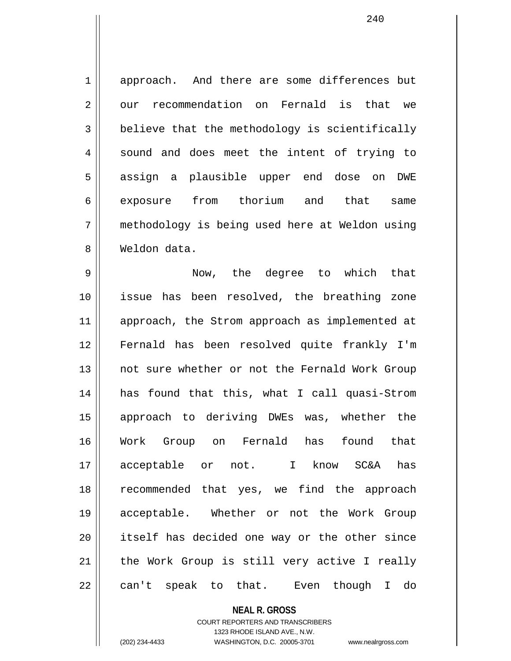1 approach. And there are some differences but 2 | our recommendation on Fernald is that we  $3 \parallel$  believe that the methodology is scientifically 4 || sound and does meet the intent of trying to 5 || assign a plausible upper end dose on DWE 6 exposure from thorium and that same 7 methodology is being used here at Weldon using 8 Weldon data.

9 Now, the degree to which that 10 || issue has been resolved, the breathing zone 11 || approach, the Strom approach as implemented at 12 Fernald has been resolved quite frankly I'm 13 || not sure whether or not the Fernald Work Group 14 has found that this, what I call quasi-Strom 15 approach to deriving DWEs was, whether the 16 Work Group on Fernald has found that 17 acceptable or not. I know SC&A has 18 recommended that yes, we find the approach 19 acceptable. Whether or not the Work Group 20 itself has decided one way or the other since  $21$  | the Work Group is still very active I really 22 || can't speak to that. Even though I do

> **NEAL R. GROSS** COURT REPORTERS AND TRANSCRIBERS

> > 1323 RHODE ISLAND AVE., N.W.

(202) 234-4433 WASHINGTON, D.C. 20005-3701 www.nealrgross.com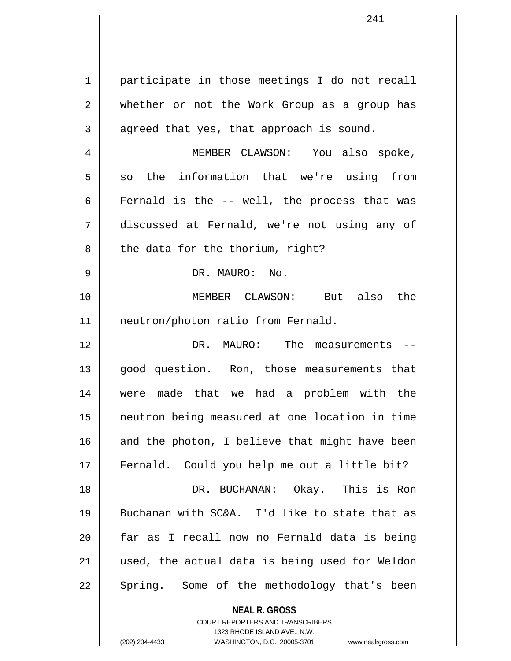1 | participate in those meetings I do not recall 2 whether or not the Work Group as a group has  $3 \parallel$  agreed that yes, that approach is sound. 4 MEMBER CLAWSON: You also spoke,  $5 \parallel$  so the information that we're using from 6 Fernald is the  $-$  well, the process that was 7 discussed at Fernald, we're not using any of  $8 \parallel$  the data for the thorium, right? 9 DR. MAURO: No. 10 MEMBER CLAWSON: But also the 11 || neutron/photon ratio from Fernald. 12 DR. MAURO: The measurements -- 13 || good question. Ron, those measurements that 14 were made that we had a problem with the 15 neutron being measured at one location in time  $16$  and the photon, I believe that might have been 17 || Fernald. Could you help me out a little bit? 18 DR. BUCHANAN: Okay. This is Ron 19 Buchanan with SC&A. I'd like to state that as 20 far as I recall now no Fernald data is being 21 used, the actual data is being used for Weldon  $22 \parallel$  Spring. Some of the methodology that's been

> **NEAL R. GROSS** COURT REPORTERS AND TRANSCRIBERS

> > 1323 RHODE ISLAND AVE., N.W.

(202) 234-4433 WASHINGTON, D.C. 20005-3701 www.nealrgross.com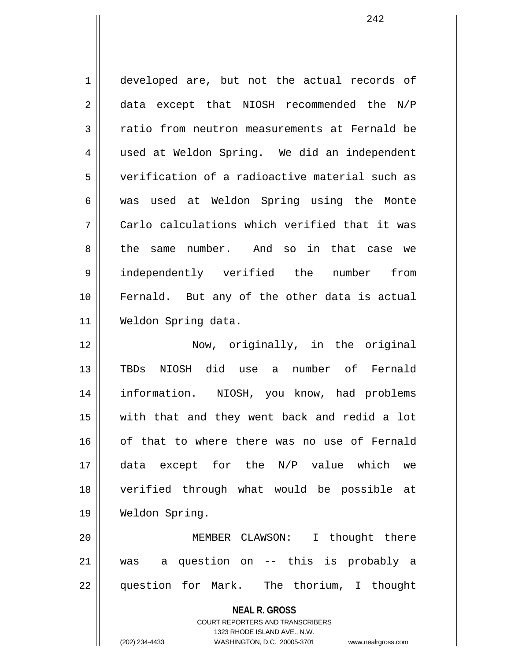1 | developed are, but not the actual records of 2 || data except that NIOSH recommended the N/P 3 Textio from neutron measurements at Fernald be 4 || used at Weldon Spring. We did an independent 5 verification of a radioactive material such as 6 was used at Weldon Spring using the Monte  $7$  | Carlo calculations which verified that it was 8 the same number. And so in that case we 9 independently verified the number from 10 || Fernald. But any of the other data is actual 11 Weldon Spring data. 12 Now, originally, in the original

13 TBDs NIOSH did use a number of Fernald 14 information. NIOSH, you know, had problems 15 with that and they went back and redid a lot 16 || of that to where there was no use of Fernald 17 data except for the N/P value which we 18 verified through what would be possible at 19 Weldon Spring.

20 MEMBER CLAWSON: I thought there 21 was a question on -- this is probably a 22 question for Mark. The thorium, I thought

**NEAL R. GROSS**

COURT REPORTERS AND TRANSCRIBERS 1323 RHODE ISLAND AVE., N.W. (202) 234-4433 WASHINGTON, D.C. 20005-3701 www.nealrgross.com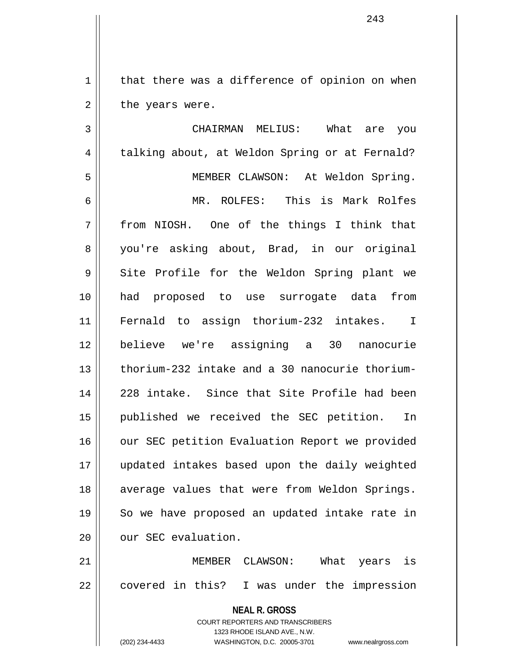$1 \parallel$  that there was a difference of opinion on when  $2 \parallel$  the years were.

**NEAL R. GROSS** 3 CHAIRMAN MELIUS: What are you 4 | talking about, at Weldon Spring or at Fernald? 5 MEMBER CLAWSON: At Weldon Spring. 6 MR. ROLFES: This is Mark Rolfes 7 from NIOSH. One of the things I think that 8 you're asking about, Brad, in our original 9 Site Profile for the Weldon Spring plant we 10 had proposed to use surrogate data from 11 Fernald to assign thorium-232 intakes. I 12 believe we're assigning a 30 nanocurie 13 thorium-232 intake and a 30 nanocurie thorium-14 228 intake. Since that Site Profile had been 15 published we received the SEC petition. In 16 | our SEC petition Evaluation Report we provided 17 updated intakes based upon the daily weighted 18 || average values that were from Weldon Springs. 19 || So we have proposed an updated intake rate in 20 | our SEC evaluation. 21 MEMBER CLAWSON: What years is  $22 \parallel$  covered in this? I was under the impression

> COURT REPORTERS AND TRANSCRIBERS 1323 RHODE ISLAND AVE., N.W.

(202) 234-4433 WASHINGTON, D.C. 20005-3701 www.nealrgross.com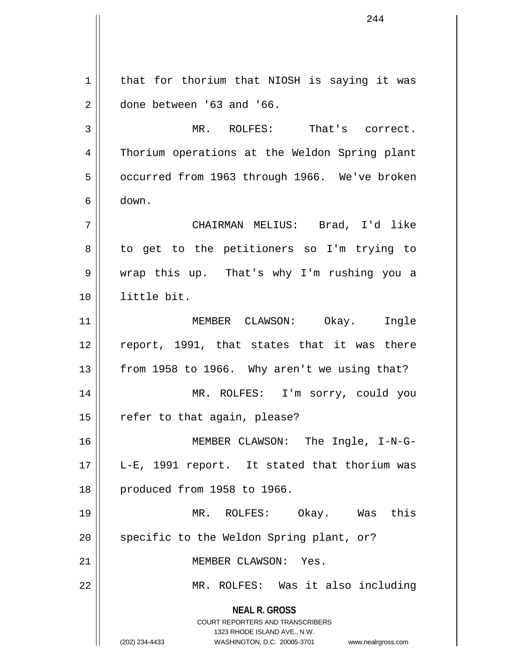**NEAL R. GROSS** COURT REPORTERS AND TRANSCRIBERS 1323 RHODE ISLAND AVE., N.W. (202) 234-4433 WASHINGTON, D.C. 20005-3701 www.nealrgross.com  $1$  that for thorium that NIOSH is saying it was  $2 \parallel$  done between '63 and '66. 3 MR. ROLFES: That's correct. 4 Thorium operations at the Weldon Spring plant 5 | occurred from 1963 through 1966. We've broken 6 down. 7 CHAIRMAN MELIUS: Brad, I'd like 8 || to get to the petitioners so I'm trying to 9 wrap this up. That's why I'm rushing you a 10 little bit. 11 MEMBER CLAWSON: Okay. Ingle 12 || report, 1991, that states that it was there 13  $\parallel$  from 1958 to 1966. Why aren't we using that? 14 MR. ROLFES: I'm sorry, could you  $15$  | refer to that again, please? 16 MEMBER CLAWSON: The Ingle, I-N-G-17 || L-E, 1991 report. It stated that thorium was 18 || produced from 1958 to 1966. 19 MR. ROLFES: Okay. Was this 20 || specific to the Weldon Spring plant, or? 21 | **MEMBER CLAWSON:** Yes. 22 MR. ROLFES: Was it also including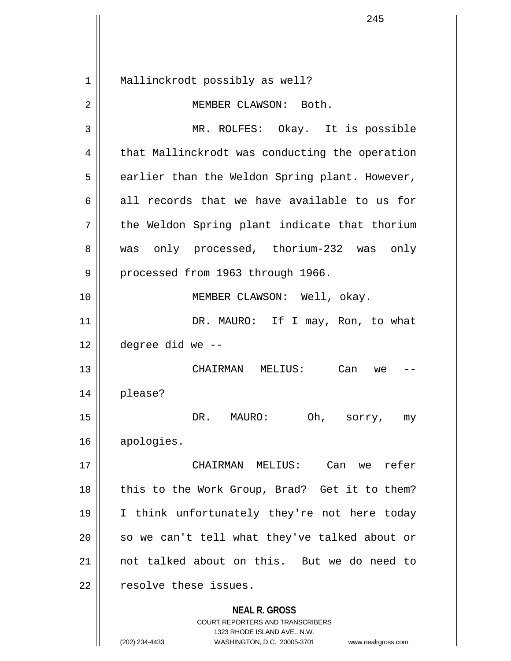**NEAL R. GROSS** COURT REPORTERS AND TRANSCRIBERS 1323 RHODE ISLAND AVE., N.W. (202) 234-4433 WASHINGTON, D.C. 20005-3701 www.nealrgross.com 1 || Mallinckrodt possibly as well? 2 || MEMBER CLAWSON: Both. 3 MR. ROLFES: Okay. It is possible 4 | that Mallinckrodt was conducting the operation  $5 \parallel$  earlier than the Weldon Spring plant. However, 6 all records that we have available to us for  $7 \parallel$  the Weldon Spring plant indicate that thorium 8 || was only processed, thorium-232 was only 9 | processed from 1963 through 1966. 10 || MEMBER CLAWSON: Well, okay. 11 || DR. MAURO: If I may, Ron, to what  $12$  | degree did we --13 CHAIRMAN MELIUS: Can we -- 14 please? 15 DR. MAURO: Oh, sorry, my 16 apologies. 17 CHAIRMAN MELIUS: Can we refer  $18$  || this to the Work Group, Brad? Get it to them? 19 I think unfortunately they're not here today  $20$  so we can't tell what they've talked about or 21 not talked about on this. But we do need to 22 | resolve these issues.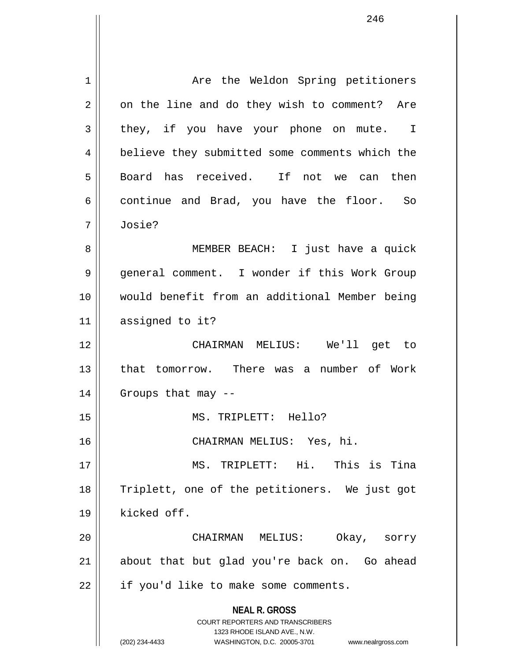**NEAL R. GROSS** COURT REPORTERS AND TRANSCRIBERS 1323 RHODE ISLAND AVE., N.W. (202) 234-4433 WASHINGTON, D.C. 20005-3701 www.nealrgross.com 1 Are the Weldon Spring petitioners  $2 \parallel$  on the line and do they wish to comment? Are  $3 \parallel$  they, if you have your phone on mute. I 4 || believe they submitted some comments which the 5 || Board has received. If not we can then  $6 \parallel$  continue and Brad, you have the floor. So 7 Josie? 8 || MEMBER BEACH: I just have a quick 9 | general comment. I wonder if this Work Group 10 would benefit from an additional Member being 11 assigned to it? 12 CHAIRMAN MELIUS: We'll get to 13 || that tomorrow. There was a number of Work 14 Groups that may -- 15 MS. TRIPLETT: Hello? 16 CHAIRMAN MELIUS: Yes, hi. 17 MS. TRIPLETT: Hi. This is Tina 18 || Triplett, one of the petitioners. We just got 19 kicked off. 20 CHAIRMAN MELIUS: Okay, sorry 21 || about that but glad you're back on. Go ahead 22 | if you'd like to make some comments.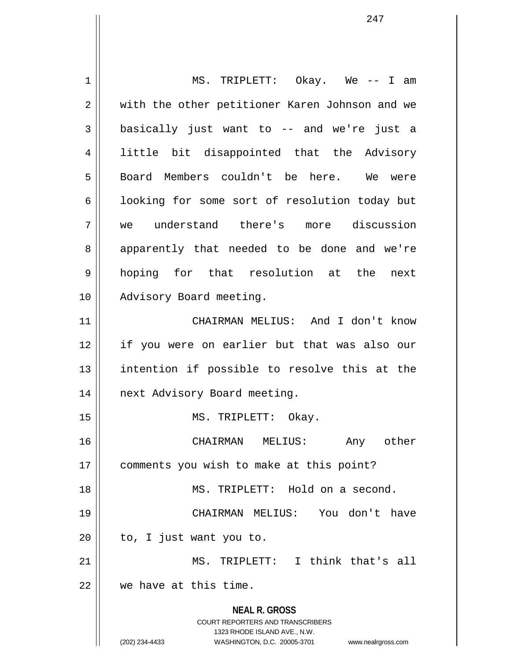**NEAL R. GROSS** COURT REPORTERS AND TRANSCRIBERS 1323 RHODE ISLAND AVE., N.W. (202) 234-4433 WASHINGTON, D.C. 20005-3701 www.nealrgross.com 1 MS. TRIPLETT: Okay. We -- I am 2 || with the other petitioner Karen Johnson and we  $3 \parallel$  basically just want to -- and we're just a 4 little bit disappointed that the Advisory 5 || Board Members couldn't be here. We were 6 | looking for some sort of resolution today but 7 we understand there's more discussion 8 || apparently that needed to be done and we're 9 hoping for that resolution at the next 10 || Advisory Board meeting. 11 CHAIRMAN MELIUS: And I don't know 12 if you were on earlier but that was also our 13 || intention if possible to resolve this at the 14 | next Advisory Board meeting. 15 || MS. TRIPLETT: Okay. 16 CHAIRMAN MELIUS: Any other 17 | comments you wish to make at this point? 18 MS. TRIPLETT: Hold on a second. 19 CHAIRMAN MELIUS: You don't have  $20$  | to, I just want you to. 21 || MS. TRIPLETT: I think that's all 22 we have at this time.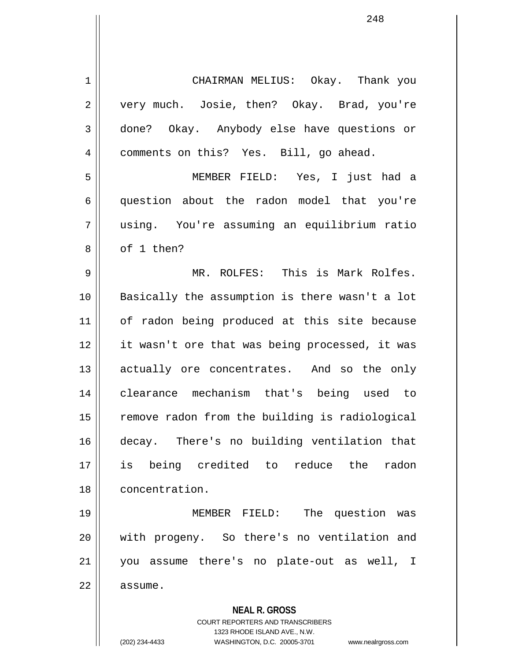1 CHAIRMAN MELIUS: Okay. Thank you 2 || very much. Josie, then? Okay. Brad, you're 3 done? Okay. Anybody else have questions or 4 | comments on this? Yes. Bill, go ahead. 5 MEMBER FIELD: Yes, I just had a 6 question about the radon model that you're 7 using. You're assuming an equilibrium ratio 8 l of 1 then? 9 MR. ROLFES: This is Mark Rolfes. 10 Basically the assumption is there wasn't a lot 11 || of radon being produced at this site because 12 it wasn't ore that was being processed, it was 13 || actually ore concentrates. And so the only 14 clearance mechanism that's being used to 15 | remove radon from the building is radiological 16 decay. There's no building ventilation that 17 is being credited to reduce the radon 18 concentration. 19 MEMBER FIELD: The question was 20 with progeny. So there's no ventilation and 21 you assume there's no plate-out as well, I 22 | assume.

**NEAL R. GROSS**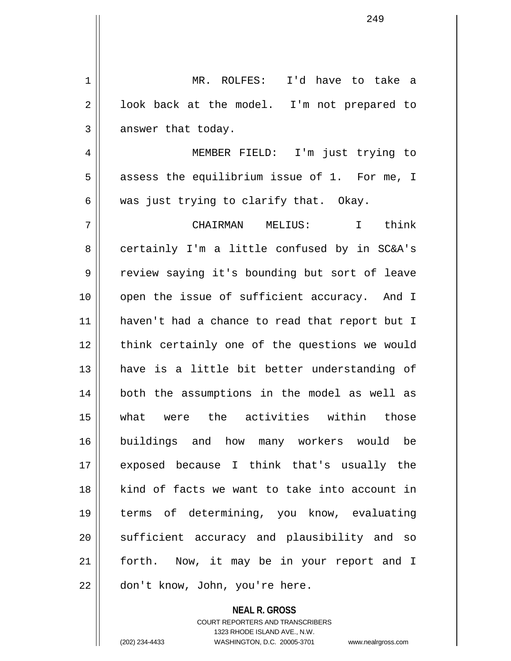1 MR. ROLFES: I'd have to take a  $2 \parallel$  look back at the model. I'm not prepared to  $3 \parallel$  answer that today. 4 MEMBER FIELD: I'm just trying to  $5$  | assess the equilibrium issue of 1. For me, I  $6 \parallel$  was just trying to clarify that. Okay. 7 CHAIRMAN MELIUS: I think 8 certainly I'm a little confused by in SC&A's 9 || review saying it's bounding but sort of leave 10 || open the issue of sufficient accuracy. And I 11 haven't had a chance to read that report but I 12 || think certainly one of the questions we would 13 || have is a little bit better understanding of 14 both the assumptions in the model as well as 15 what were the activities within those 16 buildings and how many workers would be 17 exposed because I think that's usually the 18 kind of facts we want to take into account in 19 terms of determining, you know, evaluating 20 || sufficient accuracy and plausibility and so 21 || forth. Now, it may be in your report and I 22 || don't know, John, you're here.

> COURT REPORTERS AND TRANSCRIBERS 1323 RHODE ISLAND AVE., N.W. (202) 234-4433 WASHINGTON, D.C. 20005-3701 www.nealrgross.com

**NEAL R. GROSS**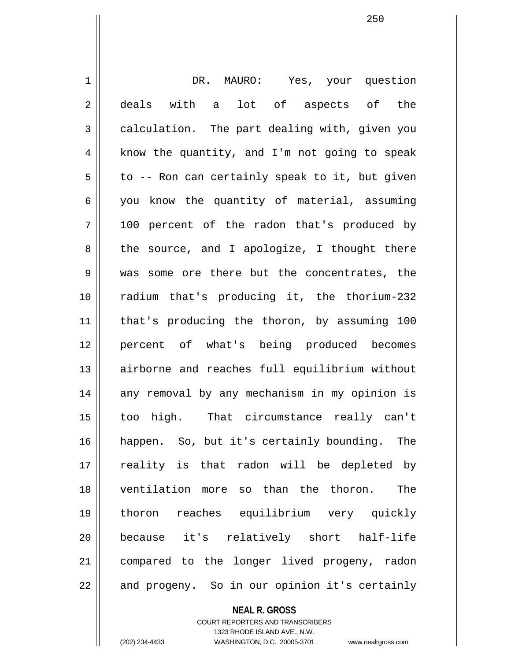1 DR. MAURO: Yes, your question 2 || deals with a lot of aspects of the  $3 \parallel$  calculation. The part dealing with, given you  $4 \parallel$  know the quantity, and I'm not going to speak  $5 \parallel$  to -- Ron can certainly speak to it, but given  $6 \parallel$  you know the quantity of material, assuming 7 100 percent of the radon that's produced by  $8 \parallel$  the source, and I apologize, I thought there 9 was some ore there but the concentrates, the 10 radium that's producing it, the thorium-232 11 that's producing the thoron, by assuming 100 12 percent of what's being produced becomes 13 airborne and reaches full equilibrium without 14 || any removal by any mechanism in my opinion is 15 too high. That circumstance really can't 16 happen. So, but it's certainly bounding. The 17 || reality is that radon will be depleted by 18 ventilation more so than the thoron. The 19 thoron reaches equilibrium very quickly 20 because it's relatively short half-life 21 compared to the longer lived progeny, radon 22 || and progeny. So in our opinion it's certainly

> COURT REPORTERS AND TRANSCRIBERS 1323 RHODE ISLAND AVE., N.W. (202) 234-4433 WASHINGTON, D.C. 20005-3701 www.nealrgross.com

**NEAL R. GROSS**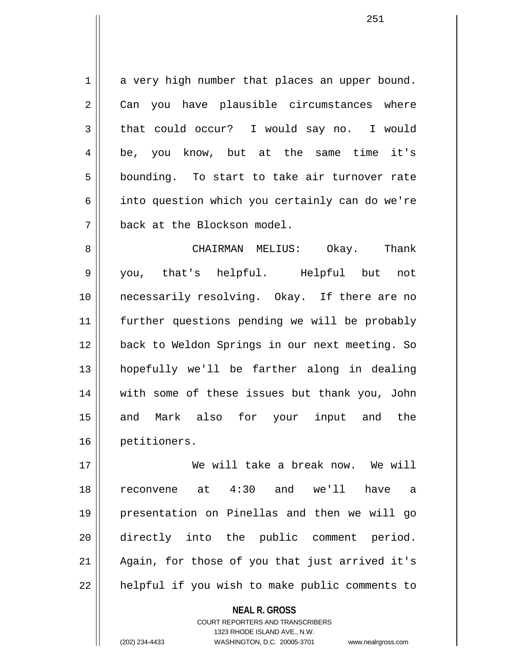$1 \parallel$  a very high number that places an upper bound. 2 Can you have plausible circumstances where 3 that could occur? I would say no. I would 4 be, you know, but at the same time it's  $5 \parallel$  bounding. To start to take air turnover rate 6 | into question which you certainly can do we're 7 back at the Blockson model.

8 CHAIRMAN MELIUS: Okay. Thank 9 you, that's helpful. Helpful but not 10 necessarily resolving. Okay. If there are no 11 further questions pending we will be probably 12 back to Weldon Springs in our next meeting. So 13 hopefully we'll be farther along in dealing 14 with some of these issues but thank you, John 15 and Mark also for your input and the 16 petitioners.

17 We will take a break now. We will 18 reconvene at 4:30 and we'll have a 19 presentation on Pinellas and then we will go 20 directly into the public comment period. 21 || Again, for those of you that just arrived it's 22 || helpful if you wish to make public comments to

> **NEAL R. GROSS** COURT REPORTERS AND TRANSCRIBERS 1323 RHODE ISLAND AVE., N.W. (202) 234-4433 WASHINGTON, D.C. 20005-3701 www.nealrgross.com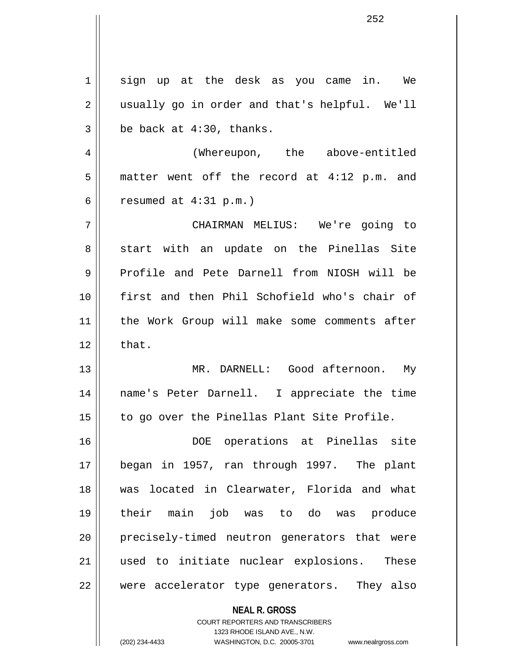| $\mathbf 1$    | sign up at the desk as you came in. We                                                          |
|----------------|-------------------------------------------------------------------------------------------------|
| $\overline{2}$ | usually go in order and that's helpful. We'll                                                   |
| 3              | be back at 4:30, thanks.                                                                        |
| 4              | (Whereupon, the above-entitled                                                                  |
| 5              | matter went off the record at 4:12 p.m. and                                                     |
| 6              | resumed at $4:31$ p.m.)                                                                         |
| 7              | CHAIRMAN MELIUS: We're going to                                                                 |
| 8              | start with an update on the Pinellas Site                                                       |
| 9              | Profile and Pete Darnell from NIOSH will be                                                     |
| 10             | first and then Phil Schofield who's chair of                                                    |
| 11             | the Work Group will make some comments after                                                    |
| 12             | that.                                                                                           |
| 13             | MR. DARNELL: Good afternoon. My                                                                 |
| 14             | name's Peter Darnell. I appreciate the time                                                     |
| 15             | to go over the Pinellas Plant Site Profile.                                                     |
| 16             | DOE operations at Pinellas site                                                                 |
| 17             | began in 1957, ran through 1997. The plant                                                      |
| 18             | was located in Clearwater, Florida and what                                                     |
| 19             | their main job was to do<br>was produce                                                         |
| 20             | precisely-timed neutron generators that were                                                    |
| 21             | used to initiate nuclear explosions. These                                                      |
| 22             | were accelerator type generators. They also                                                     |
|                | <b>NEAL R. GROSS</b><br><b>COURT REPORTERS AND TRANSCRIBERS</b><br>1323 RHODE ISLAND AVE., N.W. |
|                | (202) 234-4433<br>WASHINGTON, D.C. 20005-3701<br>www.nealrgross.com                             |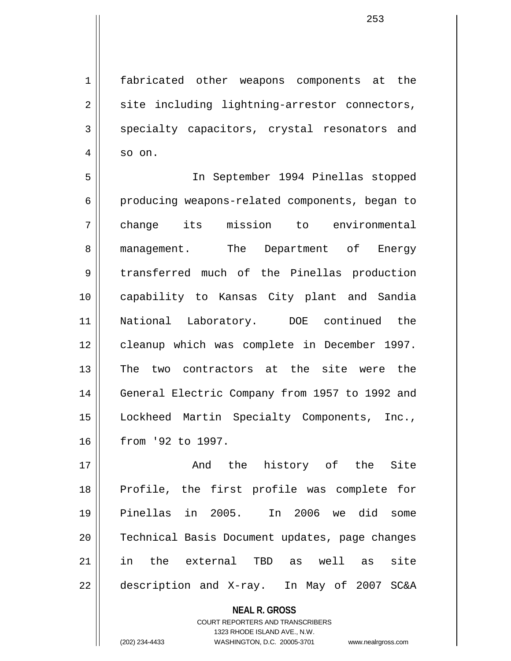1 fabricated other weapons components at the  $2 \parallel$  site including lightning-arrestor connectors, 3 specialty capacitors, crystal resonators and  $4 \parallel$  so on.

5 In September 1994 Pinellas stopped 6 producing weapons-related components, began to 7 change its mission to environmental 8 || management. The Department of Energy 9 | transferred much of the Pinellas production 10 capability to Kansas City plant and Sandia 11 National Laboratory. DOE continued the 12 || cleanup which was complete in December 1997. 13 The two contractors at the site were the 14 | General Electric Company from 1957 to 1992 and 15 Lockheed Martin Specialty Components, Inc., 16 from '92 to 1997.

17 || The Site of the Site of the Site of the Site of the Site of the Site of the Site of the Site of the Site 18 Profile, the first profile was complete for 19 Pinellas in 2005. In 2006 we did some 20 Technical Basis Document updates, page changes 21 in the external TBD as well as site 22 | description and X-ray. In May of 2007 SC&A

> **NEAL R. GROSS** COURT REPORTERS AND TRANSCRIBERS

> > 1323 RHODE ISLAND AVE., N.W.

(202) 234-4433 WASHINGTON, D.C. 20005-3701 www.nealrgross.com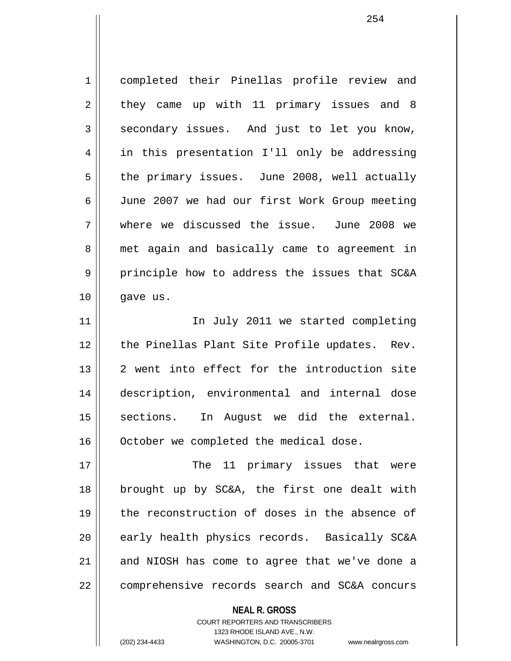1 completed their Pinellas profile review and  $2 \parallel$  they came up with 11 primary issues and 8  $3 \parallel$  secondary issues. And just to let you know, 4 || in this presentation I'll only be addressing  $5 \parallel$  the primary issues. June 2008, well actually 6 June 2007 we had our first Work Group meeting 7 where we discussed the issue. June 2008 we 8 || met again and basically came to agreement in 9 principle how to address the issues that SC&A 10 gave us. 11 || The July 2011 we started completing  $12$  | the Pinellas Plant Site Profile updates. Rev.

13 2 went into effect for the introduction site 14 description, environmental and internal dose 15 || sections. In August we did the external. 16 | October we completed the medical dose.

17 The 11 primary issues that were 18 brought up by SC&A, the first one dealt with 19 the reconstruction of doses in the absence of 20 || early health physics records. Basically SC&A  $21$  and NIOSH has come to agree that we've done a 22 comprehensive records search and SC&A concurs

> **NEAL R. GROSS** COURT REPORTERS AND TRANSCRIBERS 1323 RHODE ISLAND AVE., N.W. (202) 234-4433 WASHINGTON, D.C. 20005-3701 www.nealrgross.com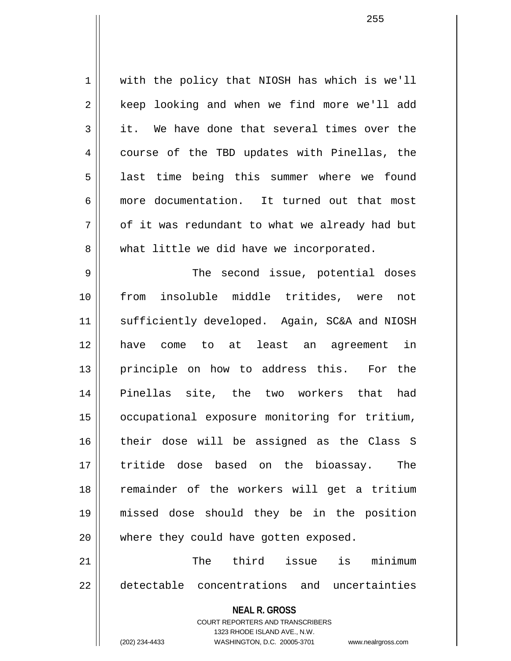**NEAL R. GROSS** COURT REPORTERS AND TRANSCRIBERS 1323 RHODE ISLAND AVE., N.W. 1 with the policy that NIOSH has which is we'll 2 | keep looking and when we find more we'll add  $3 \parallel$  it. We have done that several times over the 4 || course of the TBD updates with Pinellas, the 5 || last time being this summer where we found 6 more documentation. It turned out that most  $7 \parallel$  of it was redundant to what we already had but 8 What little we did have we incorporated. 9 The second issue, potential doses 10 from insoluble middle tritides, were not 11 || sufficiently developed. Again, SC&A and NIOSH 12 have come to at least an agreement in 13 || principle on how to address this. For the 14 Pinellas site, the two workers that had 15 occupational exposure monitoring for tritium, 16 their dose will be assigned as the Class S 17 tritide dose based on the bioassay. The 18 remainder of the workers will get a tritium 19 missed dose should they be in the position 20 || where they could have gotten exposed. 21 The third issue is minimum 22 detectable concentrations and uncertainties

(202) 234-4433 WASHINGTON, D.C. 20005-3701 www.nealrgross.com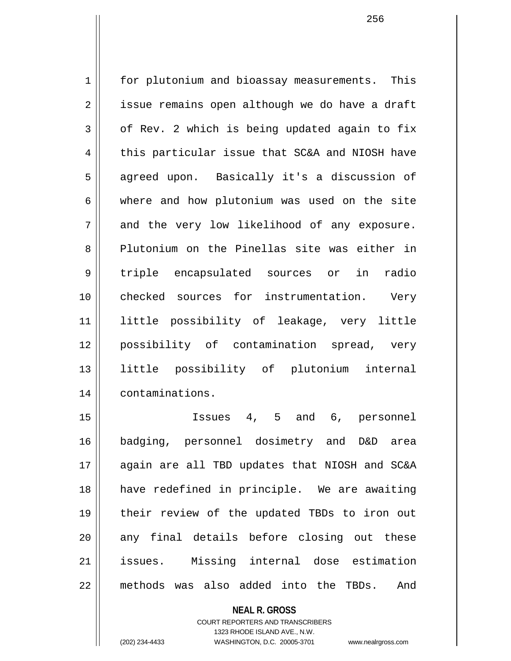1 | for plutonium and bioassay measurements. This 2 | issue remains open although we do have a draft  $3 \parallel$  of Rev. 2 which is being updated again to fix  $4 \parallel$  this particular issue that SC&A and NIOSH have 5 || agreed upon. Basically it's a discussion of 6 where and how plutonium was used on the site  $7 \parallel$  and the very low likelihood of any exposure. 8 Plutonium on the Pinellas site was either in 9 triple encapsulated sources or in radio 10 checked sources for instrumentation. Very 11 little possibility of leakage, very little 12 possibility of contamination spread, very 13 little possibility of plutonium internal 14 | contaminations.

15 Issues 4, 5 and 6, personnel 16 badging, personnel dosimetry and D&D area 17 || again are all TBD updates that NIOSH and SC&A 18 have redefined in principle. We are awaiting 19 their review of the updated TBDs to iron out 20 || any final details before closing out these 21 issues. Missing internal dose estimation 22 methods was also added into the TBDs. And

> **NEAL R. GROSS** COURT REPORTERS AND TRANSCRIBERS 1323 RHODE ISLAND AVE., N.W. (202) 234-4433 WASHINGTON, D.C. 20005-3701 www.nealrgross.com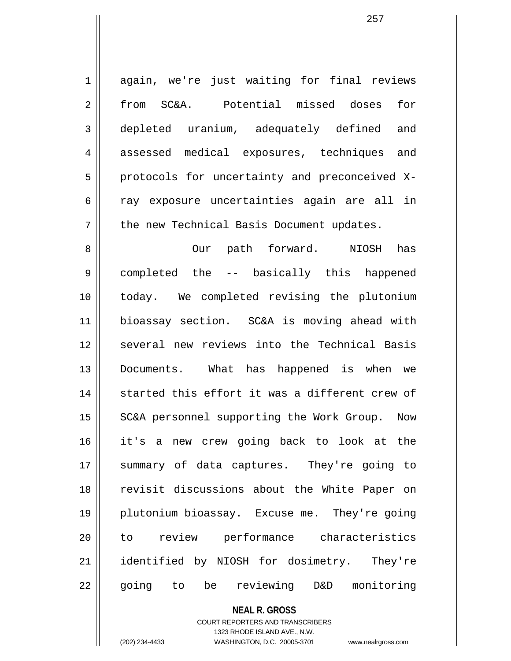1 || again, we're just waiting for final reviews 2 from SC&A. Potential missed doses for 3 depleted uranium, adequately defined and 4 assessed medical exposures, techniques and 5 | protocols for uncertainty and preconceived X-6 || ray exposure uncertainties again are all in 7 | the new Technical Basis Document updates. 8 Our path forward. NIOSH has 9 || completed the -- basically this happened 10 today. We completed revising the plutonium 11 bioassay section. SC&A is moving ahead with 12 several new reviews into the Technical Basis 13 Documents. What has happened is when we 14 || started this effort it was a different crew of 15 || SC&A personnel supporting the Work Group. Now 16 it's a new crew going back to look at the 17 || summary of data captures. They're going to 18 || revisit discussions about the White Paper on 19 plutonium bioassay. Excuse me. They're going 20 to review performance characteristics 21 || identified by NIOSH for dosimetry. They're 22 || going to be reviewing D&D monitoring

> **NEAL R. GROSS** COURT REPORTERS AND TRANSCRIBERS

> > 1323 RHODE ISLAND AVE., N.W.

(202) 234-4433 WASHINGTON, D.C. 20005-3701 www.nealrgross.com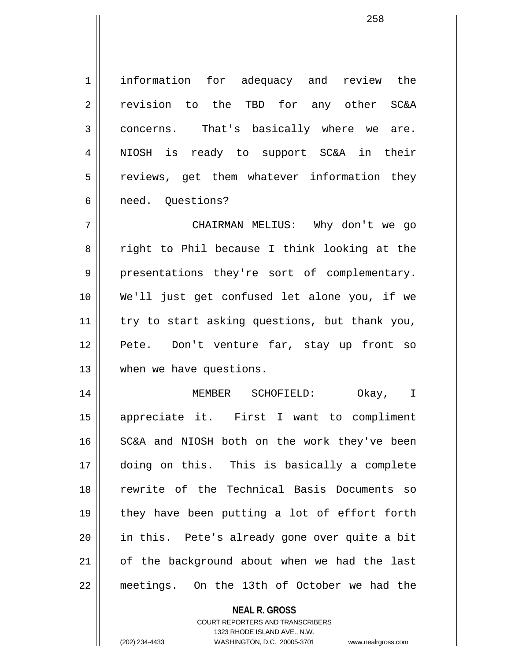1 || information for adequacy and review the 2 revision to the TBD for any other SC&A 3 || concerns. That's basically where we are. 4 || NIOSH is ready to support SC&A in their 5 || reviews, get them whatever information they 6 || need. Ouestions?

7 CHAIRMAN MELIUS: Why don't we go 8 || right to Phil because I think looking at the 9 || presentations they're sort of complementary. 10 We'll just get confused let alone you, if we 11 || try to start asking questions, but thank you, 12 Pete. Don't venture far, stay up front so 13 || when we have questions.

14 MEMBER SCHOFIELD: Okay, I 15 appreciate it. First I want to compliment 16 SC&A and NIOSH both on the work they've been 17 doing on this. This is basically a complete 18 rewrite of the Technical Basis Documents so 19 they have been putting a lot of effort forth 20 in this. Pete's already gone over quite a bit 21 || of the background about when we had the last 22 meetings. On the 13th of October we had the

> **NEAL R. GROSS** COURT REPORTERS AND TRANSCRIBERS 1323 RHODE ISLAND AVE., N.W. (202) 234-4433 WASHINGTON, D.C. 20005-3701 www.nealrgross.com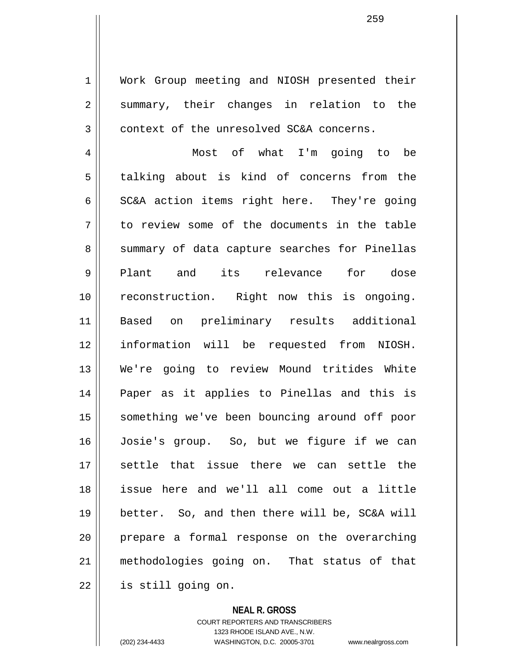1 || Work Group meeting and NIOSH presented their  $2 \parallel$  summary, their changes in relation to the 3 context of the unresolved SC&A concerns.

4 Most of what I'm going to be 5 talking about is kind of concerns from the  $6 \parallel$  SC&A action items right here. They're going  $7 \parallel$  to review some of the documents in the table 8 Summary of data capture searches for Pinellas 9 Plant and its relevance for dose 10 reconstruction. Right now this is ongoing. 11 Based on preliminary results additional 12 information will be requested from NIOSH. 13 We're going to review Mound tritides White 14 Paper as it applies to Pinellas and this is 15 || something we've been bouncing around off poor 16 Josie's group. So, but we figure if we can 17 settle that issue there we can settle the 18 issue here and we'll all come out a little 19 better. So, and then there will be, SC&A will 20 prepare a formal response on the overarching 21 methodologies going on. That status of that  $22$  | is still going on.

> **NEAL R. GROSS** COURT REPORTERS AND TRANSCRIBERS 1323 RHODE ISLAND AVE., N.W.

(202) 234-4433 WASHINGTON, D.C. 20005-3701 www.nealrgross.com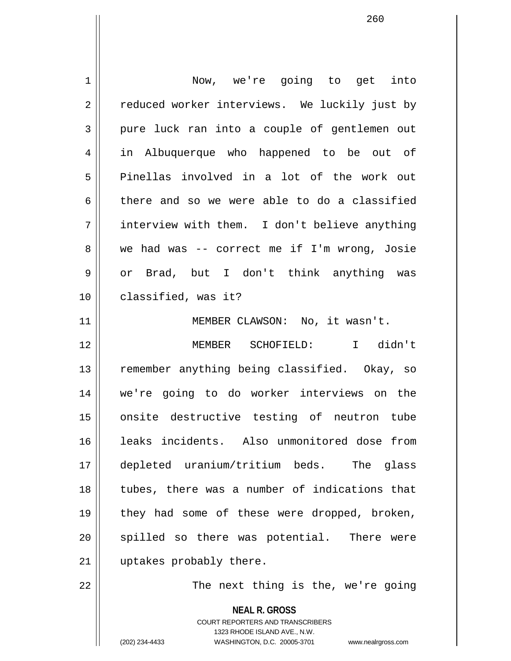**NEAL R. GROSS** COURT REPORTERS AND TRANSCRIBERS 1 || Now, we're going to get into 2 | reduced worker interviews. We luckily just by 3 pure luck ran into a couple of gentlemen out 4 in Albuquerque who happened to be out of 5 Pinellas involved in a lot of the work out  $6 \parallel$  there and so we were able to do a classified 7 interview with them. I don't believe anything 8 || we had was -- correct me if I'm wrong, Josie 9 or Brad, but I don't think anything was 10 || classified, was it? 11 || MEMBER CLAWSON: No, it wasn't. 12 MEMBER SCHOFIELD: I didn't 13 || remember anything being classified. Okay, so 14 we're going to do worker interviews on the 15 || onsite destructive testing of neutron tube 16 leaks incidents. Also unmonitored dose from 17 depleted uranium/tritium beds. The glass 18 || tubes, there was a number of indications that 19 || they had some of these were dropped, broken, 20 || spilled so there was potential. There were 21 | uptakes probably there. 22 The next thing is the, we're going

1323 RHODE ISLAND AVE., N.W.

(202) 234-4433 WASHINGTON, D.C. 20005-3701 www.nealrgross.com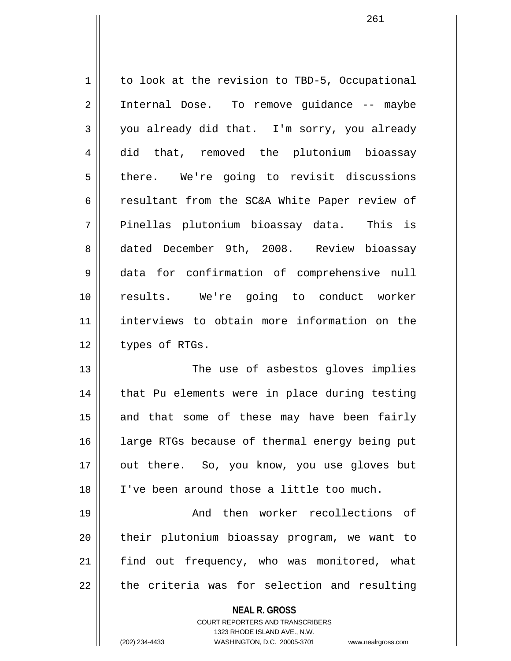| 1              | to look at the revision to TBD-5, Occupational |
|----------------|------------------------------------------------|
| $\overline{2}$ | Internal Dose. To remove guidance -- maybe     |
| 3              | you already did that. I'm sorry, you already   |
| 4              | did that, removed the plutonium bioassay       |
| 5              | there. We're going to revisit discussions      |
| 6              | resultant from the SC&A White Paper review of  |
| 7              | Pinellas plutonium bioassay data. This is      |
| 8              | dated December 9th, 2008. Review bioassay      |
| 9              | data for confirmation of comprehensive null    |
| 10             | results. We're going to conduct worker         |
| 11             | interviews to obtain more information on the   |
| 12             | types of RTGs.                                 |
| 13             | The use of asbestos gloves implies             |
| 14             | that Pu elements were in place during testing  |
| 15             | and that some of these may have been fairly    |
| 16             | large RTGs because of thermal energy being put |
| 17             | out there. So, you know, you use gloves but    |
| 18             | I've been around those a little too much.      |
| 19             | And then worker recollections<br>of            |
| 20             | their plutonium bioassay program, we want to   |
| 21             | find out frequency, who was monitored, what    |
| 22             | the criteria was for selection and resulting   |

**NEAL R. GROSS** COURT REPORTERS AND TRANSCRIBERS

1323 RHODE ISLAND AVE., N.W.

(202) 234-4433 WASHINGTON, D.C. 20005-3701 www.nealrgross.com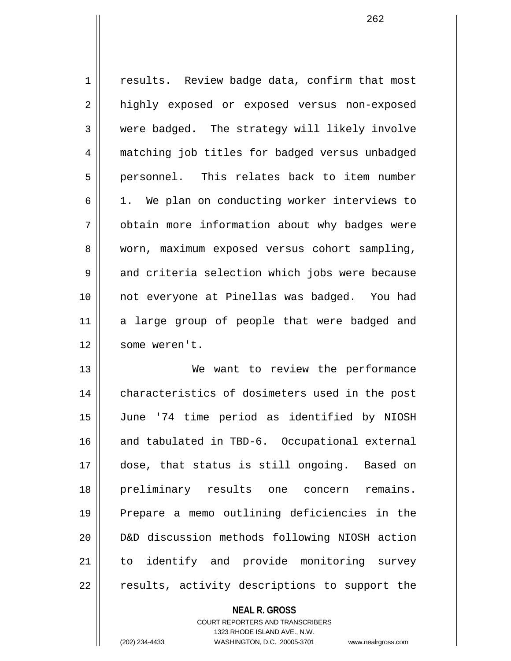1 | results. Review badge data, confirm that most 2 | highly exposed or exposed versus non-exposed 3 were badged. The strategy will likely involve 4 matching job titles for badged versus unbadged 5 || personnel. This relates back to item number  $6 \parallel 1$ . We plan on conducting worker interviews to 7 | obtain more information about why badges were 8 || worn, maximum exposed versus cohort sampling, 9 and criteria selection which jobs were because 10 not everyone at Pinellas was badged. You had 11 || a large group of people that were badged and 12 | some weren't. 13 || We want to review the performance

14 || characteristics of dosimeters used in the post 15 June '74 time period as identified by NIOSH 16 and tabulated in TBD-6. Occupational external 17 dose, that status is still ongoing. Based on 18 preliminary results one concern remains. 19 Prepare a memo outlining deficiencies in the 20 D&D discussion methods following NIOSH action 21 to identify and provide monitoring survey 22 || results, activity descriptions to support the

> **NEAL R. GROSS** COURT REPORTERS AND TRANSCRIBERS 1323 RHODE ISLAND AVE., N.W. (202) 234-4433 WASHINGTON, D.C. 20005-3701 www.nealrgross.com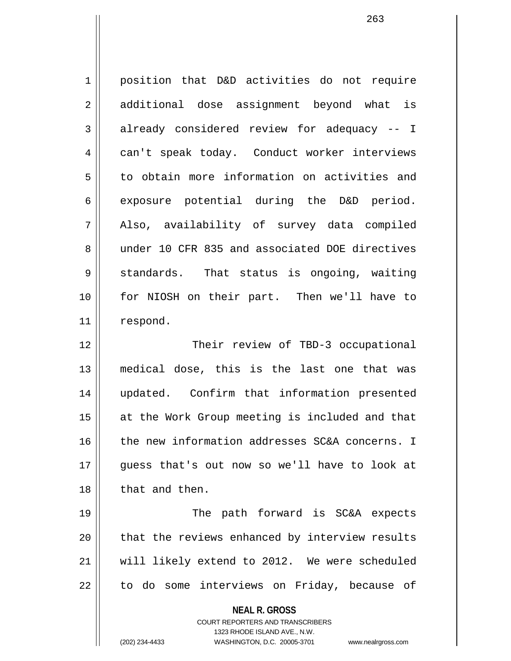**NEAL R. GROSS** 1 || position that D&D activities do not require 2 || additional dose assignment beyond what is  $3 \parallel$  already considered review for adequacy -- I 4 can't speak today. Conduct worker interviews 5 | to obtain more information on activities and  $6 \parallel$  exposure potential during the D&D period. 7 Also, availability of survey data compiled 8 under 10 CFR 835 and associated DOE directives 9 || standards. That status is ongoing, waiting 10 for NIOSH on their part. Then we'll have to 11 respond. 12 || Their review of TBD-3 occupational 13 medical dose, this is the last one that was 14 updated. Confirm that information presented 15 || at the Work Group meeting is included and that  $16$  | the new information addresses SC&A concerns. I 17 guess that's out now so we'll have to look at 18 that and then. 19 || The path forward is SC&A expects 20 || that the reviews enhanced by interview results 21 will likely extend to 2012. We were scheduled  $22$  | to do some interviews on Friday, because of

> COURT REPORTERS AND TRANSCRIBERS 1323 RHODE ISLAND AVE., N.W.

(202) 234-4433 WASHINGTON, D.C. 20005-3701 www.nealrgross.com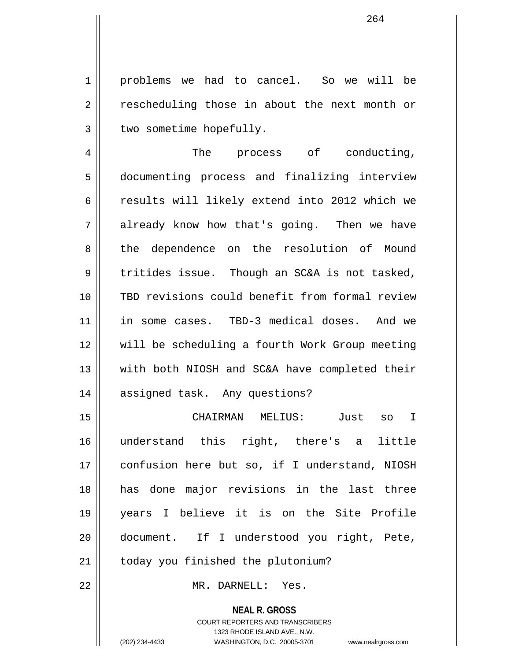1 | problems we had to cancel. So we will be 2 || rescheduling those in about the next month or  $3$  | two sometime hopefully.

4 || The process of conducting, 5 documenting process and finalizing interview 6 || results will likely extend into 2012 which we 7 already know how that's going. Then we have 8 || the dependence on the resolution of Mound  $9 \parallel$  tritides issue. Though an SC&A is not tasked, 10 TBD revisions could benefit from formal review 11 in some cases. TBD-3 medical doses. And we 12 will be scheduling a fourth Work Group meeting 13 with both NIOSH and SC&A have completed their 14 assigned task. Any questions?

15 CHAIRMAN MELIUS: Just so I 16 understand this right, there's a little 17 confusion here but so, if I understand, NIOSH 18 has done major revisions in the last three 19 years I believe it is on the Site Profile 20 document. If I understood you right, Pete, 21 | today you finished the plutonium?

22 MR. DARNELL: Yes.

**NEAL R. GROSS** COURT REPORTERS AND TRANSCRIBERS 1323 RHODE ISLAND AVE., N.W. (202) 234-4433 WASHINGTON, D.C. 20005-3701 www.nealrgross.com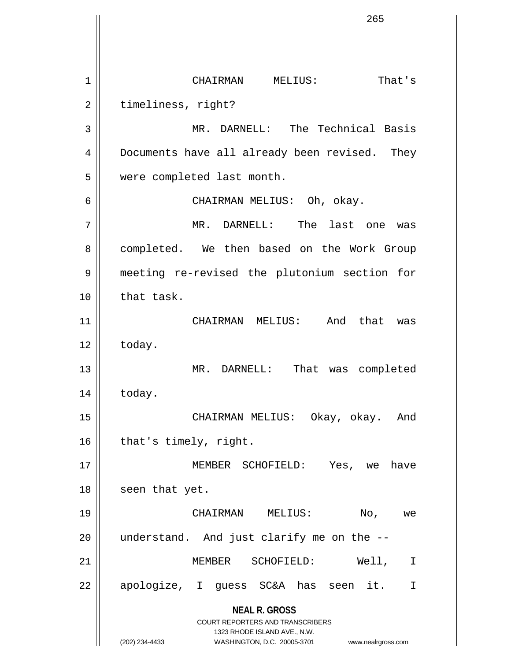**NEAL R. GROSS** COURT REPORTERS AND TRANSCRIBERS 1323 RHODE ISLAND AVE., N.W. (202) 234-4433 WASHINGTON, D.C. 20005-3701 www.nealrgross.com 1 CHAIRMAN MELIUS: That's 2 | timeliness, right? 3 MR. DARNELL: The Technical Basis 4 | Documents have all already been revised. They 5 were completed last month. 6 CHAIRMAN MELIUS: Oh, okay. 7 MR. DARNELL: The last one was 8 | completed. We then based on the Work Group 9 meeting re-revised the plutonium section for 10 || that task. 11 CHAIRMAN MELIUS: And that was  $12 \parallel$  today. 13 || MR. DARNELL: That was completed 14 today. 15 CHAIRMAN MELIUS: Okay, okay. And  $16$  | that's timely, right. 17 MEMBER SCHOFIELD: Yes, we have  $18$  || seen that yet. 19 CHAIRMAN MELIUS: No, we  $20$  || understand. And just clarify me on the  $-$ -21 MEMBER SCHOFIELD: Well, I 22 || apologize, I guess SC&A has seen it. I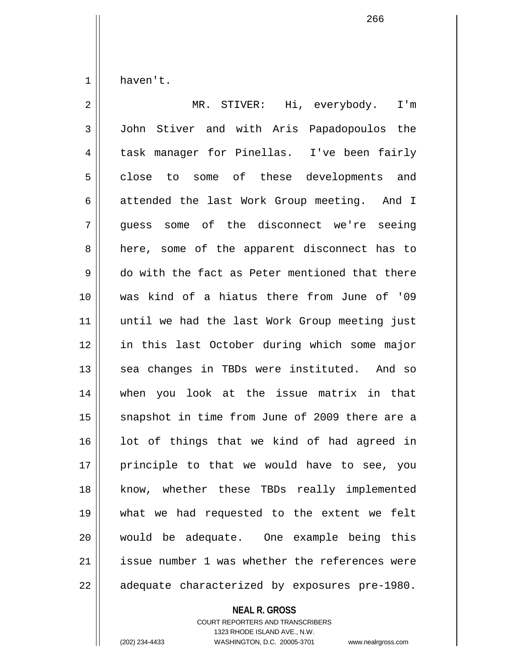1 haven't.

2 || MR. STIVER: Hi, everybody. I'm 3 John Stiver and with Aris Papadopoulos the 4 task manager for Pinellas. I've been fairly 5 close to some of these developments and 6 attended the last Work Group meeting. And I 7 || quess some of the disconnect we're seeing 8 || here, some of the apparent disconnect has to 9 do with the fact as Peter mentioned that there 10 was kind of a hiatus there from June of '09 11 until we had the last Work Group meeting just 12 in this last October during which some major 13 || sea changes in TBDs were instituted. And so 14 when you look at the issue matrix in that 15 || snapshot in time from June of 2009 there are a  $16$  lot of things that we kind of had agreed in 17 || principle to that we would have to see, you 18 || know, whether these TBDs really implemented 19 what we had requested to the extent we felt 20 would be adequate. One example being this 21 | issue number 1 was whether the references were  $22$  | adequate characterized by exposures pre-1980.

## **NEAL R. GROSS**

COURT REPORTERS AND TRANSCRIBERS 1323 RHODE ISLAND AVE., N.W. (202) 234-4433 WASHINGTON, D.C. 20005-3701 www.nealrgross.com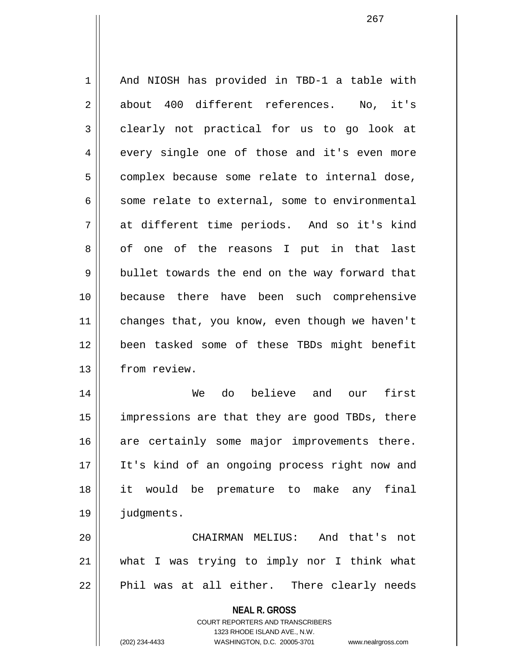1 | And NIOSH has provided in TBD-1 a table with 2 about 400 different references. No, it's 3 clearly not practical for us to go look at  $4 \parallel$  every single one of those and it's even more  $5$  complex because some relate to internal dose,  $6 \parallel$  some relate to external, some to environmental  $7 \parallel$  at different time periods. And so it's kind 8 of one of the reasons I put in that last  $9 \parallel$  bullet towards the end on the way forward that 10 because there have been such comprehensive 11 | changes that, you know, even though we haven't 12 been tasked some of these TBDs might benefit 13 | from review. 14 We do believe and our first 15 || impressions are that they are good TBDs, there 16 are certainly some major improvements there. 17 || It's kind of an ongoing process right now and

18 it would be premature to make any final 19 judgments.

20 CHAIRMAN MELIUS: And that's not 21 what I was trying to imply nor I think what  $22$  || Phil was at all either. There clearly needs

**NEAL R. GROSS**

COURT REPORTERS AND TRANSCRIBERS 1323 RHODE ISLAND AVE., N.W. (202) 234-4433 WASHINGTON, D.C. 20005-3701 www.nealrgross.com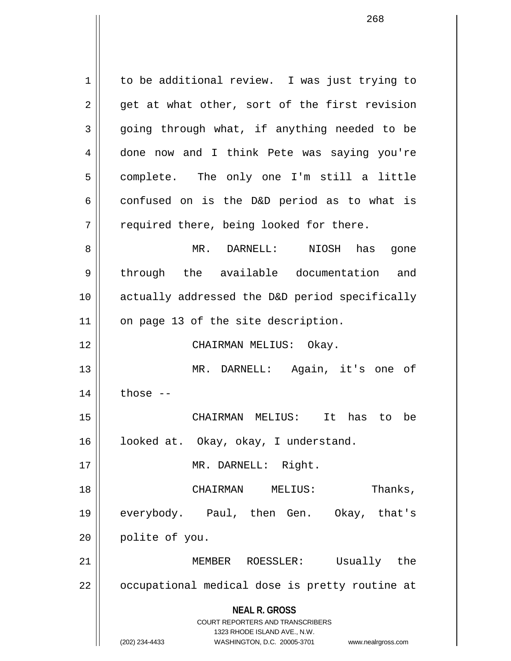**NEAL R. GROSS** COURT REPORTERS AND TRANSCRIBERS 1323 RHODE ISLAND AVE., N.W. (202) 234-4433 WASHINGTON, D.C. 20005-3701 www.nealrgross.com 1 | to be additional review. I was just trying to  $2 \parallel$  get at what other, sort of the first revision  $3 \parallel$  going through what, if anything needed to be 4 done now and I think Pete was saying you're 5 complete. The only one I'm still a little  $6 \parallel$  confused on is the D&D period as to what is  $7 \parallel$  required there, being looked for there. 8 MR. DARNELL: NIOSH has gone 9 || through the available documentation and 10 actually addressed the D&D period specifically 11 || on page 13 of the site description. 12 CHAIRMAN MELIUS: Okay. 13 MR. DARNELL: Again, it's one of  $14$  | those  $-$ 15 CHAIRMAN MELIUS: It has to be 16 | looked at. Okay, okay, I understand. 17 || MR. DARNELL: Right. 18 CHAIRMAN MELIUS: Thanks, 19 everybody. Paul, then Gen. Okay, that's 20 | polite of you. 21 MEMBER ROESSLER: Usually the 22 || occupational medical dose is pretty routine at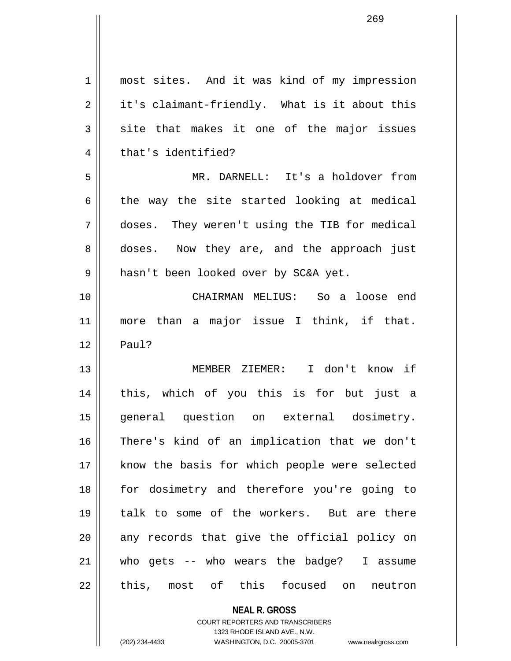| $\mathbf 1$ | most sites. And it was kind of my impression  |
|-------------|-----------------------------------------------|
| 2           | it's claimant-friendly. What is it about this |
| 3           | site that makes it one of the major issues    |
| 4           | that's identified?                            |
| 5           | MR. DARNELL: It's a holdover from             |
| 6           | the way the site started looking at medical   |
| 7           | doses. They weren't using the TIB for medical |
| 8           | doses. Now they are, and the approach just    |
| 9           | hasn't been looked over by SC&A yet.          |
| 10          | CHAIRMAN MELIUS: So a loose end               |
| 11          | more than a major issue I think, if that.     |
| 12          | Paul?                                         |
| 13          | MEMBER ZIEMER: I don't know if                |
| 14          | this, which of you this is for but just a     |
| 15          | general question on external dosimetry.       |
| 16          | There's kind of an implication that we don't  |
| 17          | know the basis for which people were selected |
| 18          | for dosimetry and therefore you're going to   |
| 19          | talk to some of the workers. But are there    |
| 20          | any records that give the official policy on  |
| 21          | who gets -- who wears the badge? I assume     |
| 22          | this, most of this focused on<br>neutron      |
|             | <b>NEAL R. GROSS</b>                          |

COURT REPORTERS AND TRANSCRIBERS 1323 RHODE ISLAND AVE., N.W.

 $\mathbf{\mathsf{I}}$ 

(202) 234-4433 WASHINGTON, D.C. 20005-3701 www.nealrgross.com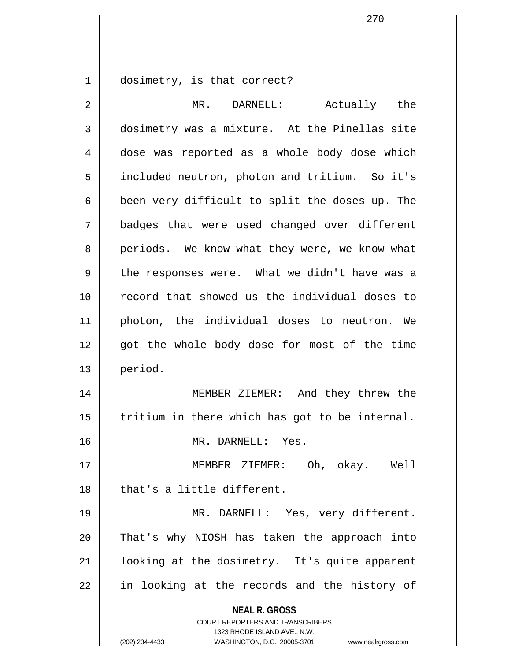1 dosimetry, is that correct?

| $\overline{2}$ | MR. DARNELL:<br>Actually the                                                                                                                                           |
|----------------|------------------------------------------------------------------------------------------------------------------------------------------------------------------------|
| $\mathfrak{Z}$ | dosimetry was a mixture. At the Pinellas site                                                                                                                          |
| 4              | dose was reported as a whole body dose which                                                                                                                           |
| 5              | included neutron, photon and tritium. So it's                                                                                                                          |
| 6              | been very difficult to split the doses up. The                                                                                                                         |
| 7              | badges that were used changed over different                                                                                                                           |
| 8              | periods. We know what they were, we know what                                                                                                                          |
| 9              | the responses were. What we didn't have was a                                                                                                                          |
| 10             | record that showed us the individual doses to                                                                                                                          |
| 11             | photon, the individual doses to neutron. We                                                                                                                            |
| 12             | got the whole body dose for most of the time                                                                                                                           |
| 13             | period.                                                                                                                                                                |
| 14             | MEMBER ZIEMER: And they threw the                                                                                                                                      |
| 15             | tritium in there which has got to be internal.                                                                                                                         |
| 16             | MR. DARNELL: Yes.                                                                                                                                                      |
| 17             | Oh, okay. Well<br>MEMBER<br>ZIEMER:                                                                                                                                    |
| 18             | that's a little different.                                                                                                                                             |
| 19             | MR. DARNELL: Yes, very different.                                                                                                                                      |
| 20             | That's why NIOSH has taken the approach into                                                                                                                           |
| 21             | looking at the dosimetry. It's quite apparent                                                                                                                          |
| 22             | in looking at the records and the history of                                                                                                                           |
|                | <b>NEAL R. GROSS</b><br><b>COURT REPORTERS AND TRANSCRIBERS</b><br>1323 RHODE ISLAND AVE., N.W.<br>(202) 234-4433<br>WASHINGTON, D.C. 20005-3701<br>www.nealrgross.com |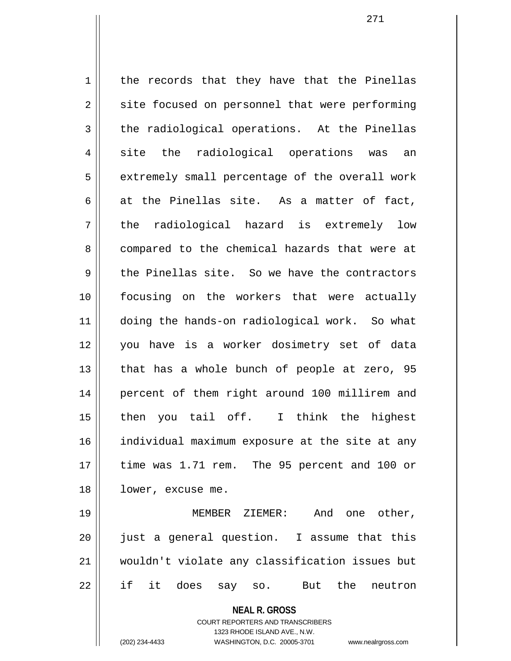**NEAL R. GROSS**  $1 \parallel$  the records that they have that the Pinellas 2 || site focused on personnel that were performing  $3 \parallel$  the radiological operations. At the Pinellas 4 site the radiological operations was an 5 | extremely small percentage of the overall work 6 at the Pinellas site. As a matter of fact,  $7 \parallel$  the radiological hazard is extremely low 8 compared to the chemical hazards that were at  $9 \parallel$  the Pinellas site. So we have the contractors 10 focusing on the workers that were actually 11 doing the hands-on radiological work. So what 12 you have is a worker dosimetry set of data 13  $\parallel$  that has a whole bunch of people at zero, 95 14 percent of them right around 100 millirem and 15 || then you tail off. I think the highest 16 | individual maximum exposure at the site at any 17 time was 1.71 rem. The 95 percent and 100 or 18 | lower, excuse me. 19 || MEMBER ZIEMER: And one other, 20 just a general question. I assume that this 21 wouldn't violate any classification issues but 22 if it does say so. But the neutron

> COURT REPORTERS AND TRANSCRIBERS 1323 RHODE ISLAND AVE., N.W.

(202) 234-4433 WASHINGTON, D.C. 20005-3701 www.nealrgross.com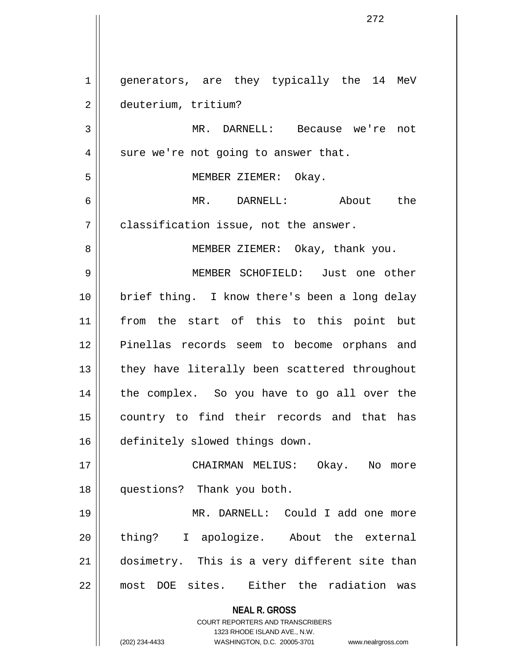**NEAL R. GROSS** COURT REPORTERS AND TRANSCRIBERS 1323 RHODE ISLAND AVE., N.W. (202) 234-4433 WASHINGTON, D.C. 20005-3701 www.nealrgross.com 1 || generators, are they typically the 14 MeV 2 deuterium, tritium? 3 MR. DARNELL: Because we're not  $4 \parallel$  sure we're not going to answer that. 5 MEMBER ZIEMER: Okay. 6 MR. DARNELL: About the  $7 \parallel$  classification issue, not the answer. 8 || MEMBER ZIEMER: Okay, thank you. 9 MEMBER SCHOFIELD: Just one other 10 brief thing. I know there's been a long delay 11 from the start of this to this point but 12 Pinellas records seem to become orphans and 13 || they have literally been scattered throughout 14 the complex. So you have to go all over the 15 || country to find their records and that has 16 | definitely slowed things down. 17 CHAIRMAN MELIUS: Okay. No more 18 questions? Thank you both. 19 MR. DARNELL: Could I add one more 20 || thing? I apologize. About the external 21 || dosimetry. This is a very different site than 22 || most DOE sites. Either the radiation was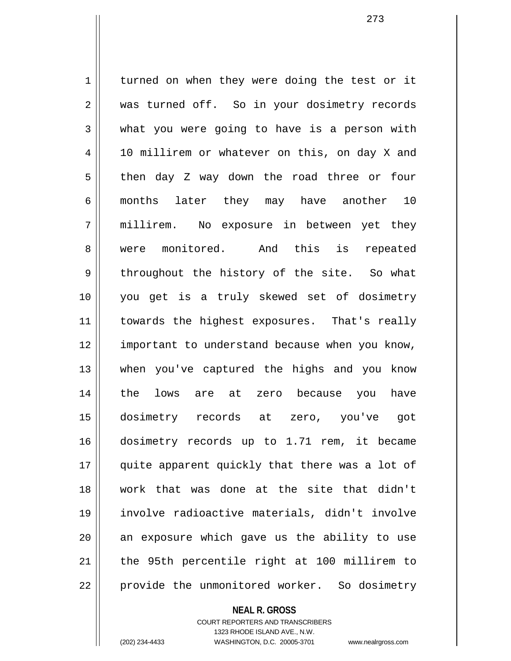1 turned on when they were doing the test or it 2 was turned off. So in your dosimetry records  $3 \parallel$  what you were going to have is a person with 4 | 10 millirem or whatever on this, on day X and 5 then day Z way down the road three or four 6 months later they may have another 10 7 millirem. No exposure in between yet they 8 || were monitored. And this is repeated 9 throughout the history of the site. So what 10 you get is a truly skewed set of dosimetry 11 || towards the highest exposures. That's really 12 || important to understand because when you know, 13 when you've captured the highs and you know 14 the lows are at zero because you have 15 dosimetry records at zero, you've got 16 dosimetry records up to 1.71 rem, it became 17 || quite apparent quickly that there was a lot of 18 work that was done at the site that didn't 19 involve radioactive materials, didn't involve  $20$  an exposure which gave us the ability to use 21 || the 95th percentile right at 100 millirem to 22 | provide the unmonitored worker. So dosimetry

**NEAL R. GROSS**

COURT REPORTERS AND TRANSCRIBERS 1323 RHODE ISLAND AVE., N.W. (202) 234-4433 WASHINGTON, D.C. 20005-3701 www.nealrgross.com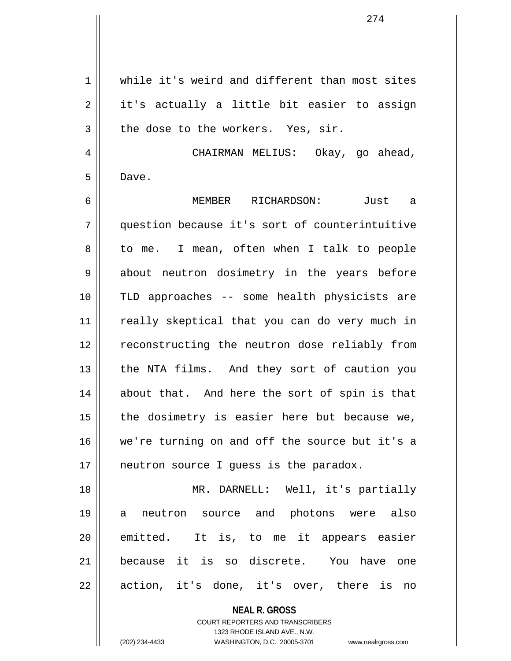1 while it's weird and different than most sites  $2 \parallel$  it's actually a little bit easier to assign  $3 \parallel$  the dose to the workers. Yes, sir. 4 | CHAIRMAN MELIUS: Okay, go ahead, 5 Dave. 6 MEMBER RICHARDSON: Just a 7 question because it's sort of counterintuitive 8 || to me. I mean, often when I talk to people 9 || about neutron dosimetry in the years before 10 TLD approaches -- some health physicists are 11 || really skeptical that you can do very much in 12 || reconstructing the neutron dose reliably from 13 || the NTA films. And they sort of caution you 14 about that. And here the sort of spin is that  $15$  | the dosimetry is easier here but because we, 16 we're turning on and off the source but it's a 17 || neutron source I guess is the paradox. 18 MR. DARNELL: Well, it's partially 19 a neutron source and photons were also 20 || emitted. It is, to me it appears easier 21 because it is so discrete. You have one  $22$  || action, it's done, it's over, there is no

> **NEAL R. GROSS** COURT REPORTERS AND TRANSCRIBERS 1323 RHODE ISLAND AVE., N.W. (202) 234-4433 WASHINGTON, D.C. 20005-3701 www.nealrgross.com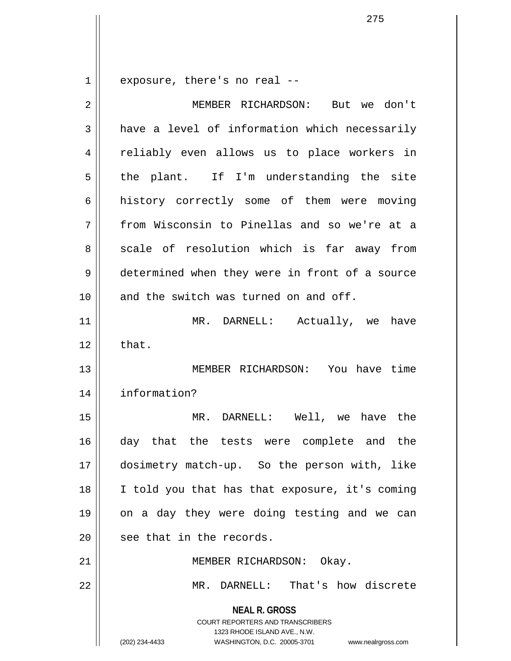$1 \parallel$  exposure, there's no real --

| $\overline{2}$ | MEMBER RICHARDSON: But we don't                                                                                                                                 |
|----------------|-----------------------------------------------------------------------------------------------------------------------------------------------------------------|
| 3              | have a level of information which necessarily                                                                                                                   |
| 4              | reliably even allows us to place workers in                                                                                                                     |
| 5              | the plant. If I'm understanding the site                                                                                                                        |
| 6              | history correctly some of them were moving                                                                                                                      |
| 7              | from Wisconsin to Pinellas and so we're at a                                                                                                                    |
| 8              | scale of resolution which is far away from                                                                                                                      |
| 9              | determined when they were in front of a source                                                                                                                  |
| 10             | and the switch was turned on and off.                                                                                                                           |
| 11             | MR. DARNELL: Actually, we have                                                                                                                                  |
| 12             | that.                                                                                                                                                           |
| 13             | MEMBER RICHARDSON: You have time                                                                                                                                |
| 14             | information?                                                                                                                                                    |
| 15             | MR. DARNELL: Well, we have the                                                                                                                                  |
| 16             | day that the tests were complete and the                                                                                                                        |
| 17             | dosimetry match-up. So the person with, like                                                                                                                    |
| 18             | I told you that has that exposure, it's coming                                                                                                                  |
| 19             | on a day they were doing testing and we can                                                                                                                     |
| 20             | see that in the records.                                                                                                                                        |
| 21             | MEMBER RICHARDSON: Okay.                                                                                                                                        |
| 22             | MR. DARNELL: That's how discrete                                                                                                                                |
|                | <b>NEAL R. GROSS</b><br>COURT REPORTERS AND TRANSCRIBERS<br>1323 RHODE ISLAND AVE., N.W.<br>WASHINGTON, D.C. 20005-3701<br>(202) 234-4433<br>www.nealrgross.com |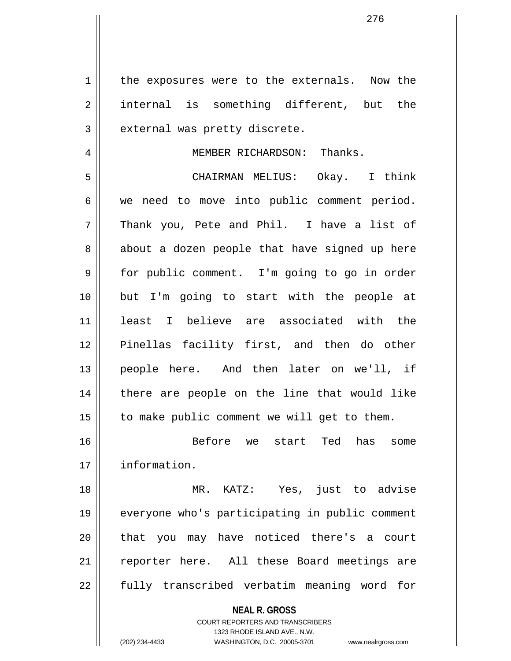1 || the exposures were to the externals. Now the 2 || internal is something different, but the  $3$  || external was pretty discrete.

## 4 || MEMBER RICHARDSON: Thanks.

5 CHAIRMAN MELIUS: Okay. I think  $6 \parallel$  we need to move into public comment period.  $7 \parallel$  Thank you, Pete and Phil. I have a list of  $8 \parallel$  about a dozen people that have signed up here 9 | for public comment. I'm going to go in order 10 but I'm going to start with the people at 11 least I believe are associated with the 12 Pinellas facility first, and then do other 13 people here. And then later on we'll, if 14 || there are people on the line that would like  $15$  | to make public comment we will get to them.

16 Before we start Ted has some 17 information.

18 MR. KATZ: Yes, just to advise 19 everyone who's participating in public comment 20 || that you may have noticed there's a court 21 || reporter here. All these Board meetings are 22 || fully transcribed verbatim meaning word for

**NEAL R. GROSS**

COURT REPORTERS AND TRANSCRIBERS 1323 RHODE ISLAND AVE., N.W. (202) 234-4433 WASHINGTON, D.C. 20005-3701 www.nealrgross.com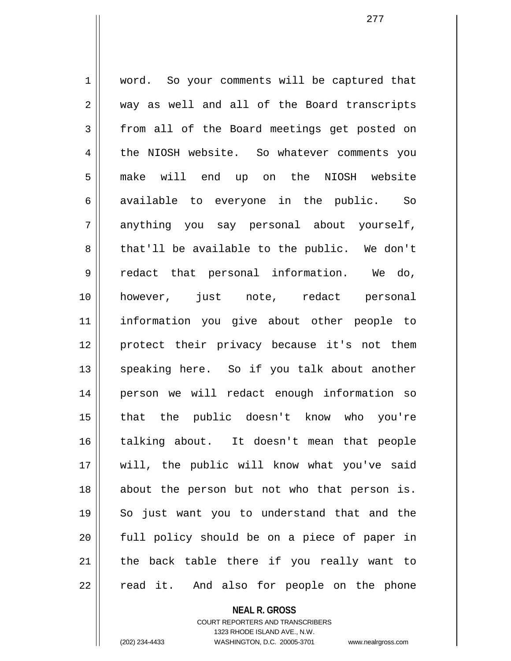1 | word. So your comments will be captured that 2 || way as well and all of the Board transcripts 3 from all of the Board meetings get posted on 4 | the NIOSH website. So whatever comments you 5 make will end up on the NIOSH website  $6 \parallel$  available to everyone in the public. So 7 anything you say personal about yourself, 8 that'll be available to the public. We don't 9 redact that personal information. We do, 10 however, just note, redact personal 11 information you give about other people to 12 protect their privacy because it's not them 13 || speaking here. So if you talk about another 14 person we will redact enough information so 15 that the public doesn't know who you're 16 talking about. It doesn't mean that people 17 will, the public will know what you've said 18 about the person but not who that person is. 19 So just want you to understand that and the 20 || full policy should be on a piece of paper in 21 || the back table there if you really want to  $22$  || read it. And also for people on the phone

> **NEAL R. GROSS** COURT REPORTERS AND TRANSCRIBERS

> > 1323 RHODE ISLAND AVE., N.W.

(202) 234-4433 WASHINGTON, D.C. 20005-3701 www.nealrgross.com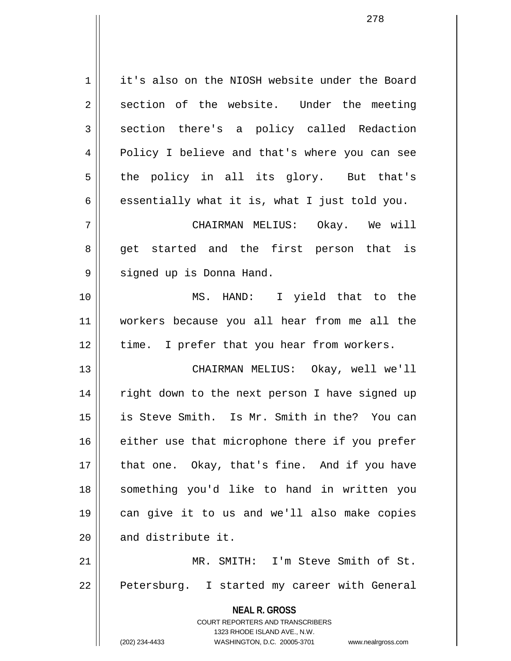1 | it's also on the NIOSH website under the Board  $2 \parallel$  section of the website. Under the meeting 3 || section there's a policy called Redaction 4 || Policy I believe and that's where you can see  $5 \parallel$  the policy in all its glory. But that's 6  $\parallel$  essentially what it is, what I just told you. 7 CHAIRMAN MELIUS: Okay. We will 8 get started and the first person that is 9 || signed up is Donna Hand. 10 MS. HAND: I yield that to the 11 workers because you all hear from me all the 12 || time. I prefer that you hear from workers. 13 CHAIRMAN MELIUS: Okay, well we'll

14 || right down to the next person I have signed up 15 is Steve Smith. Is Mr. Smith in the? You can  $16$  either use that microphone there if you prefer  $17$  || that one. Okay, that's fine. And if you have 18 something you'd like to hand in written you 19 can give it to us and we'll also make copies  $20$   $\parallel$  and distribute it.

21 MR. SMITH: I'm Steve Smith of St. 22 || Petersburg. I started my career with General

> **NEAL R. GROSS** COURT REPORTERS AND TRANSCRIBERS 1323 RHODE ISLAND AVE., N.W. (202) 234-4433 WASHINGTON, D.C. 20005-3701 www.nealrgross.com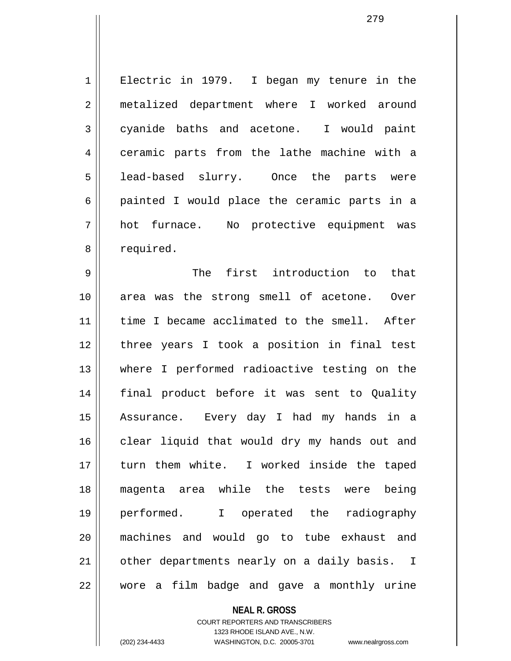1 || Electric in 1979. I began my tenure in the 2 || metalized department where I worked around  $3 \parallel$  cyanide baths and acetone. I would paint 4 ceramic parts from the lathe machine with a 5 lead-based slurry. Once the parts were  $6 \parallel$  painted I would place the ceramic parts in a 7 hot furnace. No protective equipment was 8 | required.

9 The first introduction to that 10 area was the strong smell of acetone. Over 11 || time I became acclimated to the smell. After 12 || three years I took a position in final test 13 where I performed radioactive testing on the 14 final product before it was sent to Quality 15 Assurance. Every day I had my hands in a 16 || clear liquid that would dry my hands out and 17 || turn them white. I worked inside the taped 18 magenta area while the tests were being 19 performed. I operated the radiography 20 machines and would go to tube exhaust and 21 || other departments nearly on a daily basis. I  $22$   $\parallel$  wore a film badge and gave a monthly urine

> **NEAL R. GROSS** COURT REPORTERS AND TRANSCRIBERS 1323 RHODE ISLAND AVE., N.W. (202) 234-4433 WASHINGTON, D.C. 20005-3701 www.nealrgross.com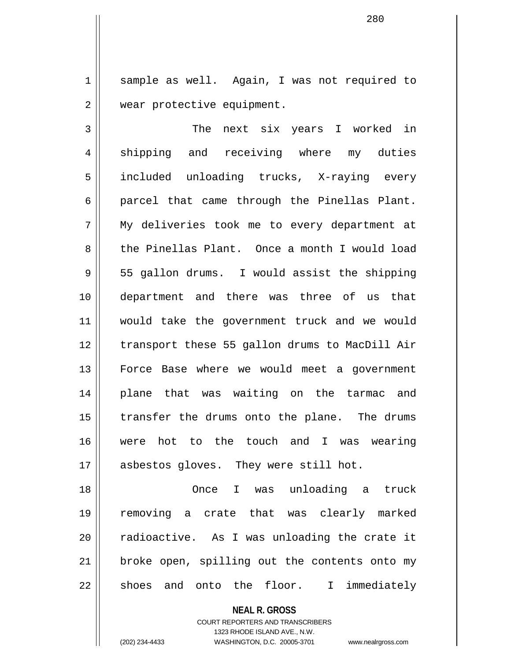1 || sample as well. Again, I was not required to 2 | wear protective equipment.

280

3 The next six years I worked in 4 || shipping and receiving where my duties 5 || included unloading trucks, X-raying every  $6 \parallel$  parcel that came through the Pinellas Plant. 7 My deliveries took me to every department at 8 the Pinellas Plant. Once a month I would load 9 || 55 gallon drums. I would assist the shipping 10 department and there was three of us that 11 would take the government truck and we would 12 transport these 55 gallon drums to MacDill Air 13 Force Base where we would meet a government 14 plane that was waiting on the tarmac and  $15$  | transfer the drums onto the plane. The drums 16 were hot to the touch and I was wearing 17 || asbestos gloves. They were still hot.

18 Once I was unloading a truck 19 removing a crate that was clearly marked  $20$  || radioactive. As I was unloading the crate it 21 || broke open, spilling out the contents onto my  $22 \parallel$  shoes and onto the floor. I immediately

**NEAL R. GROSS**

COURT REPORTERS AND TRANSCRIBERS 1323 RHODE ISLAND AVE., N.W. (202) 234-4433 WASHINGTON, D.C. 20005-3701 www.nealrgross.com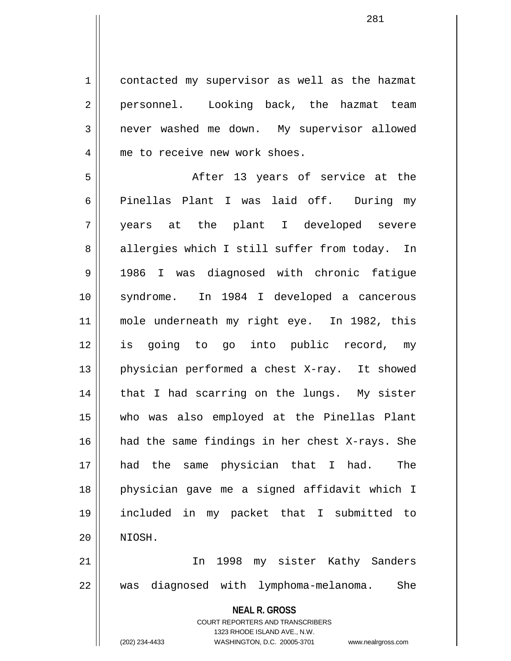1 contacted my supervisor as well as the hazmat 2 || personnel. Looking back, the hazmat team 3 never washed me down. My supervisor allowed 4 || me to receive new work shoes.

5 After 13 years of service at the 6 Pinellas Plant I was laid off. During my 7 years at the plant I developed severe 8 || allergies which I still suffer from today. In 9 1986 I was diagnosed with chronic fatigue 10 syndrome. In 1984 I developed a cancerous 11 mole underneath my right eye. In 1982, this 12 is going to go into public record, my 13 || physician performed a chest X-ray. It showed 14 || that I had scarring on the lungs. My sister 15 who was also employed at the Pinellas Plant 16 had the same findings in her chest X-rays. She 17 had the same physician that I had. The 18 physician gave me a signed affidavit which I 19 included in my packet that I submitted to 20 NIOSH.

21 || The 1998 my sister Kathy Sanders 22 was diagnosed with lymphoma-melanoma. She

> **NEAL R. GROSS** COURT REPORTERS AND TRANSCRIBERS 1323 RHODE ISLAND AVE., N.W. (202) 234-4433 WASHINGTON, D.C. 20005-3701 www.nealrgross.com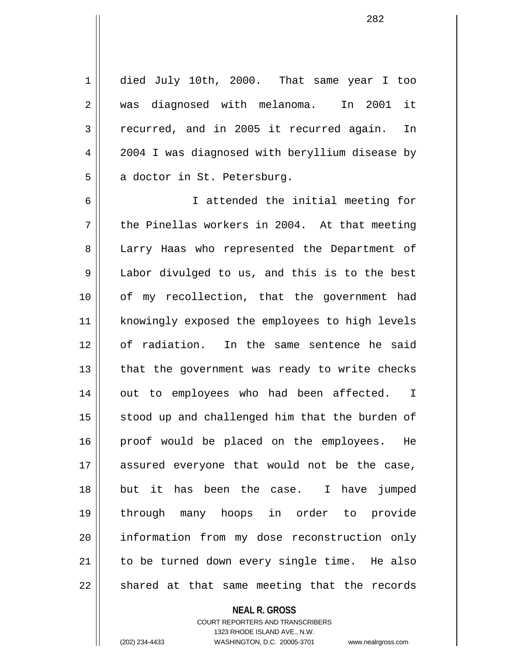1 died July 10th, 2000. That same year I too 2 was diagnosed with melanoma. In 2001 it 3 || recurred, and in 2005 it recurred again. In 4 2004 I was diagnosed with beryllium disease by 5 | a doctor in St. Petersburg.

6 I attended the initial meeting for  $7 \parallel$  the Pinellas workers in 2004. At that meeting 8 || Larry Haas who represented the Department of 9 Labor divulged to us, and this is to the best 10 || of my recollection, that the government had 11 || knowingly exposed the employees to high levels 12 of radiation. In the same sentence he said  $13$  || that the government was ready to write checks 14 || out to employees who had been affected. I 15 || stood up and challenged him that the burden of 16 || proof would be placed on the employees. He 17 assured everyone that would not be the case, 18 but it has been the case. I have jumped 19 through many hoops in order to provide 20 || information from my dose reconstruction only 21 || to be turned down every single time. He also  $22$   $\parallel$  shared at that same meeting that the records

## **NEAL R. GROSS**

COURT REPORTERS AND TRANSCRIBERS 1323 RHODE ISLAND AVE., N.W. (202) 234-4433 WASHINGTON, D.C. 20005-3701 www.nealrgross.com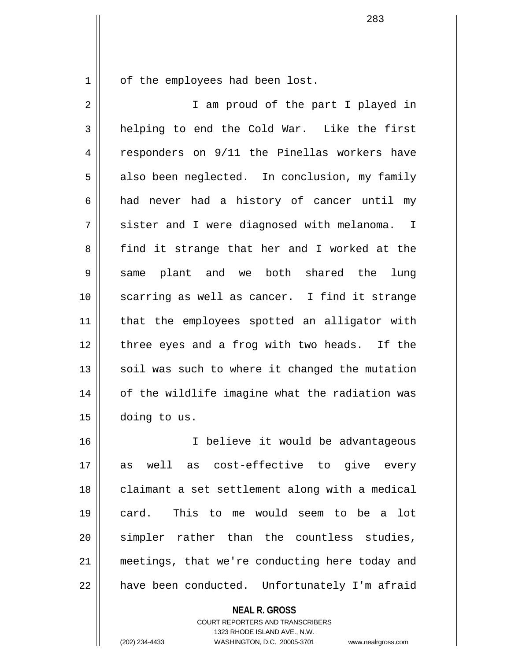1 | of the employees had been lost.

2 || T am proud of the part I played in  $3 \parallel$  helping to end the Cold War. Like the first 4 || responders on 9/11 the Pinellas workers have  $5 \parallel$  also been neglected. In conclusion, my family  $6 \parallel$  had never had a history of cancer until my  $7 \parallel$  sister and I were diagnosed with melanoma. I 8 find it strange that her and I worked at the 9 same plant and we both shared the lung 10 || scarring as well as cancer. I find it strange 11 || that the employees spotted an alligator with 12 || three eyes and a frog with two heads. If the  $13$  soil was such to where it changed the mutation 14 || of the wildlife imagine what the radiation was 15 doing to us.

16 I believe it would be advantageous 17 as well as cost-effective to give every 18 || claimant a set settlement along with a medical 19 card. This to me would seem to be a lot 20 || simpler rather than the countless studies, 21 meetings, that we're conducting here today and 22 | have been conducted. Unfortunately I'm afraid

## **NEAL R. GROSS**

COURT REPORTERS AND TRANSCRIBERS 1323 RHODE ISLAND AVE., N.W. (202) 234-4433 WASHINGTON, D.C. 20005-3701 www.nealrgross.com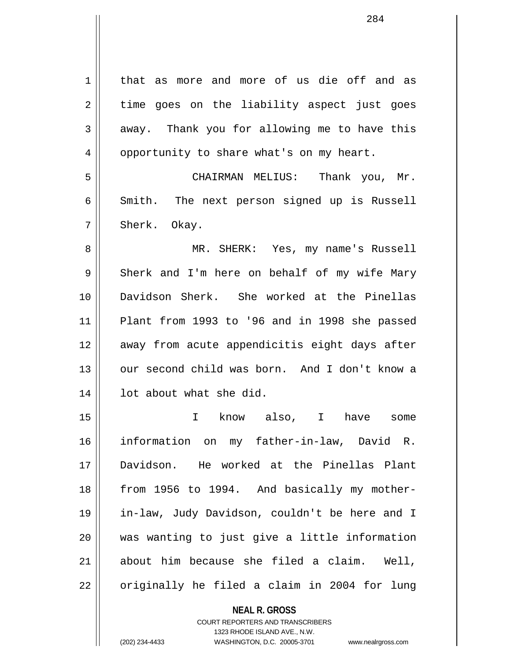**NEAL R. GROSS** 1 | that as more and more of us die off and as  $2 \parallel$  time goes on the liability aspect just goes  $3 \parallel$  away. Thank you for allowing me to have this 4 | opportunity to share what's on my heart. 5 CHAIRMAN MELIUS: Thank you, Mr.  $6 \parallel$  Smith. The next person signed up is Russell  $7 \parallel$  Sherk. Okay. 8 MR. SHERK: Yes, my name's Russell  $9 \parallel$  Sherk and I'm here on behalf of my wife Mary 10 Davidson Sherk. She worked at the Pinellas  $11$  Plant from 1993 to '96 and in 1998 she passed 12 || away from acute appendicitis eight days after 13 || our second child was born. And I don't know a 14 || lot about what she did. 15 I know also, I have some 16 information on my father-in-law, David R. 17 Davidson. He worked at the Pinellas Plant 18 || from 1956 to 1994. And basically my mother-19 in-law, Judy Davidson, couldn't be here and I 20 was wanting to just give a little information  $21$  || about him because she filed a claim. Well,  $22 \parallel$  originally he filed a claim in 2004 for lung

> COURT REPORTERS AND TRANSCRIBERS 1323 RHODE ISLAND AVE., N.W.

(202) 234-4433 WASHINGTON, D.C. 20005-3701 www.nealrgross.com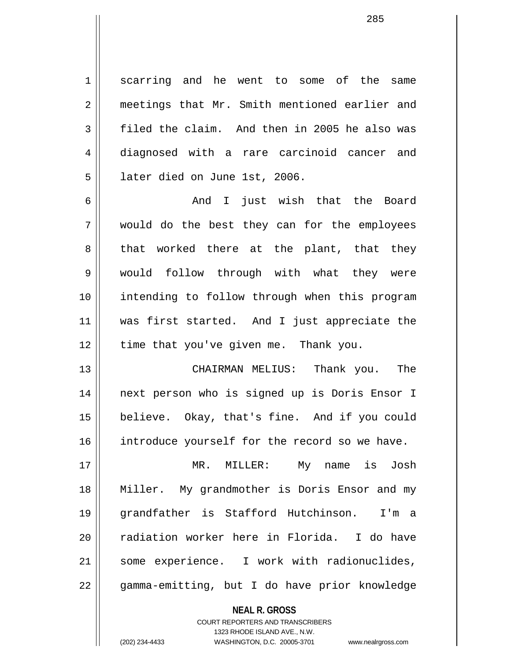1 || scarring and he went to some of the same 2 meetings that Mr. Smith mentioned earlier and  $3 \parallel$  filed the claim. And then in 2005 he also was 4 diagnosed with a rare carcinoid cancer and 5 | later died on June 1st, 2006.

6 And I just wish that the Board 7 would do the best they can for the employees  $8 \parallel$  that worked there at the plant, that they 9 would follow through with what they were 10 intending to follow through when this program 11 was first started. And I just appreciate the  $12$  | time that you've given me. Thank you.

13 CHAIRMAN MELIUS: Thank you. The 14 next person who is signed up is Doris Ensor I 15 believe. Okay, that's fine. And if you could 16 introduce yourself for the record so we have.

17 MR. MILLER: My name is Josh 18 Miller. My grandmother is Doris Ensor and my 19 grandfather is Stafford Hutchinson. I'm a 20 || radiation worker here in Florida. I do have 21 || some experience. I work with radionuclides, 22 gamma-emitting, but I do have prior knowledge

> **NEAL R. GROSS** COURT REPORTERS AND TRANSCRIBERS 1323 RHODE ISLAND AVE., N.W. (202) 234-4433 WASHINGTON, D.C. 20005-3701 www.nealrgross.com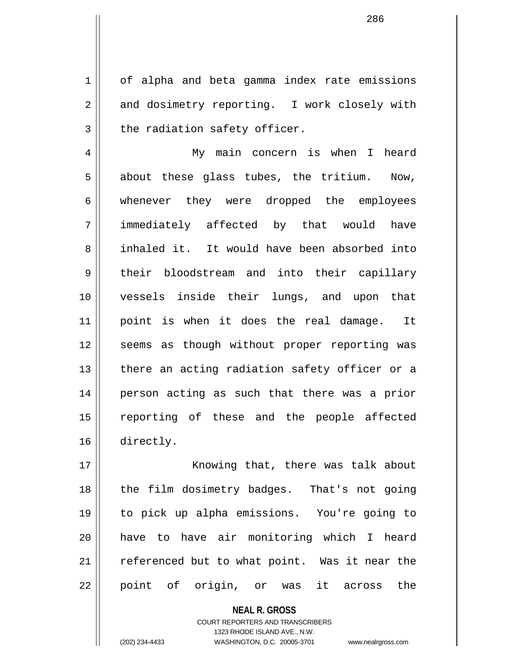1 | of alpha and beta gamma index rate emissions 2 and dosimetry reporting. I work closely with  $3$  | the radiation safety officer.

4 My main concern is when I heard  $5 \parallel$  about these glass tubes, the tritium. Now, 6 whenever they were dropped the employees 7 immediately affected by that would have 8 inhaled it. It would have been absorbed into 9 their bloodstream and into their capillary 10 vessels inside their lungs, and upon that 11 point is when it does the real damage. It 12 || seems as though without proper reporting was 13 || there an acting radiation safety officer or a 14 || person acting as such that there was a prior 15 reporting of these and the people affected 16 directly.

17 || Knowing that, there was talk about 18 || the film dosimetry badges. That's not going 19 to pick up alpha emissions. You're going to 20 have to have air monitoring which I heard 21 || referenced but to what point. Was it near the 22 || point of origin, or was it across the

> **NEAL R. GROSS** COURT REPORTERS AND TRANSCRIBERS 1323 RHODE ISLAND AVE., N.W. (202) 234-4433 WASHINGTON, D.C. 20005-3701 www.nealrgross.com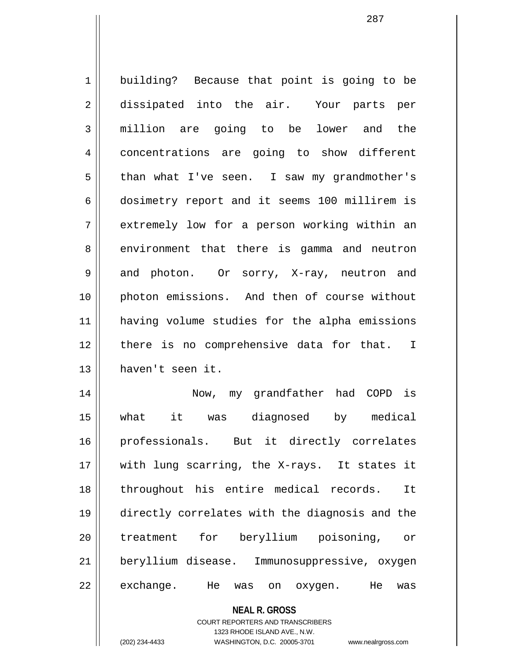1 | building? Because that point is going to be 2 dissipated into the air. Your parts per 3 million are going to be lower and the 4 | concentrations are going to show different 5 than what I've seen. I saw my grandmother's 6 | dosimetry report and it seems 100 millirem is  $7 \parallel$  extremely low for a person working within an 8 | environment that there is gamma and neutron 9 and photon. Or sorry, X-ray, neutron and 10 photon emissions. And then of course without 11 having volume studies for the alpha emissions 12 || there is no comprehensive data for that. I 13 haven't seen it. 14 Now, my grandfather had COPD is 15 what it was diagnosed by medical 16 professionals. But it directly correlates 17 || with lung scarring, the X-rays. It states it 18 throughout his entire medical records. It 19 directly correlates with the diagnosis and the 20 || treatment for beryllium poisoning, or 21 beryllium disease. Immunosuppressive, oxygen

22 || exchange. He was on oxygen. He was

**NEAL R. GROSS** COURT REPORTERS AND TRANSCRIBERS 1323 RHODE ISLAND AVE., N.W.

(202) 234-4433 WASHINGTON, D.C. 20005-3701 www.nealrgross.com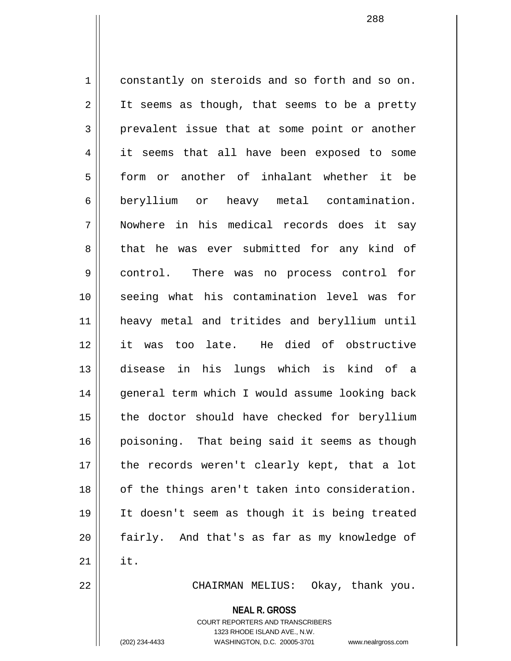1 constantly on steroids and so forth and so on.  $2 \parallel$  It seems as though, that seems to be a pretty  $3 \parallel$  prevalent issue that at some point or another 4 it seems that all have been exposed to some 5 form or another of inhalant whether it be 6 beryllium or heavy metal contamination. 7 Nowhere in his medical records does it say 8 that he was ever submitted for any kind of 9 control. There was no process control for 10 seeing what his contamination level was for 11 heavy metal and tritides and beryllium until 12 it was too late. He died of obstructive 13 disease in his lungs which is kind of a 14 || general term which I would assume looking back  $15$  | the doctor should have checked for beryllium 16 poisoning. That being said it seems as though 17 || the records weren't clearly kept, that a lot 18 || of the things aren't taken into consideration. 19 It doesn't seem as though it is being treated 20 fairly. And that's as far as my knowledge of  $21$   $\parallel$  it. 22 || CHAIRMAN MELIUS: Okay, thank you.

**NEAL R. GROSS**

COURT REPORTERS AND TRANSCRIBERS 1323 RHODE ISLAND AVE., N.W. (202) 234-4433 WASHINGTON, D.C. 20005-3701 www.nealrgross.com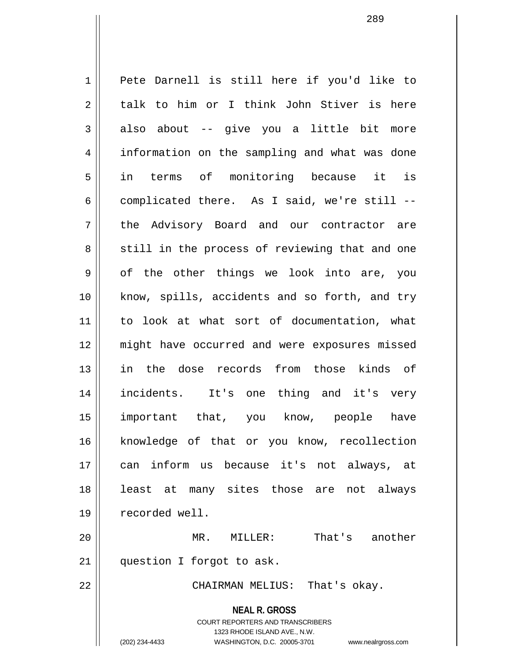**NEAL R. GROSS** COURT REPORTERS AND TRANSCRIBERS 1 || Pete Darnell is still here if you'd like to  $2 \parallel$  talk to him or I think John Stiver is here  $3 \parallel$  also about -- give you a little bit more 4 | information on the sampling and what was done 5 in terms of monitoring because it is  $6 \parallel$  complicated there. As I said, we're still --7 the Advisory Board and our contractor are 8 || still in the process of reviewing that and one  $9 \parallel$  of the other things we look into are, you 10 || know, spills, accidents and so forth, and try 11 to look at what sort of documentation, what 12 might have occurred and were exposures missed 13 in the dose records from those kinds of 14 incidents. It's one thing and it's very 15 important that, you know, people have 16 || knowledge of that or you know, recollection 17 can inform us because it's not always, at 18 || least at many sites those are not always 19 recorded well. 20 MR. MILLER: That's another 21 || question I forgot to ask. 22 CHAIRMAN MELIUS: That's okay.

1323 RHODE ISLAND AVE., N.W.

(202) 234-4433 WASHINGTON, D.C. 20005-3701 www.nealrgross.com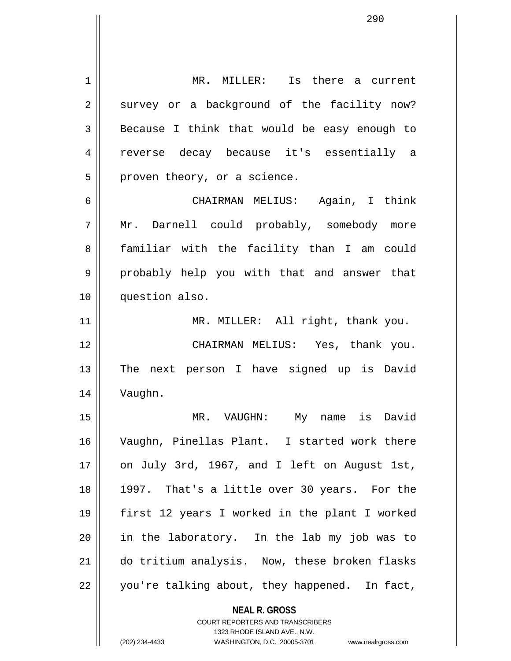**NEAL R. GROSS** COURT REPORTERS AND TRANSCRIBERS 1323 RHODE ISLAND AVE., N.W. 1 MR. MILLER: Is there a current 2 survey or a background of the facility now?  $3 \parallel$  Because I think that would be easy enough to 4 reverse decay because it's essentially a  $5 \parallel$  proven theory, or a science. 6 CHAIRMAN MELIUS: Again, I think 7 Mr. Darnell could probably, somebody more 8 || familiar with the facility than I am could 9 || probably help you with that and answer that 10 question also. 11 || MR. MILLER: All right, thank you. 12 CHAIRMAN MELIUS: Yes, thank you. 13 || The next person I have signed up is David 14 Vaughn. 15 MR. VAUGHN: My name is David 16 Vaughn, Pinellas Plant. I started work there 17  $\parallel$  on July 3rd, 1967, and I left on August 1st, 18 || 1997. That's a little over 30 years. For the 19 first 12 years I worked in the plant I worked 20 in the laboratory. In the lab my job was to 21 do tritium analysis. Now, these broken flasks  $22$  | you're talking about, they happened. In fact,

(202) 234-4433 WASHINGTON, D.C. 20005-3701 www.nealrgross.com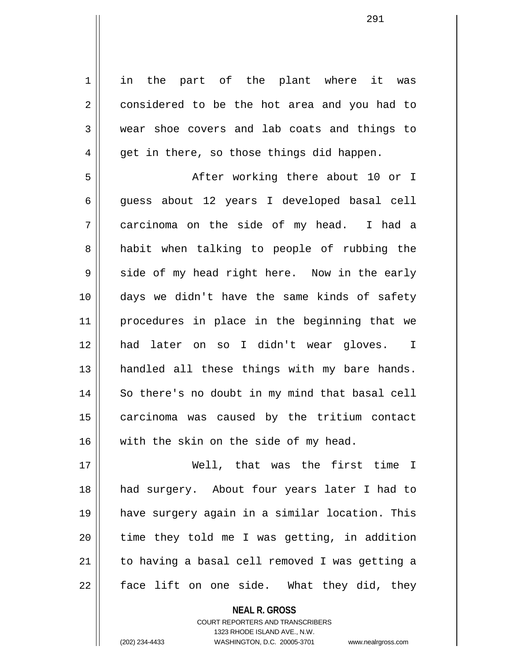1 || in the part of the plant where it was 2 considered to be the hot area and you had to 3 wear shoe covers and lab coats and things to  $4 \parallel$  get in there, so those things did happen.

5 After working there about 10 or I 6 guess about 12 years I developed basal cell 7 carcinoma on the side of my head. I had a 8 and abit when talking to people of rubbing the  $9 \parallel$  side of my head right here. Now in the early 10 days we didn't have the same kinds of safety 11 procedures in place in the beginning that we 12 had later on so I didn't wear gloves. I 13 || handled all these things with my bare hands. 14 || So there's no doubt in my mind that basal cell 15 carcinoma was caused by the tritium contact 16 with the skin on the side of my head.

17 Well, that was the first time I 18 had surgery. About four years later I had to 19 have surgery again in a similar location. This  $20$  || time they told me I was getting, in addition 21 || to having a basal cell removed I was getting a  $22 \parallel$  face lift on one side. What they did, they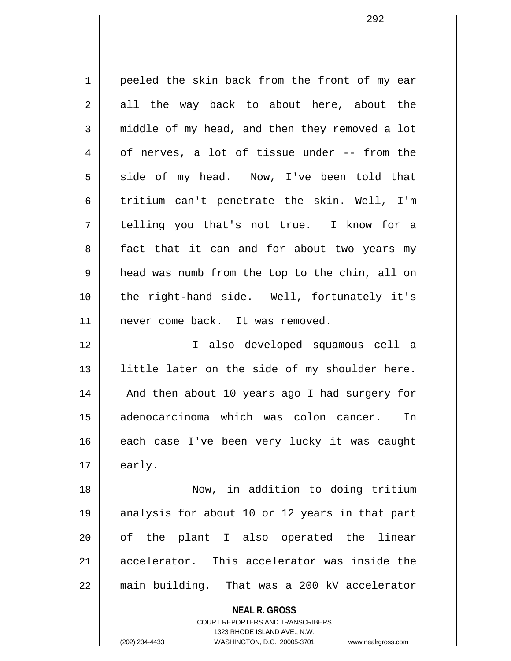1 peeled the skin back from the front of my ear  $2 \parallel$  all the way back to about here, about the  $3 \parallel$  middle of my head, and then they removed a lot  $4 \parallel$  of nerves, a lot of tissue under -- from the  $5 \parallel$  side of my head. Now, I've been told that 6 tritium can't penetrate the skin. Well, I'm 7 telling you that's not true. I know for a 8 || fact that it can and for about two years my 9 | head was numb from the top to the chin, all on 10 the right-hand side. Well, fortunately it's 11 || never come back. It was removed. 12 I also developed squamous cell a 13 || little later on the side of my shoulder here. 14 || And then about 10 years ago I had surgery for 15 adenocarcinoma which was colon cancer. In 16 || each case I've been very lucky it was caught  $17 \parallel$  early. 18 Now, in addition to doing tritium

19 analysis for about 10 or 12 years in that part 20 || of the plant I also operated the linear 21 accelerator. This accelerator was inside the 22 main building. That was a 200 kV accelerator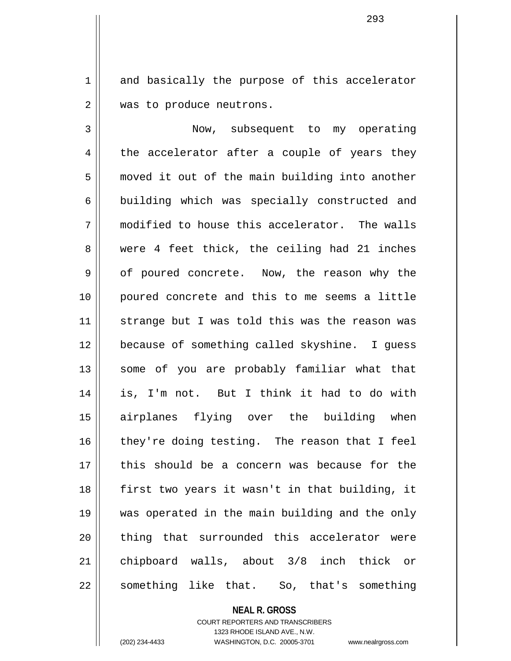1 and basically the purpose of this accelerator 2 | was to produce neutrons.

3 Now, subsequent to my operating  $4 \parallel$  the accelerator after a couple of years they 5 | moved it out of the main building into another 6 building which was specially constructed and 7 modified to house this accelerator. The walls 8 were 4 feet thick, the ceiling had 21 inches 9 || of poured concrete. Now, the reason why the 10 poured concrete and this to me seems a little 11 || strange but I was told this was the reason was 12 because of something called skyshine. I guess 13 || some of you are probably familiar what that 14 is, I'm not. But I think it had to do with 15 airplanes flying over the building when  $16$  they're doing testing. The reason that I feel 17 this should be a concern was because for the 18 first two years it wasn't in that building, it 19 was operated in the main building and the only 20 || thing that surrounded this accelerator were 21 chipboard walls, about 3/8 inch thick or  $22 \parallel$  something like that. So, that's something

> **NEAL R. GROSS** COURT REPORTERS AND TRANSCRIBERS 1323 RHODE ISLAND AVE., N.W. (202) 234-4433 WASHINGTON, D.C. 20005-3701 www.nealrgross.com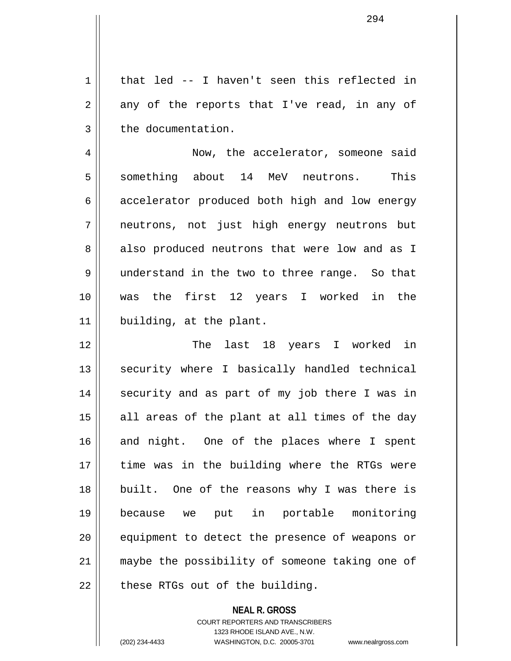$1 \parallel$  that led -- I haven't seen this reflected in  $2 \parallel$  any of the reports that I've read, in any of  $3 \parallel$  the documentation.

4 | Now, the accelerator, someone said 5 Something about 14 MeV neutrons. This  $6 \parallel$  accelerator produced both high and low energy 7 neutrons, not just high energy neutrons but 8 also produced neutrons that were low and as I 9 || understand in the two to three range. So that 10 was the first 12 years I worked in the 11 | building, at the plant.

12 The last 18 years I worked in 13 || security where I basically handled technical 14 || security and as part of my job there I was in  $15$  all areas of the plant at all times of the day 16 and night. One of the places where I spent 17 time was in the building where the RTGs were 18 built. One of the reasons why I was there is 19 because we put in portable monitoring 20 || equipment to detect the presence of weapons or 21 maybe the possibility of someone taking one of  $22$  | these RTGs out of the building.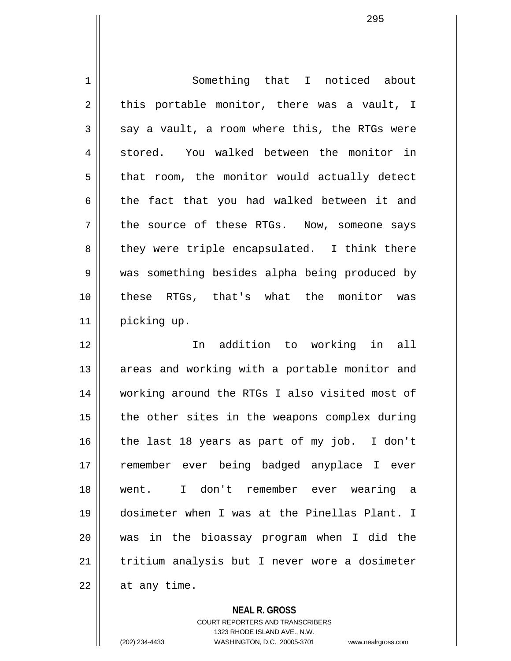1 Something that I noticed about  $2 \parallel$  this portable monitor, there was a vault, I  $3 \parallel$  say a vault, a room where this, the RTGs were 4 stored. You walked between the monitor in  $5 \parallel$  that room, the monitor would actually detect  $6 \parallel$  the fact that you had walked between it and  $7 \parallel$  the source of these RTGs. Now, someone says 8 || they were triple encapsulated. I think there 9 was something besides alpha being produced by 10 these RTGs, that's what the monitor was 11 | picking up. 12 In addition to working in all 13 || areas and working with a portable monitor and 14 working around the RTGs I also visited most of  $15$  | the other sites in the weapons complex during 16 || the last 18 years as part of my job. I don't 17 remember ever being badged anyplace I ever 18 went. I don't remember ever wearing a 19 dosimeter when I was at the Pinellas Plant. I 20 was in the bioassay program when I did the 21 tritium analysis but I never wore a dosimeter  $22$  | at any time.

**NEAL R. GROSS**

COURT REPORTERS AND TRANSCRIBERS 1323 RHODE ISLAND AVE., N.W. (202) 234-4433 WASHINGTON, D.C. 20005-3701 www.nealrgross.com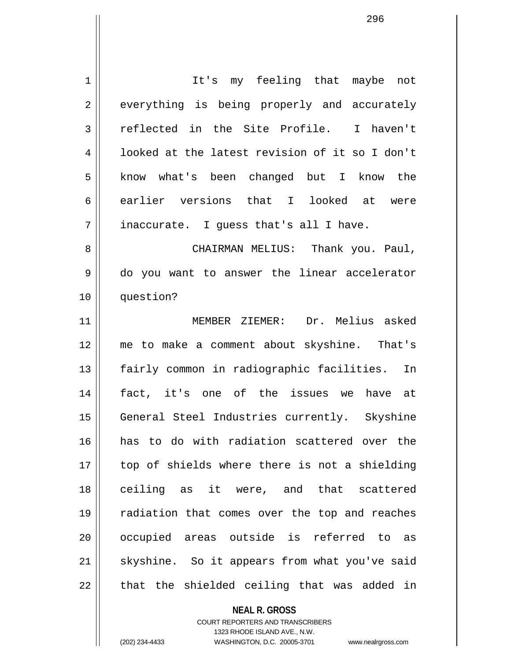1 It's my feeling that maybe not 2 everything is being properly and accurately 3 || reflected in the Site Profile. I haven't 4 | looked at the latest revision of it so I don't 5 || know what's been changed but I know the 6 earlier versions that I looked at were  $7 \parallel$  inaccurate. I quess that's all I have. 8 CHAIRMAN MELIUS: Thank you. Paul, 9 || do you want to answer the linear accelerator 10 question? 11 MEMBER ZIEMER: Dr. Melius asked 12 me to make a comment about skyshine. That's 13 || fairly common in radiographic facilities. In 14 fact, it's one of the issues we have at 15 || General Steel Industries currently. Skyshine 16 has to do with radiation scattered over the 17 || top of shields where there is not a shielding 18 ceiling as it were, and that scattered 19 radiation that comes over the top and reaches 20 || occupied areas outside is referred to as  $21$  skyshine. So it appears from what you've said  $22$  || that the shielded ceiling that was added in

> COURT REPORTERS AND TRANSCRIBERS 1323 RHODE ISLAND AVE., N.W. (202) 234-4433 WASHINGTON, D.C. 20005-3701 www.nealrgross.com

**NEAL R. GROSS**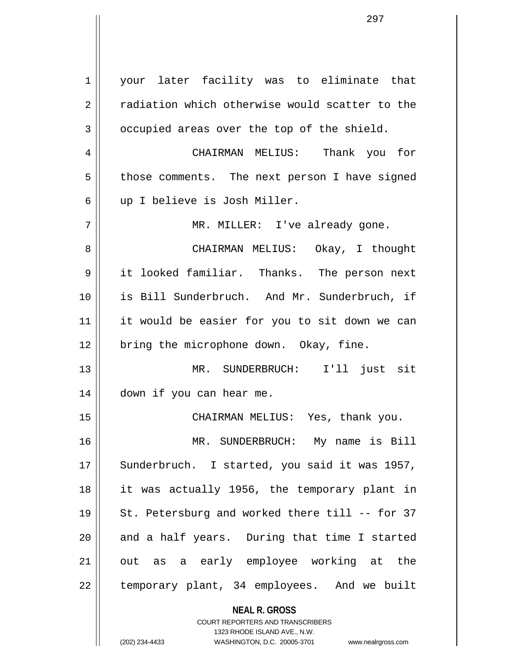**NEAL R. GROSS** COURT REPORTERS AND TRANSCRIBERS 1 | your later facility was to eliminate that 2 | radiation which otherwise would scatter to the  $3 \parallel$  occupied areas over the top of the shield. 4 CHAIRMAN MELIUS: Thank you for 5 | those comments. The next person I have signed 6 || up I believe is Josh Miller. 7 MR. MILLER: I've already gone. 8 CHAIRMAN MELIUS: Okay, I thought 9 it looked familiar. Thanks. The person next 10 is Bill Sunderbruch. And Mr. Sunderbruch, if 11 || it would be easier for you to sit down we can  $12$  | bring the microphone down. Okay, fine. 13 MR. SUNDERBRUCH: I'll just sit 14 | down if you can hear me. 15 CHAIRMAN MELIUS: Yes, thank you. 16 MR. SUNDERBRUCH: My name is Bill 17 || Sunderbruch. I started, you said it was 1957, 18 it was actually 1956, the temporary plant in 19 || St. Petersburg and worked there till -- for 37  $20$  and a half years. During that time I started 21 out as a early employee working at the 22 || temporary plant, 34 employees. And we built

> 1323 RHODE ISLAND AVE., N.W. (202) 234-4433 WASHINGTON, D.C. 20005-3701 www.nealrgross.com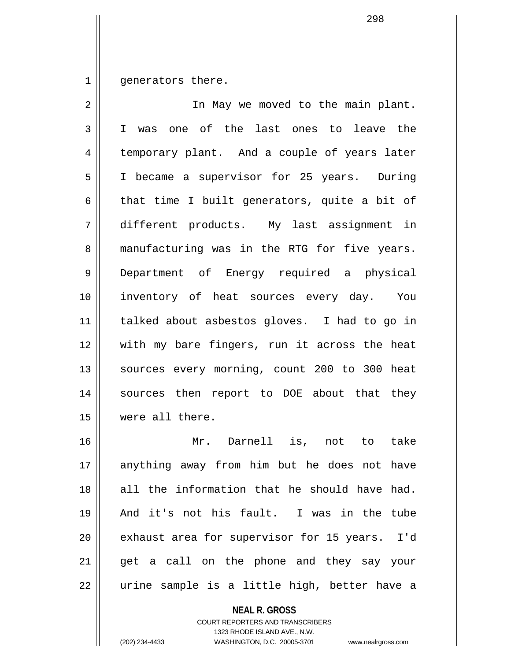$1$  | generators there.

| 2  | In May we moved to the main plant.            |
|----|-----------------------------------------------|
| 3  | I was one of the last ones to leave the       |
| 4  | temporary plant. And a couple of years later  |
| 5  | I became a supervisor for 25 years. During    |
| 6  | that time I built generators, quite a bit of  |
| 7  | different products. My last assignment in     |
| 8  | manufacturing was in the RTG for five years.  |
| 9  | Department of Energy required a physical      |
| 10 | inventory of heat sources every day. You      |
| 11 | talked about asbestos gloves. I had to go in  |
| 12 | with my bare fingers, run it across the heat  |
| 13 | sources every morning, count 200 to 300 heat  |
| 14 | sources then report to DOE about that they    |
| 15 | were all there.                               |
| 16 | Mr. Darnell is, not to take                   |
| 17 | anything away from him but he does not have   |
| 18 | all the information that he should have had.  |
| 19 | And it's not his fault. I was in the tube     |
| 20 | exhaust area for supervisor for 15 years. I'd |
| 21 | get a call on the phone and they say your     |
| 22 | urine sample is a little high, better have a  |

**NEAL R. GROSS**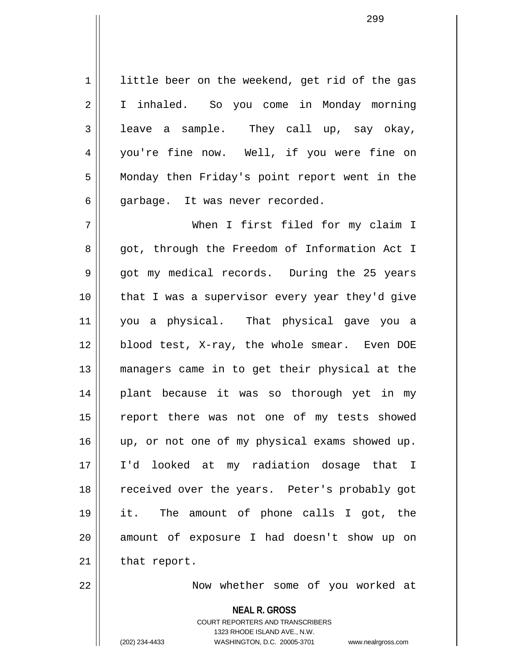1 | little beer on the weekend, get rid of the gas 2 | I inhaled. So you come in Monday morning  $3 \parallel$  leave a sample. They call up, say okay, 4 || you're fine now. Well, if you were fine on 5 Monday then Friday's point report went in the  $6$  || qarbage. It was never recorded.

299

7 When I first filed for my claim I 8 got, through the Freedom of Information Act I 9 got my medical records. During the 25 years 10 that I was a supervisor every year they'd give 11 you a physical. That physical gave you a 12 blood test, X-ray, the whole smear. Even DOE 13 managers came in to get their physical at the 14 || plant because it was so thorough yet in my 15 || report there was not one of my tests showed 16 || up, or not one of my physical exams showed up. 17 I'd looked at my radiation dosage that I 18 || received over the years. Peter's probably got 19 it. The amount of phone calls I got, the 20 || amount of exposure I had doesn't show up on  $21$  | that report.

22 || Mow whether some of you worked at

**NEAL R. GROSS**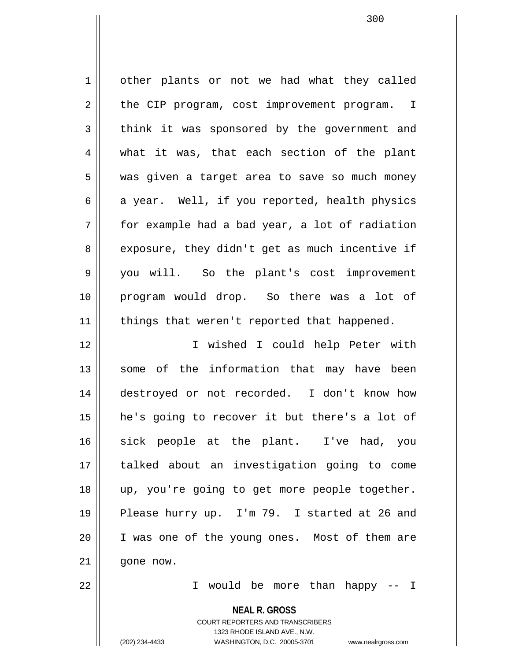1 | other plants or not we had what they called  $2 \parallel$  the CIP program, cost improvement program. I  $3 \parallel$  think it was sponsored by the government and 4 what it was, that each section of the plant 5 was given a target area to save so much money  $6 \parallel$  a year. Well, if you reported, health physics  $7 \parallel$  for example had a bad year, a lot of radiation  $8 \parallel$  exposure, they didn't get as much incentive if 9 you will. So the plant's cost improvement 10 program would drop. So there was a lot of  $11$  | things that weren't reported that happened. 12 I wished I could help Peter with 13 || some of the information that may have been 14 destroyed or not recorded. I don't know how 15 he's going to recover it but there's a lot of 16 sick people at the plant. I've had, you 17 talked about an investigation going to come 18 up, you're going to get more people together.

20 I was one of the young ones. Most of them are

 $21$  |  $\sigma$ one now.

22 I would be more than happy -- I

**NEAL R. GROSS**

19 || Please hurry up. I'm 79. I started at 26 and

COURT REPORTERS AND TRANSCRIBERS 1323 RHODE ISLAND AVE., N.W. (202) 234-4433 WASHINGTON, D.C. 20005-3701 www.nealrgross.com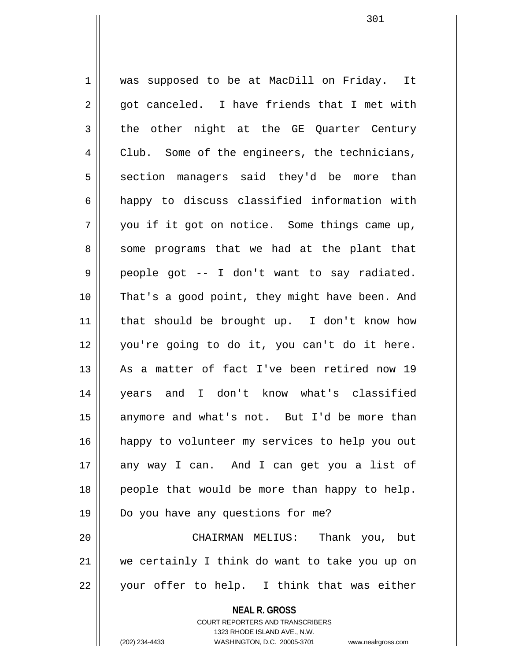1 || was supposed to be at MacDill on Friday. It  $2 \parallel$  got canceled. I have friends that I met with 3 the other night at the GE Quarter Century 4 Club. Some of the engineers, the technicians, 5 section managers said they'd be more than 6 happy to discuss classified information with  $7 \parallel$  you if it got on notice. Some things came up, 8 || some programs that we had at the plant that  $9 \parallel$  people got -- I don't want to say radiated. 10 That's a good point, they might have been. And 11 that should be brought up. I don't know how 12 you're going to do it, you can't do it here. 13 || As a matter of fact I've been retired now 19 14 years and I don't know what's classified  $15$  anymore and what's not. But I'd be more than 16 happy to volunteer my services to help you out 17 any way I can. And I can get you a list of 18 || people that would be more than happy to help. 19 Do you have any questions for me? 20 CHAIRMAN MELIUS: Thank you, but 21 we certainly I think do want to take you up on 22 || your offer to help. I think that was either

**NEAL R. GROSS**

COURT REPORTERS AND TRANSCRIBERS 1323 RHODE ISLAND AVE., N.W. (202) 234-4433 WASHINGTON, D.C. 20005-3701 www.nealrgross.com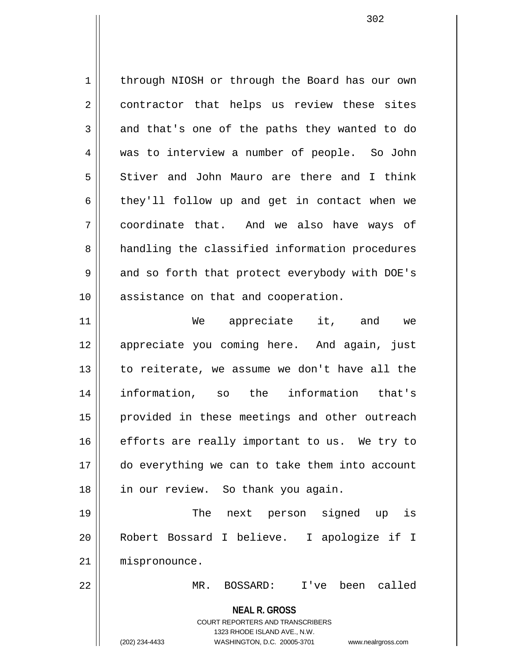1 | through NIOSH or through the Board has our own 2 || contractor that helps us review these sites  $3 \parallel$  and that's one of the paths they wanted to do 4 was to interview a number of people. So John 5 Stiver and John Mauro are there and I think  $6 \parallel$  they'll follow up and get in contact when we 7 coordinate that. And we also have ways of 8 || handling the classified information procedures  $9 \parallel$  and so forth that protect everybody with DOE's 10 || assistance on that and cooperation.

11 || We appreciate it, and we 12 appreciate you coming here. And again, just 13 || to reiterate, we assume we don't have all the 14 information, so the information that's 15 || provided in these meetings and other outreach  $16$  efforts are really important to us. We try to 17 do everything we can to take them into account 18 || in our review. So thank you again.

19 || The next person signed up is 20 Robert Bossard I believe. I apologize if I 21 | mispronounce.

22 MR. BOSSARD: I've been called

**NEAL R. GROSS** COURT REPORTERS AND TRANSCRIBERS 1323 RHODE ISLAND AVE., N.W.

(202) 234-4433 WASHINGTON, D.C. 20005-3701 www.nealrgross.com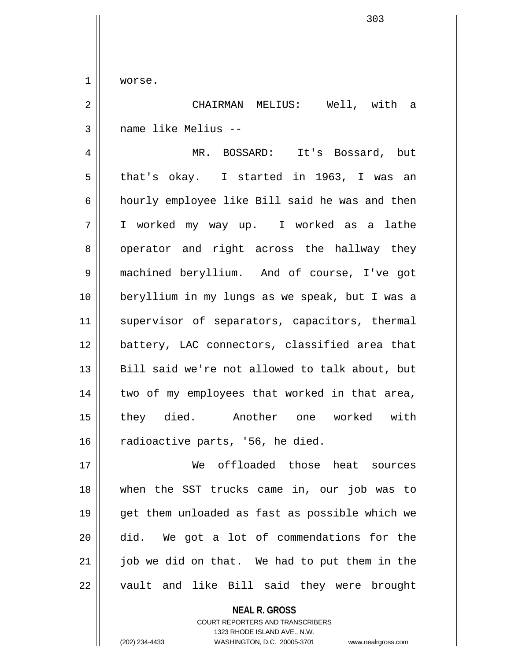1 | worse.

2 CHAIRMAN MELIUS: Well, with a 3 name like Melius --

4 MR. BOSSARD: It's Bossard, but 5 that's okay. I started in 1963, I was an 6 | hourly employee like Bill said he was and then 7 I worked my way up. I worked as a lathe 8 operator and right across the hallway they 9 machined beryllium. And of course, I've got 10 beryllium in my lungs as we speak, but I was a 11 || supervisor of separators, capacitors, thermal 12 battery, LAC connectors, classified area that 13 || Bill said we're not allowed to talk about, but  $14$  | two of my employees that worked in that area, 15 they died. Another one worked with  $16$  radioactive parts, '56, he died.

17 We offloaded those heat sources 18 when the SST trucks came in, our job was to 19 get them unloaded as fast as possible which we 20 did. We got a lot of commendations for the  $21$  || job we did on that. We had to put them in the 22 || vault and like Bill said they were brought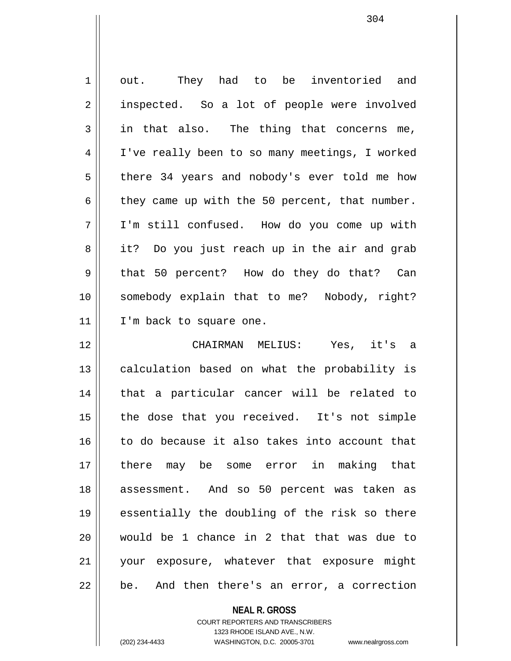1 || out. They had to be inventoried and 2 | inspected. So a lot of people were involved  $3 \parallel$  in that also. The thing that concerns me, 4 | I've really been to so many meetings, I worked  $5 \parallel$  there 34 years and nobody's ever told me how  $6 \parallel$  they came up with the 50 percent, that number. 7 I'm still confused. How do you come up with 8 || it? Do you just reach up in the air and grab 9 that 50 percent? How do they do that? Can 10 somebody explain that to me? Nobody, right? 11 | I'm back to square one. 12 CHAIRMAN MELIUS: Yes, it's a 13 || calculation based on what the probability is 14 || that a particular cancer will be related to 15 || the dose that you received. It's not simple 16 to do because it also takes into account that 17 there may be some error in making that 18 assessment. And so 50 percent was taken as 19 essentially the doubling of the risk so there 20 would be 1 chance in 2 that that was due to 21 your exposure, whatever that exposure might  $22 \parallel$  be. And then there's an error, a correction

**NEAL R. GROSS**

COURT REPORTERS AND TRANSCRIBERS 1323 RHODE ISLAND AVE., N.W. (202) 234-4433 WASHINGTON, D.C. 20005-3701 www.nealrgross.com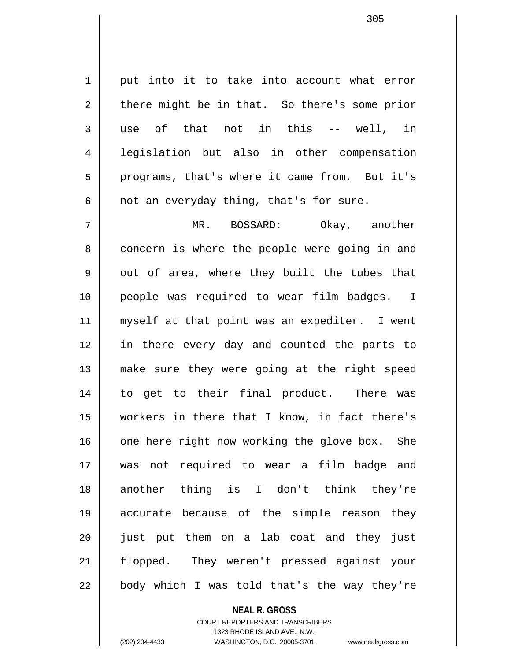1 || put into it to take into account what error  $2 \parallel$  there might be in that. So there's some prior 3 use of that not in this -- well, in 4 legislation but also in other compensation 5 || programs, that's where it came from. But it's  $6 \parallel$  not an everyday thing, that's for sure.

7 MR. BOSSARD: Okay, another 8 concern is where the people were going in and  $9 \parallel$  out of area, where they built the tubes that 10 people was required to wear film badges. I 11 || myself at that point was an expediter. I went 12 in there every day and counted the parts to 13 make sure they were going at the right speed 14 to get to their final product. There was 15 workers in there that I know, in fact there's  $16$  one here right now working the glove box. She 17 was not required to wear a film badge and 18 another thing is I don't think they're 19 accurate because of the simple reason they 20 || just put them on a lab coat and they just 21 flopped. They weren't pressed against your  $22 \parallel$  body which I was told that's the way they're

## **NEAL R. GROSS** COURT REPORTERS AND TRANSCRIBERS 1323 RHODE ISLAND AVE., N.W. (202) 234-4433 WASHINGTON, D.C. 20005-3701 www.nealrgross.com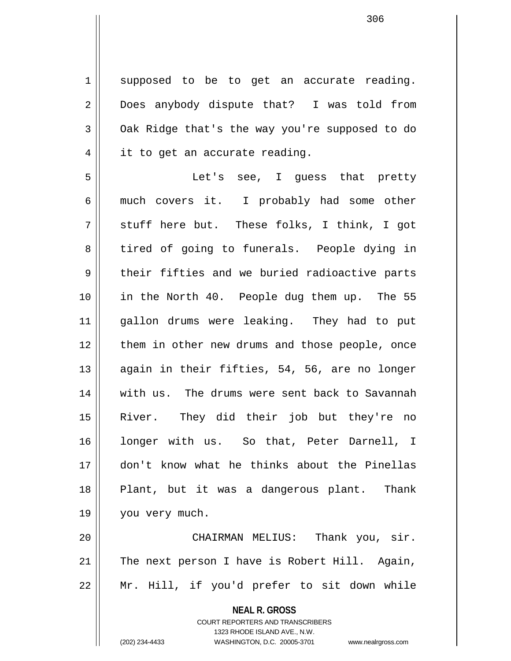1 || supposed to be to get an accurate reading. 2 Does anybody dispute that? I was told from  $3 \parallel$  Oak Ridge that's the way you're supposed to do  $4 \parallel$  it to get an accurate reading.

5 Let's see, I guess that pretty 6 much covers it. I probably had some other  $7 \parallel$  stuff here but. These folks, I think, I got 8 tired of going to funerals. People dying in  $9 \parallel$  their fifties and we buried radioactive parts 10 || in the North 40. People dug them up. The 55 11 gallon drums were leaking. They had to put 12 || them in other new drums and those people, once 13 || again in their fifties, 54, 56, are no longer 14 || with us. The drums were sent back to Savannah 15 River. They did their job but they're no 16 longer with us. So that, Peter Darnell, I 17 don't know what he thinks about the Pinellas 18 || Plant, but it was a dangerous plant. Thank 19 || you very much.

20 || CHAIRMAN MELIUS: Thank you, sir. 21 The next person I have is Robert Hill. Again, 22 Mr. Hill, if you'd prefer to sit down while

**NEAL R. GROSS**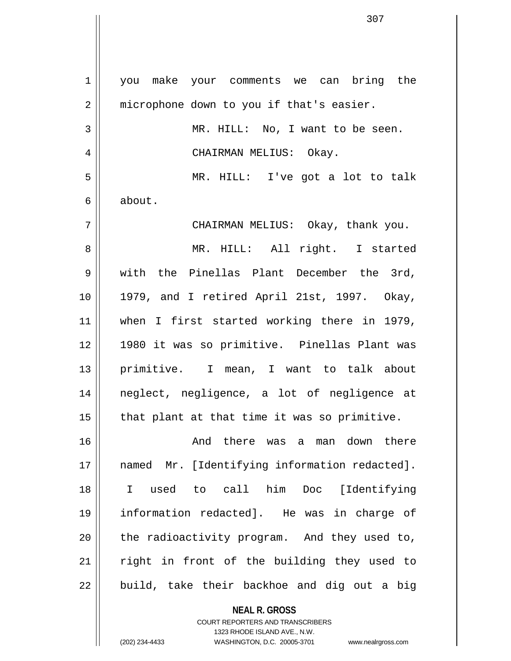**NEAL R. GROSS** 1 || you make your comments we can bring the 2 | microphone down to you if that's easier. 3 MR. HILL: No, I want to be seen. 4 CHAIRMAN MELIUS: Okay. 5 MR. HILL: I've got a lot to talk 6 about. 7 CHAIRMAN MELIUS: Okay, thank you. 8 MR. HILL: All right. I started 9 with the Pinellas Plant December the 3rd, 10 1979, and I retired April 21st, 1997. Okay, 11 || when I first started working there in 1979, 12 1980 it was so primitive. Pinellas Plant was 13 primitive. I mean, I want to talk about 14 neglect, negligence, a lot of negligence at  $15$  | that plant at that time it was so primitive. 16 And there was a man down there 17 || named Mr. [Identifying information redacted]. 18 I used to call him Doc [Identifying 19 information redacted]. He was in charge of 20 || the radioactivity program. And they used to, 21 || right in front of the building they used to  $22$  || build, take their backhoe and dig out a big

> COURT REPORTERS AND TRANSCRIBERS 1323 RHODE ISLAND AVE., N.W.

(202) 234-4433 WASHINGTON, D.C. 20005-3701 www.nealrgross.com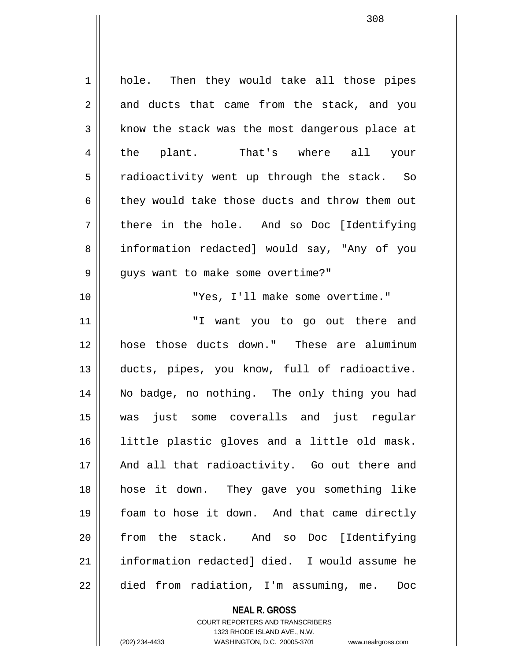1 hole. Then they would take all those pipes  $2 \parallel$  and ducts that came from the stack, and you  $3 \parallel$  know the stack was the most dangerous place at 4 || the plant. That's where all your  $5 \parallel$  radioactivity went up through the stack. So 6  $\parallel$  they would take those ducts and throw them out  $7 \parallel$  there in the hole. And so Doc [Identifying 8 | information redacted] would say, "Any of you 9 | guys want to make some overtime?" 10 "Yes, I'll make some overtime." 11 "I want you to go out there and 12 hose those ducts down." These are aluminum 13 ducts, pipes, you know, full of radioactive. 14 No badge, no nothing. The only thing you had 15 was just some coveralls and just regular 16 little plastic gloves and a little old mask. 17 || And all that radioactivity. Go out there and 18 hose it down. They gave you something like 19 foam to hose it down. And that came directly 20 from the stack. And so Doc [Identifying 21 information redacted] died. I would assume he 22 | died from radiation, I'm assuming, me. Doc

> **NEAL R. GROSS** COURT REPORTERS AND TRANSCRIBERS

> > 1323 RHODE ISLAND AVE., N.W.

(202) 234-4433 WASHINGTON, D.C. 20005-3701 www.nealrgross.com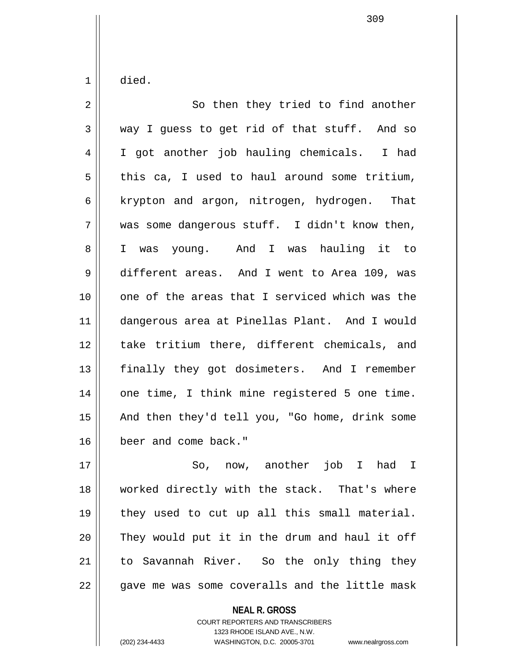$1 \parallel$  died.

| $\overline{2}$ | So then they tried to find another             |
|----------------|------------------------------------------------|
| 3              | way I guess to get rid of that stuff. And so   |
| 4              | I got another job hauling chemicals. I had     |
| 5              | this ca, I used to haul around some tritium,   |
| 6              | krypton and argon, nitrogen, hydrogen. That    |
| 7              | was some dangerous stuff. I didn't know then,  |
| 8              | I was young. And I was hauling it to           |
| $\mathsf 9$    | different areas. And I went to Area 109, was   |
| 10             | one of the areas that I serviced which was the |
| 11             | dangerous area at Pinellas Plant. And I would  |
| 12             | take tritium there, different chemicals, and   |
| 13             | finally they got dosimeters. And I remember    |
| 14             | one time, I think mine registered 5 one time.  |
| 15             | And then they'd tell you, "Go home, drink some |
| 16             | beer and come back."                           |
| 17             | So, now, another job I had I                   |

18 || worked directly with the stack. That's where 19  $\parallel$  they used to cut up all this small material.  $20$  They would put it in the drum and haul it off 21 || to Savannah River. So the only thing they  $22$  || gave me was some coveralls and the little mask

**NEAL R. GROSS**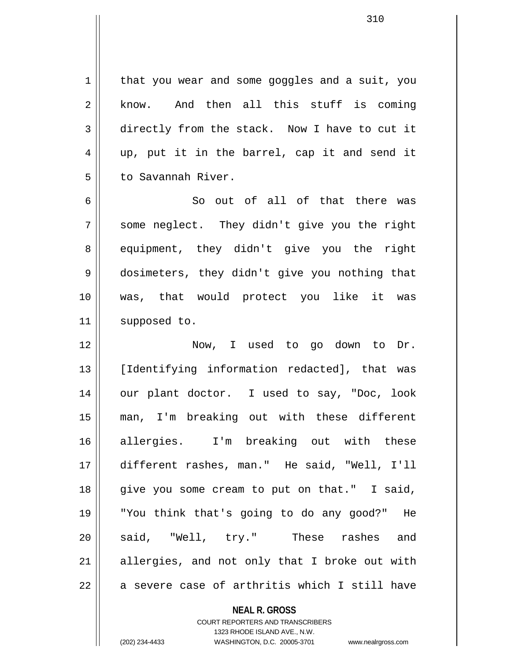$1 \parallel$  that you wear and some goggles and a suit, you  $2 \parallel$  know. And then all this stuff is coming 3 directly from the stack. Now I have to cut it 4 up, put it in the barrel, cap it and send it 5 | to Savannah River.

6 So out of all of that there was  $7 \parallel$  some neglect. They didn't give you the right 8 equipment, they didn't give you the right 9 dosimeters, they didn't give you nothing that 10 was, that would protect you like it was 11 | supposed to.

12 Now, I used to go down to Dr. 13 [Identifying information redacted], that was 14 || our plant doctor. I used to say, "Doc, look 15 man, I'm breaking out with these different 16 allergies. I'm breaking out with these 17 different rashes, man." He said, "Well, I'll 18 give you some cream to put on that." I said, 19 "You think that's going to do any good?" He 20 Said, "Well, try." These rashes and  $21$  allergies, and not only that I broke out with  $22$  || a severe case of arthritis which I still have

> **NEAL R. GROSS** COURT REPORTERS AND TRANSCRIBERS 1323 RHODE ISLAND AVE., N.W. (202) 234-4433 WASHINGTON, D.C. 20005-3701 www.nealrgross.com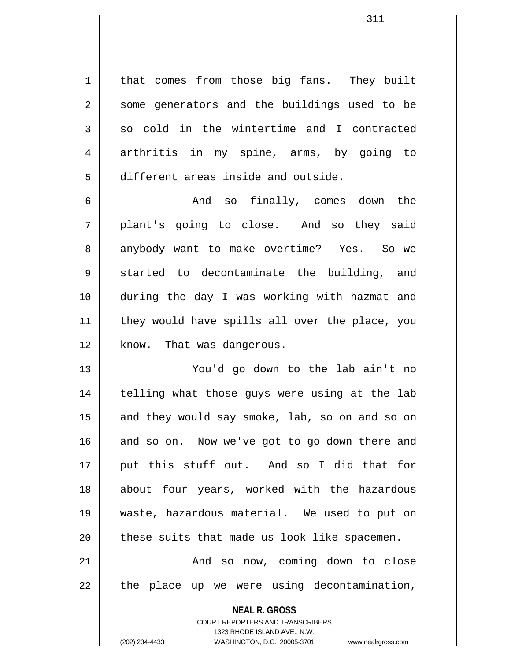1 | that comes from those big fans. They built 2 || some generators and the buildings used to be  $3 \parallel$  so cold in the wintertime and I contracted 4 arthritis in my spine, arms, by going to 5 different areas inside and outside.

6 And so finally, comes down the  $7 \parallel$  plant's going to close. And so they said 8 anybody want to make overtime? Yes. So we  $9 \parallel$  started to decontaminate the building, and 10 during the day I was working with hazmat and 11 || they would have spills all over the place, you 12 || know. That was dangerous.

13 You'd go down to the lab ain't no 14 || telling what those guys were using at the lab 15 || and they would say smoke, lab, so on and so on 16 and so on. Now we've got to go down there and 17 put this stuff out. And so I did that for 18 about four years, worked with the hazardous 19 waste, hazardous material. We used to put on  $20$  | these suits that made us look like spacemen. 21 || The Mand so now, coming down to close

 $22$  || the place up we were using decontamination,

**NEAL R. GROSS** COURT REPORTERS AND TRANSCRIBERS 1323 RHODE ISLAND AVE., N.W. (202) 234-4433 WASHINGTON, D.C. 20005-3701 www.nealrgross.com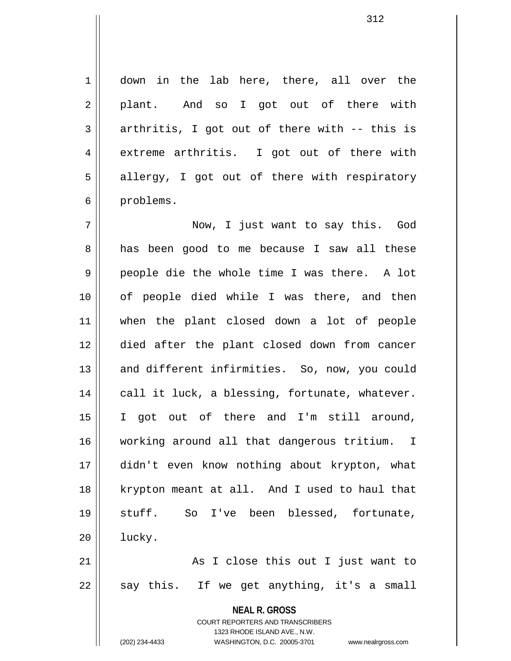1 down in the lab here, there, all over the  $2 \parallel$  plant. And so I got out of there with  $3 \parallel$  arthritis, I got out of there with -- this is 4 extreme arthritis. I got out of there with  $5 \parallel$  allergy, I got out of there with respiratory 6 | problems.

7 Now, I just want to say this. God 8 | has been good to me because I saw all these 9 people die the whole time I was there. A lot 10 || of people died while I was there, and then 11 when the plant closed down a lot of people 12 died after the plant closed down from cancer 13 || and different infirmities. So, now, you could  $14$  | call it luck, a blessing, fortunate, whatever. 15 I got out of there and I'm still around, 16 working around all that dangerous tritium. I 17 didn't even know nothing about krypton, what 18 krypton meant at all. And I used to haul that 19 stuff. So I've been blessed, fortunate, 20 | lucky. 21 || As I close this out I just want to

 $22 \parallel$  say this. If we get anything, it's a small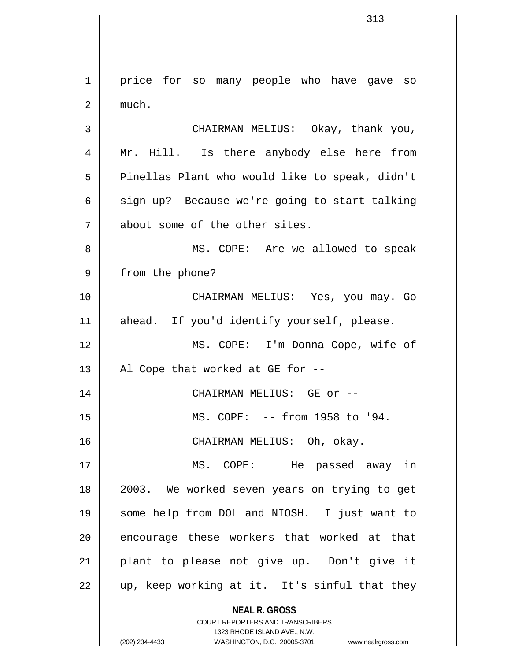**NEAL R. GROSS** COURT REPORTERS AND TRANSCRIBERS 1323 RHODE ISLAND AVE., N.W. 1 | price for so many people who have gave so  $2 \parallel$  much. 3 CHAIRMAN MELIUS: Okay, thank you, 4 || Mr. Hill. Is there anybody else here from  $5 \parallel$  Pinellas Plant who would like to speak, didn't 6  $\parallel$  sign up? Because we're going to start talking 7 || about some of the other sites. 8 MS. COPE: Are we allowed to speak 9 || from the phone? 10 CHAIRMAN MELIUS: Yes, you may. Go 11 || ahead. If you'd identify yourself, please. 12 MS. COPE: I'm Donna Cope, wife of 13 || Al Cope that worked at GE for  $-$ -14 CHAIRMAN MELIUS: GE or -- 15 MS. COPE: -- from 1958 to '94. 16 CHAIRMAN MELIUS: Oh, okay. 17 MS. COPE: He passed away in 18 2003. We worked seven years on trying to get 19 some help from DOL and NIOSH. I just want to 20 || encourage these workers that worked at that 21 plant to please not give up. Don't give it 22 || up, keep working at it. It's sinful that they

(202) 234-4433 WASHINGTON, D.C. 20005-3701 www.nealrgross.com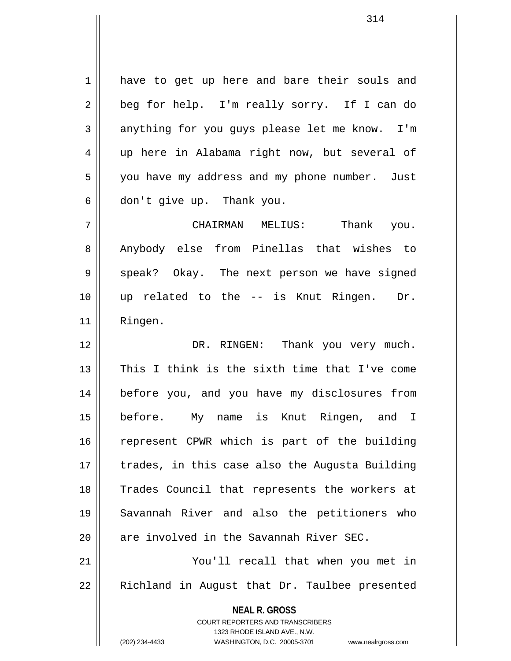1 have to get up here and bare their souls and 2 || beg for help. I'm really sorry. If I can do  $3 \parallel$  anything for you guys please let me know. I'm 4 up here in Alabama right now, but several of 5 | you have my address and my phone number. Just  $6 \parallel$  don't give up. Thank you.

7 CHAIRMAN MELIUS: Thank you. 8 Anybody else from Pinellas that wishes to 9 Speak? Okay. The next person we have signed 10 up related to the -- is Knut Ringen. Dr. 11 Ringen.

12 DR. RINGEN: Thank you very much. 13 || This I think is the sixth time that I've come 14 before you, and you have my disclosures from 15 before. My name is Knut Ringen, and I 16 || represent CPWR which is part of the building 17 || trades, in this case also the Augusta Building 18 Trades Council that represents the workers at 19 Savannah River and also the petitioners who  $20$  || are involved in the Savannah River SEC. 21 You'll recall that when you met in

 $22$  || Richland in August that Dr. Taulbee presented

1323 RHODE ISLAND AVE., N.W.

**NEAL R. GROSS** COURT REPORTERS AND TRANSCRIBERS

(202) 234-4433 WASHINGTON, D.C. 20005-3701 www.nealrgross.com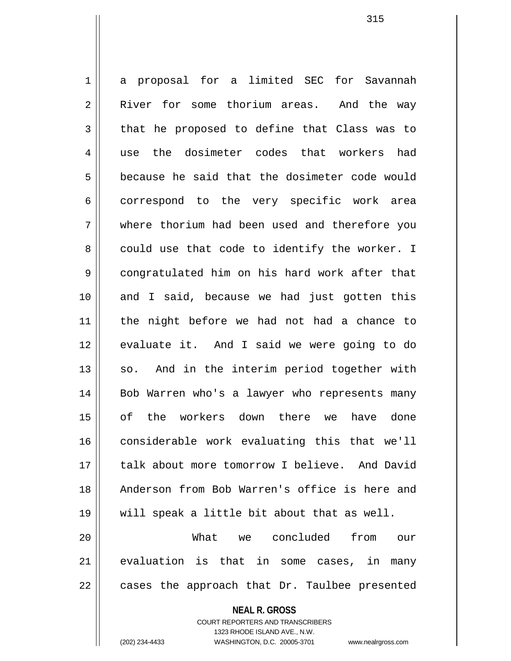1 a proposal for a limited SEC for Savannah 2 River for some thorium areas. And the way  $3 \parallel$  that he proposed to define that Class was to 4 use the dosimeter codes that workers had 5 **b** because he said that the dosimeter code would 6 correspond to the very specific work area 7 where thorium had been used and therefore you  $8 \parallel$  could use that code to identify the worker. I 9 congratulated him on his hard work after that 10 and I said, because we had just gotten this 11 the night before we had not had a chance to 12 || evaluate it. And I said we were going to do 13 || so. And in the interim period together with 14 || Bob Warren who's a lawyer who represents many 15 of the workers down there we have done 16 considerable work evaluating this that we'll 17 || talk about more tomorrow I believe. And David 18 Anderson from Bob Warren's office is here and 19 will speak a little bit about that as well. 20 What we concluded from our 21 || evaluation is that in some cases, in many  $22$  || cases the approach that Dr. Taulbee presented

> **NEAL R. GROSS** COURT REPORTERS AND TRANSCRIBERS 1323 RHODE ISLAND AVE., N.W.

(202) 234-4433 WASHINGTON, D.C. 20005-3701 www.nealrgross.com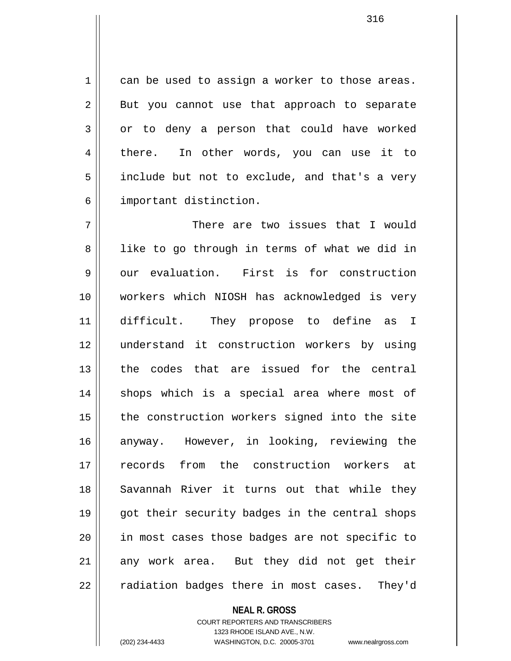$1 \parallel$  can be used to assign a worker to those areas.  $2 \parallel$  But you cannot use that approach to separate 3 or to deny a person that could have worked 4 there. In other words, you can use it to 5 | include but not to exclude, and that's a very 6 important distinction.

7 || There are two issues that I would 8 || like to go through in terms of what we did in  $9 \parallel$  our evaluation. First is for construction 10 workers which NIOSH has acknowledged is very 11 difficult. They propose to define as I 12 understand it construction workers by using 13 the codes that are issued for the central 14 || shops which is a special area where most of 15 || the construction workers signed into the site 16 anyway. However, in looking, reviewing the 17 records from the construction workers at 18 || Savannah River it turns out that while they 19 || got their security badges in the central shops 20 || in most cases those badges are not specific to  $21$  any work area. But they did not get their 22 || radiation badges there in most cases. They'd

## **NEAL R. GROSS**

COURT REPORTERS AND TRANSCRIBERS 1323 RHODE ISLAND AVE., N.W. (202) 234-4433 WASHINGTON, D.C. 20005-3701 www.nealrgross.com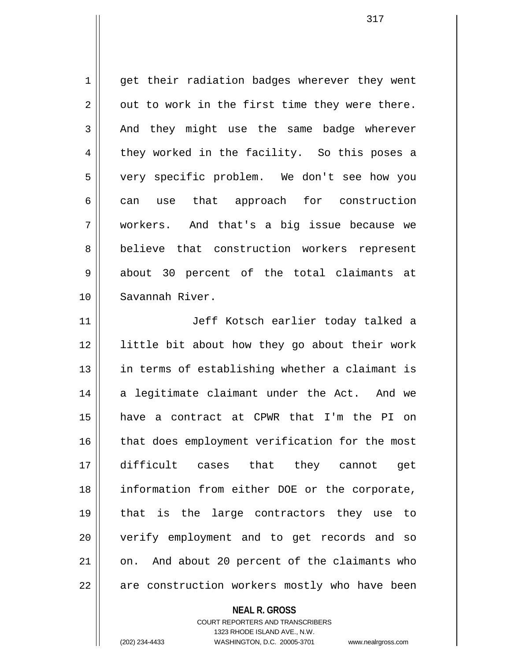1 || get their radiation badges wherever they went  $2 \parallel$  out to work in the first time they were there.  $3 \parallel$  And they might use the same badge wherever  $4 \parallel$  they worked in the facility. So this poses a 5 very specific problem. We don't see how you 6 can use that approach for construction 7 workers. And that's a big issue because we 8 || believe that construction workers represent 9 about 30 percent of the total claimants at 10 Savannah River. 11 || Jeff Kotsch earlier today talked a 12 little bit about how they go about their work

13 || in terms of establishing whether a claimant is  $14$  a legitimate claimant under the Act. And we 15 have a contract at CPWR that I'm the PI on 16 || that does employment verification for the most 17 difficult cases that they cannot get 18 information from either DOE or the corporate, 19 that is the large contractors they use to 20 verify employment and to get records and so  $21$  | on. And about 20 percent of the claimants who  $22$   $\parallel$  are construction workers mostly who have been

**NEAL R. GROSS**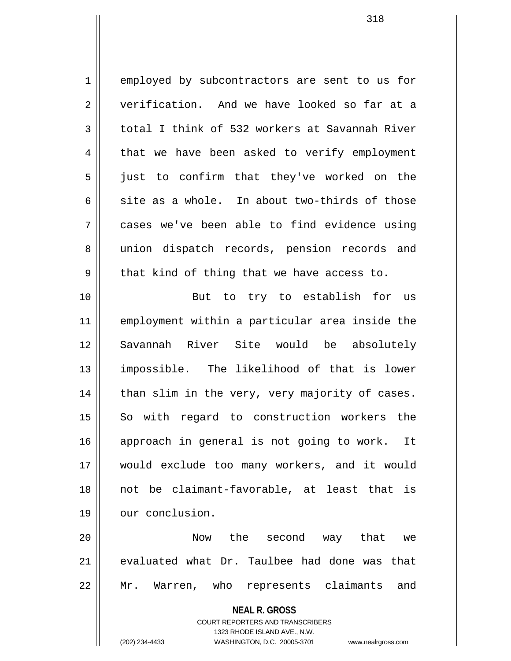1 employed by subcontractors are sent to us for 2 verification. And we have looked so far at a  $3 \parallel$  total I think of 532 workers at Savannah River  $4 \parallel$  that we have been asked to verify employment 5 || just to confirm that they've worked on the 6 site as a whole. In about two-thirds of those 7 cases we've been able to find evidence using 8 || union dispatch records, pension records and  $9 \parallel$  that kind of thing that we have access to. 10 || But to try to establish for us

11 employment within a particular area inside the 12 Savannah River Site would be absolutely 13 impossible. The likelihood of that is lower  $14$  | than slim in the very, very majority of cases. 15 || So with regard to construction workers the 16 approach in general is not going to work. It 17 would exclude too many workers, and it would 18 not be claimant-favorable, at least that is 19 | our conclusion.

20 Now the second way that we 21  $\parallel$  evaluated what Dr. Taulbee had done was that 22 Mr. Warren, who represents claimants and

**NEAL R. GROSS**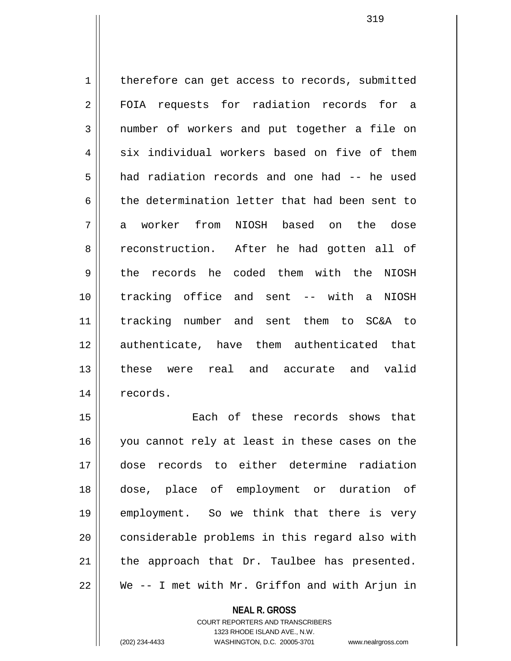1 | therefore can get access to records, submitted 2 FOIA requests for radiation records for a 3 mumber of workers and put together a file on  $4 \parallel$  six individual workers based on five of them 5 had radiation records and one had -- he used 6 the determination letter that had been sent to 7 a worker from NIOSH based on the dose 8 reconstruction. After he had gotten all of 9 the records he coded them with the NIOSH 10 tracking office and sent -- with a NIOSH 11 tracking number and sent them to SC&A to 12 authenticate, have them authenticated that 13 these were real and accurate and valid 14 || records.

15 Each of these records shows that 16 || you cannot rely at least in these cases on the 17 dose records to either determine radiation 18 dose, place of employment or duration of 19 employment. So we think that there is very 20 || considerable problems in this regard also with  $21$  | the approach that Dr. Taulbee has presented. 22 We -- I met with Mr. Griffon and with Arjun in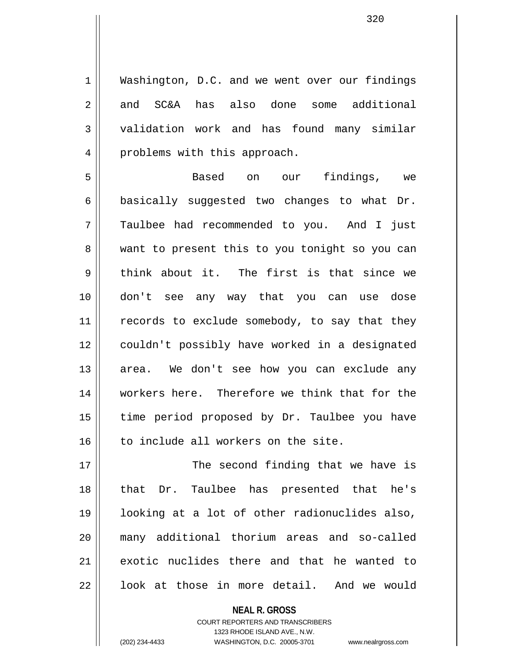1 Washington, D.C. and we went over our findings 2 and SC&A has also done some additional 3 validation work and has found many similar 4 || problems with this approach.

5 Based on our findings, we  $6 \parallel$  basically suggested two changes to what Dr. 7 Taulbee had recommended to you. And I just 8 want to present this to you tonight so you can  $9 \parallel$  think about it. The first is that since we 10 don't see any way that you can use dose 11 || records to exclude somebody, to say that they 12 couldn't possibly have worked in a designated 13 || area. We don't see how you can exclude any 14 || workers here. Therefore we think that for the 15 || time period proposed by Dr. Taulbee you have 16 | to include all workers on the site.

17 || The second finding that we have is 18 that Dr. Taulbee has presented that he's 19 looking at a lot of other radionuclides also, 20 many additional thorium areas and so-called 21 exotic nuclides there and that he wanted to  $22$  ||  $100k$  at those in more detail. And we would

> **NEAL R. GROSS** COURT REPORTERS AND TRANSCRIBERS

> > 1323 RHODE ISLAND AVE., N.W.

(202) 234-4433 WASHINGTON, D.C. 20005-3701 www.nealrgross.com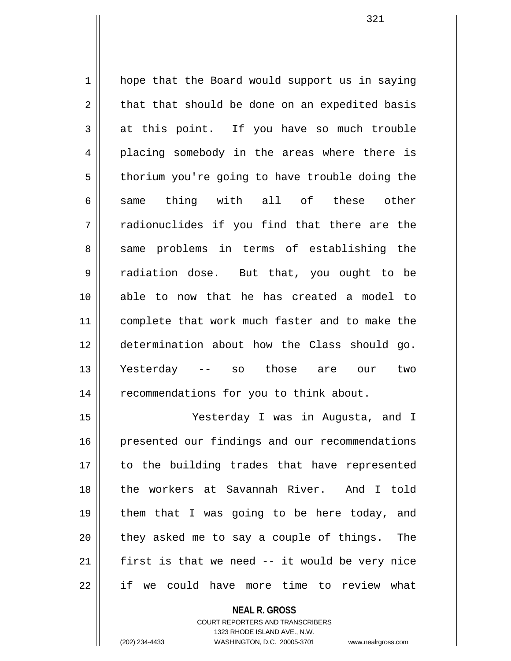1 || hope that the Board would support us in saying  $2 \parallel$  that that should be done on an expedited basis  $3 \parallel$  at this point. If you have so much trouble 4 placing somebody in the areas where there is  $5 \parallel$  thorium you're going to have trouble doing the 6|| same thing with all of these other  $7$   $\parallel$  radionuclides if you find that there are the 8 same problems in terms of establishing the 9 | radiation dose. But that, you ought to be 10 able to now that he has created a model to 11 || complete that work much faster and to make the 12 determination about how the Class should go. 13 Yesterday -- so those are our two 14 | recommendations for you to think about.

15 Yesterday I was in Augusta, and I 16 presented our findings and our recommendations 17 || to the building trades that have represented 18 || the workers at Savannah River. And I told 19 || them that I was going to be here today, and  $20$  || they asked me to say a couple of things. The  $21$  first is that we need  $-$  it would be very nice 22 || if we could have more time to review what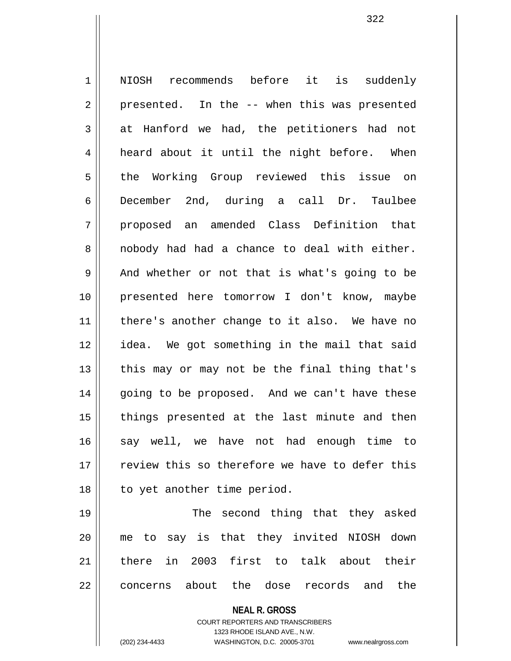1 NIOSH recommends before it is suddenly  $2 \parallel$  presented. In the  $-$  when this was presented  $3 \parallel$  at Hanford we had, the petitioners had not 4 | heard about it until the night before. When 5 the Working Group reviewed this issue on 6 December 2nd, during a call Dr. Taulbee 7 || proposed an amended Class Definition that 8 || nobody had had a chance to deal with either.  $9 \parallel$  And whether or not that is what's going to be 10 presented here tomorrow I don't know, maybe 11 || there's another change to it also. We have no 12 idea. We got something in the mail that said 13  $\parallel$  this may or may not be the final thing that's 14 || qoing to be proposed. And we can't have these 15 || things presented at the last minute and then 16 say well, we have not had enough time to 17 || seview this so therefore we have to defer this 18 | to yet another time period. 19 || The second thing that they asked 20 me to say is that they invited NIOSH down 21 there in 2003 first to talk about their 22 ll concerns about the dose records and the

> **NEAL R. GROSS** COURT REPORTERS AND TRANSCRIBERS 1323 RHODE ISLAND AVE., N.W.

(202) 234-4433 WASHINGTON, D.C. 20005-3701 www.nealrgross.com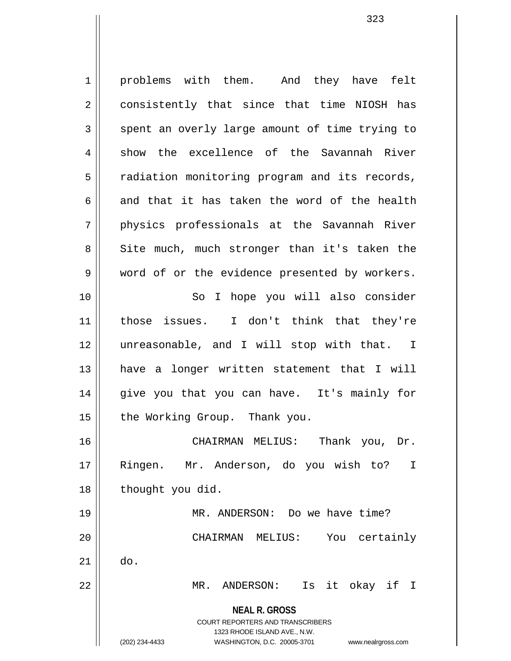**NEAL R. GROSS** COURT REPORTERS AND TRANSCRIBERS 1323 RHODE ISLAND AVE., N.W. (202) 234-4433 WASHINGTON, D.C. 20005-3701 www.nealrgross.com 1 | problems with them. And they have felt 2 consistently that since that time NIOSH has  $3 \parallel$  spent an overly large amount of time trying to  $4 \parallel$  show the excellence of the Savannah River 5 | radiation monitoring program and its records, 6 and that it has taken the word of the health 7 physics professionals at the Savannah River 8 Site much, much stronger than it's taken the 9 || word of or the evidence presented by workers. 10 || So I hope you will also consider 11 || those issues. I don't think that they're 12 unreasonable, and I will stop with that. I 13 have a longer written statement that I will 14 || give you that you can have. It's mainly for 15 | the Working Group. Thank you. 16 CHAIRMAN MELIUS: Thank you, Dr. 17 Ringen. Mr. Anderson, do you wish to? I 18 || thought you did. 19 MR. ANDERSON: Do we have time? 20 CHAIRMAN MELIUS: You certainly  $21 \parallel$  do. 22 MR. ANDERSON: Is it okay if I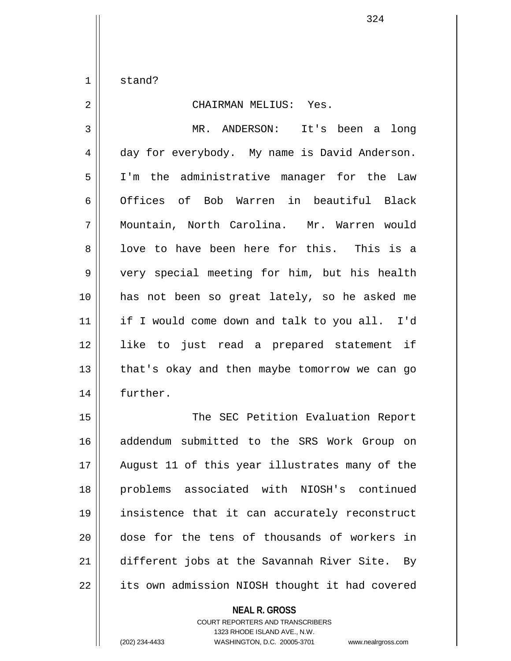1 stand?

## 2 CHAIRMAN MELIUS: Yes. 3 MR. ANDERSON: It's been a long 4 day for everybody. My name is David Anderson. 5 I'm the administrative manager for the Law 6 Offices of Bob Warren in beautiful Black 7 Mountain, North Carolina. Mr. Warren would 8 || love to have been here for this. This is a 9 || very special meeting for him, but his health 10 has not been so great lately, so he asked me 11 if I would come down and talk to you all. I'd 12 like to just read a prepared statement if  $13$  | that's okay and then maybe tomorrow we can go 14 | further.

15 || The SEC Petition Evaluation Report 16 addendum submitted to the SRS Work Group on 17 August 11 of this year illustrates many of the 18 problems associated with NIOSH's continued 19 insistence that it can accurately reconstruct 20 dose for the tens of thousands of workers in 21 different jobs at the Savannah River Site. By 22 | its own admission NIOSH thought it had covered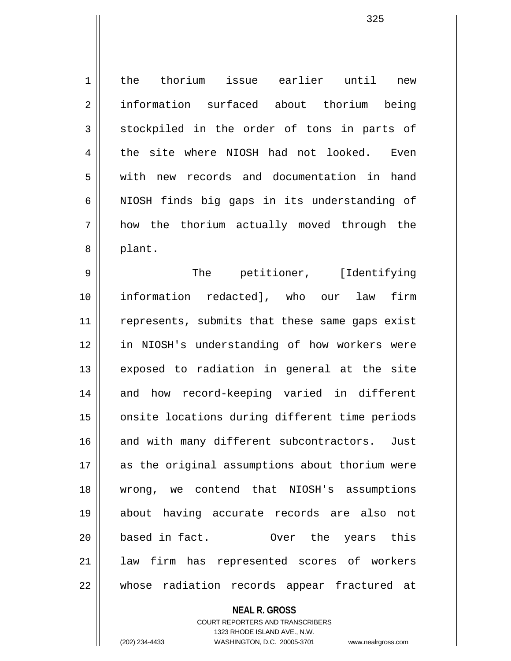1 the thorium issue earlier until new 2 || information surfaced about thorium being  $3 \parallel$  stockpiled in the order of tons in parts of 4 the site where NIOSH had not looked. Even 5 | with new records and documentation in hand  $6$  NIOSH finds big gaps in its understanding of 7 how the thorium actually moved through the 8 || plant.

9 The petitioner, [Identifying 10 information redacted], who our law firm 11 || represents, submits that these same gaps exist 12 in NIOSH's understanding of how workers were 13 || exposed to radiation in general at the site 14 and how record-keeping varied in different 15 || onsite locations during different time periods 16 || and with many different subcontractors. Just 17 || as the original assumptions about thorium were 18 wrong, we contend that NIOSH's assumptions 19 about having accurate records are also not 20 based in fact. Over the years this 21 law firm has represented scores of workers 22 whose radiation records appear fractured at

> **NEAL R. GROSS** COURT REPORTERS AND TRANSCRIBERS 1323 RHODE ISLAND AVE., N.W. (202) 234-4433 WASHINGTON, D.C. 20005-3701 www.nealrgross.com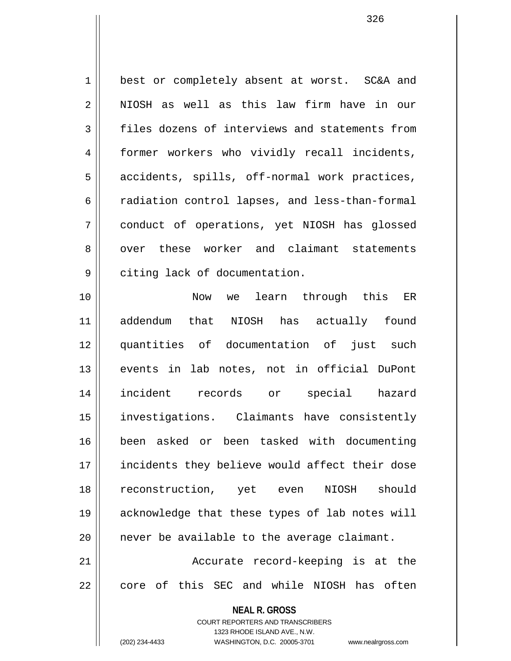1 || best or completely absent at worst. SC&A and  $2 \parallel$  NIOSH as well as this law firm have in our 3 files dozens of interviews and statements from 4 former workers who vividly recall incidents, 5 || accidents, spills, off-normal work practices, 6 | radiation control lapses, and less-than-formal 7 conduct of operations, yet NIOSH has glossed 8 over these worker and claimant statements 9 | citing lack of documentation.

10 Now we learn through this ER 11 addendum that NIOSH has actually found 12 quantities of documentation of just such 13 events in lab notes, not in official DuPont 14 incident records or special hazard 15 investigations. Claimants have consistently 16 been asked or been tasked with documenting 17 incidents they believe would affect their dose 18 reconstruction, yet even NIOSH should 19 acknowledge that these types of lab notes will  $20$  | never be available to the average claimant. 21 || Accurate record-keeping is at the  $22$   $\parallel$  core of this SEC and while NIOSH has often

> **NEAL R. GROSS** COURT REPORTERS AND TRANSCRIBERS

1323 RHODE ISLAND AVE., N.W. (202) 234-4433 WASHINGTON, D.C. 20005-3701 www.nealrgross.com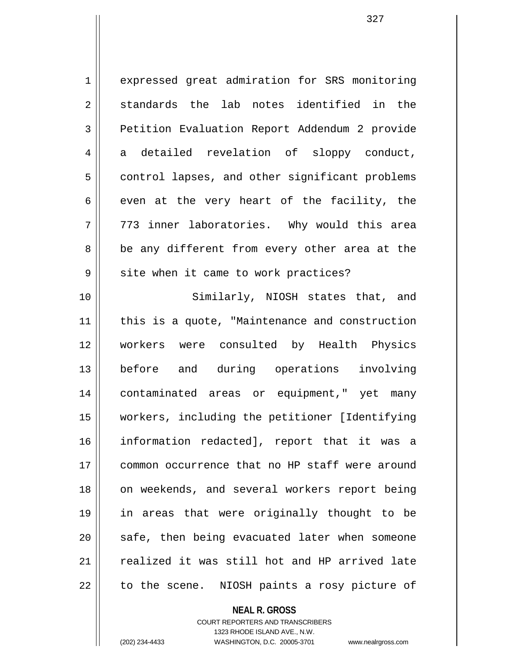1 expressed great admiration for SRS monitoring  $2 \parallel$  standards the lab notes identified in the 3 | Petition Evaluation Report Addendum 2 provide 4 a detailed revelation of sloppy conduct, 5 | control lapses, and other significant problems  $6 \parallel$  even at the very heart of the facility, the 7 773 inner laboratories. Why would this area  $8 \parallel$  be any different from every other area at the  $9 \parallel$  site when it came to work practices?

10 || Similarly, NIOSH states that, and 11 || this is a quote, "Maintenance and construction 12 workers were consulted by Health Physics 13 before and during operations involving 14 contaminated areas or equipment," yet many 15 workers, including the petitioner [Identifying 16 information redacted], report that it was a 17 common occurrence that no HP staff were around 18 || on weekends, and several workers report being 19 in areas that were originally thought to be  $20$   $\parallel$  safe, then being evacuated later when someone 21 || realized it was still hot and HP arrived late  $22$  | to the scene. NIOSH paints a rosy picture of

## **NEAL R. GROSS** COURT REPORTERS AND TRANSCRIBERS 1323 RHODE ISLAND AVE., N.W. (202) 234-4433 WASHINGTON, D.C. 20005-3701 www.nealrgross.com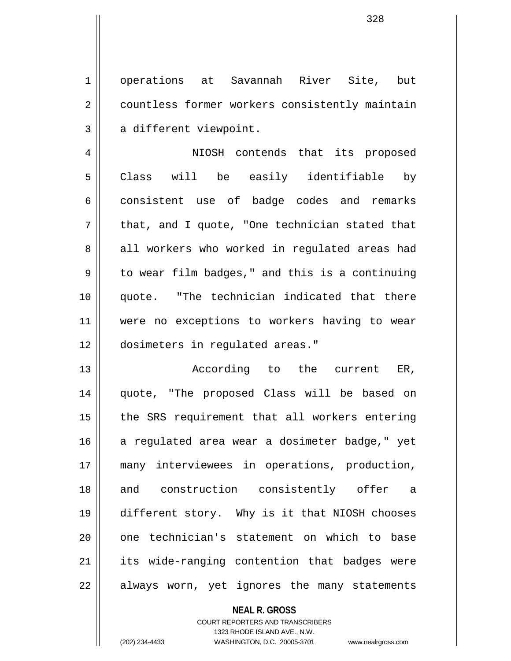1 operations at Savannah River Site, but 2 | countless former workers consistently maintain  $3 \parallel$  a different viewpoint.

4 NIOSH contends that its proposed 5 Class will be easily identifiable by 6 consistent use of badge codes and remarks  $7 \parallel$  that, and I quote, "One technician stated that 8 all workers who worked in requlated areas had  $9 \parallel$  to wear film badges," and this is a continuing 10 || quote. "The technician indicated that there 11 || were no exceptions to workers having to wear 12 dosimeters in regulated areas."

13 || According to the current ER, 14 quote, "The proposed Class will be based on 15 || the SRS requirement that all workers entering 16 a regulated area wear a dosimeter badge," yet 17 many interviewees in operations, production, 18 || and construction consistently offer a 19 different story. Why is it that NIOSH chooses 20 || one technician's statement on which to base 21 || its wide-ranging contention that badges were 22 || always worn, yet ignores the many statements

**NEAL R. GROSS**

COURT REPORTERS AND TRANSCRIBERS 1323 RHODE ISLAND AVE., N.W. (202) 234-4433 WASHINGTON, D.C. 20005-3701 www.nealrgross.com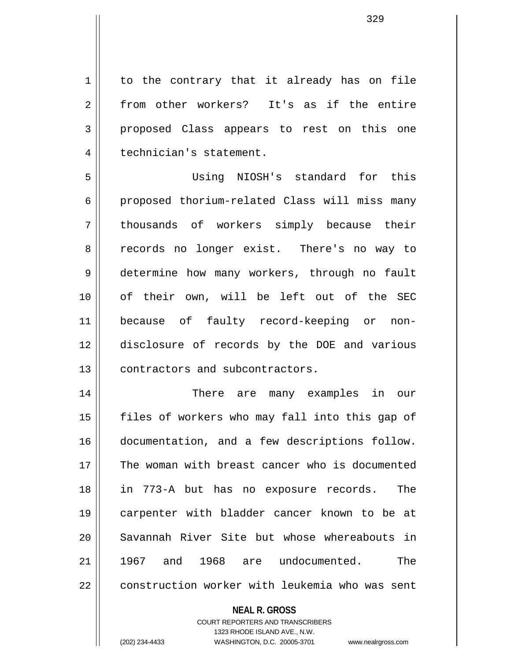$1 \parallel$  to the contrary that it already has on file 2 from other workers? It's as if the entire 3 || proposed Class appears to rest on this one 4 | technician's statement.

5 Using NIOSH's standard for this 6 | proposed thorium-related Class will miss many 7 || thousands of workers simply because their 8 || records no longer exist. There's no way to 9 determine how many workers, through no fault 10 of their own, will be left out of the SEC 11 because of faulty record-keeping or non-12 disclosure of records by the DOE and various 13 **d** contractors and subcontractors.

14 There are many examples in our 15 || files of workers who may fall into this gap of 16 documentation, and a few descriptions follow. 17  $\parallel$  The woman with breast cancer who is documented 18 in 773-A but has no exposure records. The 19 carpenter with bladder cancer known to be at 20 Savannah River Site but whose whereabouts in 21 1967 and 1968 are undocumented. The 22 construction worker with leukemia who was sent

## **NEAL R. GROSS**

COURT REPORTERS AND TRANSCRIBERS 1323 RHODE ISLAND AVE., N.W. (202) 234-4433 WASHINGTON, D.C. 20005-3701 www.nealrgross.com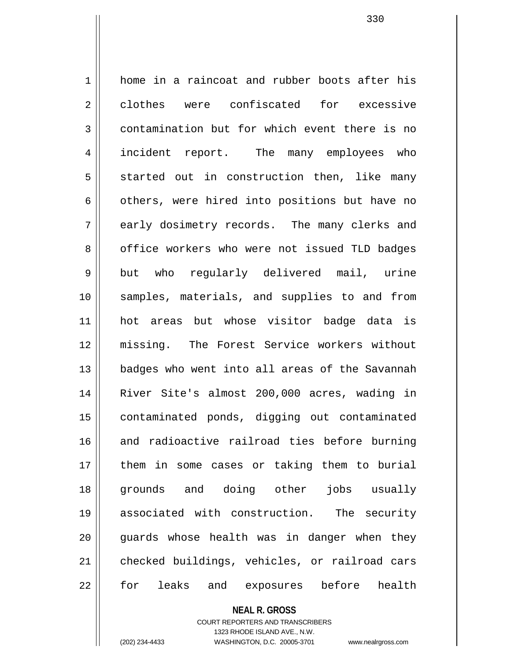1 home in a raincoat and rubber boots after his 2 clothes were confiscated for excessive  $3 \parallel$  contamination but for which event there is no 4 || incident report. The many employees who  $5 \parallel$  started out in construction then, like many  $6 \parallel$  others, were hired into positions but have no 7 early dosimetry records. The many clerks and 8 | office workers who were not issued TLD badges 9 || but who regularly delivered mail, urine 10 || samples, materials, and supplies to and from 11 hot areas but whose visitor badge data is 12 missing. The Forest Service workers without 13 badges who went into all areas of the Savannah 14 River Site's almost 200,000 acres, wading in 15 || contaminated ponds, digging out contaminated 16 and radioactive railroad ties before burning 17 || them in some cases or taking them to burial 18 grounds and doing other jobs usually 19 associated with construction. The security 20 || guards whose health was in danger when they 21 checked buildings, vehicles, or railroad cars 22 || for leaks and exposures before health

> **NEAL R. GROSS** COURT REPORTERS AND TRANSCRIBERS 1323 RHODE ISLAND AVE., N.W.

(202) 234-4433 WASHINGTON, D.C. 20005-3701 www.nealrgross.com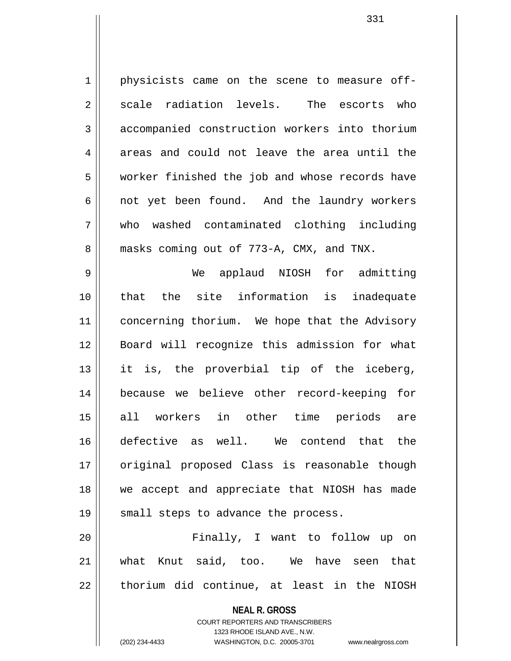1 physicists came on the scene to measure off- $2 \parallel$  scale radiation levels. The escorts who 3 accompanied construction workers into thorium  $4 \parallel$  areas and could not leave the area until the 5 | worker finished the job and whose records have 6 || not yet been found. And the laundry workers 7 who washed contaminated clothing including 8 **masks** coming out of 773-A, CMX, and TNX.

9 We applaud NIOSH for admitting 10 that the site information is inadequate 11 | concerning thorium. We hope that the Advisory 12 Board will recognize this admission for what  $13$  it is, the proverbial tip of the iceberg, 14 because we believe other record-keeping for 15 all workers in other time periods are 16 defective as well. We contend that the 17 || original proposed Class is reasonable though 18 we accept and appreciate that NIOSH has made 19 || small steps to advance the process.

20 Finally, I want to follow up on 21 what Knut said, too. We have seen that  $22$  || thorium did continue, at least in the NIOSH

**NEAL R. GROSS**

COURT REPORTERS AND TRANSCRIBERS

1323 RHODE ISLAND AVE., N.W. (202) 234-4433 WASHINGTON, D.C. 20005-3701 www.nealrgross.com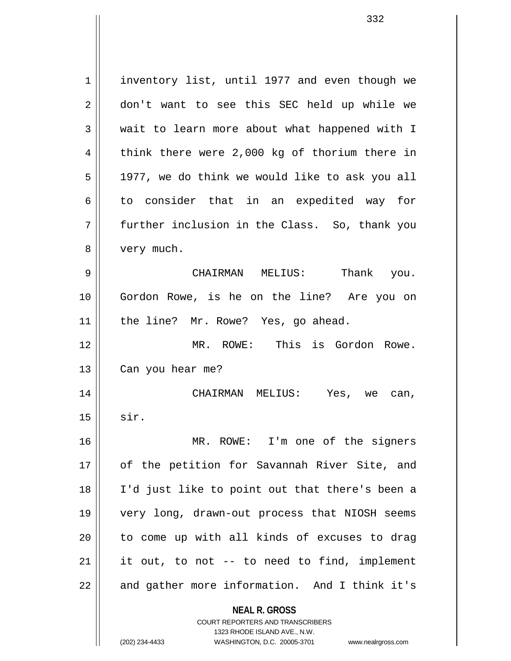**NEAL R. GROSS** COURT REPORTERS AND TRANSCRIBERS 1323 RHODE ISLAND AVE., N.W. 1 | inventory list, until 1977 and even though we 2 || don't want to see this SEC held up while we 3 wait to learn more about what happened with I  $4 \parallel$  think there were 2,000 kg of thorium there in  $5 \parallel$  1977, we do think we would like to ask you all  $6 \parallel$  to consider that in an expedited way for 7 further inclusion in the Class. So, thank you 8 | very much. 9 CHAIRMAN MELIUS: Thank you. 10 Gordon Rowe, is he on the line? Are you on 11 || the line? Mr. Rowe? Yes, go ahead. 12 MR. ROWE: This is Gordon Rowe. 13 | Can you hear me? 14 CHAIRMAN MELIUS: Yes, we can,  $15$  sir. 16 MR. ROWE: I'm one of the signers 17 || of the petition for Savannah River Site, and 18 I'd just like to point out that there's been a 19 very long, drawn-out process that NIOSH seems  $20$  || to come up with all kinds of excuses to drag  $21$  || it out, to not -- to need to find, implement  $22$  | and gather more information. And I think it's

(202) 234-4433 WASHINGTON, D.C. 20005-3701 www.nealrgross.com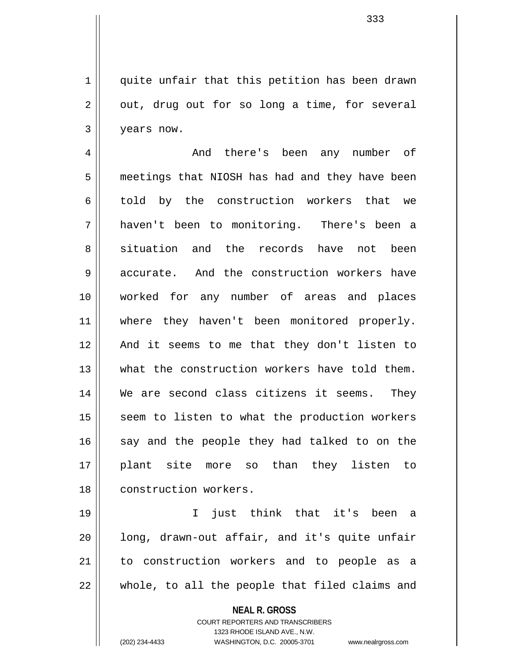$1 \parallel$  quite unfair that this petition has been drawn  $2 \parallel$  out, drug out for so long a time, for several 3 years now.

4 And there's been any number of 5 | meetings that NIOSH has had and they have been 6 told by the construction workers that we 7 haven't been to monitoring. There's been a 8 situation and the records have not been 9 accurate. And the construction workers have 10 worked for any number of areas and places 11 || where they haven't been monitored properly. 12 And it seems to me that they don't listen to 13 what the construction workers have told them. 14 We are second class citizens it seems. They  $15$  seem to listen to what the production workers  $16$  say and the people they had talked to on the 17 plant site more so than they listen to 18 || construction workers.

19 I just think that it's been a  $20$  || long, drawn-out affair, and it's quite unfair 21 || to construction workers and to people as a 22 whole, to all the people that filed claims and

> **NEAL R. GROSS** COURT REPORTERS AND TRANSCRIBERS 1323 RHODE ISLAND AVE., N.W. (202) 234-4433 WASHINGTON, D.C. 20005-3701 www.nealrgross.com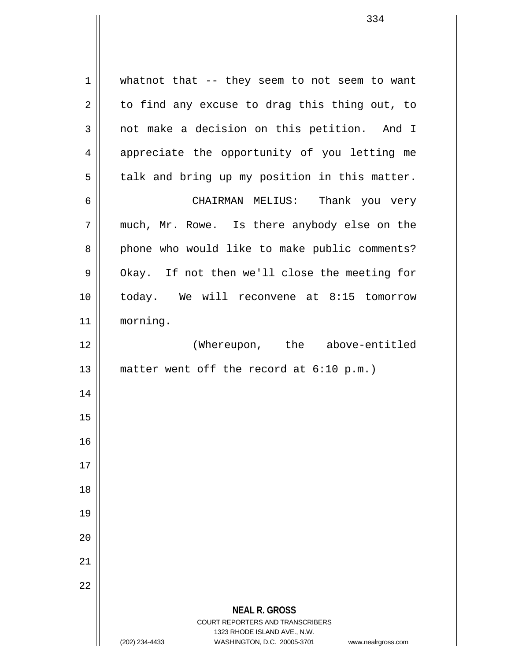**NEAL R. GROSS** COURT REPORTERS AND TRANSCRIBERS 1323 RHODE ISLAND AVE., N.W. (202) 234-4433 WASHINGTON, D.C. 20005-3701 www.nealrgross.com  $1 \parallel$  whatnot that -- they seem to not seem to want  $2 \parallel$  to find any excuse to drag this thing out, to 3 not make a decision on this petition. And I 4 appreciate the opportunity of you letting me  $5 \parallel$  talk and bring up my position in this matter. 6 CHAIRMAN MELIUS: Thank you very 7 much, Mr. Rowe. Is there anybody else on the 8 || phone who would like to make public comments? 9 | Okay. If not then we'll close the meeting for 10 today. We will reconvene at 8:15 tomorrow 11 morning. 12 || (Whereupon, the above-entitled 13 || matter went off the record at 6:10 p.m.) 14 15 16 17 18 19 20 21 22